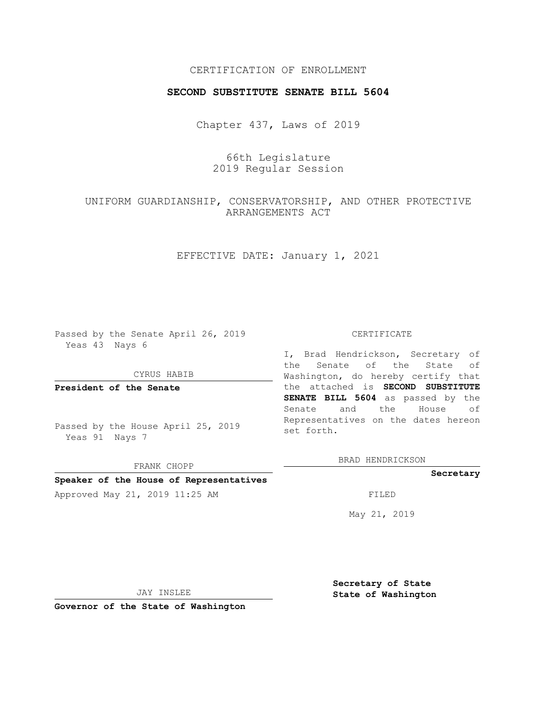## CERTIFICATION OF ENROLLMENT

### **SECOND SUBSTITUTE SENATE BILL 5604**

Chapter 437, Laws of 2019

# 66th Legislature 2019 Regular Session

# UNIFORM GUARDIANSHIP, CONSERVATORSHIP, AND OTHER PROTECTIVE ARRANGEMENTS ACT

EFFECTIVE DATE: January 1, 2021

Passed by the Senate April 26, 2019 Yeas 43 Nays 6

#### CYRUS HABIB

**President of the Senate**

Passed by the House April 25, 2019 Yeas 91 Nays 7

FRANK CHOPP

# **Speaker of the House of Representatives**

Approved May 21, 2019 11:25 AM FILED

#### CERTIFICATE

I, Brad Hendrickson, Secretary of the Senate of the State of Washington, do hereby certify that the attached is **SECOND SUBSTITUTE SENATE BILL 5604** as passed by the Senate and the House of Representatives on the dates hereon set forth.

BRAD HENDRICKSON

#### **Secretary**

May 21, 2019

JAY INSLEE

**Secretary of State State of Washington**

**Governor of the State of Washington**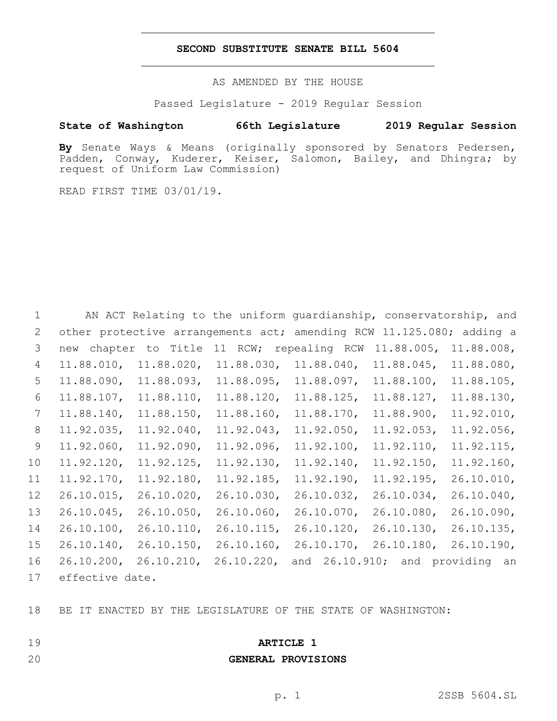## **SECOND SUBSTITUTE SENATE BILL 5604**

AS AMENDED BY THE HOUSE

Passed Legislature - 2019 Regular Session

## **State of Washington 66th Legislature 2019 Regular Session**

**By** Senate Ways & Means (originally sponsored by Senators Pedersen, Padden, Conway, Kuderer, Keiser, Salomon, Bailey, and Dhingra; by request of Uniform Law Commission)

READ FIRST TIME 03/01/19.

| $\mathbf{1}$ |                 |                  |               | AN ACT Relating to the uniform guardianship, conservatorship, and    |               |               |
|--------------|-----------------|------------------|---------------|----------------------------------------------------------------------|---------------|---------------|
| 2            |                 |                  |               | other protective arrangements act; amending RCW 11.125.080; adding a |               |               |
| 3            | new             | chapter to Title | 11 RCW;       | repealing RCW                                                        | $11.88.005$ , | 11.88.008,    |
| 4            | 11.88.010,      | $11.88.020$ ,    | $11.88.030$ , | $11.88.040$ ,                                                        | $11.88.045$ , | 11.88.080,    |
| 5            | 11.88.090,      | 11.88.093,       | 11.88.095,    | $11.88.097$ ,                                                        | 11.88.100,    | 11.88.105,    |
| 6            | $11.88.107$ ,   | 11.88.110,       | $11.88.120$ , | $11.88.125$ ,                                                        | $11.88.127$ , | 11.88.130,    |
| 7            | $11.88.140$ ,   | $11.88.150$ ,    | $11.88.160$ , | $11.88.170$ ,                                                        | 11.88.900,    | 11.92.010,    |
| 8            | $11.92.035$ ,   | $11.92.040$ ,    | 11.92.043,    | $11.92.050$ ,                                                        | $11.92.053$ , | $11.92.056$ , |
| 9            | $11.92.060$ ,   | $11.92.090$ ,    | $11.92.096$ , | $11.92.100$ ,                                                        | 11.92.110,    | 11.92.115,    |
| 10           | $11.92.120$ ,   | $11.92.125$ ,    | $11.92.130$ , | $11.92.140$ ,                                                        | $11.92.150$ , | 11.92.160,    |
| 11           | 11.92.170,      | 11.92.180,       | $11.92.185$ , | 11.92.190,                                                           | $11.92.195$ , | 26.10.010,    |
| 12           | $26.10.015$ ,   | $26.10.020$ ,    | $26.10.030$ , | $26.10.032$ ,                                                        | $26.10.034$ , | $26.10.040$ , |
| 13           | $26.10.045$ ,   | 26.10.050,       | 26.10.060,    | $26.10.070$ ,                                                        | $26.10.080$ , | 26.10.090,    |
| 14           | 26.10.100,      | 26.10.110,       | $26.10.115$ , | $26.10.120$ ,                                                        | $26.10.130$ , | 26.10.135     |
| 15           | 26.10.140,      | $26.10.150$ ,    | $26.10.160$ , | $26.10.170$ ,                                                        | $26.10.180$ , | 26.10.190,    |
| 16           | $26.10.200$ ,   | 26.10.210,       | $26.10.220$ , | and 26.10.910; and providing an                                      |               |               |
| 17           | effective date. |                  |               |                                                                      |               |               |

BE IT ENACTED BY THE LEGISLATURE OF THE STATE OF WASHINGTON:

- 
- 
- 

## **GENERAL PROVISIONS**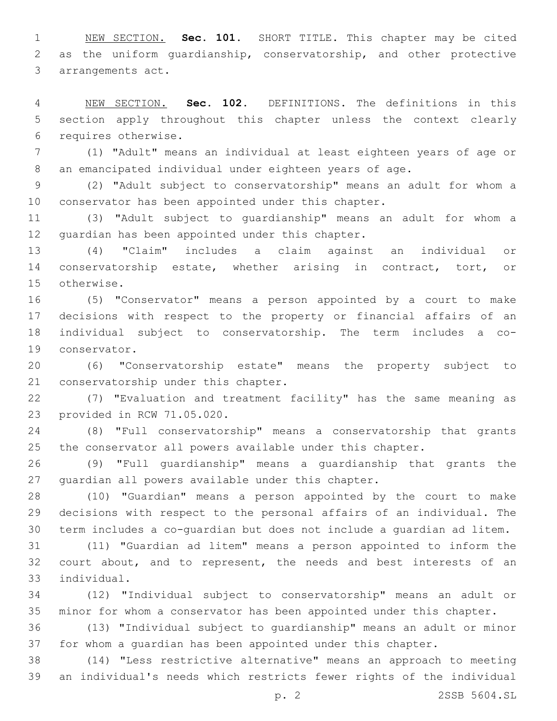NEW SECTION. **Sec. 101.** SHORT TITLE. This chapter may be cited as the uniform guardianship, conservatorship, and other protective arrangements act.

 NEW SECTION. **Sec. 102.** DEFINITIONS. The definitions in this section apply throughout this chapter unless the context clearly requires otherwise.

 (1) "Adult" means an individual at least eighteen years of age or an emancipated individual under eighteen years of age.

 (2) "Adult subject to conservatorship" means an adult for whom a conservator has been appointed under this chapter.

 (3) "Adult subject to guardianship" means an adult for whom a 12 guardian has been appointed under this chapter.

 (4) "Claim" includes a claim against an individual or conservatorship estate, whether arising in contract, tort, or 15 otherwise.

 (5) "Conservator" means a person appointed by a court to make decisions with respect to the property or financial affairs of an individual subject to conservatorship. The term includes a co-19 conservator.

 (6) "Conservatorship estate" means the property subject to 21 conservatorship under this chapter.

 (7) "Evaluation and treatment facility" has the same meaning as 23 provided in RCW 71.05.020.

 (8) "Full conservatorship" means a conservatorship that grants the conservator all powers available under this chapter.

 (9) "Full guardianship" means a guardianship that grants the 27 quardian all powers available under this chapter.

 (10) "Guardian" means a person appointed by the court to make decisions with respect to the personal affairs of an individual. The term includes a co-guardian but does not include a guardian ad litem.

 (11) "Guardian ad litem" means a person appointed to inform the 32 court about, and to represent, the needs and best interests of an individual.33

 (12) "Individual subject to conservatorship" means an adult or minor for whom a conservator has been appointed under this chapter.

 (13) "Individual subject to guardianship" means an adult or minor for whom a guardian has been appointed under this chapter.

 (14) "Less restrictive alternative" means an approach to meeting an individual's needs which restricts fewer rights of the individual

p. 2 2SSB 5604.SL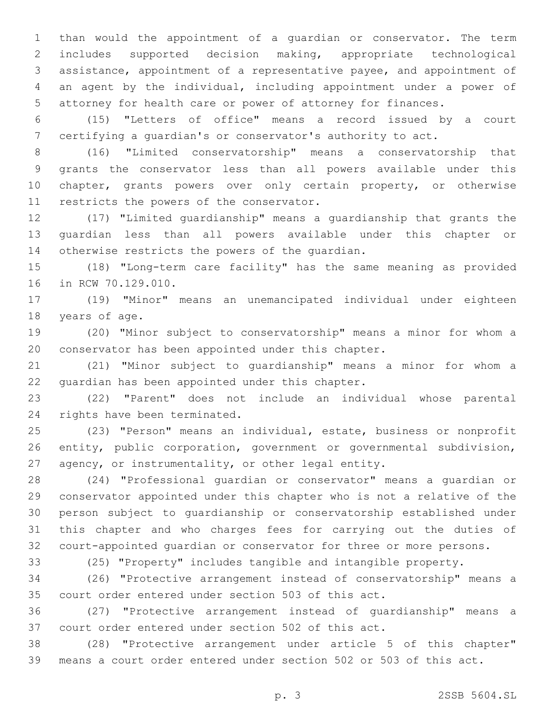than would the appointment of a guardian or conservator. The term includes supported decision making, appropriate technological assistance, appointment of a representative payee, and appointment of an agent by the individual, including appointment under a power of attorney for health care or power of attorney for finances.

 (15) "Letters of office" means a record issued by a court certifying a guardian's or conservator's authority to act.

 (16) "Limited conservatorship" means a conservatorship that grants the conservator less than all powers available under this 10 chapter, grants powers over only certain property, or otherwise 11 restricts the powers of the conservator.

 (17) "Limited guardianship" means a guardianship that grants the guardian less than all powers available under this chapter or 14 otherwise restricts the powers of the quardian.

 (18) "Long-term care facility" has the same meaning as provided 16 in RCW 70.129.010.

 (19) "Minor" means an unemancipated individual under eighteen 18 years of age.

 (20) "Minor subject to conservatorship" means a minor for whom a conservator has been appointed under this chapter.

 (21) "Minor subject to guardianship" means a minor for whom a 22 quardian has been appointed under this chapter.

 (22) "Parent" does not include an individual whose parental 24 rights have been terminated.

 (23) "Person" means an individual, estate, business or nonprofit entity, public corporation, government or governmental subdivision, agency, or instrumentality, or other legal entity.

 (24) "Professional guardian or conservator" means a guardian or conservator appointed under this chapter who is not a relative of the person subject to guardianship or conservatorship established under this chapter and who charges fees for carrying out the duties of court-appointed guardian or conservator for three or more persons.

(25) "Property" includes tangible and intangible property.

 (26) "Protective arrangement instead of conservatorship" means a court order entered under section 503 of this act.

 (27) "Protective arrangement instead of guardianship" means a court order entered under section 502 of this act.

 (28) "Protective arrangement under article 5 of this chapter" means a court order entered under section 502 or 503 of this act.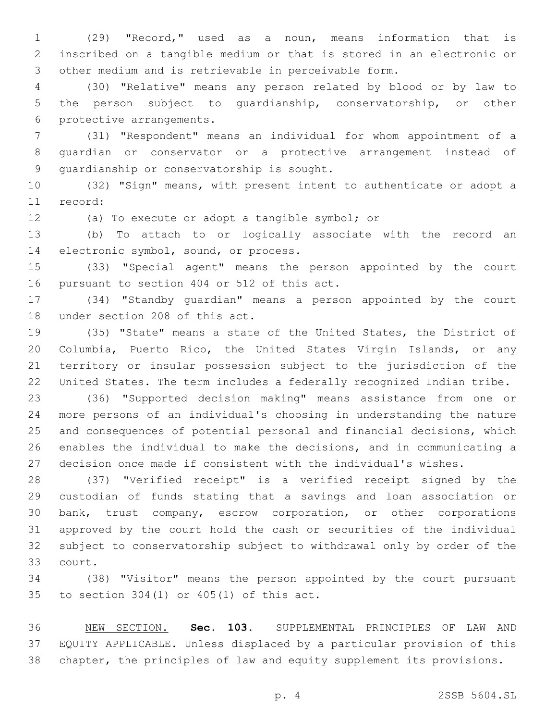(29) "Record," used as a noun, means information that is inscribed on a tangible medium or that is stored in an electronic or other medium and is retrievable in perceivable form.

 (30) "Relative" means any person related by blood or by law to the person subject to guardianship, conservatorship, or other 6 protective arrangements.

 (31) "Respondent" means an individual for whom appointment of a guardian or conservator or a protective arrangement instead of 9 quardianship or conservatorship is sought.

 (32) "Sign" means, with present intent to authenticate or adopt a 11 record:

12 (a) To execute or adopt a tangible symbol; or

 (b) To attach to or logically associate with the record an 14 electronic symbol, sound, or process.

 (33) "Special agent" means the person appointed by the court 16 pursuant to section 404 or 512 of this act.

 (34) "Standby guardian" means a person appointed by the court 18 under section 208 of this act.

 (35) "State" means a state of the United States, the District of Columbia, Puerto Rico, the United States Virgin Islands, or any territory or insular possession subject to the jurisdiction of the United States. The term includes a federally recognized Indian tribe.

 (36) "Supported decision making" means assistance from one or more persons of an individual's choosing in understanding the nature and consequences of potential personal and financial decisions, which enables the individual to make the decisions, and in communicating a decision once made if consistent with the individual's wishes.

 (37) "Verified receipt" is a verified receipt signed by the custodian of funds stating that a savings and loan association or bank, trust company, escrow corporation, or other corporations approved by the court hold the cash or securities of the individual subject to conservatorship subject to withdrawal only by order of the 33 court.

 (38) "Visitor" means the person appointed by the court pursuant 35 to section  $304(1)$  or  $405(1)$  of this act.

 NEW SECTION. **Sec. 103.** SUPPLEMENTAL PRINCIPLES OF LAW AND EQUITY APPLICABLE. Unless displaced by a particular provision of this chapter, the principles of law and equity supplement its provisions.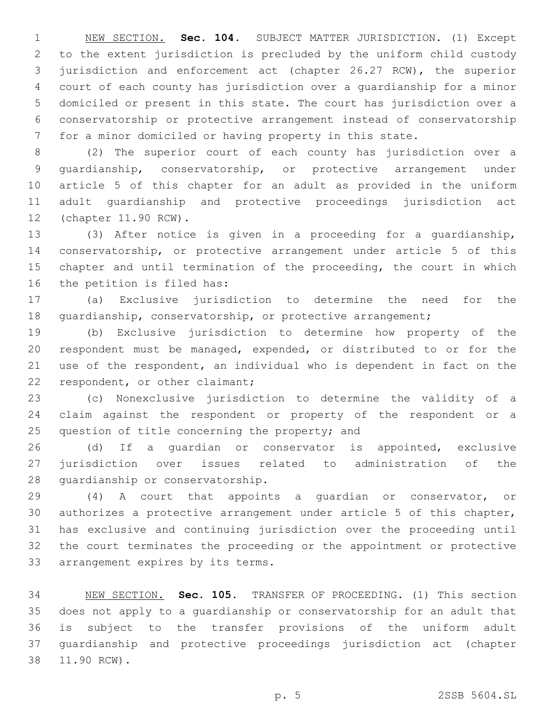NEW SECTION. **Sec. 104.** SUBJECT MATTER JURISDICTION. (1) Except to the extent jurisdiction is precluded by the uniform child custody jurisdiction and enforcement act (chapter 26.27 RCW), the superior court of each county has jurisdiction over a guardianship for a minor domiciled or present in this state. The court has jurisdiction over a conservatorship or protective arrangement instead of conservatorship for a minor domiciled or having property in this state.

 (2) The superior court of each county has jurisdiction over a guardianship, conservatorship, or protective arrangement under article 5 of this chapter for an adult as provided in the uniform adult guardianship and protective proceedings jurisdiction act 12 (chapter 11.90 RCW).

 (3) After notice is given in a proceeding for a guardianship, conservatorship, or protective arrangement under article 5 of this chapter and until termination of the proceeding, the court in which 16 the petition is filed has:

 (a) Exclusive jurisdiction to determine the need for the 18 guardianship, conservatorship, or protective arrangement;

 (b) Exclusive jurisdiction to determine how property of the respondent must be managed, expended, or distributed to or for the use of the respondent, an individual who is dependent in fact on the 22 respondent, or other claimant;

 (c) Nonexclusive jurisdiction to determine the validity of a claim against the respondent or property of the respondent or a 25 question of title concerning the property; and

 (d) If a guardian or conservator is appointed, exclusive jurisdiction over issues related to administration of the 28 guardianship or conservatorship.

 (4) A court that appoints a guardian or conservator, or authorizes a protective arrangement under article 5 of this chapter, has exclusive and continuing jurisdiction over the proceeding until the court terminates the proceeding or the appointment or protective 33 arrangement expires by its terms.

 NEW SECTION. **Sec. 105.** TRANSFER OF PROCEEDING. (1) This section does not apply to a guardianship or conservatorship for an adult that is subject to the transfer provisions of the uniform adult guardianship and protective proceedings jurisdiction act (chapter 11.90 RCW).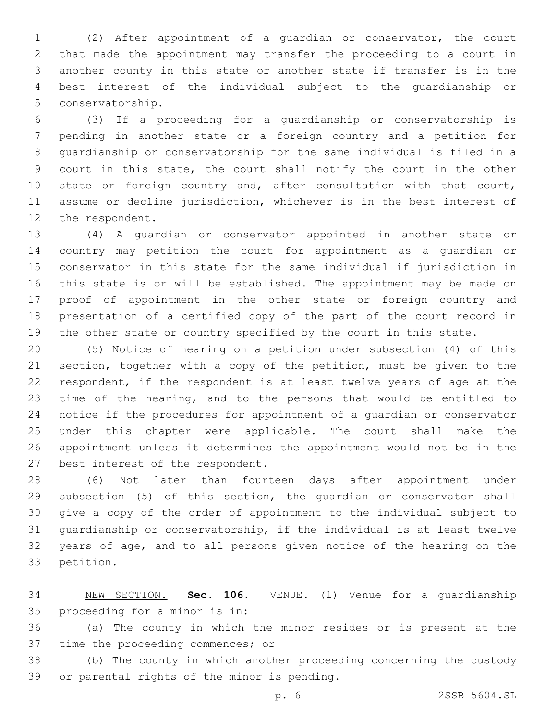(2) After appointment of a guardian or conservator, the court that made the appointment may transfer the proceeding to a court in another county in this state or another state if transfer is in the best interest of the individual subject to the guardianship or 5 conservatorship.

 (3) If a proceeding for a guardianship or conservatorship is pending in another state or a foreign country and a petition for guardianship or conservatorship for the same individual is filed in a court in this state, the court shall notify the court in the other 10 state or foreign country and, after consultation with that court, assume or decline jurisdiction, whichever is in the best interest of 12 the respondent.

 (4) A guardian or conservator appointed in another state or country may petition the court for appointment as a guardian or conservator in this state for the same individual if jurisdiction in this state is or will be established. The appointment may be made on proof of appointment in the other state or foreign country and presentation of a certified copy of the part of the court record in 19 the other state or country specified by the court in this state.

 (5) Notice of hearing on a petition under subsection (4) of this section, together with a copy of the petition, must be given to the respondent, if the respondent is at least twelve years of age at the time of the hearing, and to the persons that would be entitled to notice if the procedures for appointment of a guardian or conservator under this chapter were applicable. The court shall make the appointment unless it determines the appointment would not be in the 27 best interest of the respondent.

 (6) Not later than fourteen days after appointment under subsection (5) of this section, the guardian or conservator shall give a copy of the order of appointment to the individual subject to guardianship or conservatorship, if the individual is at least twelve years of age, and to all persons given notice of the hearing on the 33 petition.

 NEW SECTION. **Sec. 106.** VENUE. (1) Venue for a guardianship proceeding for a minor is in:

 (a) The county in which the minor resides or is present at the 37 time the proceeding commences; or

 (b) The county in which another proceeding concerning the custody 39 or parental rights of the minor is pending.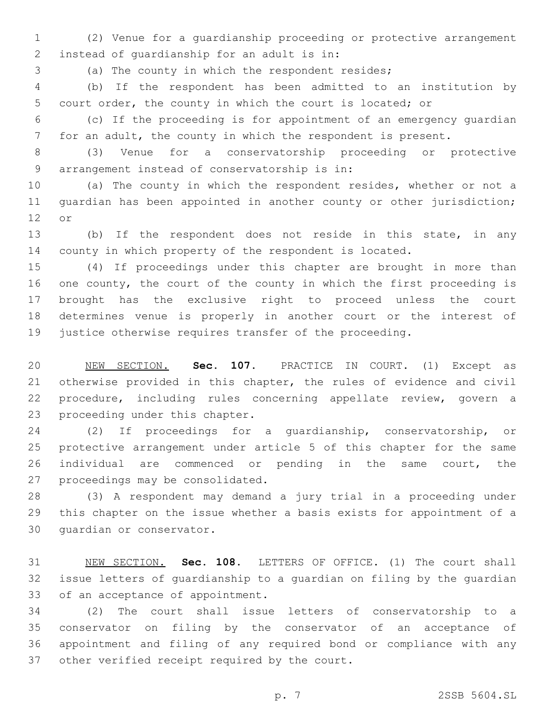(2) Venue for a guardianship proceeding or protective arrangement 2 instead of quardianship for an adult is in:

(a) The county in which the respondent resides;

 (b) If the respondent has been admitted to an institution by court order, the county in which the court is located; or

 (c) If the proceeding is for appointment of an emergency guardian for an adult, the county in which the respondent is present.

 (3) Venue for a conservatorship proceeding or protective arrangement instead of conservatorship is in:9

 (a) The county in which the respondent resides, whether or not a guardian has been appointed in another county or other jurisdiction; 12 or

 (b) If the respondent does not reside in this state, in any county in which property of the respondent is located.

 (4) If proceedings under this chapter are brought in more than one county, the court of the county in which the first proceeding is brought has the exclusive right to proceed unless the court determines venue is properly in another court or the interest of justice otherwise requires transfer of the proceeding.

 NEW SECTION. **Sec. 107.** PRACTICE IN COURT. (1) Except as otherwise provided in this chapter, the rules of evidence and civil procedure, including rules concerning appellate review, govern a proceeding under this chapter.

 (2) If proceedings for a guardianship, conservatorship, or protective arrangement under article 5 of this chapter for the same individual are commenced or pending in the same court, the 27 proceedings may be consolidated.

 (3) A respondent may demand a jury trial in a proceeding under this chapter on the issue whether a basis exists for appointment of a 30 quardian or conservator.

 NEW SECTION. **Sec. 108.** LETTERS OF OFFICE. (1) The court shall issue letters of guardianship to a guardian on filing by the guardian of an acceptance of appointment.

 (2) The court shall issue letters of conservatorship to a conservator on filing by the conservator of an acceptance of appointment and filing of any required bond or compliance with any 37 other verified receipt required by the court.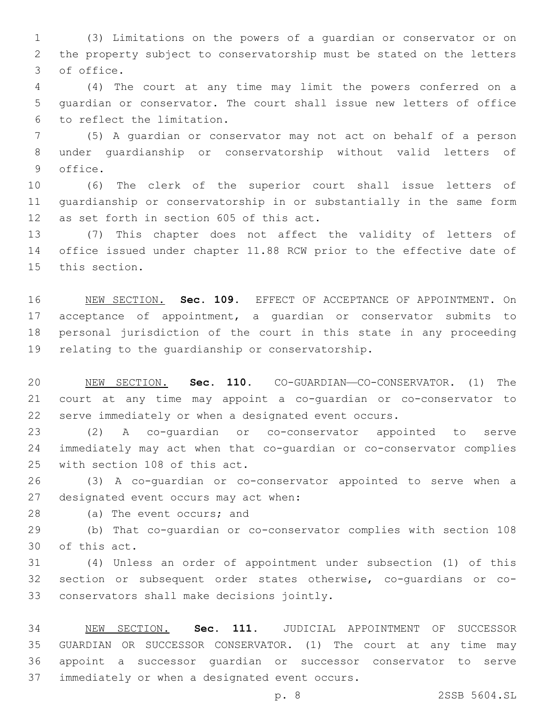(3) Limitations on the powers of a guardian or conservator or on the property subject to conservatorship must be stated on the letters 3 of office.

 (4) The court at any time may limit the powers conferred on a guardian or conservator. The court shall issue new letters of office 6 to reflect the limitation.

 (5) A guardian or conservator may not act on behalf of a person under guardianship or conservatorship without valid letters of 9 office.

 (6) The clerk of the superior court shall issue letters of guardianship or conservatorship in or substantially in the same form 12 as set forth in section 605 of this act.

 (7) This chapter does not affect the validity of letters of office issued under chapter 11.88 RCW prior to the effective date of 15 this section.

 NEW SECTION. **Sec. 109.** EFFECT OF ACCEPTANCE OF APPOINTMENT. On acceptance of appointment, a guardian or conservator submits to personal jurisdiction of the court in this state in any proceeding relating to the guardianship or conservatorship.

 NEW SECTION. **Sec. 110.** CO-GUARDIAN—CO-CONSERVATOR. (1) The court at any time may appoint a co-guardian or co-conservator to serve immediately or when a designated event occurs.

 (2) A co-guardian or co-conservator appointed to serve immediately may act when that co-guardian or co-conservator complies 25 with section 108 of this act.

 (3) A co-guardian or co-conservator appointed to serve when a 27 designated event occurs may act when:

28 (a) The event occurs; and

 (b) That co-guardian or co-conservator complies with section 108 30 of this act.

 (4) Unless an order of appointment under subsection (1) of this section or subsequent order states otherwise, co-guardians or co-33 conservators shall make decisions jointly.

 NEW SECTION. **Sec. 111.** JUDICIAL APPOINTMENT OF SUCCESSOR GUARDIAN OR SUCCESSOR CONSERVATOR. (1) The court at any time may appoint a successor guardian or successor conservator to serve immediately or when a designated event occurs.

p. 8 2SSB 5604.SL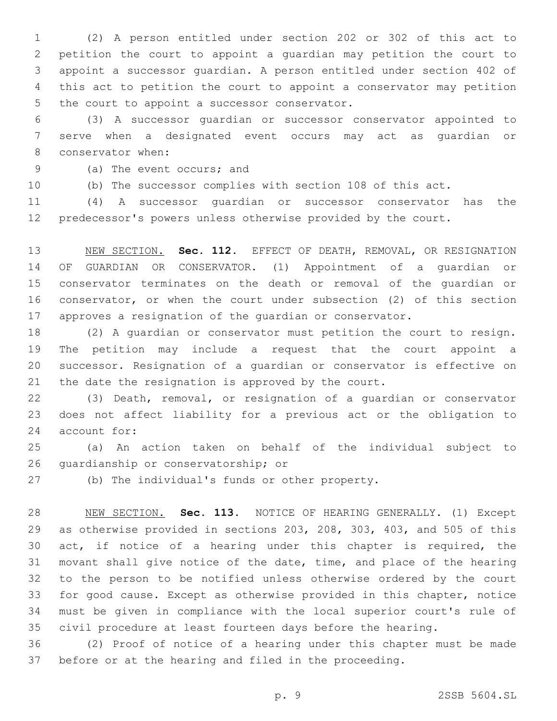(2) A person entitled under section 202 or 302 of this act to petition the court to appoint a guardian may petition the court to appoint a successor guardian. A person entitled under section 402 of this act to petition the court to appoint a conservator may petition 5 the court to appoint a successor conservator.

 (3) A successor guardian or successor conservator appointed to serve when a designated event occurs may act as guardian or 8 conservator when:

9 (a) The event occurs; and

(b) The successor complies with section 108 of this act.

 (4) A successor guardian or successor conservator has the predecessor's powers unless otherwise provided by the court.

 NEW SECTION. **Sec. 112.** EFFECT OF DEATH, REMOVAL, OR RESIGNATION OF GUARDIAN OR CONSERVATOR. (1) Appointment of a guardian or conservator terminates on the death or removal of the guardian or conservator, or when the court under subsection (2) of this section approves a resignation of the guardian or conservator.

 (2) A guardian or conservator must petition the court to resign. The petition may include a request that the court appoint a successor. Resignation of a guardian or conservator is effective on the date the resignation is approved by the court.

 (3) Death, removal, or resignation of a guardian or conservator does not affect liability for a previous act or the obligation to 24 account for:

 (a) An action taken on behalf of the individual subject to 26 quardianship or conservatorship; or

27 (b) The individual's funds or other property.

 NEW SECTION. **Sec. 113.** NOTICE OF HEARING GENERALLY. (1) Except as otherwise provided in sections 203, 208, 303, 403, and 505 of this act, if notice of a hearing under this chapter is required, the movant shall give notice of the date, time, and place of the hearing to the person to be notified unless otherwise ordered by the court for good cause. Except as otherwise provided in this chapter, notice must be given in compliance with the local superior court's rule of civil procedure at least fourteen days before the hearing.

 (2) Proof of notice of a hearing under this chapter must be made before or at the hearing and filed in the proceeding.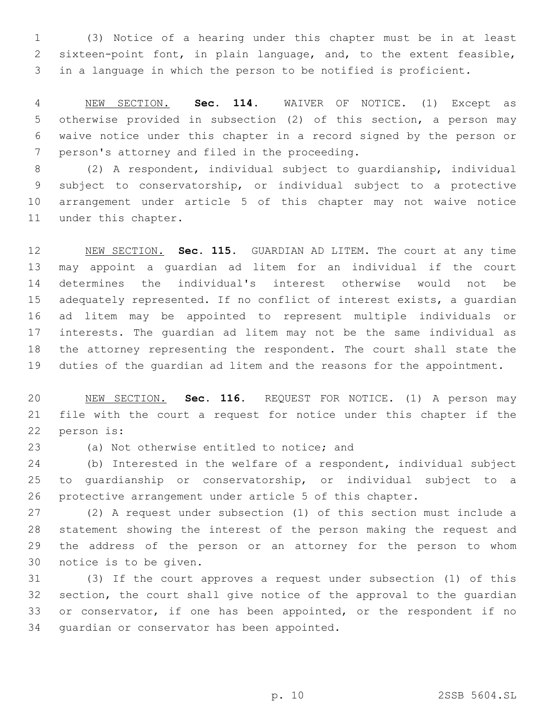(3) Notice of a hearing under this chapter must be in at least sixteen-point font, in plain language, and, to the extent feasible, in a language in which the person to be notified is proficient.

 NEW SECTION. **Sec. 114.** WAIVER OF NOTICE. (1) Except as otherwise provided in subsection (2) of this section, a person may waive notice under this chapter in a record signed by the person or person's attorney and filed in the proceeding.

 (2) A respondent, individual subject to guardianship, individual subject to conservatorship, or individual subject to a protective arrangement under article 5 of this chapter may not waive notice 11 under this chapter.

 NEW SECTION. **Sec. 115.** GUARDIAN AD LITEM. The court at any time may appoint a guardian ad litem for an individual if the court determines the individual's interest otherwise would not be adequately represented. If no conflict of interest exists, a guardian ad litem may be appointed to represent multiple individuals or interests. The guardian ad litem may not be the same individual as the attorney representing the respondent. The court shall state the duties of the guardian ad litem and the reasons for the appointment.

 NEW SECTION. **Sec. 116.** REQUEST FOR NOTICE. (1) A person may file with the court a request for notice under this chapter if the person is:

(a) Not otherwise entitled to notice; and

 (b) Interested in the welfare of a respondent, individual subject to guardianship or conservatorship, or individual subject to a protective arrangement under article 5 of this chapter.

 (2) A request under subsection (1) of this section must include a statement showing the interest of the person making the request and the address of the person or an attorney for the person to whom 30 notice is to be given.

 (3) If the court approves a request under subsection (1) of this section, the court shall give notice of the approval to the guardian 33 or conservator, if one has been appointed, or the respondent if no 34 quardian or conservator has been appointed.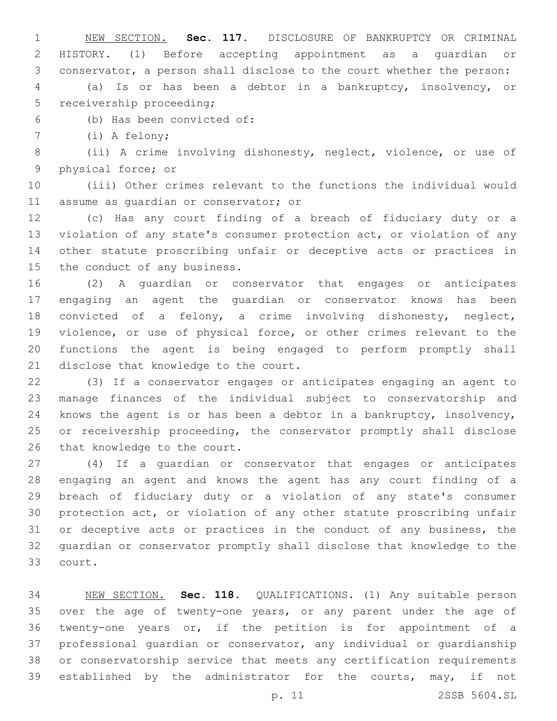NEW SECTION. **Sec. 117.** DISCLOSURE OF BANKRUPTCY OR CRIMINAL HISTORY. (1) Before accepting appointment as a guardian or conservator, a person shall disclose to the court whether the person: (a) Is or has been a debtor in a bankruptcy, insolvency, or

5 receivership proceeding;

(b) Has been convicted of:6

7 (i) A felony;

 (ii) A crime involving dishonesty, neglect, violence, or use of 9 physical force; or

 (iii) Other crimes relevant to the functions the individual would 11 assume as quardian or conservator; or

 (c) Has any court finding of a breach of fiduciary duty or a violation of any state's consumer protection act, or violation of any other statute proscribing unfair or deceptive acts or practices in 15 the conduct of any business.

 (2) A guardian or conservator that engages or anticipates engaging an agent the guardian or conservator knows has been convicted of a felony, a crime involving dishonesty, neglect, violence, or use of physical force, or other crimes relevant to the functions the agent is being engaged to perform promptly shall 21 disclose that knowledge to the court.

 (3) If a conservator engages or anticipates engaging an agent to manage finances of the individual subject to conservatorship and knows the agent is or has been a debtor in a bankruptcy, insolvency, or receivership proceeding, the conservator promptly shall disclose 26 that knowledge to the court.

 (4) If a guardian or conservator that engages or anticipates engaging an agent and knows the agent has any court finding of a breach of fiduciary duty or a violation of any state's consumer protection act, or violation of any other statute proscribing unfair or deceptive acts or practices in the conduct of any business, the guardian or conservator promptly shall disclose that knowledge to the 33 court.

 NEW SECTION. **Sec. 118.** QUALIFICATIONS. (1) Any suitable person over the age of twenty-one years, or any parent under the age of twenty-one years or, if the petition is for appointment of a professional guardian or conservator, any individual or guardianship or conservatorship service that meets any certification requirements 39 established by the administrator for the courts, may, if not

p. 11 2SSB 5604.SL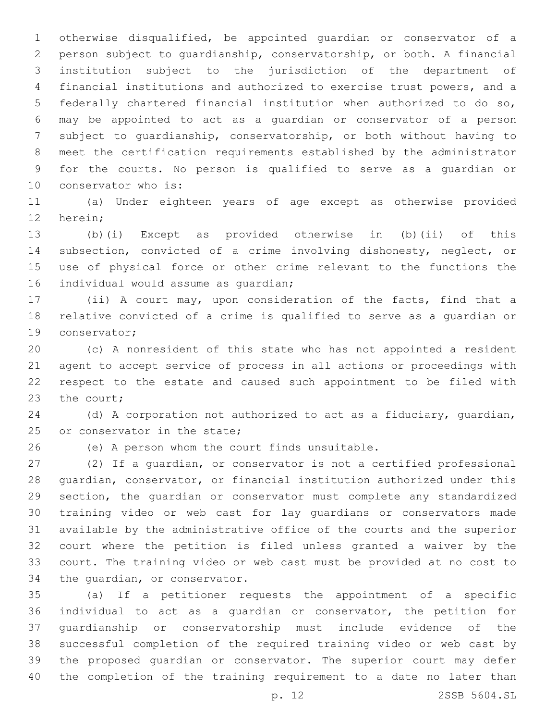otherwise disqualified, be appointed guardian or conservator of a person subject to guardianship, conservatorship, or both. A financial institution subject to the jurisdiction of the department of financial institutions and authorized to exercise trust powers, and a federally chartered financial institution when authorized to do so, may be appointed to act as a guardian or conservator of a person subject to guardianship, conservatorship, or both without having to meet the certification requirements established by the administrator for the courts. No person is qualified to serve as a guardian or 10 conservator who is:

 (a) Under eighteen years of age except as otherwise provided 12 herein;

 (b)(i) Except as provided otherwise in (b)(ii) of this subsection, convicted of a crime involving dishonesty, neglect, or use of physical force or other crime relevant to the functions the 16 individual would assume as quardian;

 (ii) A court may, upon consideration of the facts, find that a relative convicted of a crime is qualified to serve as a guardian or 19 conservator;

 (c) A nonresident of this state who has not appointed a resident agent to accept service of process in all actions or proceedings with respect to the estate and caused such appointment to be filed with 23 the court:

 (d) A corporation not authorized to act as a fiduciary, guardian, 25 or conservator in the state;

26 (e) A person whom the court finds unsuitable.

 (2) If a guardian, or conservator is not a certified professional guardian, conservator, or financial institution authorized under this section, the guardian or conservator must complete any standardized training video or web cast for lay guardians or conservators made available by the administrative office of the courts and the superior court where the petition is filed unless granted a waiver by the court. The training video or web cast must be provided at no cost to 34 the quardian, or conservator.

 (a) If a petitioner requests the appointment of a specific individual to act as a guardian or conservator, the petition for guardianship or conservatorship must include evidence of the successful completion of the required training video or web cast by the proposed guardian or conservator. The superior court may defer the completion of the training requirement to a date no later than

p. 12 2SSB 5604.SL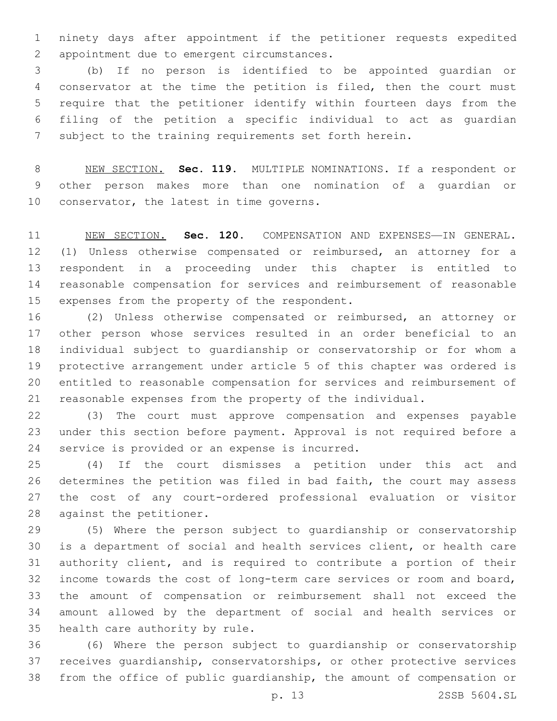ninety days after appointment if the petitioner requests expedited 2 appointment due to emergent circumstances.

 (b) If no person is identified to be appointed guardian or conservator at the time the petition is filed, then the court must require that the petitioner identify within fourteen days from the filing of the petition a specific individual to act as guardian subject to the training requirements set forth herein.

 NEW SECTION. **Sec. 119.** MULTIPLE NOMINATIONS. If a respondent or other person makes more than one nomination of a guardian or 10 conservator, the latest in time governs.

 NEW SECTION. **Sec. 120.** COMPENSATION AND EXPENSES—IN GENERAL. (1) Unless otherwise compensated or reimbursed, an attorney for a respondent in a proceeding under this chapter is entitled to reasonable compensation for services and reimbursement of reasonable expenses from the property of the respondent.

 (2) Unless otherwise compensated or reimbursed, an attorney or other person whose services resulted in an order beneficial to an individual subject to guardianship or conservatorship or for whom a protective arrangement under article 5 of this chapter was ordered is entitled to reasonable compensation for services and reimbursement of reasonable expenses from the property of the individual.

 (3) The court must approve compensation and expenses payable under this section before payment. Approval is not required before a 24 service is provided or an expense is incurred.

 (4) If the court dismisses a petition under this act and determines the petition was filed in bad faith, the court may assess the cost of any court-ordered professional evaluation or visitor 28 against the petitioner.

 (5) Where the person subject to guardianship or conservatorship is a department of social and health services client, or health care authority client, and is required to contribute a portion of their income towards the cost of long-term care services or room and board, the amount of compensation or reimbursement shall not exceed the amount allowed by the department of social and health services or 35 health care authority by rule.

 (6) Where the person subject to guardianship or conservatorship receives guardianship, conservatorships, or other protective services from the office of public guardianship, the amount of compensation or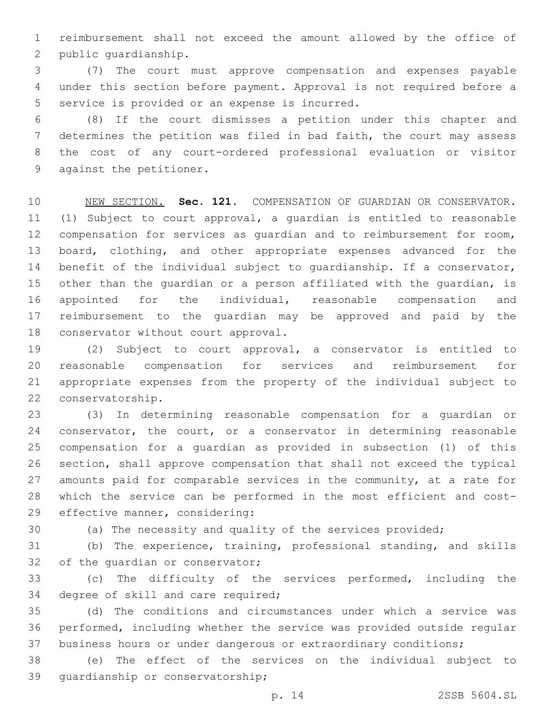reimbursement shall not exceed the amount allowed by the office of 2 public quardianship.

 (7) The court must approve compensation and expenses payable under this section before payment. Approval is not required before a 5 service is provided or an expense is incurred.

 (8) If the court dismisses a petition under this chapter and determines the petition was filed in bad faith, the court may assess the cost of any court-ordered professional evaluation or visitor 9 against the petitioner.

 NEW SECTION. **Sec. 121.** COMPENSATION OF GUARDIAN OR CONSERVATOR. (1) Subject to court approval, a guardian is entitled to reasonable compensation for services as guardian and to reimbursement for room, board, clothing, and other appropriate expenses advanced for the benefit of the individual subject to guardianship. If a conservator, other than the guardian or a person affiliated with the guardian, is appointed for the individual, reasonable compensation and reimbursement to the guardian may be approved and paid by the conservator without court approval.

 (2) Subject to court approval, a conservator is entitled to reasonable compensation for services and reimbursement for appropriate expenses from the property of the individual subject to 22 conservatorship.

 (3) In determining reasonable compensation for a guardian or 24 conservator, the court, or a conservator in determining reasonable compensation for a guardian as provided in subsection (1) of this section, shall approve compensation that shall not exceed the typical amounts paid for comparable services in the community, at a rate for which the service can be performed in the most efficient and cost-29 effective manner, considering:

(a) The necessity and quality of the services provided;

 (b) The experience, training, professional standing, and skills 32 of the quardian or conservator;

 (c) The difficulty of the services performed, including the 34 degree of skill and care required;

 (d) The conditions and circumstances under which a service was performed, including whether the service was provided outside regular business hours or under dangerous or extraordinary conditions;

 (e) The effect of the services on the individual subject to 39 quardianship or conservatorship;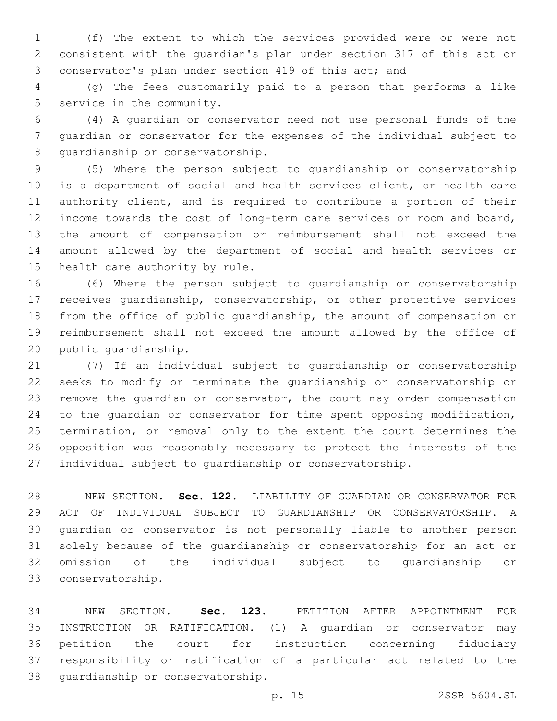(f) The extent to which the services provided were or were not consistent with the guardian's plan under section 317 of this act or conservator's plan under section 419 of this act; and

 (g) The fees customarily paid to a person that performs a like 5 service in the community.

 (4) A guardian or conservator need not use personal funds of the guardian or conservator for the expenses of the individual subject to 8 quardianship or conservatorship.

 (5) Where the person subject to guardianship or conservatorship is a department of social and health services client, or health care authority client, and is required to contribute a portion of their income towards the cost of long-term care services or room and board, the amount of compensation or reimbursement shall not exceed the amount allowed by the department of social and health services or 15 health care authority by rule.

 (6) Where the person subject to guardianship or conservatorship receives guardianship, conservatorship, or other protective services from the office of public guardianship, the amount of compensation or reimbursement shall not exceed the amount allowed by the office of 20 public quardianship.

 (7) If an individual subject to guardianship or conservatorship seeks to modify or terminate the guardianship or conservatorship or remove the guardian or conservator, the court may order compensation to the guardian or conservator for time spent opposing modification, termination, or removal only to the extent the court determines the opposition was reasonably necessary to protect the interests of the individual subject to guardianship or conservatorship.

 NEW SECTION. **Sec. 122.** LIABILITY OF GUARDIAN OR CONSERVATOR FOR ACT OF INDIVIDUAL SUBJECT TO GUARDIANSHIP OR CONSERVATORSHIP. A guardian or conservator is not personally liable to another person solely because of the guardianship or conservatorship for an act or omission of the individual subject to guardianship or conservatorship.

 NEW SECTION. **Sec. 123.** PETITION AFTER APPOINTMENT FOR INSTRUCTION OR RATIFICATION. (1) A guardian or conservator may petition the court for instruction concerning fiduciary responsibility or ratification of a particular act related to the guardianship or conservatorship.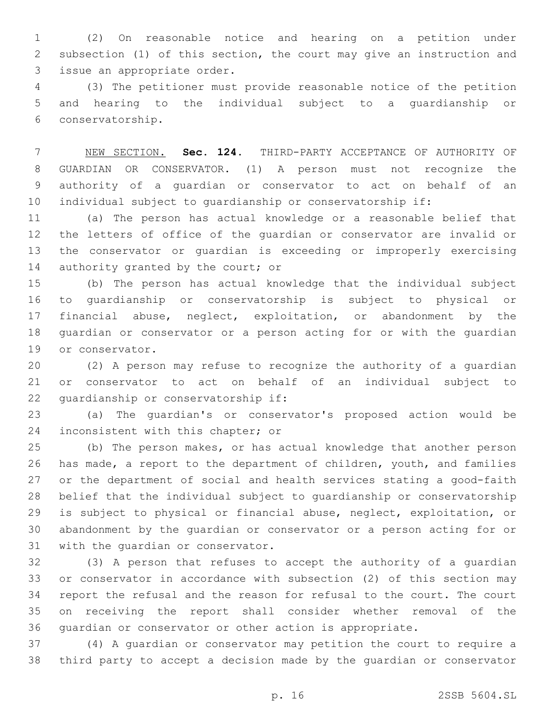(2) On reasonable notice and hearing on a petition under subsection (1) of this section, the court may give an instruction and 3 issue an appropriate order.

 (3) The petitioner must provide reasonable notice of the petition and hearing to the individual subject to a guardianship or conservatorship.6

 NEW SECTION. **Sec. 124.** THIRD-PARTY ACCEPTANCE OF AUTHORITY OF GUARDIAN OR CONSERVATOR. (1) A person must not recognize the authority of a guardian or conservator to act on behalf of an individual subject to guardianship or conservatorship if:

 (a) The person has actual knowledge or a reasonable belief that the letters of office of the guardian or conservator are invalid or the conservator or guardian is exceeding or improperly exercising 14 authority granted by the court; or

 (b) The person has actual knowledge that the individual subject to guardianship or conservatorship is subject to physical or financial abuse, neglect, exploitation, or abandonment by the guardian or conservator or a person acting for or with the guardian 19 or conservator.

 (2) A person may refuse to recognize the authority of a guardian or conservator to act on behalf of an individual subject to 22 quardianship or conservatorship if:

 (a) The guardian's or conservator's proposed action would be 24 inconsistent with this chapter; or

 (b) The person makes, or has actual knowledge that another person has made, a report to the department of children, youth, and families or the department of social and health services stating a good-faith belief that the individual subject to guardianship or conservatorship is subject to physical or financial abuse, neglect, exploitation, or abandonment by the guardian or conservator or a person acting for or 31 with the quardian or conservator.

 (3) A person that refuses to accept the authority of a guardian or conservator in accordance with subsection (2) of this section may report the refusal and the reason for refusal to the court. The court on receiving the report shall consider whether removal of the guardian or conservator or other action is appropriate.

 (4) A guardian or conservator may petition the court to require a third party to accept a decision made by the guardian or conservator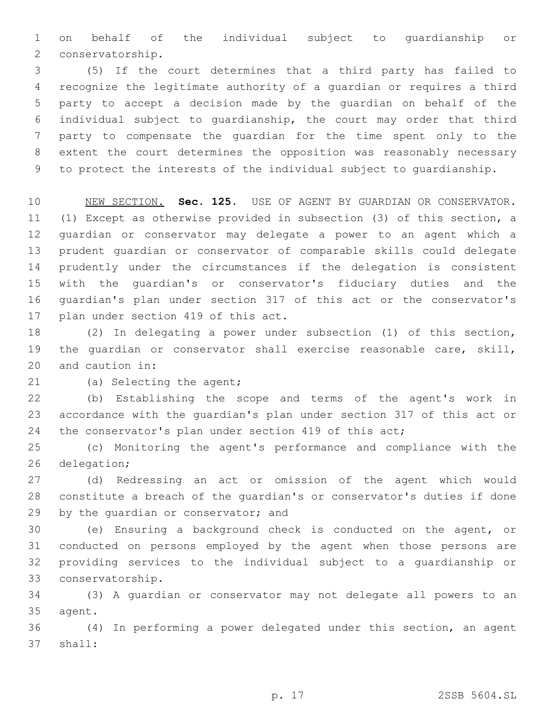on behalf of the individual subject to guardianship or 2 conservatorship.

 (5) If the court determines that a third party has failed to recognize the legitimate authority of a guardian or requires a third party to accept a decision made by the guardian on behalf of the individual subject to guardianship, the court may order that third party to compensate the guardian for the time spent only to the extent the court determines the opposition was reasonably necessary to protect the interests of the individual subject to guardianship.

 NEW SECTION. **Sec. 125.** USE OF AGENT BY GUARDIAN OR CONSERVATOR. (1) Except as otherwise provided in subsection (3) of this section, a guardian or conservator may delegate a power to an agent which a prudent guardian or conservator of comparable skills could delegate prudently under the circumstances if the delegation is consistent with the guardian's or conservator's fiduciary duties and the guardian's plan under section 317 of this act or the conservator's plan under section 419 of this act.

 (2) In delegating a power under subsection (1) of this section, the guardian or conservator shall exercise reasonable care, skill, 20 and caution in:

21 (a) Selecting the agent;

 (b) Establishing the scope and terms of the agent's work in accordance with the guardian's plan under section 317 of this act or 24 the conservator's plan under section 419 of this act;

 (c) Monitoring the agent's performance and compliance with the 26 delegation;

 (d) Redressing an act or omission of the agent which would constitute a breach of the guardian's or conservator's duties if done 29 by the quardian or conservator; and

 (e) Ensuring a background check is conducted on the agent, or conducted on persons employed by the agent when those persons are providing services to the individual subject to a guardianship or conservatorship.33

 (3) A guardian or conservator may not delegate all powers to an 35 agent.

 (4) In performing a power delegated under this section, an agent 37 shall: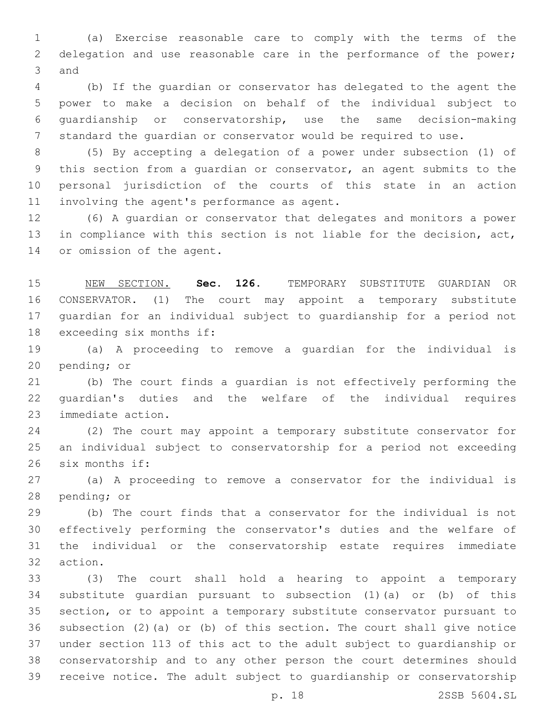(a) Exercise reasonable care to comply with the terms of the delegation and use reasonable care in the performance of the power; 3 and

 (b) If the guardian or conservator has delegated to the agent the power to make a decision on behalf of the individual subject to guardianship or conservatorship, use the same decision-making standard the guardian or conservator would be required to use.

 (5) By accepting a delegation of a power under subsection (1) of this section from a guardian or conservator, an agent submits to the personal jurisdiction of the courts of this state in an action 11 involving the agent's performance as agent.

 (6) A guardian or conservator that delegates and monitors a power in compliance with this section is not liable for the decision, act, 14 or omission of the agent.

 NEW SECTION. **Sec. 126.** TEMPORARY SUBSTITUTE GUARDIAN OR CONSERVATOR. (1) The court may appoint a temporary substitute guardian for an individual subject to guardianship for a period not exceeding six months if:

 (a) A proceeding to remove a guardian for the individual is 20 pending; or

 (b) The court finds a guardian is not effectively performing the guardian's duties and the welfare of the individual requires 23 immediate action.

 (2) The court may appoint a temporary substitute conservator for an individual subject to conservatorship for a period not exceeding 26 six months if:

 (a) A proceeding to remove a conservator for the individual is 28 pending; or

 (b) The court finds that a conservator for the individual is not effectively performing the conservator's duties and the welfare of the individual or the conservatorship estate requires immediate 32 action.

 (3) The court shall hold a hearing to appoint a temporary substitute guardian pursuant to subsection (1)(a) or (b) of this section, or to appoint a temporary substitute conservator pursuant to subsection (2)(a) or (b) of this section. The court shall give notice under section 113 of this act to the adult subject to guardianship or conservatorship and to any other person the court determines should receive notice. The adult subject to guardianship or conservatorship

p. 18 2SSB 5604.SL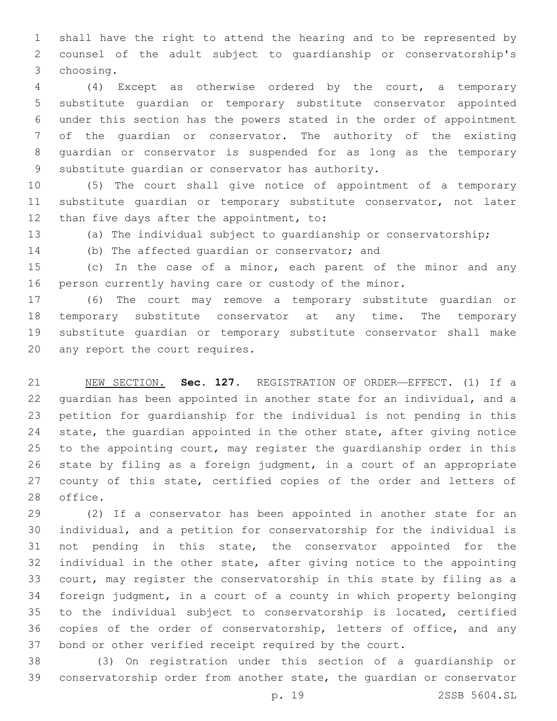shall have the right to attend the hearing and to be represented by counsel of the adult subject to guardianship or conservatorship's choosing.3

 (4) Except as otherwise ordered by the court, a temporary substitute guardian or temporary substitute conservator appointed under this section has the powers stated in the order of appointment of the guardian or conservator. The authority of the existing guardian or conservator is suspended for as long as the temporary 9 substitute quardian or conservator has authority.

 (5) The court shall give notice of appointment of a temporary substitute guardian or temporary substitute conservator, not later 12 than five days after the appointment, to:

(a) The individual subject to guardianship or conservatorship;

14 (b) The affected quardian or conservator; and

 (c) In the case of a minor, each parent of the minor and any person currently having care or custody of the minor.

 (6) The court may remove a temporary substitute guardian or temporary substitute conservator at any time. The temporary substitute guardian or temporary substitute conservator shall make 20 any report the court requires.

 NEW SECTION. **Sec. 127.** REGISTRATION OF ORDER—EFFECT. (1) If a guardian has been appointed in another state for an individual, and a petition for guardianship for the individual is not pending in this state, the guardian appointed in the other state, after giving notice to the appointing court, may register the guardianship order in this state by filing as a foreign judgment, in a court of an appropriate 27 county of this state, certified copies of the order and letters of office.

 (2) If a conservator has been appointed in another state for an individual, and a petition for conservatorship for the individual is not pending in this state, the conservator appointed for the individual in the other state, after giving notice to the appointing court, may register the conservatorship in this state by filing as a foreign judgment, in a court of a county in which property belonging to the individual subject to conservatorship is located, certified copies of the order of conservatorship, letters of office, and any bond or other verified receipt required by the court.

 (3) On registration under this section of a guardianship or conservatorship order from another state, the guardian or conservator

p. 19 2SSB 5604.SL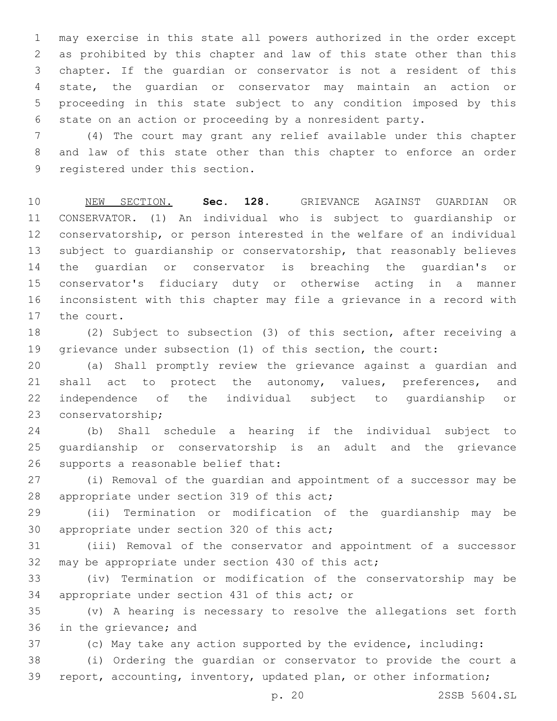may exercise in this state all powers authorized in the order except as prohibited by this chapter and law of this state other than this chapter. If the guardian or conservator is not a resident of this state, the guardian or conservator may maintain an action or proceeding in this state subject to any condition imposed by this state on an action or proceeding by a nonresident party.

 (4) The court may grant any relief available under this chapter and law of this state other than this chapter to enforce an order 9 registered under this section.

 NEW SECTION. **Sec. 128.** GRIEVANCE AGAINST GUARDIAN OR CONSERVATOR. (1) An individual who is subject to guardianship or conservatorship, or person interested in the welfare of an individual subject to guardianship or conservatorship, that reasonably believes the guardian or conservator is breaching the guardian's or conservator's fiduciary duty or otherwise acting in a manner inconsistent with this chapter may file a grievance in a record with the court.

 (2) Subject to subsection (3) of this section, after receiving a grievance under subsection (1) of this section, the court:

 (a) Shall promptly review the grievance against a guardian and 21 shall act to protect the autonomy, values, preferences, and independence of the individual subject to guardianship or 23 conservatorship;

 (b) Shall schedule a hearing if the individual subject to guardianship or conservatorship is an adult and the grievance 26 supports a reasonable belief that:

 (i) Removal of the guardian and appointment of a successor may be 28 appropriate under section 319 of this act;

 (ii) Termination or modification of the guardianship may be 30 appropriate under section 320 of this act;

 (iii) Removal of the conservator and appointment of a successor 32 may be appropriate under section 430 of this act;

 (iv) Termination or modification of the conservatorship may be 34 appropriate under section 431 of this act; or

 (v) A hearing is necessary to resolve the allegations set forth 36 in the grievance; and

(c) May take any action supported by the evidence, including:

 (i) Ordering the guardian or conservator to provide the court a report, accounting, inventory, updated plan, or other information;

p. 20 2SSB 5604.SL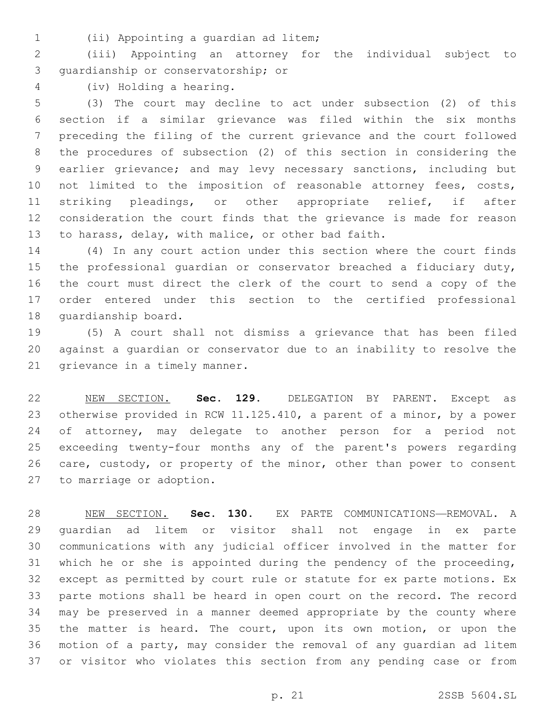(ii) Appointing a guardian ad litem;1

 (iii) Appointing an attorney for the individual subject to 3 quardianship or conservatorship; or

(iv) Holding a hearing.4

 (3) The court may decline to act under subsection (2) of this section if a similar grievance was filed within the six months preceding the filing of the current grievance and the court followed the procedures of subsection (2) of this section in considering the earlier grievance; and may levy necessary sanctions, including but 10 not limited to the imposition of reasonable attorney fees, costs, striking pleadings, or other appropriate relief, if after consideration the court finds that the grievance is made for reason to harass, delay, with malice, or other bad faith.

 (4) In any court action under this section where the court finds the professional guardian or conservator breached a fiduciary duty, the court must direct the clerk of the court to send a copy of the order entered under this section to the certified professional 18 quardianship board.

 (5) A court shall not dismiss a grievance that has been filed against a guardian or conservator due to an inability to resolve the 21 grievance in a timely manner.

 NEW SECTION. **Sec. 129.** DELEGATION BY PARENT. Except as otherwise provided in RCW 11.125.410, a parent of a minor, by a power 24 of attorney, may delegate to another person for a period not exceeding twenty-four months any of the parent's powers regarding care, custody, or property of the minor, other than power to consent to marriage or adoption.

 NEW SECTION. **Sec. 130.** EX PARTE COMMUNICATIONS—REMOVAL. A guardian ad litem or visitor shall not engage in ex parte communications with any judicial officer involved in the matter for which he or she is appointed during the pendency of the proceeding, except as permitted by court rule or statute for ex parte motions. Ex parte motions shall be heard in open court on the record. The record may be preserved in a manner deemed appropriate by the county where the matter is heard. The court, upon its own motion, or upon the motion of a party, may consider the removal of any guardian ad litem or visitor who violates this section from any pending case or from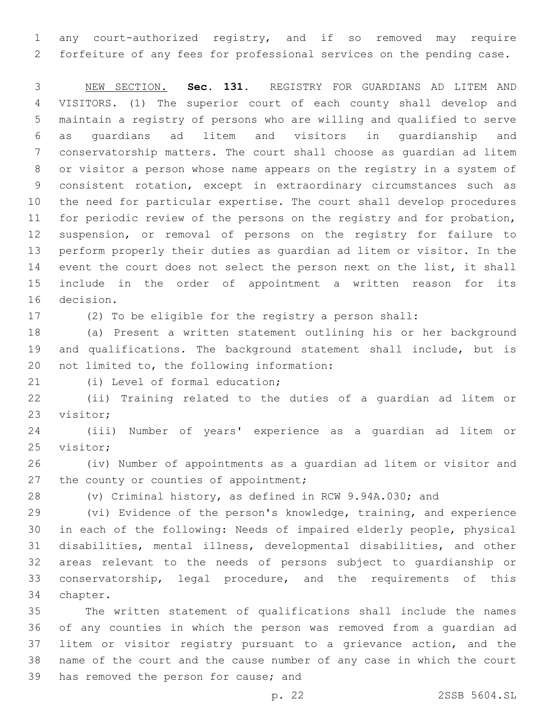any court-authorized registry, and if so removed may require forfeiture of any fees for professional services on the pending case.

 NEW SECTION. **Sec. 131.** REGISTRY FOR GUARDIANS AD LITEM AND VISITORS. (1) The superior court of each county shall develop and maintain a registry of persons who are willing and qualified to serve as guardians ad litem and visitors in guardianship and conservatorship matters. The court shall choose as guardian ad litem or visitor a person whose name appears on the registry in a system of consistent rotation, except in extraordinary circumstances such as the need for particular expertise. The court shall develop procedures for periodic review of the persons on the registry and for probation, suspension, or removal of persons on the registry for failure to perform properly their duties as guardian ad litem or visitor. In the event the court does not select the person next on the list, it shall include in the order of appointment a written reason for its decision.

(2) To be eligible for the registry a person shall:

 (a) Present a written statement outlining his or her background and qualifications. The background statement shall include, but is 20 not limited to, the following information:

21 (i) Level of formal education;

 (ii) Training related to the duties of a guardian ad litem or 23 visitor;

 (iii) Number of years' experience as a guardian ad litem or 25 visitor;

 (iv) Number of appointments as a guardian ad litem or visitor and 27 the county or counties of appointment;

(v) Criminal history, as defined in RCW 9.94A.030; and

 (vi) Evidence of the person's knowledge, training, and experience in each of the following: Needs of impaired elderly people, physical disabilities, mental illness, developmental disabilities, and other areas relevant to the needs of persons subject to guardianship or conservatorship, legal procedure, and the requirements of this 34 chapter.

 The written statement of qualifications shall include the names of any counties in which the person was removed from a guardian ad litem or visitor registry pursuant to a grievance action, and the name of the court and the cause number of any case in which the court 39 has removed the person for cause; and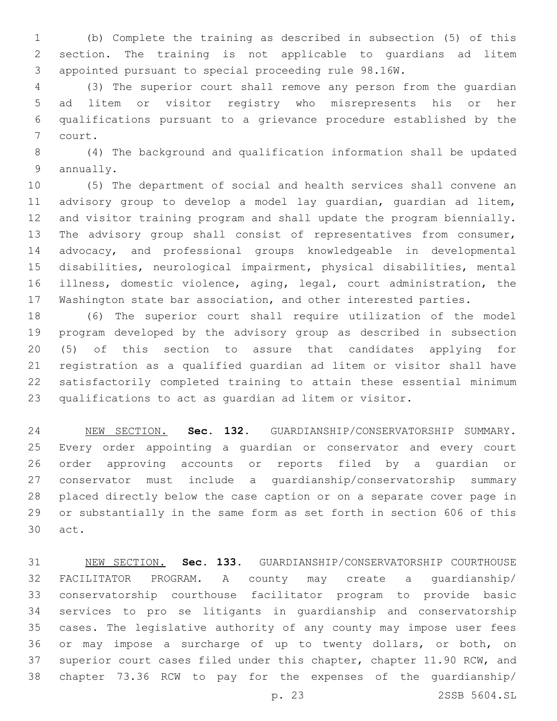(b) Complete the training as described in subsection (5) of this section. The training is not applicable to guardians ad litem appointed pursuant to special proceeding rule 98.16W.

 (3) The superior court shall remove any person from the guardian ad litem or visitor registry who misrepresents his or her qualifications pursuant to a grievance procedure established by the 7 court.

 (4) The background and qualification information shall be updated 9 annually.

 (5) The department of social and health services shall convene an advisory group to develop a model lay guardian, guardian ad litem, and visitor training program and shall update the program biennially. 13 The advisory group shall consist of representatives from consumer, advocacy, and professional groups knowledgeable in developmental disabilities, neurological impairment, physical disabilities, mental illness, domestic violence, aging, legal, court administration, the Washington state bar association, and other interested parties.

 (6) The superior court shall require utilization of the model program developed by the advisory group as described in subsection (5) of this section to assure that candidates applying for registration as a qualified guardian ad litem or visitor shall have satisfactorily completed training to attain these essential minimum qualifications to act as guardian ad litem or visitor.

 NEW SECTION. **Sec. 132.** GUARDIANSHIP/CONSERVATORSHIP SUMMARY. Every order appointing a guardian or conservator and every court order approving accounts or reports filed by a guardian or conservator must include a guardianship/conservatorship summary placed directly below the case caption or on a separate cover page in or substantially in the same form as set forth in section 606 of this act.

 NEW SECTION. **Sec. 133.** GUARDIANSHIP/CONSERVATORSHIP COURTHOUSE FACILITATOR PROGRAM. A county may create a guardianship/ conservatorship courthouse facilitator program to provide basic services to pro se litigants in guardianship and conservatorship cases. The legislative authority of any county may impose user fees or may impose a surcharge of up to twenty dollars, or both, on superior court cases filed under this chapter, chapter 11.90 RCW, and chapter 73.36 RCW to pay for the expenses of the guardianship/

p. 23 2SSB 5604.SL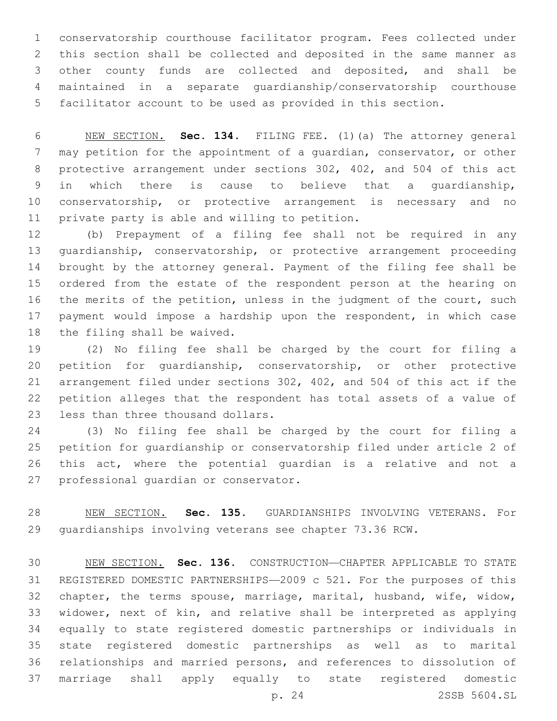conservatorship courthouse facilitator program. Fees collected under this section shall be collected and deposited in the same manner as other county funds are collected and deposited, and shall be maintained in a separate guardianship/conservatorship courthouse facilitator account to be used as provided in this section.

 NEW SECTION. **Sec. 134.** FILING FEE. (1)(a) The attorney general may petition for the appointment of a guardian, conservator, or other protective arrangement under sections 302, 402, and 504 of this act in which there is cause to believe that a guardianship, conservatorship, or protective arrangement is necessary and no private party is able and willing to petition.

 (b) Prepayment of a filing fee shall not be required in any guardianship, conservatorship, or protective arrangement proceeding brought by the attorney general. Payment of the filing fee shall be ordered from the estate of the respondent person at the hearing on the merits of the petition, unless in the judgment of the court, such payment would impose a hardship upon the respondent, in which case 18 the filing shall be waived.

 (2) No filing fee shall be charged by the court for filing a petition for guardianship, conservatorship, or other protective arrangement filed under sections 302, 402, and 504 of this act if the petition alleges that the respondent has total assets of a value of 23 less than three thousand dollars.

 (3) No filing fee shall be charged by the court for filing a petition for guardianship or conservatorship filed under article 2 of this act, where the potential guardian is a relative and not a 27 professional guardian or conservator.

 NEW SECTION. **Sec. 135.** GUARDIANSHIPS INVOLVING VETERANS. For guardianships involving veterans see chapter 73.36 RCW.

 NEW SECTION. **Sec. 136.** CONSTRUCTION—CHAPTER APPLICABLE TO STATE REGISTERED DOMESTIC PARTNERSHIPS—2009 c 521. For the purposes of this chapter, the terms spouse, marriage, marital, husband, wife, widow, widower, next of kin, and relative shall be interpreted as applying equally to state registered domestic partnerships or individuals in state registered domestic partnerships as well as to marital relationships and married persons, and references to dissolution of marriage shall apply equally to state registered domestic

p. 24 2SSB 5604.SL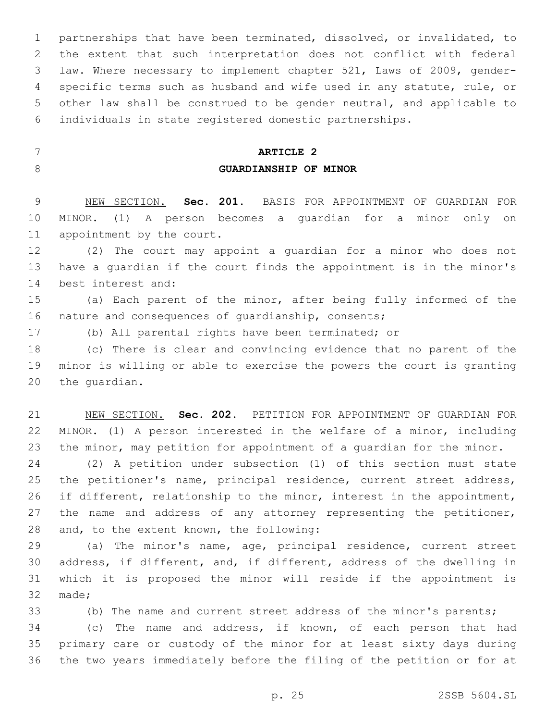partnerships that have been terminated, dissolved, or invalidated, to the extent that such interpretation does not conflict with federal law. Where necessary to implement chapter 521, Laws of 2009, gender- specific terms such as husband and wife used in any statute, rule, or other law shall be construed to be gender neutral, and applicable to individuals in state registered domestic partnerships.

 **ARTICLE 2 GUARDIANSHIP OF MINOR**

 NEW SECTION. **Sec. 201.** BASIS FOR APPOINTMENT OF GUARDIAN FOR MINOR. (1) A person becomes a guardian for a minor only on appointment by the court.

 (2) The court may appoint a guardian for a minor who does not have a guardian if the court finds the appointment is in the minor's 14 best interest and:

 (a) Each parent of the minor, after being fully informed of the 16 nature and consequences of quardianship, consents;

(b) All parental rights have been terminated; or

 (c) There is clear and convincing evidence that no parent of the minor is willing or able to exercise the powers the court is granting 20 the quardian.

 NEW SECTION. **Sec. 202.** PETITION FOR APPOINTMENT OF GUARDIAN FOR MINOR. (1) A person interested in the welfare of a minor, including 23 the minor, may petition for appointment of a quardian for the minor.

 (2) A petition under subsection (1) of this section must state 25 the petitioner's name, principal residence, current street address, if different, relationship to the minor, interest in the appointment, 27 the name and address of any attorney representing the petitioner, 28 and, to the extent known, the following:

 (a) The minor's name, age, principal residence, current street address, if different, and, if different, address of the dwelling in which it is proposed the minor will reside if the appointment is 32 made;

 (b) The name and current street address of the minor's parents; (c) The name and address, if known, of each person that had primary care or custody of the minor for at least sixty days during the two years immediately before the filing of the petition or for at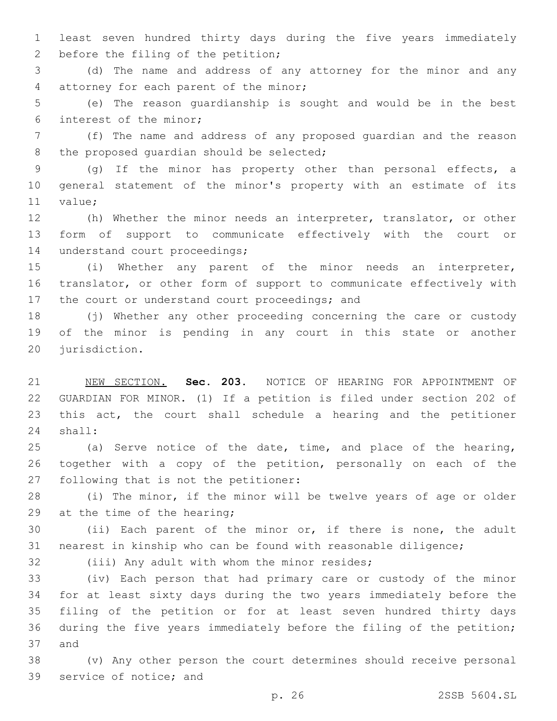least seven hundred thirty days during the five years immediately 2 before the filing of the petition;

 (d) The name and address of any attorney for the minor and any 4 attorney for each parent of the minor;

 (e) The reason guardianship is sought and would be in the best 6 interest of the minor;

 (f) The name and address of any proposed guardian and the reason 8 the proposed quardian should be selected;

 (g) If the minor has property other than personal effects, a general statement of the minor's property with an estimate of its 11 value;

 (h) Whether the minor needs an interpreter, translator, or other form of support to communicate effectively with the court or 14 understand court proceedings;

 (i) Whether any parent of the minor needs an interpreter, translator, or other form of support to communicate effectively with 17 the court or understand court proceedings; and

 (j) Whether any other proceeding concerning the care or custody of the minor is pending in any court in this state or another 20 jurisdiction.

 NEW SECTION. **Sec. 203.** NOTICE OF HEARING FOR APPOINTMENT OF GUARDIAN FOR MINOR. (1) If a petition is filed under section 202 of this act, the court shall schedule a hearing and the petitioner shall:

 (a) Serve notice of the date, time, and place of the hearing, together with a copy of the petition, personally on each of the 27 following that is not the petitioner:

 (i) The minor, if the minor will be twelve years of age or older 29 at the time of the hearing;

 (ii) Each parent of the minor or, if there is none, the adult nearest in kinship who can be found with reasonable diligence;

32 (iii) Any adult with whom the minor resides;

 (iv) Each person that had primary care or custody of the minor for at least sixty days during the two years immediately before the filing of the petition or for at least seven hundred thirty days during the five years immediately before the filing of the petition; 37 and

 (v) Any other person the court determines should receive personal 39 service of notice; and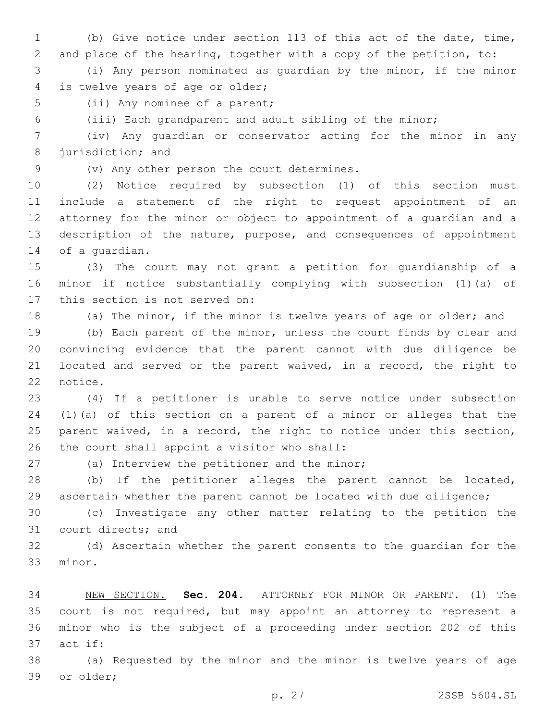(b) Give notice under section 113 of this act of the date, time, and place of the hearing, together with a copy of the petition, to:

 (i) Any person nominated as guardian by the minor, if the minor 4 is twelve years of age or older;

5 (ii) Any nominee of a parent;

(iii) Each grandparent and adult sibling of the minor;

 (iv) Any guardian or conservator acting for the minor in any 8 jurisdiction; and

9 (v) Any other person the court determines.

 (2) Notice required by subsection (1) of this section must include a statement of the right to request appointment of an attorney for the minor or object to appointment of a guardian and a description of the nature, purpose, and consequences of appointment 14 of a quardian.

 (3) The court may not grant a petition for guardianship of a minor if notice substantially complying with subsection (1)(a) of 17 this section is not served on:

(a) The minor, if the minor is twelve years of age or older; and

 (b) Each parent of the minor, unless the court finds by clear and convincing evidence that the parent cannot with due diligence be 21 located and served or the parent waived, in a record, the right to 22 notice.

 (4) If a petitioner is unable to serve notice under subsection (1)(a) of this section on a parent of a minor or alleges that the parent waived, in a record, the right to notice under this section, 26 the court shall appoint a visitor who shall:

27 (a) Interview the petitioner and the minor;

 (b) If the petitioner alleges the parent cannot be located, ascertain whether the parent cannot be located with due diligence;

 (c) Investigate any other matter relating to the petition the 31 court directs; and

 (d) Ascertain whether the parent consents to the guardian for the 33 minor.

 NEW SECTION. **Sec. 204.** ATTORNEY FOR MINOR OR PARENT. (1) The court is not required, but may appoint an attorney to represent a minor who is the subject of a proceeding under section 202 of this act if:

 (a) Requested by the minor and the minor is twelve years of age 39 or older;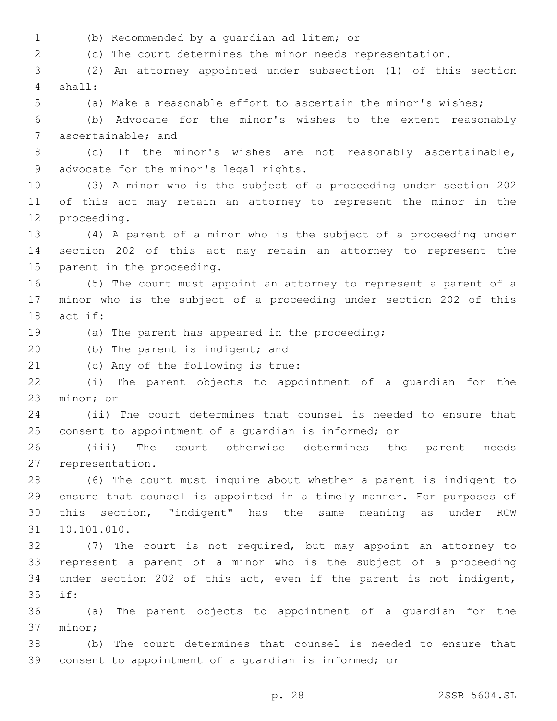(b) Recommended by a guardian ad litem; or1

(c) The court determines the minor needs representation.

 (2) An attorney appointed under subsection (1) of this section shall:4

(a) Make a reasonable effort to ascertain the minor's wishes;

 (b) Advocate for the minor's wishes to the extent reasonably 7 ascertainable; and

 (c) If the minor's wishes are not reasonably ascertainable, 9 advocate for the minor's legal rights.

 (3) A minor who is the subject of a proceeding under section 202 of this act may retain an attorney to represent the minor in the 12 proceeding.

 (4) A parent of a minor who is the subject of a proceeding under section 202 of this act may retain an attorney to represent the 15 parent in the proceeding.

 (5) The court must appoint an attorney to represent a parent of a minor who is the subject of a proceeding under section 202 of this 18 act if:

(a) The parent has appeared in the proceeding;

20 (b) The parent is indigent; and

21 (c) Any of the following is true:

 (i) The parent objects to appointment of a guardian for the 23 minor; or

 (ii) The court determines that counsel is needed to ensure that consent to appointment of a guardian is informed; or

 (iii) The court otherwise determines the parent needs 27 representation.

 (6) The court must inquire about whether a parent is indigent to ensure that counsel is appointed in a timely manner. For purposes of this section, "indigent" has the same meaning as under RCW 10.101.010.31

 (7) The court is not required, but may appoint an attorney to represent a parent of a minor who is the subject of a proceeding under section 202 of this act, even if the parent is not indigent, if:35

 (a) The parent objects to appointment of a guardian for the 37 minor;

 (b) The court determines that counsel is needed to ensure that consent to appointment of a guardian is informed; or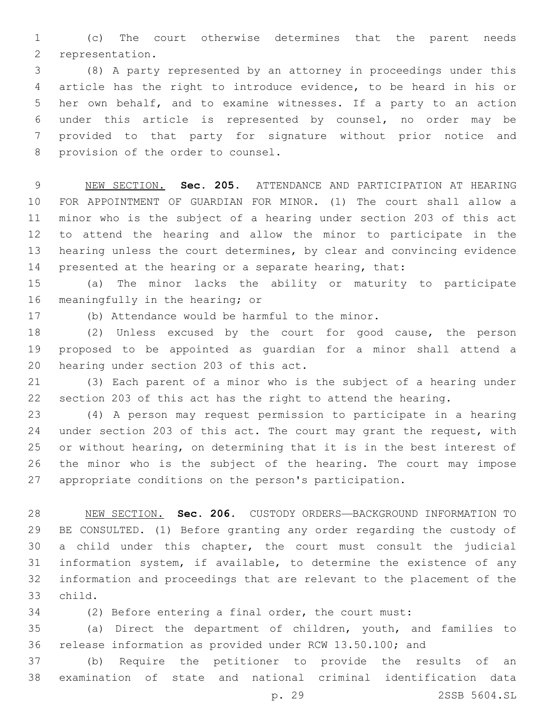(c) The court otherwise determines that the parent needs 2 representation.

 (8) A party represented by an attorney in proceedings under this article has the right to introduce evidence, to be heard in his or her own behalf, and to examine witnesses. If a party to an action under this article is represented by counsel, no order may be provided to that party for signature without prior notice and 8 provision of the order to counsel.

 NEW SECTION. **Sec. 205.** ATTENDANCE AND PARTICIPATION AT HEARING FOR APPOINTMENT OF GUARDIAN FOR MINOR. (1) The court shall allow a minor who is the subject of a hearing under section 203 of this act to attend the hearing and allow the minor to participate in the hearing unless the court determines, by clear and convincing evidence 14 presented at the hearing or a separate hearing, that:

 (a) The minor lacks the ability or maturity to participate 16 meaningfully in the hearing; or

17 (b) Attendance would be harmful to the minor.

 (2) Unless excused by the court for good cause, the person proposed to be appointed as guardian for a minor shall attend a 20 hearing under section 203 of this act.

 (3) Each parent of a minor who is the subject of a hearing under section 203 of this act has the right to attend the hearing.

 (4) A person may request permission to participate in a hearing 24 under section 203 of this act. The court may grant the request, with or without hearing, on determining that it is in the best interest of the minor who is the subject of the hearing. The court may impose appropriate conditions on the person's participation.

 NEW SECTION. **Sec. 206.** CUSTODY ORDERS—BACKGROUND INFORMATION TO BE CONSULTED. (1) Before granting any order regarding the custody of a child under this chapter, the court must consult the judicial information system, if available, to determine the existence of any information and proceedings that are relevant to the placement of the child.

(2) Before entering a final order, the court must:

 (a) Direct the department of children, youth, and families to release information as provided under RCW 13.50.100; and

 (b) Require the petitioner to provide the results of an examination of state and national criminal identification data

p. 29 2SSB 5604.SL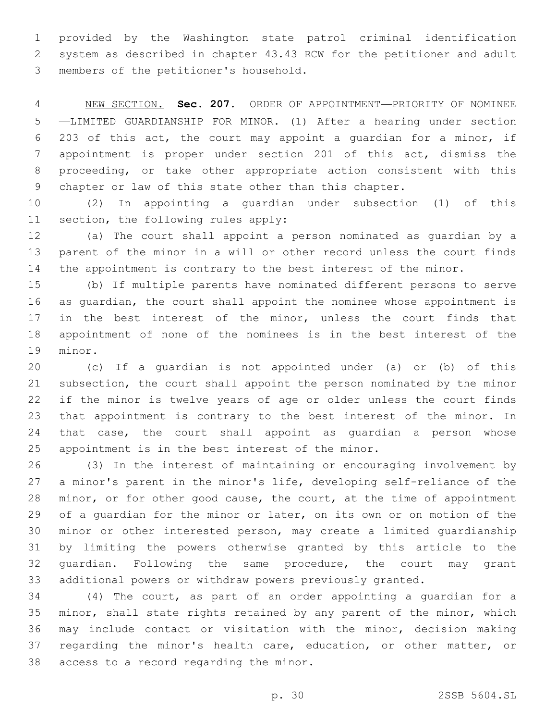provided by the Washington state patrol criminal identification system as described in chapter 43.43 RCW for the petitioner and adult members of the petitioner's household.3

 NEW SECTION. **Sec. 207.** ORDER OF APPOINTMENT—PRIORITY OF NOMINEE —LIMITED GUARDIANSHIP FOR MINOR. (1) After a hearing under section 203 of this act, the court may appoint a guardian for a minor, if appointment is proper under section 201 of this act, dismiss the proceeding, or take other appropriate action consistent with this chapter or law of this state other than this chapter.

 (2) In appointing a guardian under subsection (1) of this 11 section, the following rules apply:

 (a) The court shall appoint a person nominated as guardian by a parent of the minor in a will or other record unless the court finds the appointment is contrary to the best interest of the minor.

 (b) If multiple parents have nominated different persons to serve as guardian, the court shall appoint the nominee whose appointment is in the best interest of the minor, unless the court finds that appointment of none of the nominees is in the best interest of the 19 minor.

 (c) If a guardian is not appointed under (a) or (b) of this subsection, the court shall appoint the person nominated by the minor if the minor is twelve years of age or older unless the court finds that appointment is contrary to the best interest of the minor. In that case, the court shall appoint as guardian a person whose 25 appointment is in the best interest of the minor.

 (3) In the interest of maintaining or encouraging involvement by a minor's parent in the minor's life, developing self-reliance of the minor, or for other good cause, the court, at the time of appointment of a guardian for the minor or later, on its own or on motion of the minor or other interested person, may create a limited guardianship by limiting the powers otherwise granted by this article to the guardian. Following the same procedure, the court may grant additional powers or withdraw powers previously granted.

 (4) The court, as part of an order appointing a guardian for a 35 minor, shall state rights retained by any parent of the minor, which may include contact or visitation with the minor, decision making 37 regarding the minor's health care, education, or other matter, or 38 access to a record regarding the minor.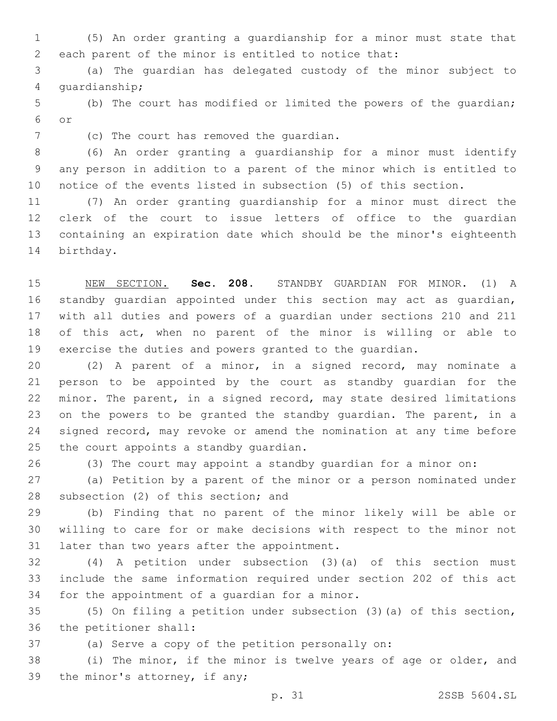(5) An order granting a guardianship for a minor must state that each parent of the minor is entitled to notice that:

 (a) The guardian has delegated custody of the minor subject to 4 quardianship;

 (b) The court has modified or limited the powers of the guardian; or6

7 (c) The court has removed the quardian.

 (6) An order granting a guardianship for a minor must identify any person in addition to a parent of the minor which is entitled to notice of the events listed in subsection (5) of this section.

 (7) An order granting guardianship for a minor must direct the clerk of the court to issue letters of office to the guardian containing an expiration date which should be the minor's eighteenth 14 birthday.

 NEW SECTION. **Sec. 208.** STANDBY GUARDIAN FOR MINOR. (1) A standby guardian appointed under this section may act as guardian, with all duties and powers of a guardian under sections 210 and 211 of this act, when no parent of the minor is willing or able to exercise the duties and powers granted to the guardian.

 (2) A parent of a minor, in a signed record, may nominate a person to be appointed by the court as standby guardian for the minor. The parent, in a signed record, may state desired limitations 23 on the powers to be granted the standby quardian. The parent, in a signed record, may revoke or amend the nomination at any time before 25 the court appoints a standby quardian.

(3) The court may appoint a standby guardian for a minor on:

 (a) Petition by a parent of the minor or a person nominated under 28 subsection (2) of this section; and

 (b) Finding that no parent of the minor likely will be able or willing to care for or make decisions with respect to the minor not 31 later than two years after the appointment.

 (4) A petition under subsection (3)(a) of this section must include the same information required under section 202 of this act 34 for the appointment of a quardian for a minor.

 (5) On filing a petition under subsection (3)(a) of this section, 36 the petitioner shall:

(a) Serve a copy of the petition personally on:

 (i) The minor, if the minor is twelve years of age or older, and 39 the minor's attorney, if any;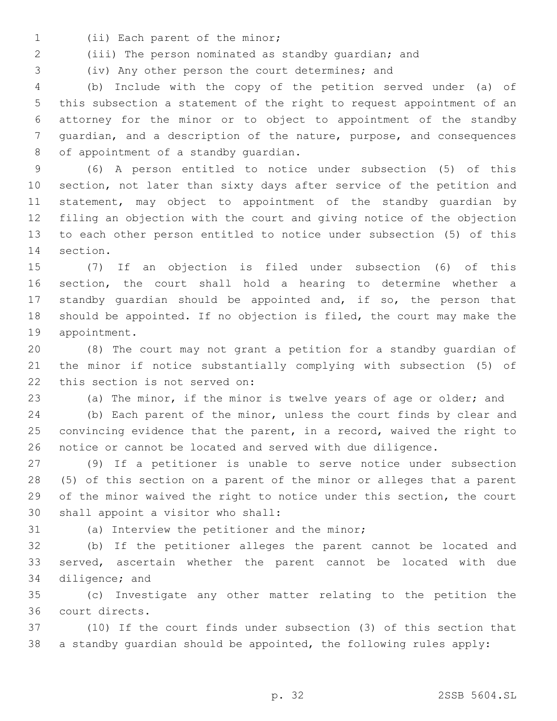- 1 (ii) Each parent of the minor;
- (iii) The person nominated as standby guardian; and

(iv) Any other person the court determines; and

 (b) Include with the copy of the petition served under (a) of this subsection a statement of the right to request appointment of an attorney for the minor or to object to appointment of the standby guardian, and a description of the nature, purpose, and consequences 8 of appointment of a standby quardian.

 (6) A person entitled to notice under subsection (5) of this section, not later than sixty days after service of the petition and statement, may object to appointment of the standby guardian by filing an objection with the court and giving notice of the objection to each other person entitled to notice under subsection (5) of this 14 section.

 (7) If an objection is filed under subsection (6) of this section, the court shall hold a hearing to determine whether a standby guardian should be appointed and, if so, the person that should be appointed. If no objection is filed, the court may make the 19 appointment.

 (8) The court may not grant a petition for a standby guardian of the minor if notice substantially complying with subsection (5) of 22 this section is not served on:

(a) The minor, if the minor is twelve years of age or older; and

 (b) Each parent of the minor, unless the court finds by clear and convincing evidence that the parent, in a record, waived the right to notice or cannot be located and served with due diligence.

 (9) If a petitioner is unable to serve notice under subsection (5) of this section on a parent of the minor or alleges that a parent of the minor waived the right to notice under this section, the court 30 shall appoint a visitor who shall:

31 (a) Interview the petitioner and the minor;

 (b) If the petitioner alleges the parent cannot be located and served, ascertain whether the parent cannot be located with due 34 diligence; and

 (c) Investigate any other matter relating to the petition the court directs.36

 (10) If the court finds under subsection (3) of this section that a standby guardian should be appointed, the following rules apply: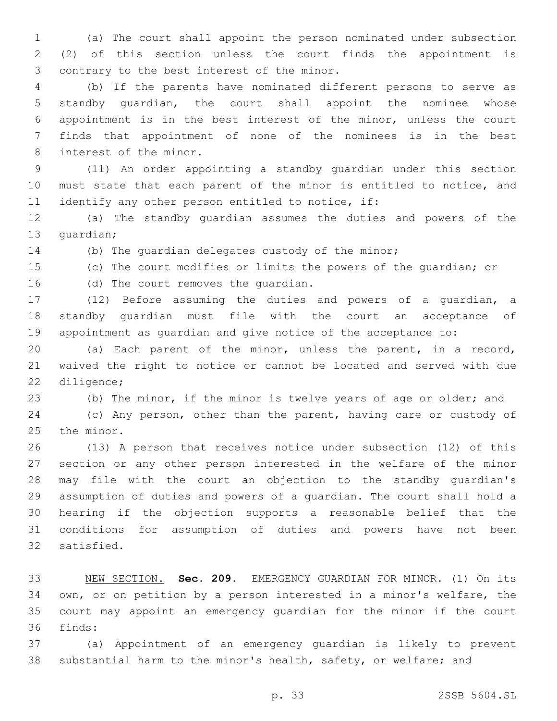(a) The court shall appoint the person nominated under subsection (2) of this section unless the court finds the appointment is 3 contrary to the best interest of the minor.

 (b) If the parents have nominated different persons to serve as standby guardian, the court shall appoint the nominee whose appointment is in the best interest of the minor, unless the court finds that appointment of none of the nominees is in the best 8 interest of the minor.

 (11) An order appointing a standby guardian under this section must state that each parent of the minor is entitled to notice, and 11 identify any other person entitled to notice, if:

 (a) The standby guardian assumes the duties and powers of the 13 quardian;

(b) The guardian delegates custody of the minor;

(c) The court modifies or limits the powers of the guardian; or

16 (d) The court removes the quardian.

 (12) Before assuming the duties and powers of a guardian, a standby guardian must file with the court an acceptance of appointment as guardian and give notice of the acceptance to:

 (a) Each parent of the minor, unless the parent, in a record, waived the right to notice or cannot be located and served with due 22 diligence;

(b) The minor, if the minor is twelve years of age or older; and

 (c) Any person, other than the parent, having care or custody of 25 the minor.

 (13) A person that receives notice under subsection (12) of this section or any other person interested in the welfare of the minor may file with the court an objection to the standby guardian's assumption of duties and powers of a guardian. The court shall hold a hearing if the objection supports a reasonable belief that the conditions for assumption of duties and powers have not been 32 satisfied.

 NEW SECTION. **Sec. 209.** EMERGENCY GUARDIAN FOR MINOR. (1) On its own, or on petition by a person interested in a minor's welfare, the court may appoint an emergency guardian for the minor if the court finds:

 (a) Appointment of an emergency guardian is likely to prevent substantial harm to the minor's health, safety, or welfare; and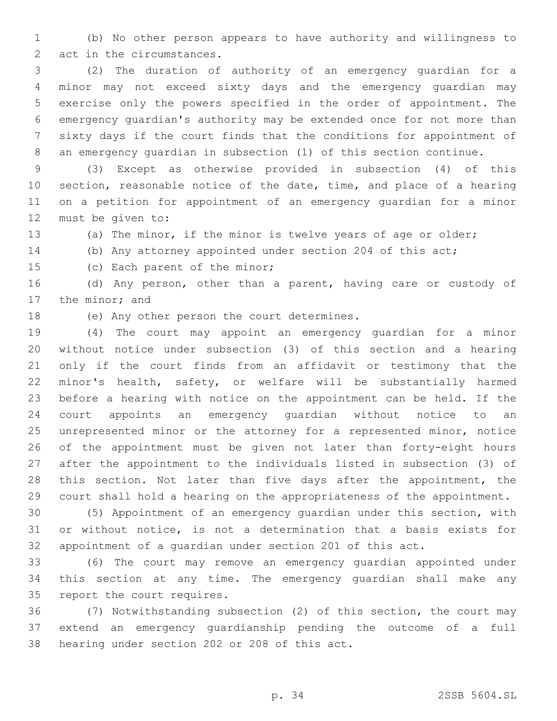(b) No other person appears to have authority and willingness to 2 act in the circumstances.

 (2) The duration of authority of an emergency guardian for a minor may not exceed sixty days and the emergency guardian may exercise only the powers specified in the order of appointment. The emergency guardian's authority may be extended once for not more than sixty days if the court finds that the conditions for appointment of an emergency guardian in subsection (1) of this section continue.

 (3) Except as otherwise provided in subsection (4) of this section, reasonable notice of the date, time, and place of a hearing on a petition for appointment of an emergency guardian for a minor 12 must be given to:

- (a) The minor, if the minor is twelve years of age or older;
- (b) Any attorney appointed under section 204 of this act;

15 (c) Each parent of the minor;

 (d) Any person, other than a parent, having care or custody of 17 the minor; and

18 (e) Any other person the court determines.

 (4) The court may appoint an emergency guardian for a minor without notice under subsection (3) of this section and a hearing only if the court finds from an affidavit or testimony that the minor's health, safety, or welfare will be substantially harmed before a hearing with notice on the appointment can be held. If the court appoints an emergency guardian without notice to an unrepresented minor or the attorney for a represented minor, notice of the appointment must be given not later than forty-eight hours after the appointment to the individuals listed in subsection (3) of this section. Not later than five days after the appointment, the court shall hold a hearing on the appropriateness of the appointment.

 (5) Appointment of an emergency guardian under this section, with or without notice, is not a determination that a basis exists for appointment of a guardian under section 201 of this act.

 (6) The court may remove an emergency guardian appointed under this section at any time. The emergency guardian shall make any 35 report the court requires.

 (7) Notwithstanding subsection (2) of this section, the court may extend an emergency guardianship pending the outcome of a full 38 hearing under section 202 or 208 of this act.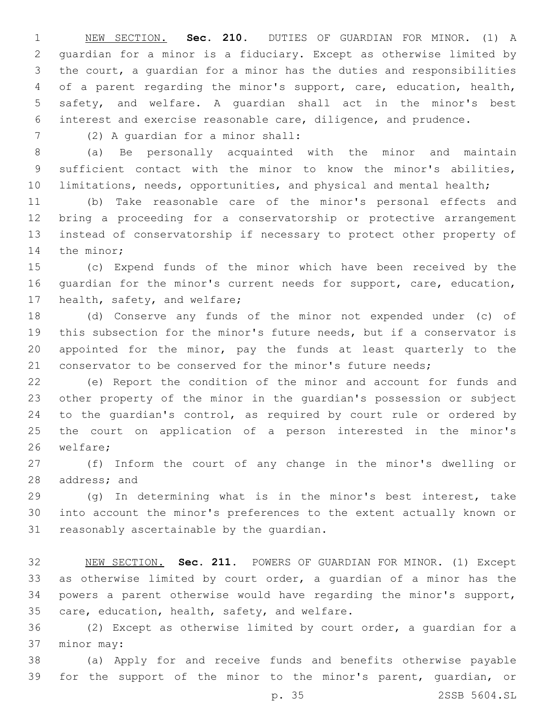NEW SECTION. **Sec. 210.** DUTIES OF GUARDIAN FOR MINOR. (1) A guardian for a minor is a fiduciary. Except as otherwise limited by the court, a guardian for a minor has the duties and responsibilities of a parent regarding the minor's support, care, education, health, safety, and welfare. A guardian shall act in the minor's best interest and exercise reasonable care, diligence, and prudence.

7 (2) A quardian for a minor shall:

 (a) Be personally acquainted with the minor and maintain sufficient contact with the minor to know the minor's abilities, limitations, needs, opportunities, and physical and mental health;

 (b) Take reasonable care of the minor's personal effects and bring a proceeding for a conservatorship or protective arrangement instead of conservatorship if necessary to protect other property of 14 the minor;

 (c) Expend funds of the minor which have been received by the guardian for the minor's current needs for support, care, education, 17 health, safety, and welfare;

 (d) Conserve any funds of the minor not expended under (c) of this subsection for the minor's future needs, but if a conservator is appointed for the minor, pay the funds at least quarterly to the 21 conservator to be conserved for the minor's future needs;

 (e) Report the condition of the minor and account for funds and other property of the minor in the guardian's possession or subject to the guardian's control, as required by court rule or ordered by the court on application of a person interested in the minor's 26 welfare;

 (f) Inform the court of any change in the minor's dwelling or 28 address; and

 (g) In determining what is in the minor's best interest, take into account the minor's preferences to the extent actually known or 31 reasonably ascertainable by the quardian.

 NEW SECTION. **Sec. 211.** POWERS OF GUARDIAN FOR MINOR. (1) Except as otherwise limited by court order, a guardian of a minor has the powers a parent otherwise would have regarding the minor's support, care, education, health, safety, and welfare.

 (2) Except as otherwise limited by court order, a guardian for a 37 minor may:

 (a) Apply for and receive funds and benefits otherwise payable for the support of the minor to the minor's parent, guardian, or

p. 35 2SSB 5604.SL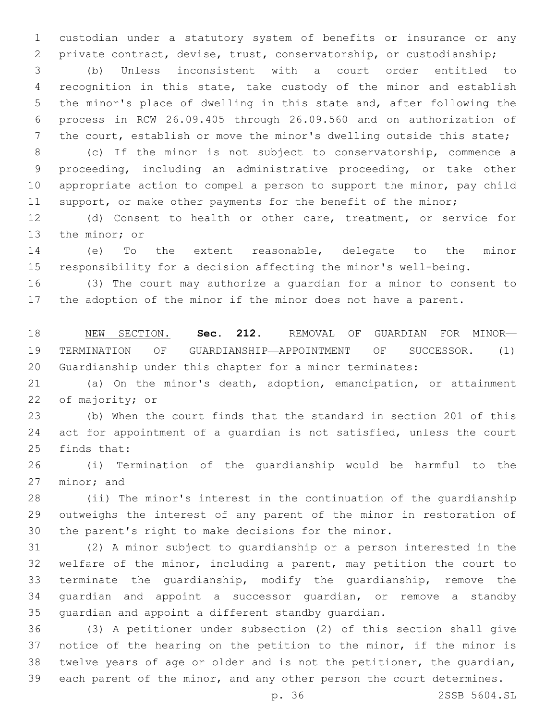custodian under a statutory system of benefits or insurance or any private contract, devise, trust, conservatorship, or custodianship;

 (b) Unless inconsistent with a court order entitled to recognition in this state, take custody of the minor and establish the minor's place of dwelling in this state and, after following the process in RCW 26.09.405 through 26.09.560 and on authorization of 7 the court, establish or move the minor's dwelling outside this state;

 (c) If the minor is not subject to conservatorship, commence a proceeding, including an administrative proceeding, or take other appropriate action to compel a person to support the minor, pay child 11 support, or make other payments for the benefit of the minor;

 (d) Consent to health or other care, treatment, or service for 13 the minor; or

 (e) To the extent reasonable, delegate to the minor responsibility for a decision affecting the minor's well-being.

 (3) The court may authorize a guardian for a minor to consent to the adoption of the minor if the minor does not have a parent.

 NEW SECTION. **Sec. 212.** REMOVAL OF GUARDIAN FOR MINOR— TERMINATION OF GUARDIANSHIP—APPOINTMENT OF SUCCESSOR. (1) Guardianship under this chapter for a minor terminates:

 (a) On the minor's death, adoption, emancipation, or attainment 22 of majority; or

 (b) When the court finds that the standard in section 201 of this act for appointment of a guardian is not satisfied, unless the court 25 finds that:

 (i) Termination of the guardianship would be harmful to the 27 minor; and

 (ii) The minor's interest in the continuation of the guardianship outweighs the interest of any parent of the minor in restoration of the parent's right to make decisions for the minor.

 (2) A minor subject to guardianship or a person interested in the welfare of the minor, including a parent, may petition the court to terminate the guardianship, modify the guardianship, remove the guardian and appoint a successor guardian, or remove a standby guardian and appoint a different standby guardian.

 (3) A petitioner under subsection (2) of this section shall give notice of the hearing on the petition to the minor, if the minor is twelve years of age or older and is not the petitioner, the guardian, each parent of the minor, and any other person the court determines.

p. 36 2SSB 5604.SL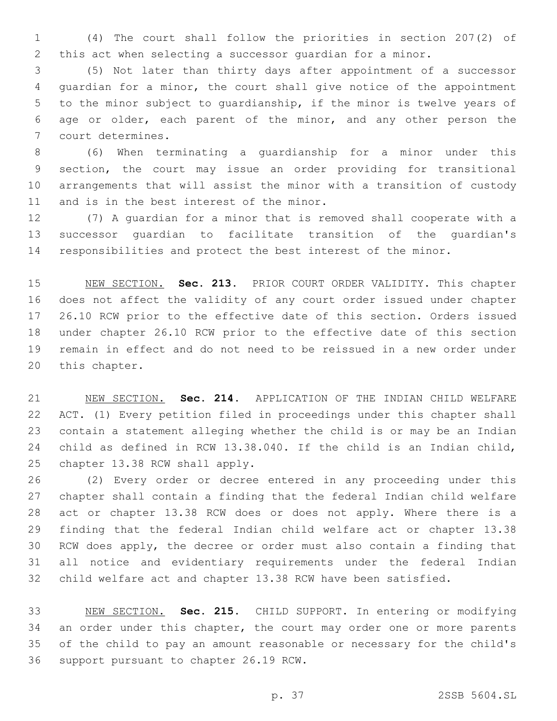(4) The court shall follow the priorities in section 207(2) of this act when selecting a successor guardian for a minor.

 (5) Not later than thirty days after appointment of a successor guardian for a minor, the court shall give notice of the appointment to the minor subject to guardianship, if the minor is twelve years of age or older, each parent of the minor, and any other person the 7 court determines.

 (6) When terminating a guardianship for a minor under this section, the court may issue an order providing for transitional arrangements that will assist the minor with a transition of custody 11 and is in the best interest of the minor.

 (7) A guardian for a minor that is removed shall cooperate with a successor guardian to facilitate transition of the guardian's responsibilities and protect the best interest of the minor.

 NEW SECTION. **Sec. 213.** PRIOR COURT ORDER VALIDITY. This chapter does not affect the validity of any court order issued under chapter 26.10 RCW prior to the effective date of this section. Orders issued under chapter 26.10 RCW prior to the effective date of this section remain in effect and do not need to be reissued in a new order under this chapter.

 NEW SECTION. **Sec. 214.** APPLICATION OF THE INDIAN CHILD WELFARE ACT. (1) Every petition filed in proceedings under this chapter shall contain a statement alleging whether the child is or may be an Indian child as defined in RCW 13.38.040. If the child is an Indian child, chapter 13.38 RCW shall apply.

 (2) Every order or decree entered in any proceeding under this chapter shall contain a finding that the federal Indian child welfare act or chapter 13.38 RCW does or does not apply. Where there is a finding that the federal Indian child welfare act or chapter 13.38 RCW does apply, the decree or order must also contain a finding that all notice and evidentiary requirements under the federal Indian child welfare act and chapter 13.38 RCW have been satisfied.

 NEW SECTION. **Sec. 215.** CHILD SUPPORT. In entering or modifying an order under this chapter, the court may order one or more parents of the child to pay an amount reasonable or necessary for the child's support pursuant to chapter 26.19 RCW.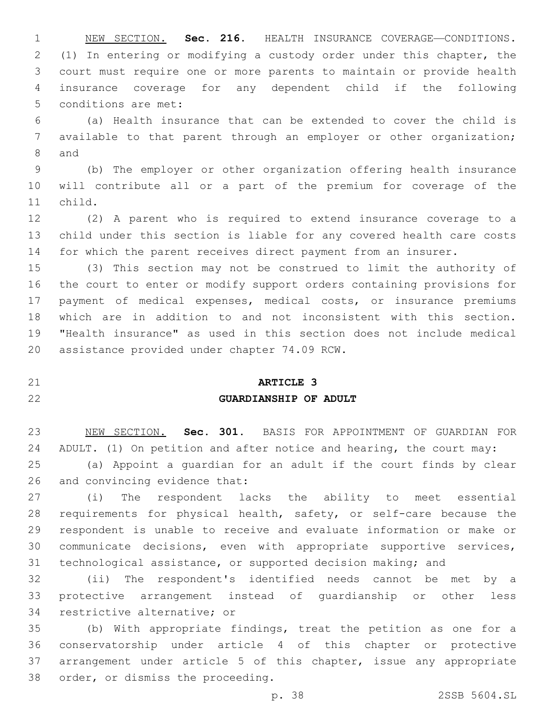NEW SECTION. **Sec. 216.** HEALTH INSURANCE COVERAGE—CONDITIONS. (1) In entering or modifying a custody order under this chapter, the court must require one or more parents to maintain or provide health insurance coverage for any dependent child if the following conditions are met:

 (a) Health insurance that can be extended to cover the child is available to that parent through an employer or other organization; 8 and

 (b) The employer or other organization offering health insurance will contribute all or a part of the premium for coverage of the 11 child.

 (2) A parent who is required to extend insurance coverage to a child under this section is liable for any covered health care costs for which the parent receives direct payment from an insurer.

 (3) This section may not be construed to limit the authority of the court to enter or modify support orders containing provisions for payment of medical expenses, medical costs, or insurance premiums which are in addition to and not inconsistent with this section. "Health insurance" as used in this section does not include medical 20 assistance provided under chapter 74.09 RCW.

## **ARTICLE 3 GUARDIANSHIP OF ADULT**

 NEW SECTION. **Sec. 301.** BASIS FOR APPOINTMENT OF GUARDIAN FOR ADULT. (1) On petition and after notice and hearing, the court may:

 (a) Appoint a guardian for an adult if the court finds by clear 26 and convincing evidence that:

 (i) The respondent lacks the ability to meet essential requirements for physical health, safety, or self-care because the respondent is unable to receive and evaluate information or make or communicate decisions, even with appropriate supportive services, technological assistance, or supported decision making; and

 (ii) The respondent's identified needs cannot be met by a protective arrangement instead of guardianship or other less 34 restrictive alternative; or

 (b) With appropriate findings, treat the petition as one for a conservatorship under article 4 of this chapter or protective arrangement under article 5 of this chapter, issue any appropriate 38 order, or dismiss the proceeding.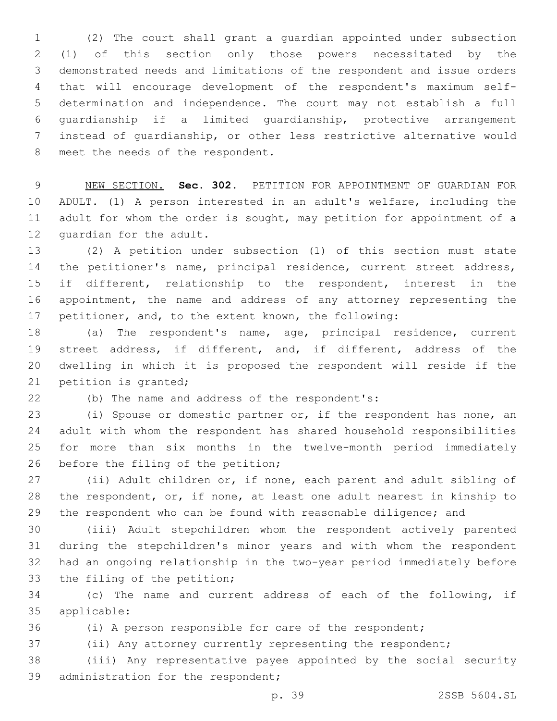(2) The court shall grant a guardian appointed under subsection (1) of this section only those powers necessitated by the demonstrated needs and limitations of the respondent and issue orders that will encourage development of the respondent's maximum self- determination and independence. The court may not establish a full guardianship if a limited guardianship, protective arrangement instead of guardianship, or other less restrictive alternative would 8 meet the needs of the respondent.

 NEW SECTION. **Sec. 302.** PETITION FOR APPOINTMENT OF GUARDIAN FOR ADULT. (1) A person interested in an adult's welfare, including the adult for whom the order is sought, may petition for appointment of a guardian for the adult.

 (2) A petition under subsection (1) of this section must state 14 the petitioner's name, principal residence, current street address, if different, relationship to the respondent, interest in the appointment, the name and address of any attorney representing the petitioner, and, to the extent known, the following:

 (a) The respondent's name, age, principal residence, current street address, if different, and, if different, address of the dwelling in which it is proposed the respondent will reside if the 21 petition is granted;

22 (b) The name and address of the respondent's:

 (i) Spouse or domestic partner or, if the respondent has none, an adult with whom the respondent has shared household responsibilities for more than six months in the twelve-month period immediately 26 before the filing of the petition;

 (ii) Adult children or, if none, each parent and adult sibling of the respondent, or, if none, at least one adult nearest in kinship to 29 the respondent who can be found with reasonable diligence; and

 (iii) Adult stepchildren whom the respondent actively parented during the stepchildren's minor years and with whom the respondent had an ongoing relationship in the two-year period immediately before 33 the filing of the petition;

 (c) The name and current address of each of the following, if applicable:35

(i) A person responsible for care of the respondent;

(ii) Any attorney currently representing the respondent;

 (iii) Any representative payee appointed by the social security 39 administration for the respondent;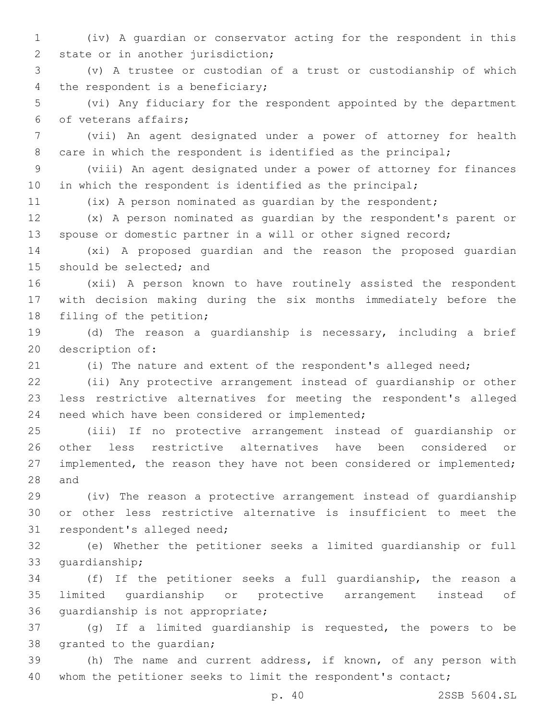- (iv) A guardian or conservator acting for the respondent in this 2 state or in another jurisdiction;
- (v) A trustee or custodian of a trust or custodianship of which 4 the respondent is a beneficiary;
- (vi) Any fiduciary for the respondent appointed by the department 6 of veterans affairs;
- (vii) An agent designated under a power of attorney for health 8 care in which the respondent is identified as the principal;
- (viii) An agent designated under a power of attorney for finances in which the respondent is identified as the principal;
- 

(ix) A person nominated as guardian by the respondent;

- (x) A person nominated as guardian by the respondent's parent or spouse or domestic partner in a will or other signed record;
- (xi) A proposed guardian and the reason the proposed guardian 15 should be selected; and
- (xii) A person known to have routinely assisted the respondent with decision making during the six months immediately before the 18 filing of the petition;
- (d) The reason a guardianship is necessary, including a brief 20 description of:
- 

(i) The nature and extent of the respondent's alleged need;

 (ii) Any protective arrangement instead of guardianship or other less restrictive alternatives for meeting the respondent's alleged 24 need which have been considered or implemented;

 (iii) If no protective arrangement instead of guardianship or other less restrictive alternatives have been considered or implemented, the reason they have not been considered or implemented; 28 and

 (iv) The reason a protective arrangement instead of guardianship or other less restrictive alternative is insufficient to meet the 31 respondent's alleged need;

 (e) Whether the petitioner seeks a limited guardianship or full 33 quardianship;

 (f) If the petitioner seeks a full guardianship, the reason a limited guardianship or protective arrangement instead of 36 quardianship is not appropriate;

 (g) If a limited guardianship is requested, the powers to be 38 granted to the guardian;

 (h) The name and current address, if known, of any person with 40 whom the petitioner seeks to limit the respondent's contact;

p. 40 2SSB 5604.SL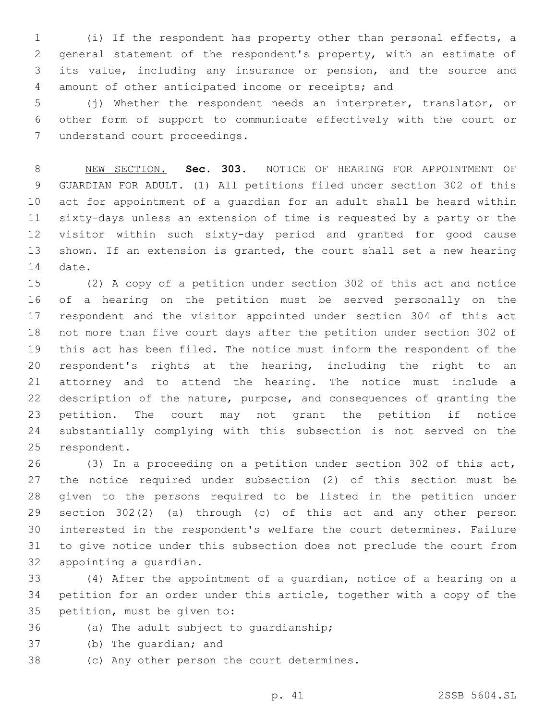(i) If the respondent has property other than personal effects, a general statement of the respondent's property, with an estimate of its value, including any insurance or pension, and the source and amount of other anticipated income or receipts; and

 (j) Whether the respondent needs an interpreter, translator, or other form of support to communicate effectively with the court or 7 understand court proceedings.

 NEW SECTION. **Sec. 303.** NOTICE OF HEARING FOR APPOINTMENT OF GUARDIAN FOR ADULT. (1) All petitions filed under section 302 of this act for appointment of a guardian for an adult shall be heard within sixty-days unless an extension of time is requested by a party or the visitor within such sixty-day period and granted for good cause shown. If an extension is granted, the court shall set a new hearing date.

 (2) A copy of a petition under section 302 of this act and notice of a hearing on the petition must be served personally on the respondent and the visitor appointed under section 304 of this act not more than five court days after the petition under section 302 of this act has been filed. The notice must inform the respondent of the respondent's rights at the hearing, including the right to an attorney and to attend the hearing. The notice must include a description of the nature, purpose, and consequences of granting the petition. The court may not grant the petition if notice substantially complying with this subsection is not served on the 25 respondent.

 (3) In a proceeding on a petition under section 302 of this act, the notice required under subsection (2) of this section must be given to the persons required to be listed in the petition under section 302(2) (a) through (c) of this act and any other person interested in the respondent's welfare the court determines. Failure to give notice under this subsection does not preclude the court from 32 appointing a quardian.

 (4) After the appointment of a guardian, notice of a hearing on a petition for an order under this article, together with a copy of the 35 petition, must be given to:

- 36 (a) The adult subject to quardianship;
- 37 (b) The quardian; and
- 38 (c) Any other person the court determines.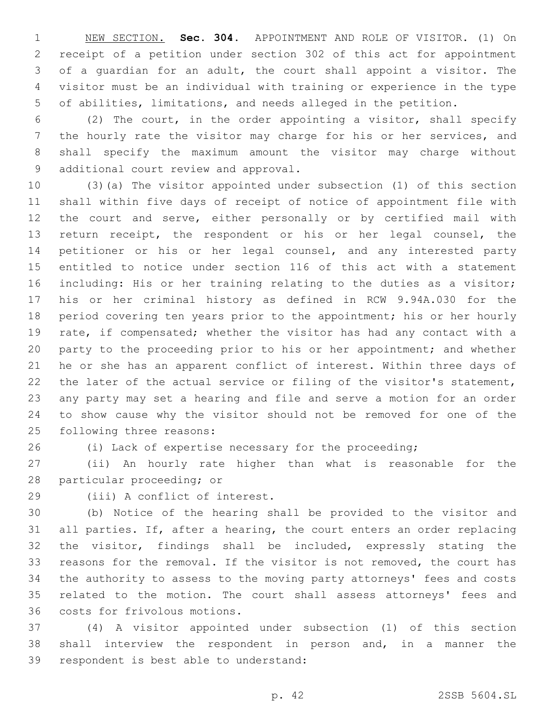NEW SECTION. **Sec. 304.** APPOINTMENT AND ROLE OF VISITOR. (1) On receipt of a petition under section 302 of this act for appointment of a guardian for an adult, the court shall appoint a visitor. The visitor must be an individual with training or experience in the type of abilities, limitations, and needs alleged in the petition.

 (2) The court, in the order appointing a visitor, shall specify the hourly rate the visitor may charge for his or her services, and shall specify the maximum amount the visitor may charge without 9 additional court review and approval.

 (3)(a) The visitor appointed under subsection (1) of this section shall within five days of receipt of notice of appointment file with the court and serve, either personally or by certified mail with return receipt, the respondent or his or her legal counsel, the petitioner or his or her legal counsel, and any interested party entitled to notice under section 116 of this act with a statement including: His or her training relating to the duties as a visitor; his or her criminal history as defined in RCW 9.94A.030 for the period covering ten years prior to the appointment; his or her hourly rate, if compensated; whether the visitor has had any contact with a party to the proceeding prior to his or her appointment; and whether he or she has an apparent conflict of interest. Within three days of the later of the actual service or filing of the visitor's statement, any party may set a hearing and file and serve a motion for an order to show cause why the visitor should not be removed for one of the 25 following three reasons:

(i) Lack of expertise necessary for the proceeding;

 (ii) An hourly rate higher than what is reasonable for the 28 particular proceeding; or

29 (iii) A conflict of interest.

 (b) Notice of the hearing shall be provided to the visitor and all parties. If, after a hearing, the court enters an order replacing the visitor, findings shall be included, expressly stating the reasons for the removal. If the visitor is not removed, the court has the authority to assess to the moving party attorneys' fees and costs related to the motion. The court shall assess attorneys' fees and 36 costs for frivolous motions.

 (4) A visitor appointed under subsection (1) of this section shall interview the respondent in person and, in a manner the 39 respondent is best able to understand: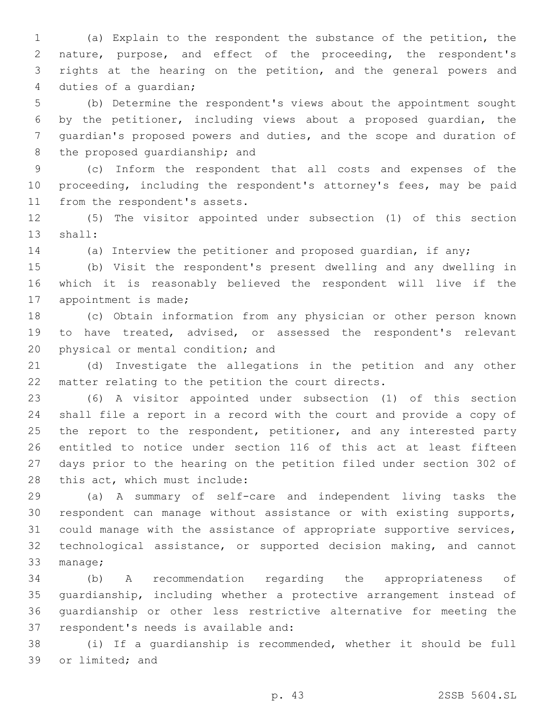(a) Explain to the respondent the substance of the petition, the nature, purpose, and effect of the proceeding, the respondent's rights at the hearing on the petition, and the general powers and 4 duties of a quardian;

 (b) Determine the respondent's views about the appointment sought by the petitioner, including views about a proposed guardian, the guardian's proposed powers and duties, and the scope and duration of 8 the proposed guardianship; and

 (c) Inform the respondent that all costs and expenses of the proceeding, including the respondent's attorney's fees, may be paid 11 from the respondent's assets.

 (5) The visitor appointed under subsection (1) of this section 13 shall:

(a) Interview the petitioner and proposed guardian, if any;

 (b) Visit the respondent's present dwelling and any dwelling in which it is reasonably believed the respondent will live if the 17 appointment is made;

 (c) Obtain information from any physician or other person known to have treated, advised, or assessed the respondent's relevant 20 physical or mental condition; and

 (d) Investigate the allegations in the petition and any other matter relating to the petition the court directs.

 (6) A visitor appointed under subsection (1) of this section shall file a report in a record with the court and provide a copy of 25 the report to the respondent, petitioner, and any interested party entitled to notice under section 116 of this act at least fifteen days prior to the hearing on the petition filed under section 302 of 28 this act, which must include:

 (a) A summary of self-care and independent living tasks the respondent can manage without assistance or with existing supports, could manage with the assistance of appropriate supportive services, technological assistance, or supported decision making, and cannot 33 manage;

 (b) A recommendation regarding the appropriateness of guardianship, including whether a protective arrangement instead of guardianship or other less restrictive alternative for meeting the 37 respondent's needs is available and:

 (i) If a guardianship is recommended, whether it should be full 39 or limited; and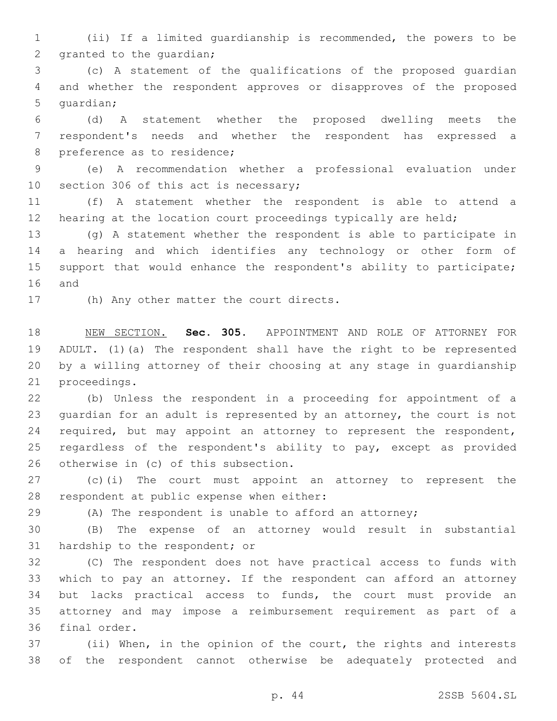(ii) If a limited guardianship is recommended, the powers to be 2 granted to the guardian;

 (c) A statement of the qualifications of the proposed guardian and whether the respondent approves or disapproves of the proposed 5 quardian;

 (d) A statement whether the proposed dwelling meets the respondent's needs and whether the respondent has expressed a 8 preference as to residence;

 (e) A recommendation whether a professional evaluation under 10 section 306 of this act is necessary;

 (f) A statement whether the respondent is able to attend a 12 hearing at the location court proceedings typically are held;

 (g) A statement whether the respondent is able to participate in a hearing and which identifies any technology or other form of support that would enhance the respondent's ability to participate; 16 and

17 (h) Any other matter the court directs.

 NEW SECTION. **Sec. 305.** APPOINTMENT AND ROLE OF ATTORNEY FOR ADULT. (1)(a) The respondent shall have the right to be represented by a willing attorney of their choosing at any stage in guardianship proceedings.

 (b) Unless the respondent in a proceeding for appointment of a guardian for an adult is represented by an attorney, the court is not 24 required, but may appoint an attorney to represent the respondent, 25 regardless of the respondent's ability to pay, except as provided 26 otherwise in (c) of this subsection.

 (c)(i) The court must appoint an attorney to represent the 28 respondent at public expense when either:

(A) The respondent is unable to afford an attorney;

 (B) The expense of an attorney would result in substantial 31 hardship to the respondent; or

 (C) The respondent does not have practical access to funds with which to pay an attorney. If the respondent can afford an attorney but lacks practical access to funds, the court must provide an attorney and may impose a reimbursement requirement as part of a 36 final order.

 (ii) When, in the opinion of the court, the rights and interests of the respondent cannot otherwise be adequately protected and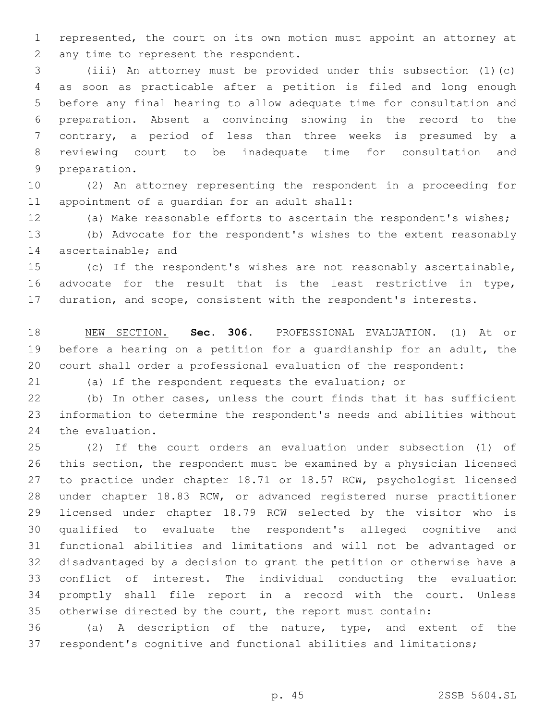represented, the court on its own motion must appoint an attorney at 2 any time to represent the respondent.

 (iii) An attorney must be provided under this subsection (1)(c) as soon as practicable after a petition is filed and long enough before any final hearing to allow adequate time for consultation and preparation. Absent a convincing showing in the record to the contrary, a period of less than three weeks is presumed by a reviewing court to be inadequate time for consultation and 9 preparation.

 (2) An attorney representing the respondent in a proceeding for 11 appointment of a quardian for an adult shall:

(a) Make reasonable efforts to ascertain the respondent's wishes;

 (b) Advocate for the respondent's wishes to the extent reasonably 14 ascertainable; and

 (c) If the respondent's wishes are not reasonably ascertainable, advocate for the result that is the least restrictive in type, duration, and scope, consistent with the respondent's interests.

 NEW SECTION. **Sec. 306.** PROFESSIONAL EVALUATION. (1) At or before a hearing on a petition for a guardianship for an adult, the court shall order a professional evaluation of the respondent:

(a) If the respondent requests the evaluation; or

 (b) In other cases, unless the court finds that it has sufficient information to determine the respondent's needs and abilities without 24 the evaluation.

 (2) If the court orders an evaluation under subsection (1) of this section, the respondent must be examined by a physician licensed to practice under chapter 18.71 or 18.57 RCW, psychologist licensed under chapter 18.83 RCW, or advanced registered nurse practitioner licensed under chapter 18.79 RCW selected by the visitor who is qualified to evaluate the respondent's alleged cognitive and functional abilities and limitations and will not be advantaged or disadvantaged by a decision to grant the petition or otherwise have a conflict of interest. The individual conducting the evaluation promptly shall file report in a record with the court. Unless otherwise directed by the court, the report must contain:

 (a) A description of the nature, type, and extent of the respondent's cognitive and functional abilities and limitations;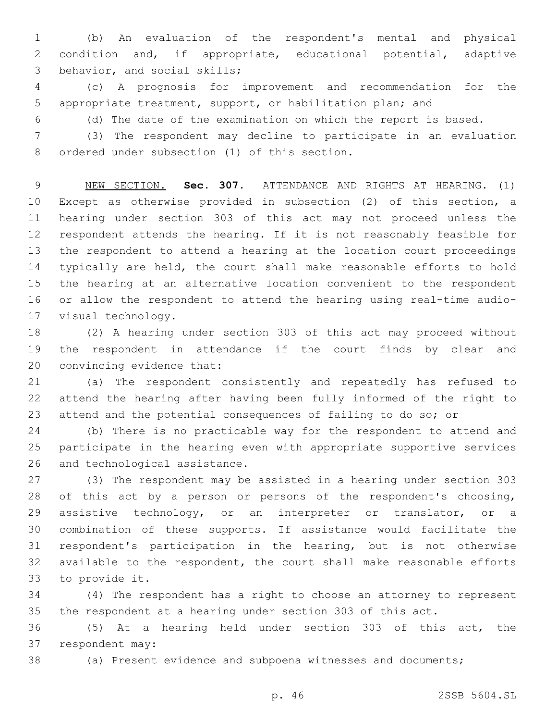(b) An evaluation of the respondent's mental and physical condition and, if appropriate, educational potential, adaptive 3 behavior, and social skills;

 (c) A prognosis for improvement and recommendation for the appropriate treatment, support, or habilitation plan; and

(d) The date of the examination on which the report is based.

 (3) The respondent may decline to participate in an evaluation 8 ordered under subsection (1) of this section.

 NEW SECTION. **Sec. 307.** ATTENDANCE AND RIGHTS AT HEARING. (1) Except as otherwise provided in subsection (2) of this section, a hearing under section 303 of this act may not proceed unless the respondent attends the hearing. If it is not reasonably feasible for the respondent to attend a hearing at the location court proceedings typically are held, the court shall make reasonable efforts to hold the hearing at an alternative location convenient to the respondent or allow the respondent to attend the hearing using real-time audio-visual technology.

 (2) A hearing under section 303 of this act may proceed without the respondent in attendance if the court finds by clear and 20 convincing evidence that:

 (a) The respondent consistently and repeatedly has refused to attend the hearing after having been fully informed of the right to attend and the potential consequences of failing to do so; or

 (b) There is no practicable way for the respondent to attend and participate in the hearing even with appropriate supportive services 26 and technological assistance.

 (3) The respondent may be assisted in a hearing under section 303 of this act by a person or persons of the respondent's choosing, 29 assistive technology, or an interpreter or translator, or a combination of these supports. If assistance would facilitate the respondent's participation in the hearing, but is not otherwise available to the respondent, the court shall make reasonable efforts 33 to provide it.

 (4) The respondent has a right to choose an attorney to represent the respondent at a hearing under section 303 of this act.

 (5) At a hearing held under section 303 of this act, the 37 respondent may:

(a) Present evidence and subpoena witnesses and documents;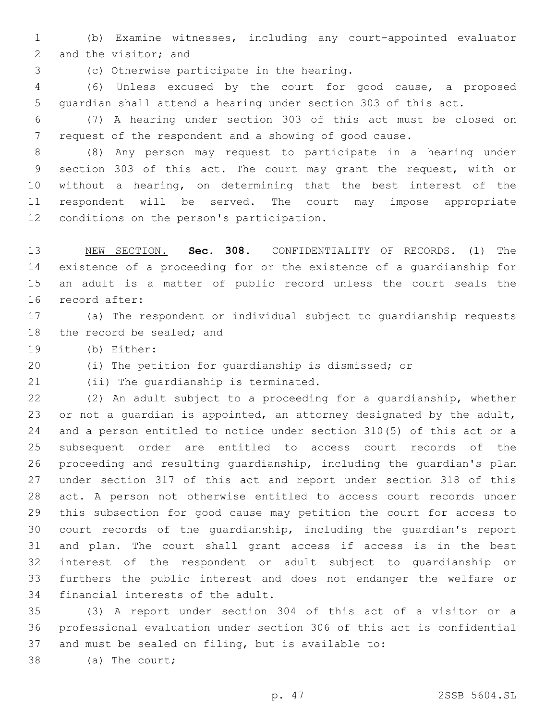(b) Examine witnesses, including any court-appointed evaluator 2 and the visitor; and

(c) Otherwise participate in the hearing.3

 (6) Unless excused by the court for good cause, a proposed guardian shall attend a hearing under section 303 of this act.

 (7) A hearing under section 303 of this act must be closed on request of the respondent and a showing of good cause.

 (8) Any person may request to participate in a hearing under section 303 of this act. The court may grant the request, with or without a hearing, on determining that the best interest of the respondent will be served. The court may impose appropriate 12 conditions on the person's participation.

 NEW SECTION. **Sec. 308.** CONFIDENTIALITY OF RECORDS. (1) The existence of a proceeding for or the existence of a guardianship for an adult is a matter of public record unless the court seals the record after:

 (a) The respondent or individual subject to guardianship requests 18 the record be sealed; and

19 (b) Either:

(i) The petition for guardianship is dismissed; or

21 (ii) The quardianship is terminated.

 (2) An adult subject to a proceeding for a guardianship, whether or not a guardian is appointed, an attorney designated by the adult, and a person entitled to notice under section 310(5) of this act or a subsequent order are entitled to access court records of the proceeding and resulting guardianship, including the guardian's plan under section 317 of this act and report under section 318 of this act. A person not otherwise entitled to access court records under this subsection for good cause may petition the court for access to court records of the guardianship, including the guardian's report and plan. The court shall grant access if access is in the best interest of the respondent or adult subject to guardianship or furthers the public interest and does not endanger the welfare or 34 financial interests of the adult.

 (3) A report under section 304 of this act of a visitor or a professional evaluation under section 306 of this act is confidential and must be sealed on filing, but is available to:

38 (a) The court;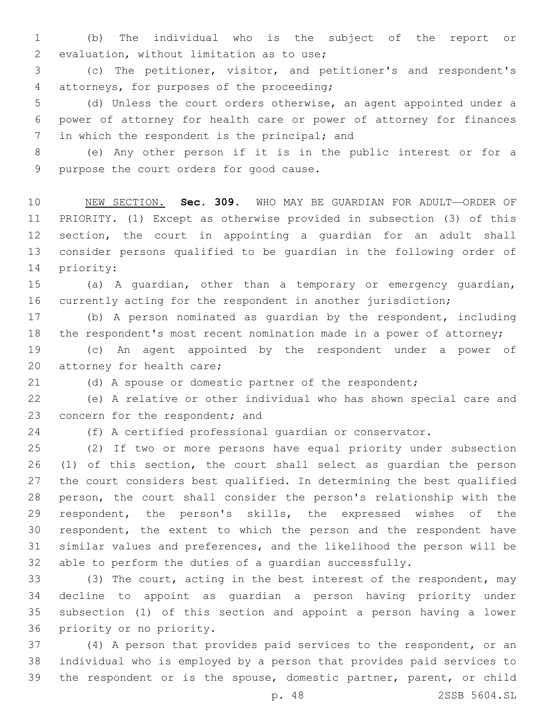(b) The individual who is the subject of the report or 2 evaluation, without limitation as to use;

 (c) The petitioner, visitor, and petitioner's and respondent's 4 attorneys, for purposes of the proceeding;

 (d) Unless the court orders otherwise, an agent appointed under a power of attorney for health care or power of attorney for finances 7 in which the respondent is the principal; and

 (e) Any other person if it is in the public interest or for a 9 purpose the court orders for good cause.

 NEW SECTION. **Sec. 309.** WHO MAY BE GUARDIAN FOR ADULT—ORDER OF PRIORITY. (1) Except as otherwise provided in subsection (3) of this section, the court in appointing a guardian for an adult shall consider persons qualified to be guardian in the following order of priority:

 (a) A guardian, other than a temporary or emergency guardian, currently acting for the respondent in another jurisdiction;

 (b) A person nominated as guardian by the respondent, including the respondent's most recent nomination made in a power of attorney;

 (c) An agent appointed by the respondent under a power of 20 attorney for health care;

(d) A spouse or domestic partner of the respondent;

 (e) A relative or other individual who has shown special care and 23 concern for the respondent; and

(f) A certified professional guardian or conservator.

 (2) If two or more persons have equal priority under subsection (1) of this section, the court shall select as guardian the person the court considers best qualified. In determining the best qualified person, the court shall consider the person's relationship with the respondent, the person's skills, the expressed wishes of the respondent, the extent to which the person and the respondent have similar values and preferences, and the likelihood the person will be able to perform the duties of a guardian successfully.

33 (3) The court, acting in the best interest of the respondent, may decline to appoint as guardian a person having priority under subsection (1) of this section and appoint a person having a lower 36 priority or no priority.

 (4) A person that provides paid services to the respondent, or an individual who is employed by a person that provides paid services to the respondent or is the spouse, domestic partner, parent, or child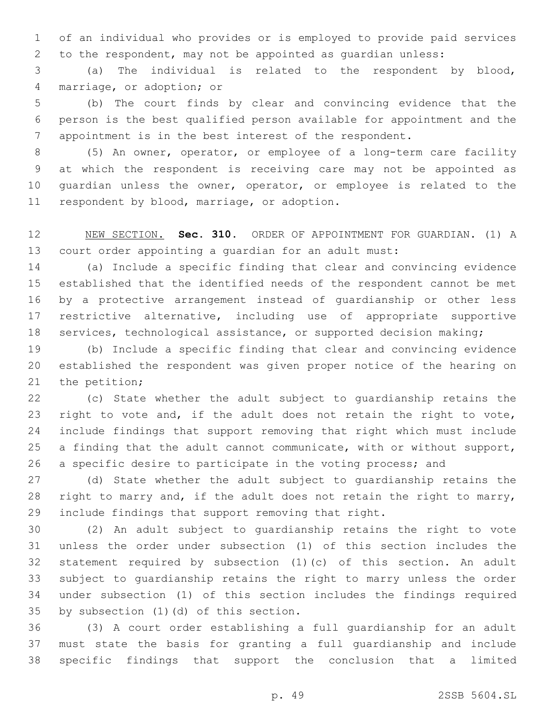of an individual who provides or is employed to provide paid services to the respondent, may not be appointed as guardian unless:

 (a) The individual is related to the respondent by blood, 4 marriage, or adoption; or

 (b) The court finds by clear and convincing evidence that the person is the best qualified person available for appointment and the appointment is in the best interest of the respondent.

 (5) An owner, operator, or employee of a long-term care facility at which the respondent is receiving care may not be appointed as guardian unless the owner, operator, or employee is related to the 11 respondent by blood, marriage, or adoption.

 NEW SECTION. **Sec. 310.** ORDER OF APPOINTMENT FOR GUARDIAN. (1) A court order appointing a guardian for an adult must:

 (a) Include a specific finding that clear and convincing evidence established that the identified needs of the respondent cannot be met by a protective arrangement instead of guardianship or other less restrictive alternative, including use of appropriate supportive services, technological assistance, or supported decision making;

 (b) Include a specific finding that clear and convincing evidence established the respondent was given proper notice of the hearing on 21 the petition;

 (c) State whether the adult subject to guardianship retains the right to vote and, if the adult does not retain the right to vote, include findings that support removing that right which must include a finding that the adult cannot communicate, with or without support, a specific desire to participate in the voting process; and

 (d) State whether the adult subject to guardianship retains the right to marry and, if the adult does not retain the right to marry, include findings that support removing that right.

 (2) An adult subject to guardianship retains the right to vote unless the order under subsection (1) of this section includes the statement required by subsection (1)(c) of this section. An adult subject to guardianship retains the right to marry unless the order under subsection (1) of this section includes the findings required 35 by subsection (1)(d) of this section.

 (3) A court order establishing a full guardianship for an adult must state the basis for granting a full guardianship and include specific findings that support the conclusion that a limited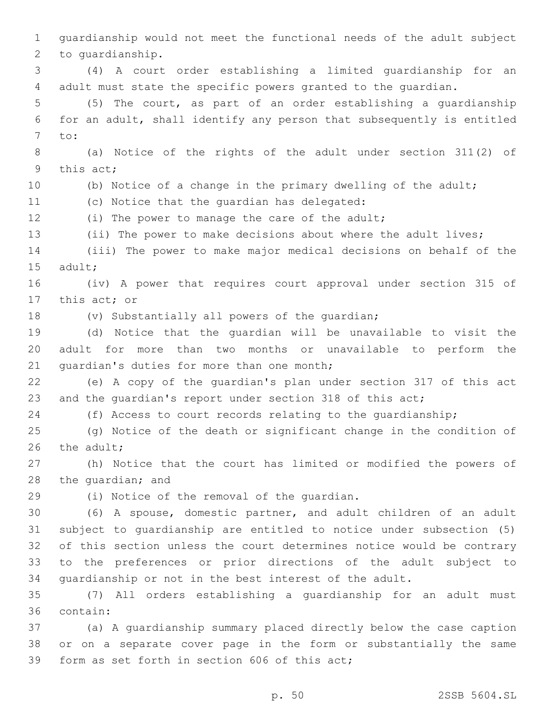guardianship would not meet the functional needs of the adult subject 2 to quardianship. (4) A court order establishing a limited guardianship for an adult must state the specific powers granted to the guardian. (5) The court, as part of an order establishing a guardianship for an adult, shall identify any person that subsequently is entitled 7 to: (a) Notice of the rights of the adult under section 311(2) of 9 this act; (b) Notice of a change in the primary dwelling of the adult; 11 (c) Notice that the quardian has delegated: (i) The power to manage the care of the adult; (ii) The power to make decisions about where the adult lives; (iii) The power to make major medical decisions on behalf of the 15 adult; (iv) A power that requires court approval under section 315 of 17 this act; or 18 (v) Substantially all powers of the quardian; (d) Notice that the guardian will be unavailable to visit the adult for more than two months or unavailable to perform the 21 quardian's duties for more than one month; (e) A copy of the guardian's plan under section 317 of this act 23 and the quardian's report under section 318 of this act; (f) Access to court records relating to the guardianship; (g) Notice of the death or significant change in the condition of the adult: (h) Notice that the court has limited or modified the powers of 28 the quardian; and 29 (i) Notice of the removal of the quardian. (6) A spouse, domestic partner, and adult children of an adult subject to guardianship are entitled to notice under subsection (5) of this section unless the court determines notice would be contrary to the preferences or prior directions of the adult subject to guardianship or not in the best interest of the adult. (7) All orders establishing a guardianship for an adult must 36 contain: (a) A guardianship summary placed directly below the case caption or on a separate cover page in the form or substantially the same 39 form as set forth in section 606 of this act;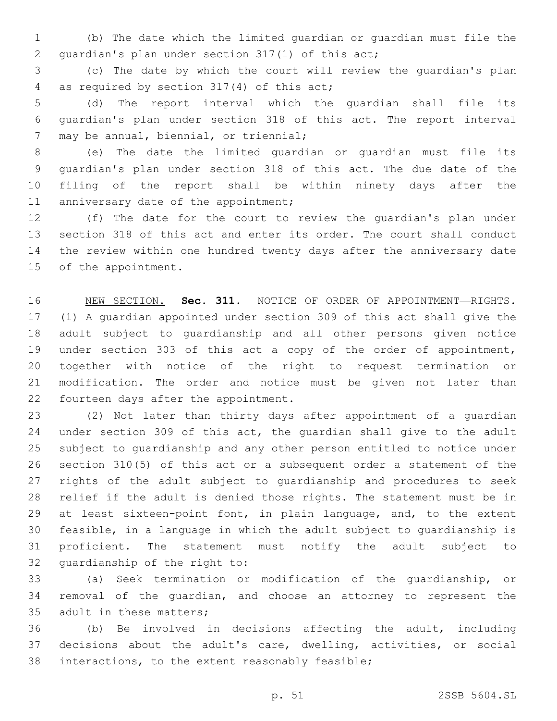(b) The date which the limited guardian or guardian must file the 2 quardian's plan under section 317(1) of this act;

 (c) The date by which the court will review the guardian's plan 4 as required by section 317(4) of this act;

 (d) The report interval which the guardian shall file its guardian's plan under section 318 of this act. The report interval 7 may be annual, biennial, or triennial;

 (e) The date the limited guardian or guardian must file its guardian's plan under section 318 of this act. The due date of the filing of the report shall be within ninety days after the 11 anniversary date of the appointment;

 (f) The date for the court to review the guardian's plan under section 318 of this act and enter its order. The court shall conduct the review within one hundred twenty days after the anniversary date 15 of the appointment.

 NEW SECTION. **Sec. 311.** NOTICE OF ORDER OF APPOINTMENT—RIGHTS. (1) A guardian appointed under section 309 of this act shall give the adult subject to guardianship and all other persons given notice under section 303 of this act a copy of the order of appointment, together with notice of the right to request termination or modification. The order and notice must be given not later than fourteen days after the appointment.

 (2) Not later than thirty days after appointment of a guardian under section 309 of this act, the guardian shall give to the adult subject to guardianship and any other person entitled to notice under section 310(5) of this act or a subsequent order a statement of the rights of the adult subject to guardianship and procedures to seek relief if the adult is denied those rights. The statement must be in at least sixteen-point font, in plain language, and, to the extent feasible, in a language in which the adult subject to guardianship is proficient. The statement must notify the adult subject to 32 quardianship of the right to:

 (a) Seek termination or modification of the guardianship, or removal of the guardian, and choose an attorney to represent the 35 adult in these matters;

 (b) Be involved in decisions affecting the adult, including decisions about the adult's care, dwelling, activities, or social 38 interactions, to the extent reasonably feasible;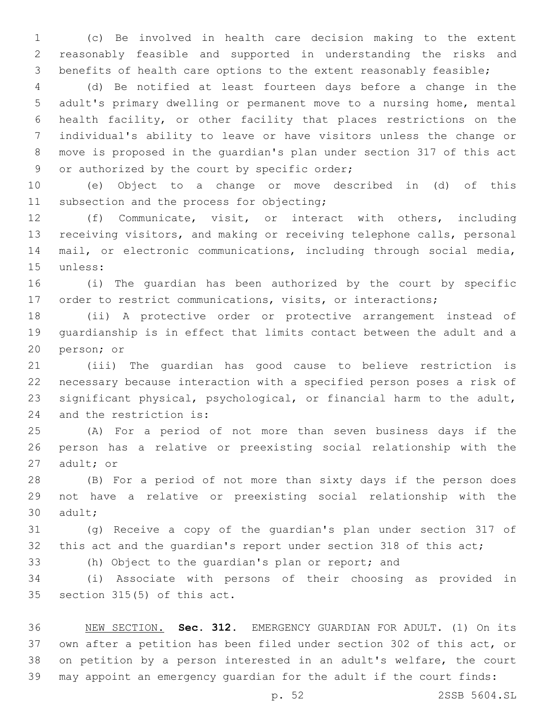(c) Be involved in health care decision making to the extent reasonably feasible and supported in understanding the risks and benefits of health care options to the extent reasonably feasible;

 (d) Be notified at least fourteen days before a change in the adult's primary dwelling or permanent move to a nursing home, mental health facility, or other facility that places restrictions on the individual's ability to leave or have visitors unless the change or move is proposed in the guardian's plan under section 317 of this act 9 or authorized by the court by specific order;

 (e) Object to a change or move described in (d) of this 11 subsection and the process for objecting;

 (f) Communicate, visit, or interact with others, including receiving visitors, and making or receiving telephone calls, personal mail, or electronic communications, including through social media, 15 unless:

 (i) The guardian has been authorized by the court by specific order to restrict communications, visits, or interactions;

 (ii) A protective order or protective arrangement instead of guardianship is in effect that limits contact between the adult and a 20 person; or

 (iii) The guardian has good cause to believe restriction is necessary because interaction with a specified person poses a risk of significant physical, psychological, or financial harm to the adult, 24 and the restriction is:

 (A) For a period of not more than seven business days if the person has a relative or preexisting social relationship with the 27 adult; or

 (B) For a period of not more than sixty days if the person does not have a relative or preexisting social relationship with the 30 adult;

 (g) Receive a copy of the guardian's plan under section 317 of 32 this act and the quardian's report under section 318 of this act;

(h) Object to the guardian's plan or report; and

 (i) Associate with persons of their choosing as provided in 35 section  $315(5)$  of this act.

 NEW SECTION. **Sec. 312.** EMERGENCY GUARDIAN FOR ADULT. (1) On its own after a petition has been filed under section 302 of this act, or on petition by a person interested in an adult's welfare, the court may appoint an emergency guardian for the adult if the court finds:

p. 52 2SSB 5604.SL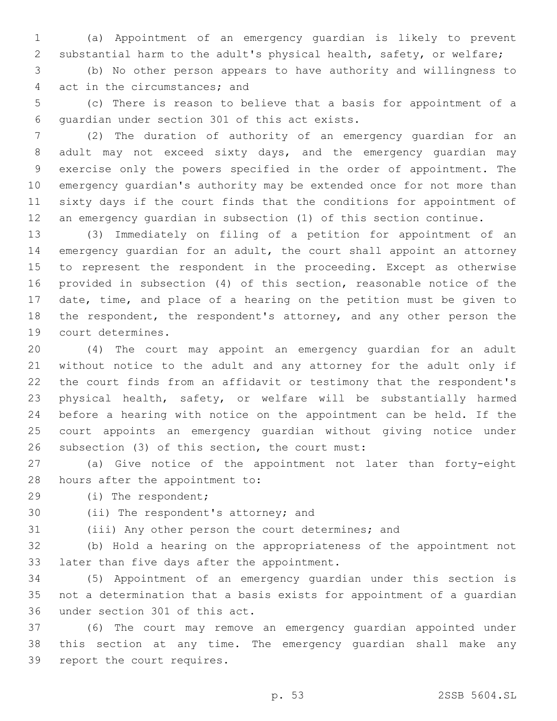(a) Appointment of an emergency guardian is likely to prevent substantial harm to the adult's physical health, safety, or welfare;

 (b) No other person appears to have authority and willingness to 4 act in the circumstances; and

 (c) There is reason to believe that a basis for appointment of a 6 quardian under section 301 of this act exists.

 (2) The duration of authority of an emergency guardian for an adult may not exceed sixty days, and the emergency guardian may exercise only the powers specified in the order of appointment. The emergency guardian's authority may be extended once for not more than sixty days if the court finds that the conditions for appointment of an emergency guardian in subsection (1) of this section continue.

 (3) Immediately on filing of a petition for appointment of an emergency guardian for an adult, the court shall appoint an attorney to represent the respondent in the proceeding. Except as otherwise provided in subsection (4) of this section, reasonable notice of the date, time, and place of a hearing on the petition must be given to the respondent, the respondent's attorney, and any other person the 19 court determines.

 (4) The court may appoint an emergency guardian for an adult without notice to the adult and any attorney for the adult only if the court finds from an affidavit or testimony that the respondent's physical health, safety, or welfare will be substantially harmed before a hearing with notice on the appointment can be held. If the court appoints an emergency guardian without giving notice under 26 subsection (3) of this section, the court must:

 (a) Give notice of the appointment not later than forty-eight 28 hours after the appointment to:

29 (i) The respondent;

30 (ii) The respondent's attorney; and

(iii) Any other person the court determines; and

 (b) Hold a hearing on the appropriateness of the appointment not 33 later than five days after the appointment.

 (5) Appointment of an emergency guardian under this section is not a determination that a basis exists for appointment of a guardian 36 under section 301 of this act.

 (6) The court may remove an emergency guardian appointed under this section at any time. The emergency guardian shall make any 39 report the court requires.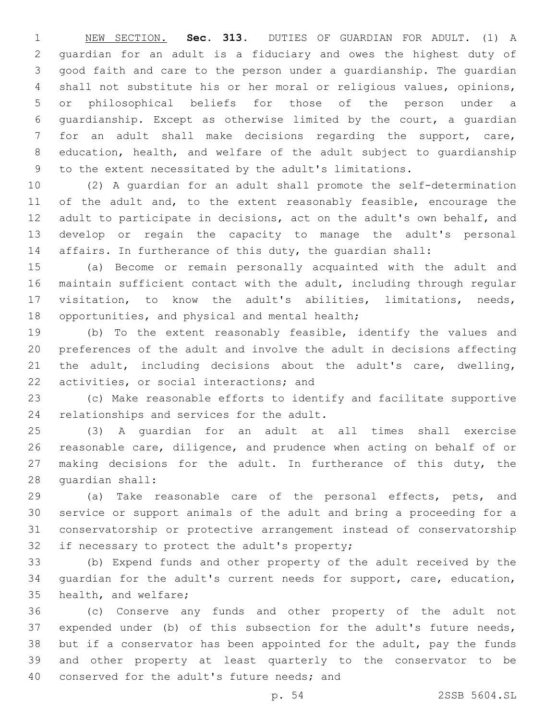NEW SECTION. **Sec. 313.** DUTIES OF GUARDIAN FOR ADULT. (1) A guardian for an adult is a fiduciary and owes the highest duty of good faith and care to the person under a guardianship. The guardian shall not substitute his or her moral or religious values, opinions, or philosophical beliefs for those of the person under a guardianship. Except as otherwise limited by the court, a guardian for an adult shall make decisions regarding the support, care, education, health, and welfare of the adult subject to guardianship to the extent necessitated by the adult's limitations.

 (2) A guardian for an adult shall promote the self-determination 11 of the adult and, to the extent reasonably feasible, encourage the adult to participate in decisions, act on the adult's own behalf, and develop or regain the capacity to manage the adult's personal affairs. In furtherance of this duty, the guardian shall:

 (a) Become or remain personally acquainted with the adult and maintain sufficient contact with the adult, including through regular visitation, to know the adult's abilities, limitations, needs, 18 opportunities, and physical and mental health;

 (b) To the extent reasonably feasible, identify the values and preferences of the adult and involve the adult in decisions affecting the adult, including decisions about the adult's care, dwelling, 22 activities, or social interactions; and

 (c) Make reasonable efforts to identify and facilitate supportive 24 relationships and services for the adult.

 (3) A guardian for an adult at all times shall exercise reasonable care, diligence, and prudence when acting on behalf of or 27 making decisions for the adult. In furtherance of this duty, the 28 quardian shall:

 (a) Take reasonable care of the personal effects, pets, and service or support animals of the adult and bring a proceeding for a conservatorship or protective arrangement instead of conservatorship 32 if necessary to protect the adult's property;

 (b) Expend funds and other property of the adult received by the guardian for the adult's current needs for support, care, education, 35 health, and welfare;

 (c) Conserve any funds and other property of the adult not expended under (b) of this subsection for the adult's future needs, but if a conservator has been appointed for the adult, pay the funds and other property at least quarterly to the conservator to be 40 conserved for the adult's future needs; and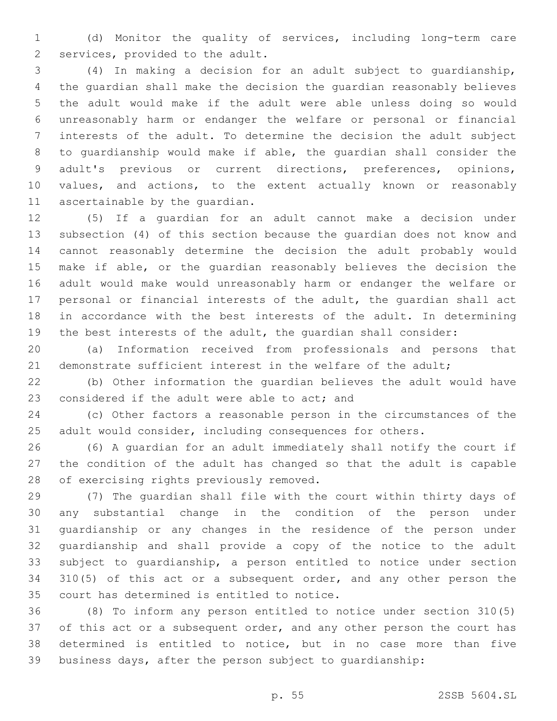(d) Monitor the quality of services, including long-term care 2 services, provided to the adult.

 (4) In making a decision for an adult subject to guardianship, the guardian shall make the decision the guardian reasonably believes the adult would make if the adult were able unless doing so would unreasonably harm or endanger the welfare or personal or financial interests of the adult. To determine the decision the adult subject to guardianship would make if able, the guardian shall consider the adult's previous or current directions, preferences, opinions, values, and actions, to the extent actually known or reasonably 11 ascertainable by the quardian.

 (5) If a guardian for an adult cannot make a decision under subsection (4) of this section because the guardian does not know and cannot reasonably determine the decision the adult probably would make if able, or the guardian reasonably believes the decision the adult would make would unreasonably harm or endanger the welfare or personal or financial interests of the adult, the guardian shall act in accordance with the best interests of the adult. In determining the best interests of the adult, the guardian shall consider:

 (a) Information received from professionals and persons that demonstrate sufficient interest in the welfare of the adult;

 (b) Other information the guardian believes the adult would have 23 considered if the adult were able to act; and

 (c) Other factors a reasonable person in the circumstances of the adult would consider, including consequences for others.

 (6) A guardian for an adult immediately shall notify the court if the condition of the adult has changed so that the adult is capable 28 of exercising rights previously removed.

 (7) The guardian shall file with the court within thirty days of any substantial change in the condition of the person under guardianship or any changes in the residence of the person under guardianship and shall provide a copy of the notice to the adult subject to guardianship, a person entitled to notice under section 310(5) of this act or a subsequent order, and any other person the 35 court has determined is entitled to notice.

 (8) To inform any person entitled to notice under section 310(5) 37 of this act or a subsequent order, and any other person the court has determined is entitled to notice, but in no case more than five business days, after the person subject to guardianship: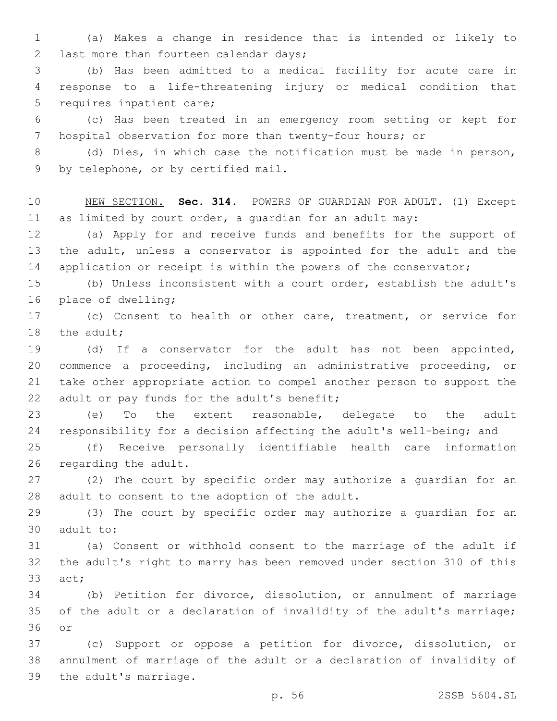(a) Makes a change in residence that is intended or likely to 2 last more than fourteen calendar days;

 (b) Has been admitted to a medical facility for acute care in response to a life-threatening injury or medical condition that 5 requires inpatient care;

 (c) Has been treated in an emergency room setting or kept for hospital observation for more than twenty-four hours; or

 (d) Dies, in which case the notification must be made in person, 9 by telephone, or by certified mail.

 NEW SECTION. **Sec. 314.** POWERS OF GUARDIAN FOR ADULT. (1) Except as limited by court order, a guardian for an adult may:

 (a) Apply for and receive funds and benefits for the support of the adult, unless a conservator is appointed for the adult and the 14 application or receipt is within the powers of the conservator;

 (b) Unless inconsistent with a court order, establish the adult's 16 place of dwelling;

 (c) Consent to health or other care, treatment, or service for 18 the adult:

 (d) If a conservator for the adult has not been appointed, commence a proceeding, including an administrative proceeding, or take other appropriate action to compel another person to support the 22 adult or pay funds for the adult's benefit;

 (e) To the extent reasonable, delegate to the adult responsibility for a decision affecting the adult's well-being; and

 (f) Receive personally identifiable health care information 26 regarding the adult.

 (2) The court by specific order may authorize a guardian for an 28 adult to consent to the adoption of the adult.

 (3) The court by specific order may authorize a guardian for an 30 adult to:

 (a) Consent or withhold consent to the marriage of the adult if the adult's right to marry has been removed under section 310 of this 33 act:

 (b) Petition for divorce, dissolution, or annulment of marriage of the adult or a declaration of invalidity of the adult's marriage; 36 or

 (c) Support or oppose a petition for divorce, dissolution, or annulment of marriage of the adult or a declaration of invalidity of 39 the adult's marriage.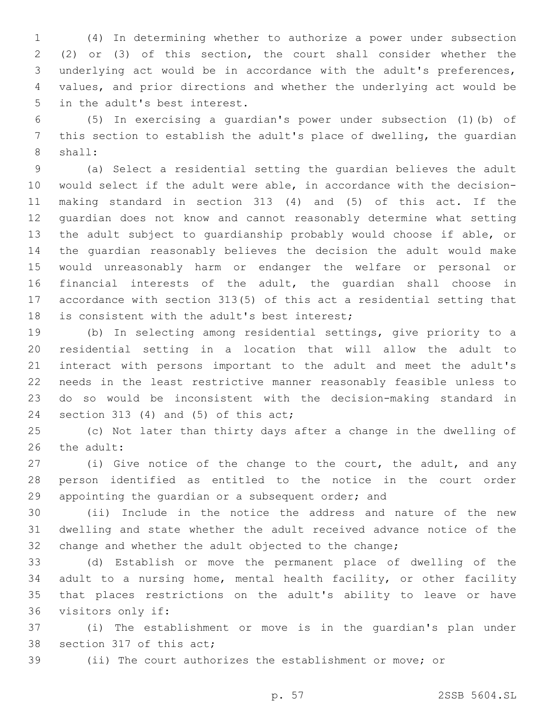(4) In determining whether to authorize a power under subsection (2) or (3) of this section, the court shall consider whether the underlying act would be in accordance with the adult's preferences, values, and prior directions and whether the underlying act would be 5 in the adult's best interest.

 (5) In exercising a guardian's power under subsection (1)(b) of this section to establish the adult's place of dwelling, the guardian 8 shall:

 (a) Select a residential setting the guardian believes the adult would select if the adult were able, in accordance with the decision- making standard in section 313 (4) and (5) of this act. If the guardian does not know and cannot reasonably determine what setting the adult subject to guardianship probably would choose if able, or the guardian reasonably believes the decision the adult would make would unreasonably harm or endanger the welfare or personal or financial interests of the adult, the guardian shall choose in accordance with section 313(5) of this act a residential setting that 18 is consistent with the adult's best interest;

 (b) In selecting among residential settings, give priority to a residential setting in a location that will allow the adult to interact with persons important to the adult and meet the adult's needs in the least restrictive manner reasonably feasible unless to do so would be inconsistent with the decision-making standard in 24 section 313 (4) and (5) of this  $act;$ 

 (c) Not later than thirty days after a change in the dwelling of 26 the adult:

 (i) Give notice of the change to the court, the adult, and any person identified as entitled to the notice in the court order appointing the guardian or a subsequent order; and

 (ii) Include in the notice the address and nature of the new dwelling and state whether the adult received advance notice of the change and whether the adult objected to the change;

 (d) Establish or move the permanent place of dwelling of the adult to a nursing home, mental health facility, or other facility that places restrictions on the adult's ability to leave or have 36 visitors only if:

 (i) The establishment or move is in the guardian's plan under 38 section 317 of this act;

(ii) The court authorizes the establishment or move; or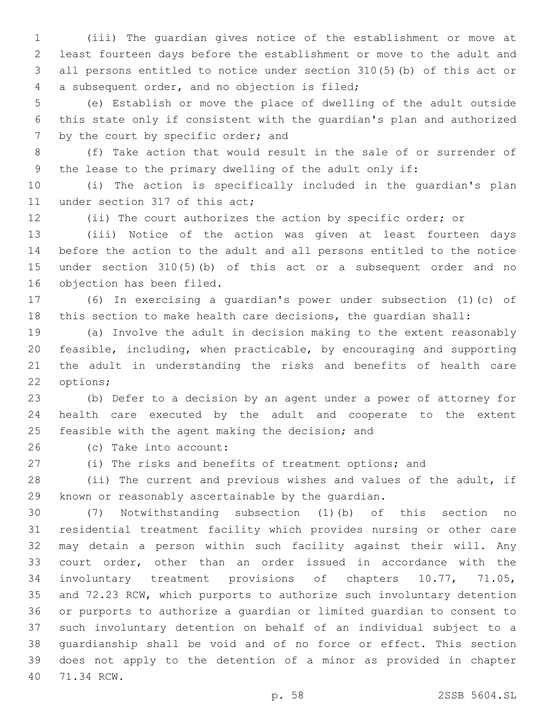(iii) The guardian gives notice of the establishment or move at least fourteen days before the establishment or move to the adult and all persons entitled to notice under section 310(5)(b) of this act or a subsequent order, and no objection is filed;4

 (e) Establish or move the place of dwelling of the adult outside this state only if consistent with the guardian's plan and authorized 7 by the court by specific order; and

 (f) Take action that would result in the sale of or surrender of the lease to the primary dwelling of the adult only if:

 (i) The action is specifically included in the guardian's plan 11 under section 317 of this act;

(ii) The court authorizes the action by specific order; or

 (iii) Notice of the action was given at least fourteen days before the action to the adult and all persons entitled to the notice under section 310(5)(b) of this act or a subsequent order and no 16 objection has been filed.

 (6) In exercising a guardian's power under subsection (1)(c) of this section to make health care decisions, the guardian shall:

 (a) Involve the adult in decision making to the extent reasonably feasible, including, when practicable, by encouraging and supporting the adult in understanding the risks and benefits of health care 22 options;

 (b) Defer to a decision by an agent under a power of attorney for health care executed by the adult and cooperate to the extent 25 feasible with the agent making the decision; and

(c) Take into account:26

(i) The risks and benefits of treatment options; and

 (ii) The current and previous wishes and values of the adult, if known or reasonably ascertainable by the guardian.

 (7) Notwithstanding subsection (1)(b) of this section no residential treatment facility which provides nursing or other care may detain a person within such facility against their will. Any court order, other than an order issued in accordance with the involuntary treatment provisions of chapters 10.77, 71.05, and 72.23 RCW, which purports to authorize such involuntary detention or purports to authorize a guardian or limited guardian to consent to such involuntary detention on behalf of an individual subject to a guardianship shall be void and of no force or effect. This section does not apply to the detention of a minor as provided in chapter 40 71.34 RCW.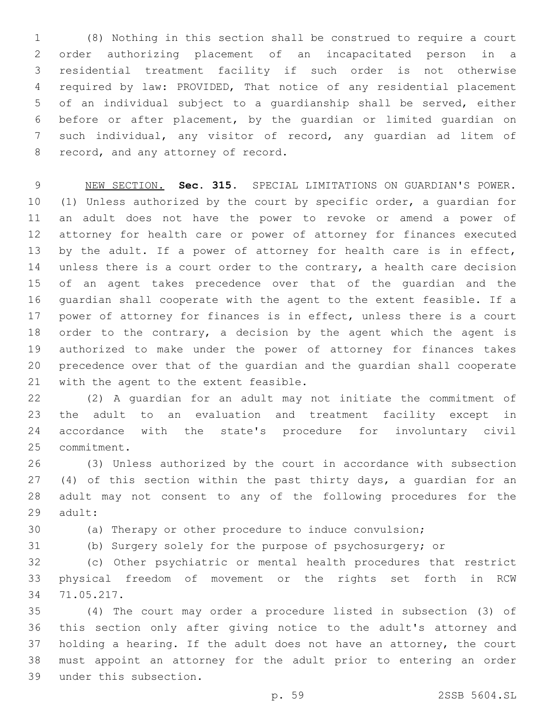(8) Nothing in this section shall be construed to require a court order authorizing placement of an incapacitated person in a residential treatment facility if such order is not otherwise required by law: PROVIDED, That notice of any residential placement of an individual subject to a guardianship shall be served, either before or after placement, by the guardian or limited guardian on such individual, any visitor of record, any guardian ad litem of 8 record, and any attorney of record.

 NEW SECTION. **Sec. 315.** SPECIAL LIMITATIONS ON GUARDIAN'S POWER. (1) Unless authorized by the court by specific order, a guardian for an adult does not have the power to revoke or amend a power of attorney for health care or power of attorney for finances executed 13 by the adult. If a power of attorney for health care is in effect, 14 unless there is a court order to the contrary, a health care decision of an agent takes precedence over that of the guardian and the guardian shall cooperate with the agent to the extent feasible. If a power of attorney for finances is in effect, unless there is a court 18 order to the contrary, a decision by the agent which the agent is authorized to make under the power of attorney for finances takes precedence over that of the guardian and the guardian shall cooperate with the agent to the extent feasible.

 (2) A guardian for an adult may not initiate the commitment of the adult to an evaluation and treatment facility except in accordance with the state's procedure for involuntary civil 25 commitment.

 (3) Unless authorized by the court in accordance with subsection 27 (4) of this section within the past thirty days, a guardian for an adult may not consent to any of the following procedures for the 29 adult:

(a) Therapy or other procedure to induce convulsion;

(b) Surgery solely for the purpose of psychosurgery; or

 (c) Other psychiatric or mental health procedures that restrict physical freedom of movement or the rights set forth in RCW 71.05.217.34

 (4) The court may order a procedure listed in subsection (3) of this section only after giving notice to the adult's attorney and holding a hearing. If the adult does not have an attorney, the court must appoint an attorney for the adult prior to entering an order under this subsection.39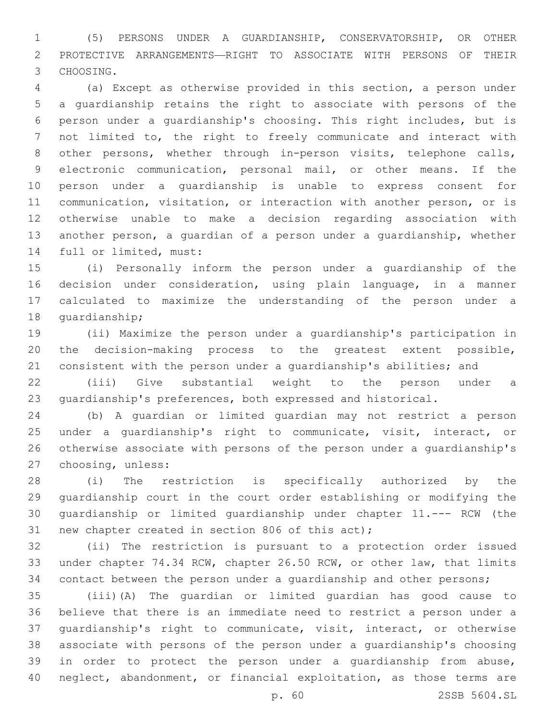(5) PERSONS UNDER A GUARDIANSHIP, CONSERVATORSHIP, OR OTHER PROTECTIVE ARRANGEMENTS—RIGHT TO ASSOCIATE WITH PERSONS OF THEIR 3 CHOOSING.

 (a) Except as otherwise provided in this section, a person under a guardianship retains the right to associate with persons of the person under a guardianship's choosing. This right includes, but is not limited to, the right to freely communicate and interact with other persons, whether through in-person visits, telephone calls, electronic communication, personal mail, or other means. If the person under a guardianship is unable to express consent for communication, visitation, or interaction with another person, or is otherwise unable to make a decision regarding association with another person, a guardian of a person under a guardianship, whether 14 full or limited, must:

 (i) Personally inform the person under a guardianship of the decision under consideration, using plain language, in a manner calculated to maximize the understanding of the person under a 18 quardianship;

 (ii) Maximize the person under a guardianship's participation in the decision-making process to the greatest extent possible, 21 consistent with the person under a quardianship's abilities; and

 (iii) Give substantial weight to the person under a guardianship's preferences, both expressed and historical.

 (b) A guardian or limited guardian may not restrict a person under a guardianship's right to communicate, visit, interact, or otherwise associate with persons of the person under a guardianship's 27 choosing, unless:

 (i) The restriction is specifically authorized by the guardianship court in the court order establishing or modifying the guardianship or limited guardianship under chapter 11.--- RCW (the 31 new chapter created in section 806 of this act);

 (ii) The restriction is pursuant to a protection order issued under chapter 74.34 RCW, chapter 26.50 RCW, or other law, that limits contact between the person under a guardianship and other persons;

 (iii)(A) The guardian or limited guardian has good cause to believe that there is an immediate need to restrict a person under a guardianship's right to communicate, visit, interact, or otherwise associate with persons of the person under a guardianship's choosing in order to protect the person under a guardianship from abuse, neglect, abandonment, or financial exploitation, as those terms are

p. 60 2SSB 5604.SL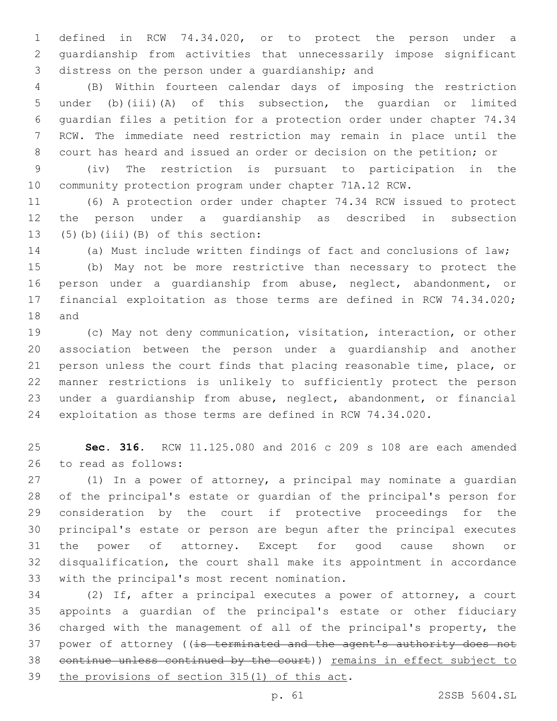defined in RCW 74.34.020, or to protect the person under a guardianship from activities that unnecessarily impose significant 3 distress on the person under a quardianship; and

 (B) Within fourteen calendar days of imposing the restriction under (b)(iii)(A) of this subsection, the guardian or limited guardian files a petition for a protection order under chapter 74.34 RCW. The immediate need restriction may remain in place until the court has heard and issued an order or decision on the petition; or

 (iv) The restriction is pursuant to participation in the community protection program under chapter 71A.12 RCW.

 (6) A protection order under chapter 74.34 RCW issued to protect the person under a guardianship as described in subsection (5)(b)(iii)(B) of this section:

(a) Must include written findings of fact and conclusions of law;

 (b) May not be more restrictive than necessary to protect the person under a guardianship from abuse, neglect, abandonment, or financial exploitation as those terms are defined in RCW 74.34.020; 18 and

 (c) May not deny communication, visitation, interaction, or other association between the person under a guardianship and another person unless the court finds that placing reasonable time, place, or manner restrictions is unlikely to sufficiently protect the person under a guardianship from abuse, neglect, abandonment, or financial exploitation as those terms are defined in RCW 74.34.020.

 **Sec. 316.** RCW 11.125.080 and 2016 c 209 s 108 are each amended 26 to read as follows:

 (1) In a power of attorney, a principal may nominate a guardian of the principal's estate or guardian of the principal's person for consideration by the court if protective proceedings for the principal's estate or person are begun after the principal executes the power of attorney. Except for good cause shown or disqualification, the court shall make its appointment in accordance 33 with the principal's most recent nomination.

 (2) If, after a principal executes a power of attorney, a court appoints a guardian of the principal's estate or other fiduciary charged with the management of all of the principal's property, the 37 power of attorney ((is terminated and the agent's authority does not continue unless continued by the court)) remains in effect subject to 39 the provisions of section  $315(1)$  of this act.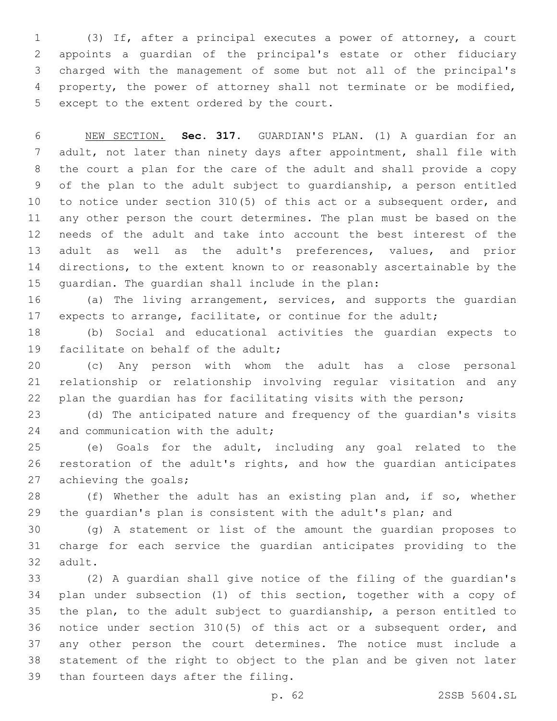(3) If, after a principal executes a power of attorney, a court appoints a guardian of the principal's estate or other fiduciary charged with the management of some but not all of the principal's property, the power of attorney shall not terminate or be modified, 5 except to the extent ordered by the court.

 NEW SECTION. **Sec. 317.** GUARDIAN'S PLAN. (1) A guardian for an adult, not later than ninety days after appointment, shall file with the court a plan for the care of the adult and shall provide a copy of the plan to the adult subject to guardianship, a person entitled to notice under section 310(5) of this act or a subsequent order, and any other person the court determines. The plan must be based on the needs of the adult and take into account the best interest of the adult as well as the adult's preferences, values, and prior directions, to the extent known to or reasonably ascertainable by the guardian. The guardian shall include in the plan:

 (a) The living arrangement, services, and supports the guardian 17 expects to arrange, facilitate, or continue for the adult;

 (b) Social and educational activities the guardian expects to 19 facilitate on behalf of the adult;

 (c) Any person with whom the adult has a close personal relationship or relationship involving regular visitation and any plan the guardian has for facilitating visits with the person;

 (d) The anticipated nature and frequency of the guardian's visits 24 and communication with the adult;

 (e) Goals for the adult, including any goal related to the restoration of the adult's rights, and how the guardian anticipates 27 achieving the goals;

 (f) Whether the adult has an existing plan and, if so, whether the guardian's plan is consistent with the adult's plan; and

 (g) A statement or list of the amount the guardian proposes to charge for each service the guardian anticipates providing to the 32 adult.

 (2) A guardian shall give notice of the filing of the guardian's plan under subsection (1) of this section, together with a copy of the plan, to the adult subject to guardianship, a person entitled to notice under section 310(5) of this act or a subsequent order, and any other person the court determines. The notice must include a statement of the right to object to the plan and be given not later 39 than fourteen days after the filing.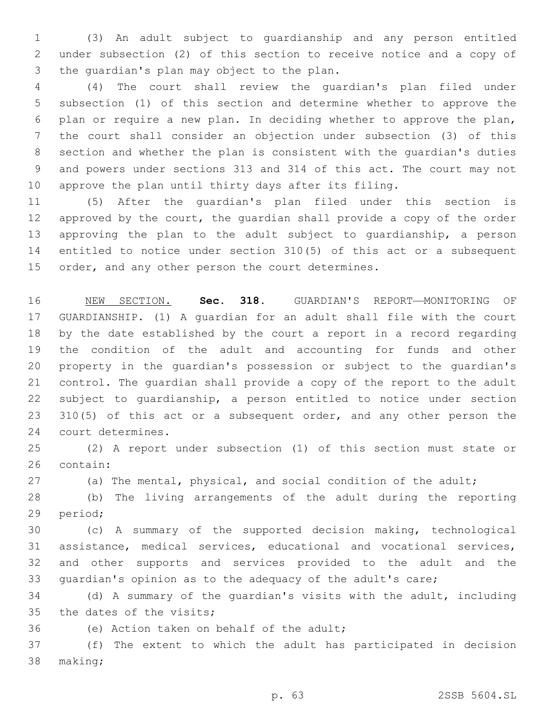(3) An adult subject to guardianship and any person entitled under subsection (2) of this section to receive notice and a copy of 3 the quardian's plan may object to the plan.

 (4) The court shall review the guardian's plan filed under subsection (1) of this section and determine whether to approve the plan or require a new plan. In deciding whether to approve the plan, the court shall consider an objection under subsection (3) of this section and whether the plan is consistent with the guardian's duties and powers under sections 313 and 314 of this act. The court may not approve the plan until thirty days after its filing.

 (5) After the guardian's plan filed under this section is approved by the court, the guardian shall provide a copy of the order approving the plan to the adult subject to guardianship, a person entitled to notice under section 310(5) of this act or a subsequent 15 order, and any other person the court determines.

 NEW SECTION. **Sec. 318.** GUARDIAN'S REPORT—MONITORING OF GUARDIANSHIP. (1) A guardian for an adult shall file with the court by the date established by the court a report in a record regarding the condition of the adult and accounting for funds and other property in the guardian's possession or subject to the guardian's control. The guardian shall provide a copy of the report to the adult subject to guardianship, a person entitled to notice under section 23 310(5) of this act or a subsequent order, and any other person the court determines.

 (2) A report under subsection (1) of this section must state or 26 contain:

(a) The mental, physical, and social condition of the adult;

 (b) The living arrangements of the adult during the reporting 29 period;

 (c) A summary of the supported decision making, technological assistance, medical services, educational and vocational services, and other supports and services provided to the adult and the guardian's opinion as to the adequacy of the adult's care;

 (d) A summary of the guardian's visits with the adult, including 35 the dates of the visits;

36 (e) Action taken on behalf of the adult;

 (f) The extent to which the adult has participated in decision 38 making;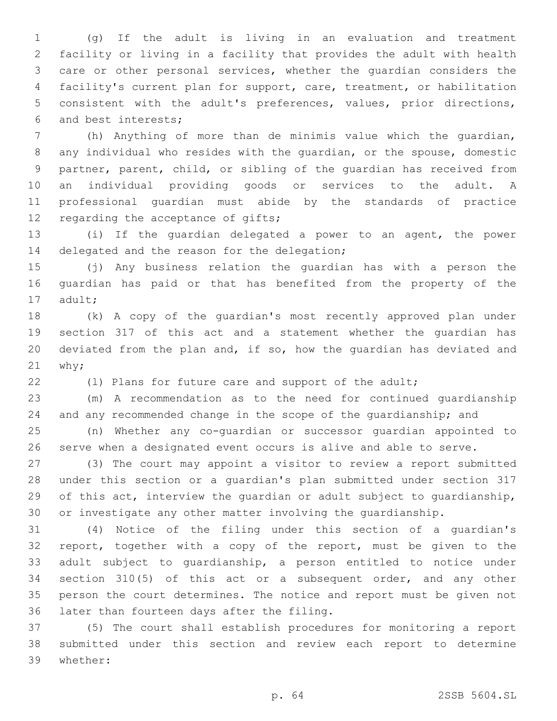(g) If the adult is living in an evaluation and treatment facility or living in a facility that provides the adult with health care or other personal services, whether the guardian considers the facility's current plan for support, care, treatment, or habilitation consistent with the adult's preferences, values, prior directions, and best interests;6

 (h) Anything of more than de minimis value which the guardian, any individual who resides with the guardian, or the spouse, domestic partner, parent, child, or sibling of the guardian has received from an individual providing goods or services to the adult. A professional guardian must abide by the standards of practice 12 regarding the acceptance of gifts;

 (i) If the guardian delegated a power to an agent, the power 14 delegated and the reason for the delegation;

 (j) Any business relation the guardian has with a person the guardian has paid or that has benefited from the property of the 17 adult;

 (k) A copy of the guardian's most recently approved plan under section 317 of this act and a statement whether the guardian has deviated from the plan and, if so, how the guardian has deviated and why;

(l) Plans for future care and support of the adult;

 (m) A recommendation as to the need for continued guardianship and any recommended change in the scope of the guardianship; and

 (n) Whether any co-guardian or successor guardian appointed to serve when a designated event occurs is alive and able to serve.

 (3) The court may appoint a visitor to review a report submitted under this section or a guardian's plan submitted under section 317 of this act, interview the guardian or adult subject to guardianship, or investigate any other matter involving the guardianship.

 (4) Notice of the filing under this section of a guardian's report, together with a copy of the report, must be given to the adult subject to guardianship, a person entitled to notice under section 310(5) of this act or a subsequent order, and any other person the court determines. The notice and report must be given not 36 later than fourteen days after the filing.

 (5) The court shall establish procedures for monitoring a report submitted under this section and review each report to determine whether:39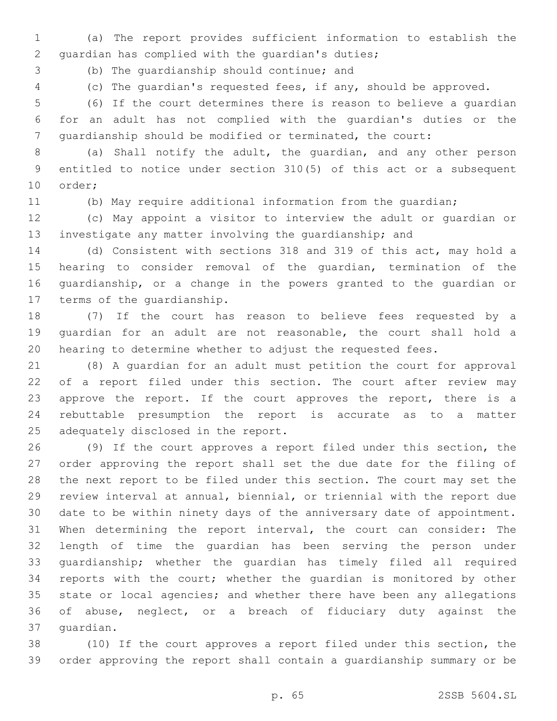(a) The report provides sufficient information to establish the 2 quardian has complied with the quardian's duties;

3 (b) The quardianship should continue; and

(c) The guardian's requested fees, if any, should be approved.

 (6) If the court determines there is reason to believe a guardian for an adult has not complied with the guardian's duties or the guardianship should be modified or terminated, the court:

 (a) Shall notify the adult, the guardian, and any other person entitled to notice under section 310(5) of this act or a subsequent 10 order;

(b) May require additional information from the guardian;

 (c) May appoint a visitor to interview the adult or guardian or investigate any matter involving the guardianship; and

 (d) Consistent with sections 318 and 319 of this act, may hold a hearing to consider removal of the guardian, termination of the guardianship, or a change in the powers granted to the guardian or 17 terms of the quardianship.

 (7) If the court has reason to believe fees requested by a guardian for an adult are not reasonable, the court shall hold a hearing to determine whether to adjust the requested fees.

 (8) A guardian for an adult must petition the court for approval 22 of a report filed under this section. The court after review may 23 approve the report. If the court approves the report, there is a rebuttable presumption the report is accurate as to a matter 25 adequately disclosed in the report.

 (9) If the court approves a report filed under this section, the order approving the report shall set the due date for the filing of the next report to be filed under this section. The court may set the review interval at annual, biennial, or triennial with the report due date to be within ninety days of the anniversary date of appointment. When determining the report interval, the court can consider: The length of time the guardian has been serving the person under guardianship; whether the guardian has timely filed all required reports with the court; whether the guardian is monitored by other state or local agencies; and whether there have been any allegations of abuse, neglect, or a breach of fiduciary duty against the 37 quardian.

 (10) If the court approves a report filed under this section, the order approving the report shall contain a guardianship summary or be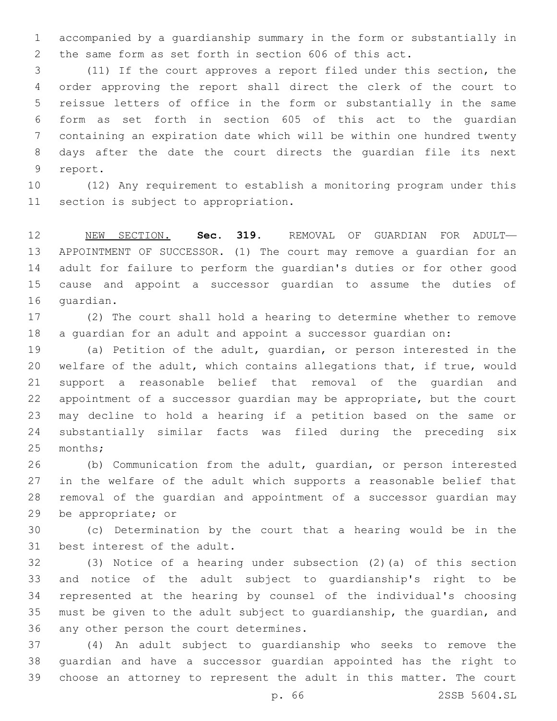accompanied by a guardianship summary in the form or substantially in the same form as set forth in section 606 of this act.

 (11) If the court approves a report filed under this section, the order approving the report shall direct the clerk of the court to reissue letters of office in the form or substantially in the same form as set forth in section 605 of this act to the guardian containing an expiration date which will be within one hundred twenty days after the date the court directs the guardian file its next 9 report.

 (12) Any requirement to establish a monitoring program under this 11 section is subject to appropriation.

 NEW SECTION. **Sec. 319.** REMOVAL OF GUARDIAN FOR ADULT— APPOINTMENT OF SUCCESSOR. (1) The court may remove a guardian for an adult for failure to perform the guardian's duties or for other good cause and appoint a successor guardian to assume the duties of guardian.

 (2) The court shall hold a hearing to determine whether to remove a guardian for an adult and appoint a successor guardian on:

 (a) Petition of the adult, guardian, or person interested in the welfare of the adult, which contains allegations that, if true, would support a reasonable belief that removal of the guardian and appointment of a successor guardian may be appropriate, but the court may decline to hold a hearing if a petition based on the same or substantially similar facts was filed during the preceding six 25 months;

 (b) Communication from the adult, guardian, or person interested in the welfare of the adult which supports a reasonable belief that removal of the guardian and appointment of a successor guardian may 29 be appropriate; or

 (c) Determination by the court that a hearing would be in the 31 best interest of the adult.

 (3) Notice of a hearing under subsection (2)(a) of this section and notice of the adult subject to guardianship's right to be represented at the hearing by counsel of the individual's choosing must be given to the adult subject to guardianship, the guardian, and 36 any other person the court determines.

 (4) An adult subject to guardianship who seeks to remove the guardian and have a successor guardian appointed has the right to choose an attorney to represent the adult in this matter. The court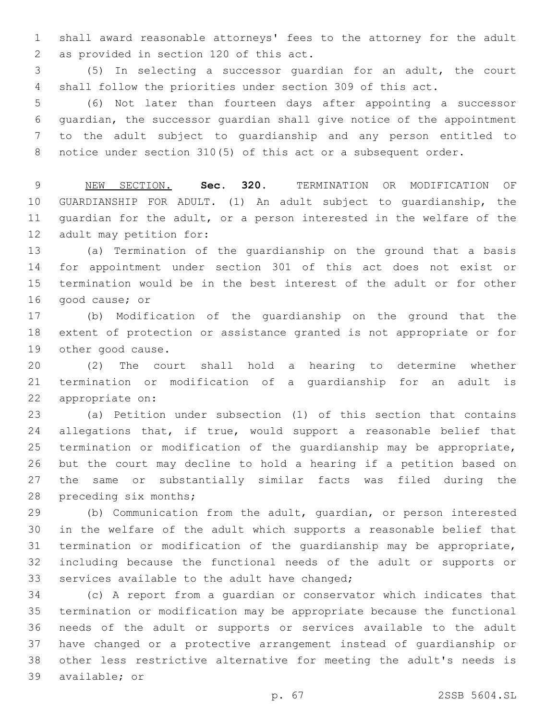shall award reasonable attorneys' fees to the attorney for the adult 2 as provided in section 120 of this act.

 (5) In selecting a successor guardian for an adult, the court shall follow the priorities under section 309 of this act.

 (6) Not later than fourteen days after appointing a successor guardian, the successor guardian shall give notice of the appointment to the adult subject to guardianship and any person entitled to notice under section 310(5) of this act or a subsequent order.

 NEW SECTION. **Sec. 320.** TERMINATION OR MODIFICATION OF GUARDIANSHIP FOR ADULT. (1) An adult subject to guardianship, the guardian for the adult, or a person interested in the welfare of the adult may petition for:

 (a) Termination of the guardianship on the ground that a basis for appointment under section 301 of this act does not exist or termination would be in the best interest of the adult or for other 16 good cause; or

 (b) Modification of the guardianship on the ground that the extent of protection or assistance granted is not appropriate or for 19 other good cause.

 (2) The court shall hold a hearing to determine whether termination or modification of a guardianship for an adult is 22 appropriate on:

 (a) Petition under subsection (1) of this section that contains 24 allegations that, if true, would support a reasonable belief that termination or modification of the guardianship may be appropriate, but the court may decline to hold a hearing if a petition based on the same or substantially similar facts was filed during the 28 preceding six months;

 (b) Communication from the adult, guardian, or person interested in the welfare of the adult which supports a reasonable belief that termination or modification of the guardianship may be appropriate, including because the functional needs of the adult or supports or 33 services available to the adult have changed;

 (c) A report from a guardian or conservator which indicates that termination or modification may be appropriate because the functional needs of the adult or supports or services available to the adult have changed or a protective arrangement instead of guardianship or other less restrictive alternative for meeting the adult's needs is 39 available; or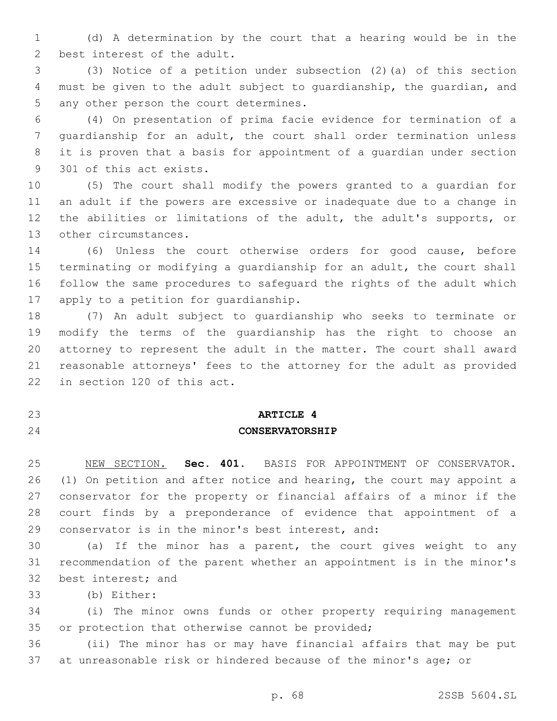(d) A determination by the court that a hearing would be in the 2 best interest of the adult.

 (3) Notice of a petition under subsection (2)(a) of this section must be given to the adult subject to guardianship, the guardian, and 5 any other person the court determines.

 (4) On presentation of prima facie evidence for termination of a guardianship for an adult, the court shall order termination unless it is proven that a basis for appointment of a guardian under section 9 301 of this act exists.

 (5) The court shall modify the powers granted to a guardian for an adult if the powers are excessive or inadequate due to a change in the abilities or limitations of the adult, the adult's supports, or 13 other circumstances.

 (6) Unless the court otherwise orders for good cause, before terminating or modifying a guardianship for an adult, the court shall follow the same procedures to safeguard the rights of the adult which 17 apply to a petition for quardianship.

 (7) An adult subject to guardianship who seeks to terminate or modify the terms of the guardianship has the right to choose an attorney to represent the adult in the matter. The court shall award reasonable attorneys' fees to the attorney for the adult as provided 22 in section 120 of this act.

## **ARTICLE 4**

## **CONSERVATORSHIP**

 NEW SECTION. **Sec. 401.** BASIS FOR APPOINTMENT OF CONSERVATOR. (1) On petition and after notice and hearing, the court may appoint a conservator for the property or financial affairs of a minor if the court finds by a preponderance of evidence that appointment of a conservator is in the minor's best interest, and:

 (a) If the minor has a parent, the court gives weight to any recommendation of the parent whether an appointment is in the minor's 32 best interest; and

(b) Either:33

 (i) The minor owns funds or other property requiring management 35 or protection that otherwise cannot be provided;

 (ii) The minor has or may have financial affairs that may be put at unreasonable risk or hindered because of the minor's age; or

p. 68 2SSB 5604.SL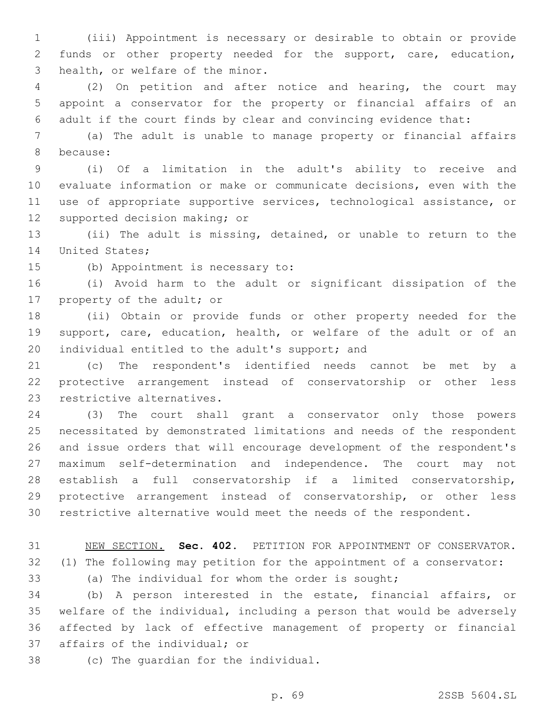(iii) Appointment is necessary or desirable to obtain or provide funds or other property needed for the support, care, education, 3 health, or welfare of the minor.

 (2) On petition and after notice and hearing, the court may appoint a conservator for the property or financial affairs of an adult if the court finds by clear and convincing evidence that:

 (a) The adult is unable to manage property or financial affairs 8 because:

 (i) Of a limitation in the adult's ability to receive and evaluate information or make or communicate decisions, even with the use of appropriate supportive services, technological assistance, or 12 supported decision making; or

 (ii) The adult is missing, detained, or unable to return to the 14 United States;

15 (b) Appointment is necessary to:

 (i) Avoid harm to the adult or significant dissipation of the 17 property of the adult; or

 (ii) Obtain or provide funds or other property needed for the support, care, education, health, or welfare of the adult or of an 20 individual entitled to the adult's support; and

 (c) The respondent's identified needs cannot be met by a protective arrangement instead of conservatorship or other less 23 restrictive alternatives.

 (3) The court shall grant a conservator only those powers necessitated by demonstrated limitations and needs of the respondent and issue orders that will encourage development of the respondent's maximum self-determination and independence. The court may not establish a full conservatorship if a limited conservatorship, protective arrangement instead of conservatorship, or other less restrictive alternative would meet the needs of the respondent.

NEW SECTION. **Sec. 402.** PETITION FOR APPOINTMENT OF CONSERVATOR.

(1) The following may petition for the appointment of a conservator:

(a) The individual for whom the order is sought;

 (b) A person interested in the estate, financial affairs, or welfare of the individual, including a person that would be adversely affected by lack of effective management of property or financial 37 affairs of the individual; or

38 (c) The quardian for the individual.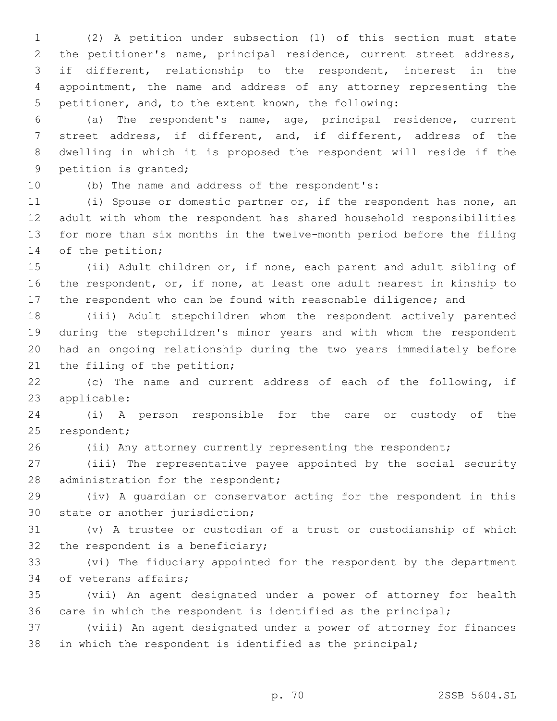(2) A petition under subsection (1) of this section must state the petitioner's name, principal residence, current street address, if different, relationship to the respondent, interest in the appointment, the name and address of any attorney representing the petitioner, and, to the extent known, the following:

 (a) The respondent's name, age, principal residence, current street address, if different, and, if different, address of the dwelling in which it is proposed the respondent will reside if the 9 petition is granted;

10 (b) The name and address of the respondent's:

 (i) Spouse or domestic partner or, if the respondent has none, an adult with whom the respondent has shared household responsibilities for more than six months in the twelve-month period before the filing 14 of the petition;

 (ii) Adult children or, if none, each parent and adult sibling of the respondent, or, if none, at least one adult nearest in kinship to the respondent who can be found with reasonable diligence; and

 (iii) Adult stepchildren whom the respondent actively parented during the stepchildren's minor years and with whom the respondent had an ongoing relationship during the two years immediately before 21 the filing of the petition;

 (c) The name and current address of each of the following, if 23 applicable:

 (i) A person responsible for the care or custody of the 25 respondent;

(ii) Any attorney currently representing the respondent;

 (iii) The representative payee appointed by the social security 28 administration for the respondent;

 (iv) A guardian or conservator acting for the respondent in this 30 state or another jurisdiction;

 (v) A trustee or custodian of a trust or custodianship of which 32 the respondent is a beneficiary;

 (vi) The fiduciary appointed for the respondent by the department 34 of veterans affairs;

 (vii) An agent designated under a power of attorney for health care in which the respondent is identified as the principal;

 (viii) An agent designated under a power of attorney for finances in which the respondent is identified as the principal;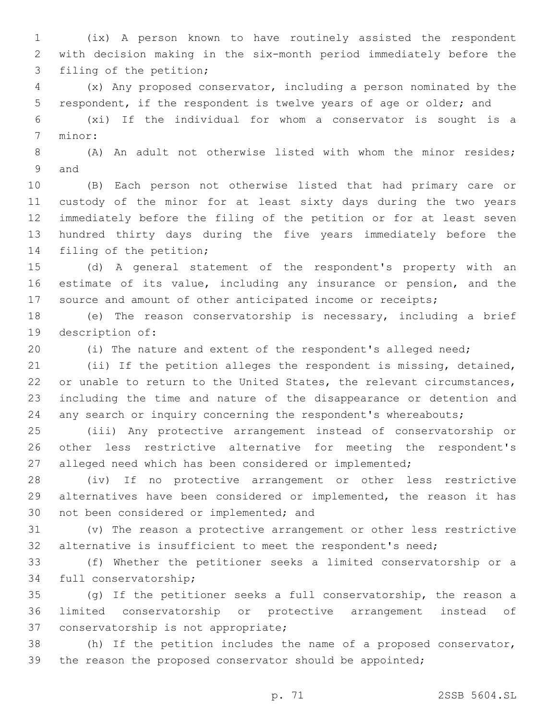(ix) A person known to have routinely assisted the respondent with decision making in the six-month period immediately before the 3 filing of the petition;

 (x) Any proposed conservator, including a person nominated by the respondent, if the respondent is twelve years of age or older; and

 (xi) If the individual for whom a conservator is sought is a 7 minor:

 (A) An adult not otherwise listed with whom the minor resides; 9 and

 (B) Each person not otherwise listed that had primary care or custody of the minor for at least sixty days during the two years immediately before the filing of the petition or for at least seven hundred thirty days during the five years immediately before the 14 filing of the petition;

 (d) A general statement of the respondent's property with an estimate of its value, including any insurance or pension, and the 17 source and amount of other anticipated income or receipts;

 (e) The reason conservatorship is necessary, including a brief 19 description of:

(i) The nature and extent of the respondent's alleged need;

 (ii) If the petition alleges the respondent is missing, detained, 22 or unable to return to the United States, the relevant circumstances, including the time and nature of the disappearance or detention and any search or inquiry concerning the respondent's whereabouts;

 (iii) Any protective arrangement instead of conservatorship or other less restrictive alternative for meeting the respondent's alleged need which has been considered or implemented;

 (iv) If no protective arrangement or other less restrictive alternatives have been considered or implemented, the reason it has 30 not been considered or implemented; and

 (v) The reason a protective arrangement or other less restrictive alternative is insufficient to meet the respondent's need;

 (f) Whether the petitioner seeks a limited conservatorship or a 34 full conservatorship;

 (g) If the petitioner seeks a full conservatorship, the reason a limited conservatorship or protective arrangement instead of 37 conservatorship is not appropriate;

 (h) If the petition includes the name of a proposed conservator, the reason the proposed conservator should be appointed;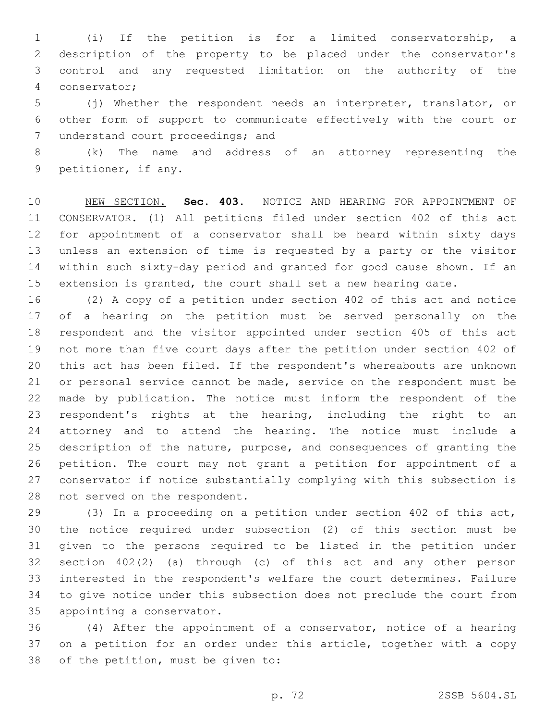(i) If the petition is for a limited conservatorship, a description of the property to be placed under the conservator's control and any requested limitation on the authority of the conservator;4

 (j) Whether the respondent needs an interpreter, translator, or other form of support to communicate effectively with the court or 7 understand court proceedings; and

 (k) The name and address of an attorney representing the 9 petitioner, if any.

 NEW SECTION. **Sec. 403.** NOTICE AND HEARING FOR APPOINTMENT OF CONSERVATOR. (1) All petitions filed under section 402 of this act for appointment of a conservator shall be heard within sixty days unless an extension of time is requested by a party or the visitor within such sixty-day period and granted for good cause shown. If an extension is granted, the court shall set a new hearing date.

 (2) A copy of a petition under section 402 of this act and notice of a hearing on the petition must be served personally on the respondent and the visitor appointed under section 405 of this act not more than five court days after the petition under section 402 of this act has been filed. If the respondent's whereabouts are unknown or personal service cannot be made, service on the respondent must be made by publication. The notice must inform the respondent of the respondent's rights at the hearing, including the right to an attorney and to attend the hearing. The notice must include a description of the nature, purpose, and consequences of granting the petition. The court may not grant a petition for appointment of a conservator if notice substantially complying with this subsection is 28 not served on the respondent.

 (3) In a proceeding on a petition under section 402 of this act, the notice required under subsection (2) of this section must be given to the persons required to be listed in the petition under section 402(2) (a) through (c) of this act and any other person interested in the respondent's welfare the court determines. Failure to give notice under this subsection does not preclude the court from 35 appointing a conservator.

 (4) After the appointment of a conservator, notice of a hearing 37 on a petition for an order under this article, together with a copy 38 of the petition, must be given to: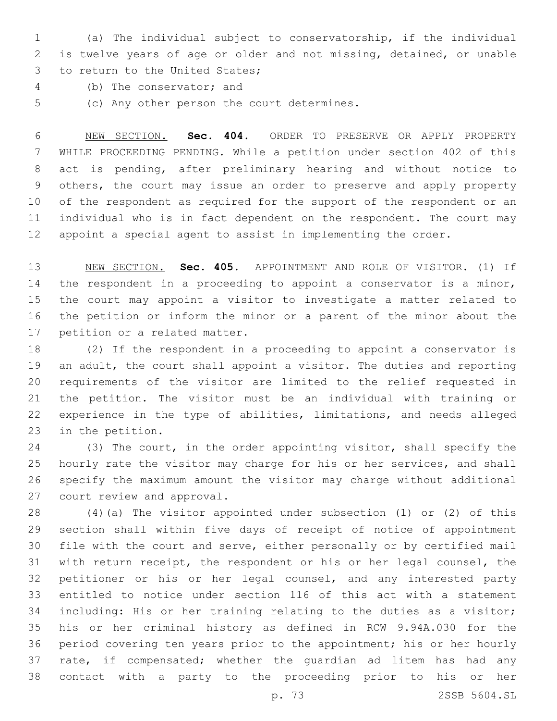(a) The individual subject to conservatorship, if the individual is twelve years of age or older and not missing, detained, or unable 3 to return to the United States;

- 4 (b) The conservator; and
- 5 (c) Any other person the court determines.

 NEW SECTION. **Sec. 404.** ORDER TO PRESERVE OR APPLY PROPERTY WHILE PROCEEDING PENDING. While a petition under section 402 of this act is pending, after preliminary hearing and without notice to others, the court may issue an order to preserve and apply property of the respondent as required for the support of the respondent or an individual who is in fact dependent on the respondent. The court may appoint a special agent to assist in implementing the order.

 NEW SECTION. **Sec. 405.** APPOINTMENT AND ROLE OF VISITOR. (1) If 14 the respondent in a proceeding to appoint a conservator is a minor, the court may appoint a visitor to investigate a matter related to the petition or inform the minor or a parent of the minor about the petition or a related matter.

 (2) If the respondent in a proceeding to appoint a conservator is an adult, the court shall appoint a visitor. The duties and reporting requirements of the visitor are limited to the relief requested in the petition. The visitor must be an individual with training or experience in the type of abilities, limitations, and needs alleged 23 in the petition.

 (3) The court, in the order appointing visitor, shall specify the hourly rate the visitor may charge for his or her services, and shall specify the maximum amount the visitor may charge without additional 27 court review and approval.

 (4)(a) The visitor appointed under subsection (1) or (2) of this section shall within five days of receipt of notice of appointment file with the court and serve, either personally or by certified mail with return receipt, the respondent or his or her legal counsel, the petitioner or his or her legal counsel, and any interested party entitled to notice under section 116 of this act with a statement including: His or her training relating to the duties as a visitor; his or her criminal history as defined in RCW 9.94A.030 for the period covering ten years prior to the appointment; his or her hourly rate, if compensated; whether the guardian ad litem has had any contact with a party to the proceeding prior to his or her

p. 73 2SSB 5604.SL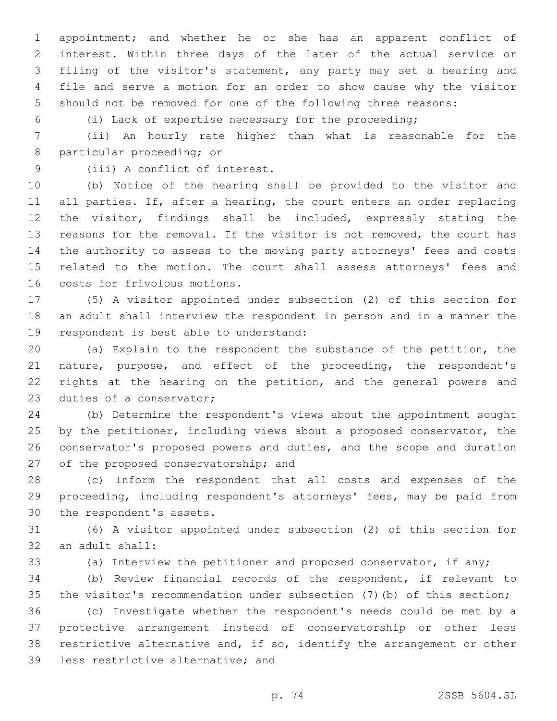appointment; and whether he or she has an apparent conflict of interest. Within three days of the later of the actual service or filing of the visitor's statement, any party may set a hearing and file and serve a motion for an order to show cause why the visitor should not be removed for one of the following three reasons:

(i) Lack of expertise necessary for the proceeding;

 (ii) An hourly rate higher than what is reasonable for the 8 particular proceeding; or

9 (iii) A conflict of interest.

 (b) Notice of the hearing shall be provided to the visitor and 11 all parties. If, after a hearing, the court enters an order replacing the visitor, findings shall be included, expressly stating the reasons for the removal. If the visitor is not removed, the court has the authority to assess to the moving party attorneys' fees and costs related to the motion. The court shall assess attorneys' fees and 16 costs for frivolous motions.

 (5) A visitor appointed under subsection (2) of this section for an adult shall interview the respondent in person and in a manner the 19 respondent is best able to understand:

 (a) Explain to the respondent the substance of the petition, the 21 nature, purpose, and effect of the proceeding, the respondent's 22 rights at the hearing on the petition, and the general powers and 23 duties of a conservator;

 (b) Determine the respondent's views about the appointment sought by the petitioner, including views about a proposed conservator, the conservator's proposed powers and duties, and the scope and duration 27 of the proposed conservatorship; and

 (c) Inform the respondent that all costs and expenses of the proceeding, including respondent's attorneys' fees, may be paid from 30 the respondent's assets.

 (6) A visitor appointed under subsection (2) of this section for 32 an adult shall:

(a) Interview the petitioner and proposed conservator, if any;

 (b) Review financial records of the respondent, if relevant to the visitor's recommendation under subsection (7)(b) of this section;

 (c) Investigate whether the respondent's needs could be met by a protective arrangement instead of conservatorship or other less restrictive alternative and, if so, identify the arrangement or other 39 less restrictive alternative; and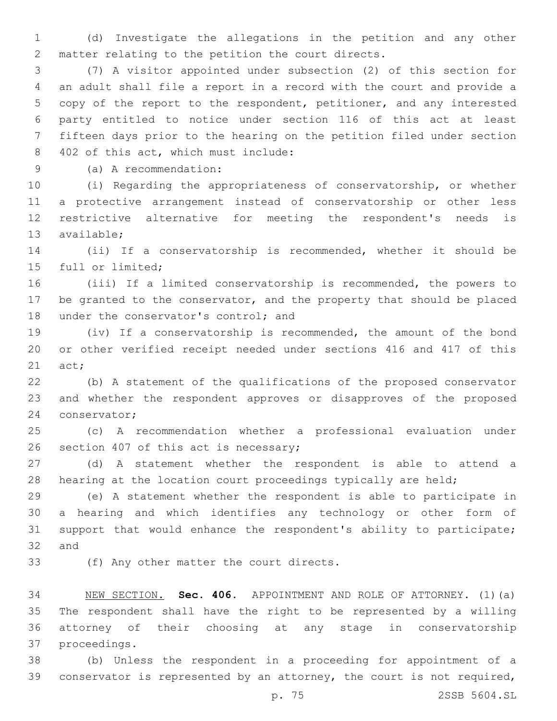(d) Investigate the allegations in the petition and any other 2 matter relating to the petition the court directs.

 (7) A visitor appointed under subsection (2) of this section for an adult shall file a report in a record with the court and provide a copy of the report to the respondent, petitioner, and any interested party entitled to notice under section 116 of this act at least fifteen days prior to the hearing on the petition filed under section 402 of this act, which must include:8

(a) A recommendation:9

 (i) Regarding the appropriateness of conservatorship, or whether a protective arrangement instead of conservatorship or other less restrictive alternative for meeting the respondent's needs is 13 available;

 (ii) If a conservatorship is recommended, whether it should be 15 full or limited:

 (iii) If a limited conservatorship is recommended, the powers to be granted to the conservator, and the property that should be placed 18 under the conservator's control; and

 (iv) If a conservatorship is recommended, the amount of the bond or other verified receipt needed under sections 416 and 417 of this  $21 \quad \text{act:}$ 

 (b) A statement of the qualifications of the proposed conservator and whether the respondent approves or disapproves of the proposed 24 conservator;

 (c) A recommendation whether a professional evaluation under 26 section 407 of this act is necessary;

 (d) A statement whether the respondent is able to attend a 28 hearing at the location court proceedings typically are held;

 (e) A statement whether the respondent is able to participate in a hearing and which identifies any technology or other form of support that would enhance the respondent's ability to participate; 32 and

33 (f) Any other matter the court directs.

 NEW SECTION. **Sec. 406.** APPOINTMENT AND ROLE OF ATTORNEY. (1)(a) The respondent shall have the right to be represented by a willing attorney of their choosing at any stage in conservatorship proceedings.

 (b) Unless the respondent in a proceeding for appointment of a conservator is represented by an attorney, the court is not required,

p. 75 2SSB 5604.SL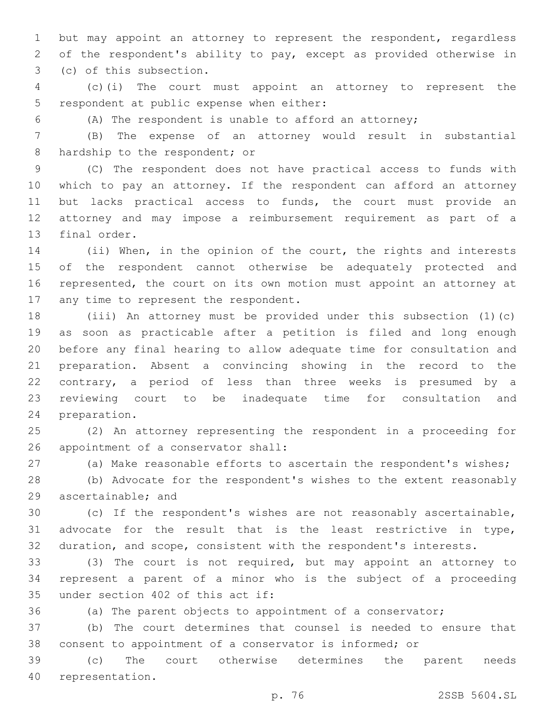but may appoint an attorney to represent the respondent, regardless of the respondent's ability to pay, except as provided otherwise in 3 (c) of this subsection.

 (c)(i) The court must appoint an attorney to represent the 5 respondent at public expense when either:

(A) The respondent is unable to afford an attorney;

 (B) The expense of an attorney would result in substantial 8 hardship to the respondent; or

 (C) The respondent does not have practical access to funds with which to pay an attorney. If the respondent can afford an attorney but lacks practical access to funds, the court must provide an attorney and may impose a reimbursement requirement as part of a 13 final order.

 (ii) When, in the opinion of the court, the rights and interests of the respondent cannot otherwise be adequately protected and represented, the court on its own motion must appoint an attorney at 17 any time to represent the respondent.

 (iii) An attorney must be provided under this subsection (1)(c) as soon as practicable after a petition is filed and long enough before any final hearing to allow adequate time for consultation and preparation. Absent a convincing showing in the record to the contrary, a period of less than three weeks is presumed by a reviewing court to be inadequate time for consultation and 24 preparation.

 (2) An attorney representing the respondent in a proceeding for 26 appointment of a conservator shall:

(a) Make reasonable efforts to ascertain the respondent's wishes;

 (b) Advocate for the respondent's wishes to the extent reasonably 29 ascertainable; and

 (c) If the respondent's wishes are not reasonably ascertainable, advocate for the result that is the least restrictive in type, duration, and scope, consistent with the respondent's interests.

 (3) The court is not required, but may appoint an attorney to represent a parent of a minor who is the subject of a proceeding 35 under section 402 of this act if:

(a) The parent objects to appointment of a conservator;

 (b) The court determines that counsel is needed to ensure that consent to appointment of a conservator is informed; or

 (c) The court otherwise determines the parent needs 40 representation.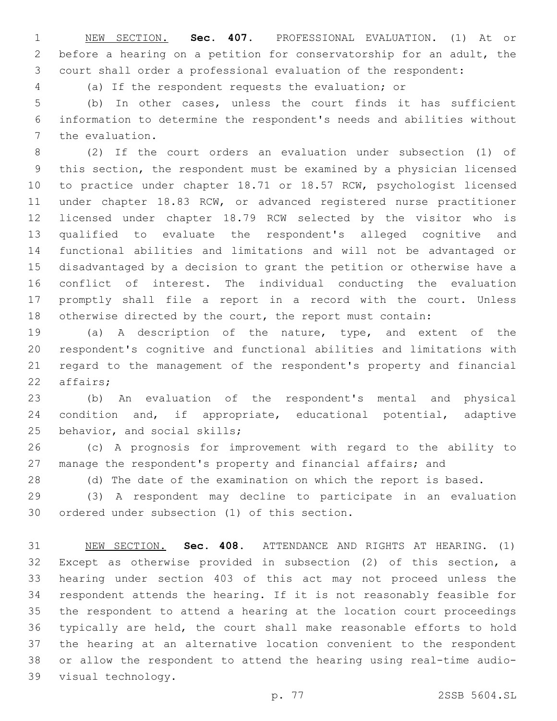NEW SECTION. **Sec. 407.** PROFESSIONAL EVALUATION. (1) At or before a hearing on a petition for conservatorship for an adult, the court shall order a professional evaluation of the respondent:

(a) If the respondent requests the evaluation; or

 (b) In other cases, unless the court finds it has sufficient information to determine the respondent's needs and abilities without 7 the evaluation.

 (2) If the court orders an evaluation under subsection (1) of this section, the respondent must be examined by a physician licensed to practice under chapter 18.71 or 18.57 RCW, psychologist licensed under chapter 18.83 RCW, or advanced registered nurse practitioner licensed under chapter 18.79 RCW selected by the visitor who is qualified to evaluate the respondent's alleged cognitive and functional abilities and limitations and will not be advantaged or disadvantaged by a decision to grant the petition or otherwise have a conflict of interest. The individual conducting the evaluation promptly shall file a report in a record with the court. Unless otherwise directed by the court, the report must contain:

 (a) A description of the nature, type, and extent of the respondent's cognitive and functional abilities and limitations with regard to the management of the respondent's property and financial 22 affairs;

 (b) An evaluation of the respondent's mental and physical condition and, if appropriate, educational potential, adaptive 25 behavior, and social skills;

 (c) A prognosis for improvement with regard to the ability to manage the respondent's property and financial affairs; and

(d) The date of the examination on which the report is based.

 (3) A respondent may decline to participate in an evaluation 30 ordered under subsection (1) of this section.

 NEW SECTION. **Sec. 408.** ATTENDANCE AND RIGHTS AT HEARING. (1) Except as otherwise provided in subsection (2) of this section, a hearing under section 403 of this act may not proceed unless the respondent attends the hearing. If it is not reasonably feasible for the respondent to attend a hearing at the location court proceedings typically are held, the court shall make reasonable efforts to hold the hearing at an alternative location convenient to the respondent or allow the respondent to attend the hearing using real-time audio-visual technology.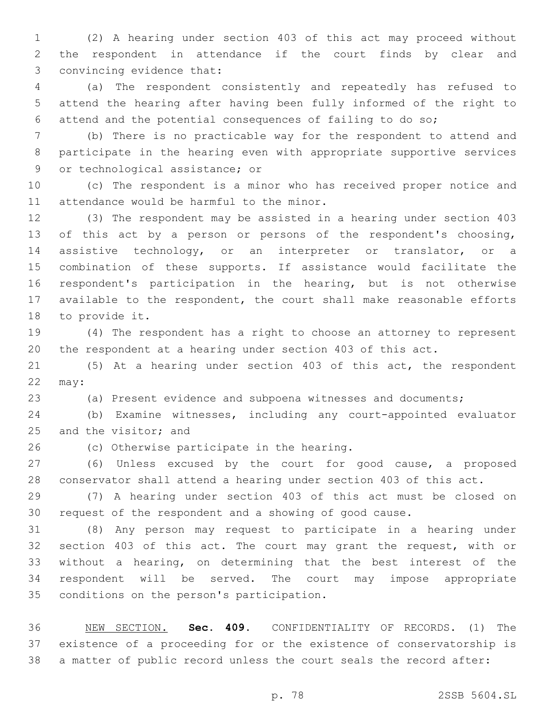(2) A hearing under section 403 of this act may proceed without the respondent in attendance if the court finds by clear and 3 convincing evidence that:

 (a) The respondent consistently and repeatedly has refused to attend the hearing after having been fully informed of the right to attend and the potential consequences of failing to do so;

 (b) There is no practicable way for the respondent to attend and participate in the hearing even with appropriate supportive services 9 or technological assistance; or

 (c) The respondent is a minor who has received proper notice and 11 attendance would be harmful to the minor.

 (3) The respondent may be assisted in a hearing under section 403 of this act by a person or persons of the respondent's choosing, 14 assistive technology, or an interpreter or translator, or a combination of these supports. If assistance would facilitate the respondent's participation in the hearing, but is not otherwise available to the respondent, the court shall make reasonable efforts 18 to provide it.

 (4) The respondent has a right to choose an attorney to represent the respondent at a hearing under section 403 of this act.

 (5) At a hearing under section 403 of this act, the respondent may:

(a) Present evidence and subpoena witnesses and documents;

 (b) Examine witnesses, including any court-appointed evaluator 25 and the visitor; and

26 (c) Otherwise participate in the hearing.

 (6) Unless excused by the court for good cause, a proposed conservator shall attend a hearing under section 403 of this act.

 (7) A hearing under section 403 of this act must be closed on request of the respondent and a showing of good cause.

 (8) Any person may request to participate in a hearing under section 403 of this act. The court may grant the request, with or without a hearing, on determining that the best interest of the respondent will be served. The court may impose appropriate 35 conditions on the person's participation.

 NEW SECTION. **Sec. 409.** CONFIDENTIALITY OF RECORDS. (1) The existence of a proceeding for or the existence of conservatorship is a matter of public record unless the court seals the record after:

p. 78 2SSB 5604.SL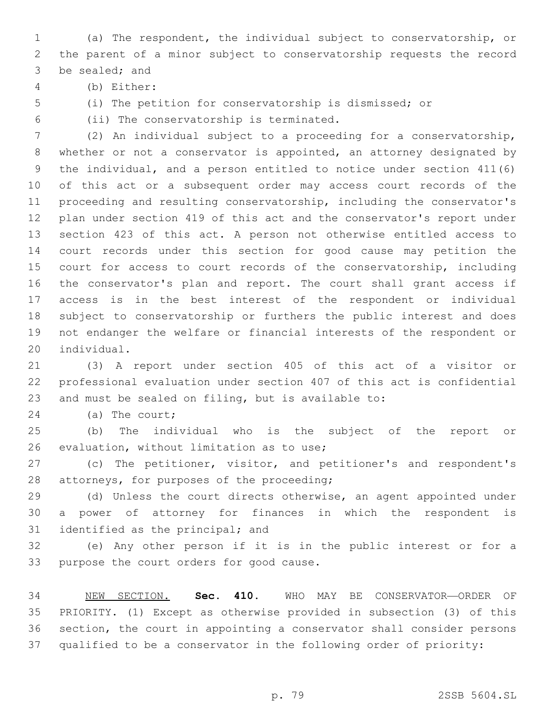(a) The respondent, the individual subject to conservatorship, or the parent of a minor subject to conservatorship requests the record 3 be sealed; and

(b) Either:4

(i) The petition for conservatorship is dismissed; or

(ii) The conservatorship is terminated.6

 (2) An individual subject to a proceeding for a conservatorship, whether or not a conservator is appointed, an attorney designated by the individual, and a person entitled to notice under section 411(6) of this act or a subsequent order may access court records of the proceeding and resulting conservatorship, including the conservator's plan under section 419 of this act and the conservator's report under section 423 of this act. A person not otherwise entitled access to court records under this section for good cause may petition the 15 court for access to court records of the conservatorship, including the conservator's plan and report. The court shall grant access if access is in the best interest of the respondent or individual subject to conservatorship or furthers the public interest and does not endanger the welfare or financial interests of the respondent or 20 individual.

 (3) A report under section 405 of this act of a visitor or professional evaluation under section 407 of this act is confidential and must be sealed on filing, but is available to:

24 (a) The court;

 (b) The individual who is the subject of the report or 26 evaluation, without limitation as to use;

 (c) The petitioner, visitor, and petitioner's and respondent's 28 attorneys, for purposes of the proceeding;

 (d) Unless the court directs otherwise, an agent appointed under a power of attorney for finances in which the respondent is 31 identified as the principal; and

 (e) Any other person if it is in the public interest or for a 33 purpose the court orders for good cause.

 NEW SECTION. **Sec. 410.** WHO MAY BE CONSERVATOR—ORDER OF PRIORITY. (1) Except as otherwise provided in subsection (3) of this section, the court in appointing a conservator shall consider persons qualified to be a conservator in the following order of priority: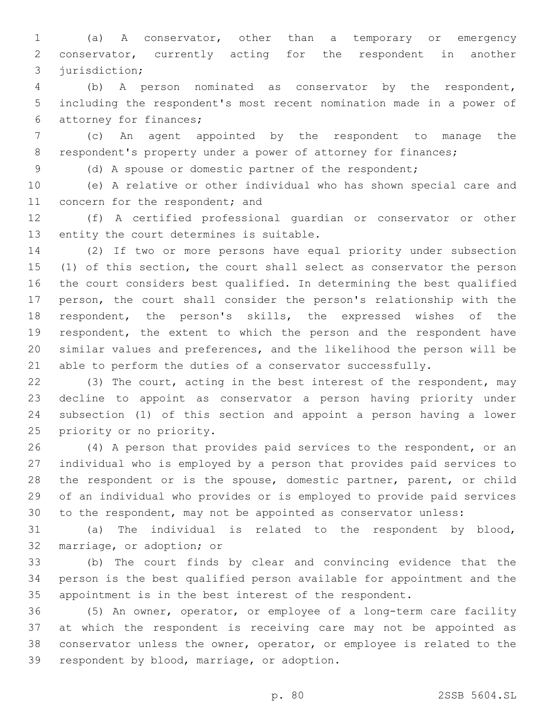(a) A conservator, other than a temporary or emergency conservator, currently acting for the respondent in another 3 jurisdiction;

 (b) A person nominated as conservator by the respondent, including the respondent's most recent nomination made in a power of 6 attorney for finances;

 (c) An agent appointed by the respondent to manage the 8 respondent's property under a power of attorney for finances;

(d) A spouse or domestic partner of the respondent;

 (e) A relative or other individual who has shown special care and 11 concern for the respondent; and

 (f) A certified professional guardian or conservator or other 13 entity the court determines is suitable.

 (2) If two or more persons have equal priority under subsection (1) of this section, the court shall select as conservator the person the court considers best qualified. In determining the best qualified person, the court shall consider the person's relationship with the respondent, the person's skills, the expressed wishes of the respondent, the extent to which the person and the respondent have similar values and preferences, and the likelihood the person will be able to perform the duties of a conservator successfully.

22 (3) The court, acting in the best interest of the respondent, may decline to appoint as conservator a person having priority under subsection (1) of this section and appoint a person having a lower 25 priority or no priority.

 (4) A person that provides paid services to the respondent, or an individual who is employed by a person that provides paid services to 28 the respondent or is the spouse, domestic partner, parent, or child of an individual who provides or is employed to provide paid services to the respondent, may not be appointed as conservator unless:

 (a) The individual is related to the respondent by blood, 32 marriage, or adoption; or

 (b) The court finds by clear and convincing evidence that the person is the best qualified person available for appointment and the appointment is in the best interest of the respondent.

 (5) An owner, operator, or employee of a long-term care facility at which the respondent is receiving care may not be appointed as conservator unless the owner, operator, or employee is related to the 39 respondent by blood, marriage, or adoption.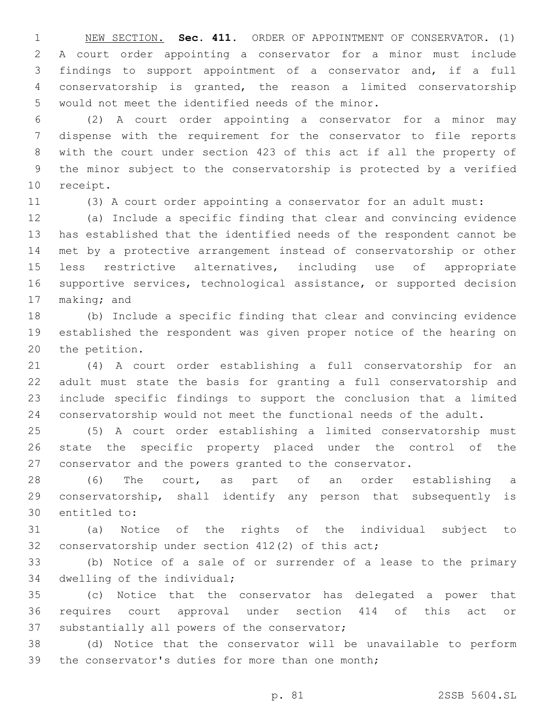NEW SECTION. **Sec. 411.** ORDER OF APPOINTMENT OF CONSERVATOR. (1) A court order appointing a conservator for a minor must include findings to support appointment of a conservator and, if a full conservatorship is granted, the reason a limited conservatorship would not meet the identified needs of the minor.

 (2) A court order appointing a conservator for a minor may dispense with the requirement for the conservator to file reports with the court under section 423 of this act if all the property of the minor subject to the conservatorship is protected by a verified 10 receipt.

(3) A court order appointing a conservator for an adult must:

 (a) Include a specific finding that clear and convincing evidence has established that the identified needs of the respondent cannot be met by a protective arrangement instead of conservatorship or other less restrictive alternatives, including use of appropriate supportive services, technological assistance, or supported decision 17 making; and

 (b) Include a specific finding that clear and convincing evidence established the respondent was given proper notice of the hearing on 20 the petition.

 (4) A court order establishing a full conservatorship for an adult must state the basis for granting a full conservatorship and include specific findings to support the conclusion that a limited conservatorship would not meet the functional needs of the adult.

 (5) A court order establishing a limited conservatorship must state the specific property placed under the control of the conservator and the powers granted to the conservator.

 (6) The court, as part of an order establishing a conservatorship, shall identify any person that subsequently is 30 entitled to:

 (a) Notice of the rights of the individual subject to 32 conservatorship under section 412(2) of this act;

 (b) Notice of a sale of or surrender of a lease to the primary 34 dwelling of the individual;

 (c) Notice that the conservator has delegated a power that requires court approval under section 414 of this act or 37 substantially all powers of the conservator;

 (d) Notice that the conservator will be unavailable to perform 39 the conservator's duties for more than one month;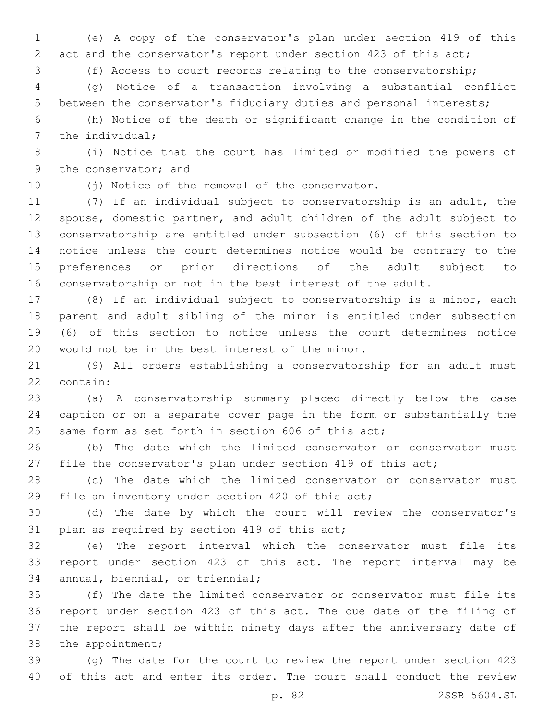(e) A copy of the conservator's plan under section 419 of this 2 act and the conservator's report under section 423 of this act;

(f) Access to court records relating to the conservatorship;

 (g) Notice of a transaction involving a substantial conflict between the conservator's fiduciary duties and personal interests;

 (h) Notice of the death or significant change in the condition of 7 the individual;

 (i) Notice that the court has limited or modified the powers of 9 the conservator; and

10 (j) Notice of the removal of the conservator.

 (7) If an individual subject to conservatorship is an adult, the spouse, domestic partner, and adult children of the adult subject to conservatorship are entitled under subsection (6) of this section to notice unless the court determines notice would be contrary to the preferences or prior directions of the adult subject to conservatorship or not in the best interest of the adult.

 (8) If an individual subject to conservatorship is a minor, each parent and adult sibling of the minor is entitled under subsection (6) of this section to notice unless the court determines notice 20 would not be in the best interest of the minor.

 (9) All orders establishing a conservatorship for an adult must 22 contain:

 (a) A conservatorship summary placed directly below the case caption or on a separate cover page in the form or substantially the 25 same form as set forth in section 606 of this act;

 (b) The date which the limited conservator or conservator must 27 file the conservator's plan under section 419 of this act;

 (c) The date which the limited conservator or conservator must 29 file an inventory under section 420 of this act;

 (d) The date by which the court will review the conservator's 31 plan as required by section 419 of this act;

 (e) The report interval which the conservator must file its report under section 423 of this act. The report interval may be 34 annual, biennial, or triennial;

 (f) The date the limited conservator or conservator must file its report under section 423 of this act. The due date of the filing of the report shall be within ninety days after the anniversary date of 38 the appointment;

 (g) The date for the court to review the report under section 423 of this act and enter its order. The court shall conduct the review

p. 82 2SSB 5604.SL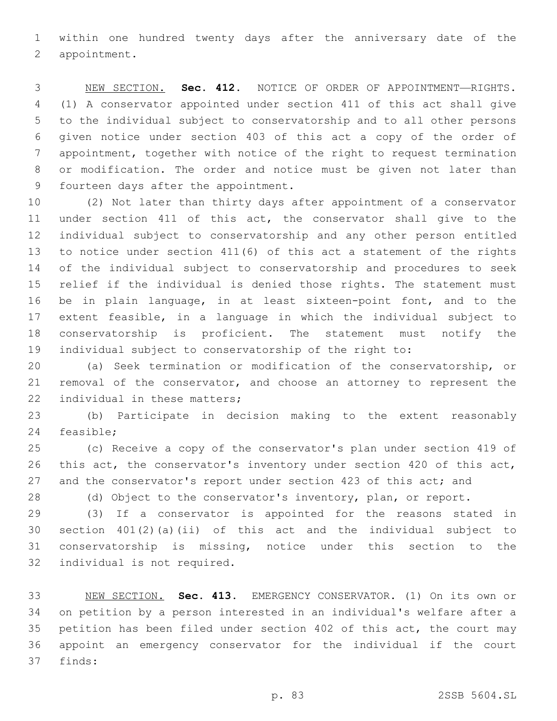within one hundred twenty days after the anniversary date of the 2 appointment.

 NEW SECTION. **Sec. 412.** NOTICE OF ORDER OF APPOINTMENT—RIGHTS. (1) A conservator appointed under section 411 of this act shall give to the individual subject to conservatorship and to all other persons given notice under section 403 of this act a copy of the order of appointment, together with notice of the right to request termination or modification. The order and notice must be given not later than fourteen days after the appointment.

 (2) Not later than thirty days after appointment of a conservator under section 411 of this act, the conservator shall give to the individual subject to conservatorship and any other person entitled to notice under section 411(6) of this act a statement of the rights of the individual subject to conservatorship and procedures to seek relief if the individual is denied those rights. The statement must be in plain language, in at least sixteen-point font, and to the extent feasible, in a language in which the individual subject to conservatorship is proficient. The statement must notify the individual subject to conservatorship of the right to:

 (a) Seek termination or modification of the conservatorship, or removal of the conservator, and choose an attorney to represent the 22 individual in these matters;

 (b) Participate in decision making to the extent reasonably 24 feasible;

 (c) Receive a copy of the conservator's plan under section 419 of this act, the conservator's inventory under section 420 of this act, 27 and the conservator's report under section 423 of this act; and

(d) Object to the conservator's inventory, plan, or report.

 (3) If a conservator is appointed for the reasons stated in section 401(2)(a)(ii) of this act and the individual subject to conservatorship is missing, notice under this section to the 32 individual is not required.

 NEW SECTION. **Sec. 413.** EMERGENCY CONSERVATOR. (1) On its own or on petition by a person interested in an individual's welfare after a petition has been filed under section 402 of this act, the court may appoint an emergency conservator for the individual if the court finds: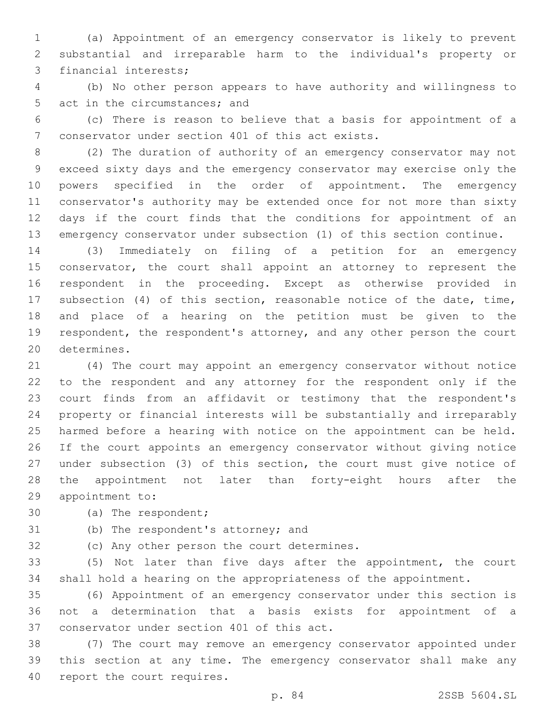(a) Appointment of an emergency conservator is likely to prevent substantial and irreparable harm to the individual's property or 3 financial interests;

 (b) No other person appears to have authority and willingness to 5 act in the circumstances; and

 (c) There is reason to believe that a basis for appointment of a 7 conservator under section 401 of this act exists.

 (2) The duration of authority of an emergency conservator may not exceed sixty days and the emergency conservator may exercise only the powers specified in the order of appointment. The emergency conservator's authority may be extended once for not more than sixty days if the court finds that the conditions for appointment of an emergency conservator under subsection (1) of this section continue.

 (3) Immediately on filing of a petition for an emergency 15 conservator, the court shall appoint an attorney to represent the respondent in the proceeding. Except as otherwise provided in subsection (4) of this section, reasonable notice of the date, time, and place of a hearing on the petition must be given to the respondent, the respondent's attorney, and any other person the court 20 determines.

 (4) The court may appoint an emergency conservator without notice to the respondent and any attorney for the respondent only if the court finds from an affidavit or testimony that the respondent's property or financial interests will be substantially and irreparably harmed before a hearing with notice on the appointment can be held. If the court appoints an emergency conservator without giving notice under subsection (3) of this section, the court must give notice of the appointment not later than forty-eight hours after the 29 appointment to:

30 (a) The respondent;

31 (b) The respondent's attorney; and

32 (c) Any other person the court determines.

 (5) Not later than five days after the appointment, the court shall hold a hearing on the appropriateness of the appointment.

 (6) Appointment of an emergency conservator under this section is not a determination that a basis exists for appointment of a 37 conservator under section 401 of this act.

 (7) The court may remove an emergency conservator appointed under this section at any time. The emergency conservator shall make any 40 report the court requires.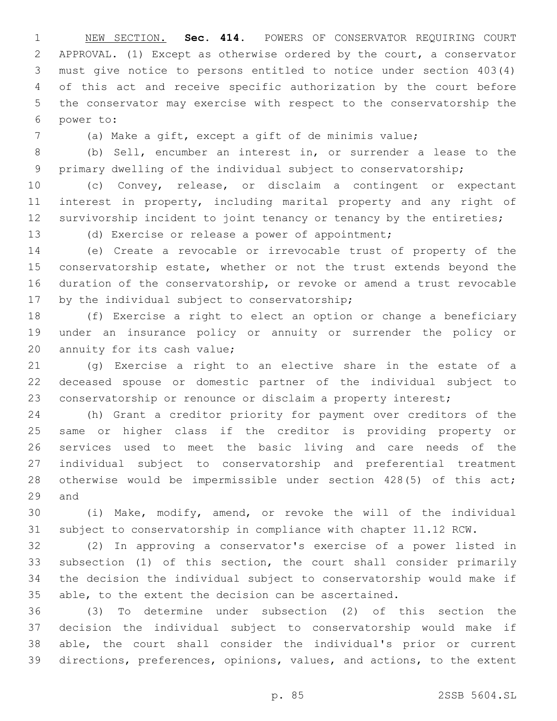NEW SECTION. **Sec. 414.** POWERS OF CONSERVATOR REQUIRING COURT APPROVAL. (1) Except as otherwise ordered by the court, a conservator must give notice to persons entitled to notice under section 403(4) of this act and receive specific authorization by the court before the conservator may exercise with respect to the conservatorship the power to:

(a) Make a gift, except a gift of de minimis value;

 (b) Sell, encumber an interest in, or surrender a lease to the primary dwelling of the individual subject to conservatorship;

 (c) Convey, release, or disclaim a contingent or expectant interest in property, including marital property and any right of 12 survivorship incident to joint tenancy or tenancy by the entireties;

(d) Exercise or release a power of appointment;

 (e) Create a revocable or irrevocable trust of property of the 15 conservatorship estate, whether or not the trust extends beyond the duration of the conservatorship, or revoke or amend a trust revocable 17 by the individual subject to conservatorship;

 (f) Exercise a right to elect an option or change a beneficiary under an insurance policy or annuity or surrender the policy or 20 annuity for its cash value;

 (g) Exercise a right to an elective share in the estate of a deceased spouse or domestic partner of the individual subject to conservatorship or renounce or disclaim a property interest;

 (h) Grant a creditor priority for payment over creditors of the same or higher class if the creditor is providing property or services used to meet the basic living and care needs of the individual subject to conservatorship and preferential treatment otherwise would be impermissible under section 428(5) of this act; 29 and

 (i) Make, modify, amend, or revoke the will of the individual subject to conservatorship in compliance with chapter 11.12 RCW.

 (2) In approving a conservator's exercise of a power listed in subsection (1) of this section, the court shall consider primarily the decision the individual subject to conservatorship would make if able, to the extent the decision can be ascertained.

 (3) To determine under subsection (2) of this section the decision the individual subject to conservatorship would make if able, the court shall consider the individual's prior or current directions, preferences, opinions, values, and actions, to the extent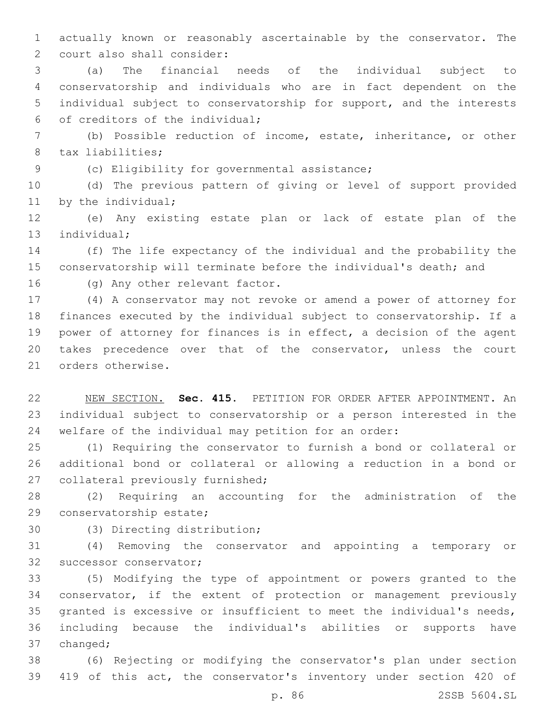actually known or reasonably ascertainable by the conservator. The 2 court also shall consider:

 (a) The financial needs of the individual subject to conservatorship and individuals who are in fact dependent on the individual subject to conservatorship for support, and the interests 6 of creditors of the individual;

 (b) Possible reduction of income, estate, inheritance, or other 8 tax liabilities;

9 (c) Eligibility for governmental assistance;

 (d) The previous pattern of giving or level of support provided 11 by the individual;

 (e) Any existing estate plan or lack of estate plan of the 13 individual;

 (f) The life expectancy of the individual and the probability the conservatorship will terminate before the individual's death; and

16 (g) Any other relevant factor.

 (4) A conservator may not revoke or amend a power of attorney for finances executed by the individual subject to conservatorship. If a power of attorney for finances is in effect, a decision of the agent takes precedence over that of the conservator, unless the court 21 orders otherwise.

 NEW SECTION. **Sec. 415.** PETITION FOR ORDER AFTER APPOINTMENT. An individual subject to conservatorship or a person interested in the welfare of the individual may petition for an order:

 (1) Requiring the conservator to furnish a bond or collateral or additional bond or collateral or allowing a reduction in a bond or 27 collateral previously furnished;

 (2) Requiring an accounting for the administration of the 29 conservatorship estate;

30 (3) Directing distribution;

 (4) Removing the conservator and appointing a temporary or 32 successor conservator;

 (5) Modifying the type of appointment or powers granted to the conservator, if the extent of protection or management previously granted is excessive or insufficient to meet the individual's needs, including because the individual's abilities or supports have 37 changed;

 (6) Rejecting or modifying the conservator's plan under section 419 of this act, the conservator's inventory under section 420 of

p. 86 2SSB 5604.SL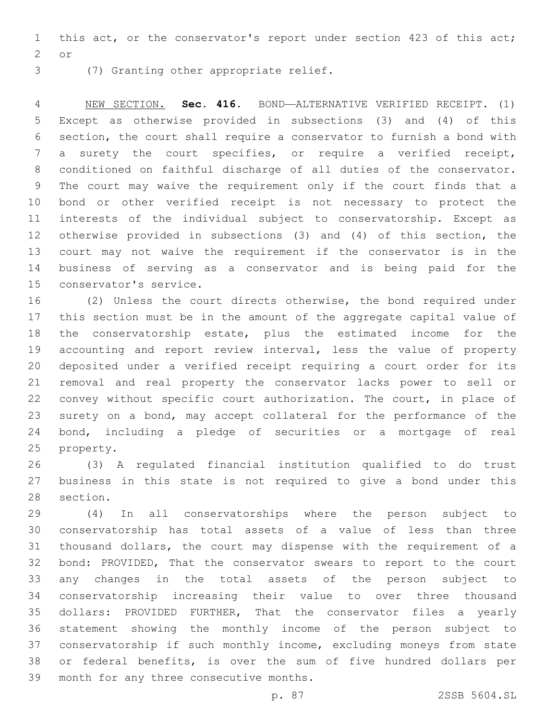this act, or the conservator's report under section 423 of this act; 2 or

3 (7) Granting other appropriate relief.

 NEW SECTION. **Sec. 416.** BOND—ALTERNATIVE VERIFIED RECEIPT. (1) Except as otherwise provided in subsections (3) and (4) of this section, the court shall require a conservator to furnish a bond with a surety the court specifies, or require a verified receipt, conditioned on faithful discharge of all duties of the conservator. The court may waive the requirement only if the court finds that a bond or other verified receipt is not necessary to protect the interests of the individual subject to conservatorship. Except as otherwise provided in subsections (3) and (4) of this section, the court may not waive the requirement if the conservator is in the business of serving as a conservator and is being paid for the conservator's service.

 (2) Unless the court directs otherwise, the bond required under this section must be in the amount of the aggregate capital value of the conservatorship estate, plus the estimated income for the accounting and report review interval, less the value of property deposited under a verified receipt requiring a court order for its removal and real property the conservator lacks power to sell or convey without specific court authorization. The court, in place of surety on a bond, may accept collateral for the performance of the bond, including a pledge of securities or a mortgage of real 25 property.

 (3) A regulated financial institution qualified to do trust business in this state is not required to give a bond under this 28 section.

 (4) In all conservatorships where the person subject to conservatorship has total assets of a value of less than three thousand dollars, the court may dispense with the requirement of a bond: PROVIDED, That the conservator swears to report to the court any changes in the total assets of the person subject to conservatorship increasing their value to over three thousand dollars: PROVIDED FURTHER, That the conservator files a yearly statement showing the monthly income of the person subject to conservatorship if such monthly income, excluding moneys from state or federal benefits, is over the sum of five hundred dollars per 39 month for any three consecutive months.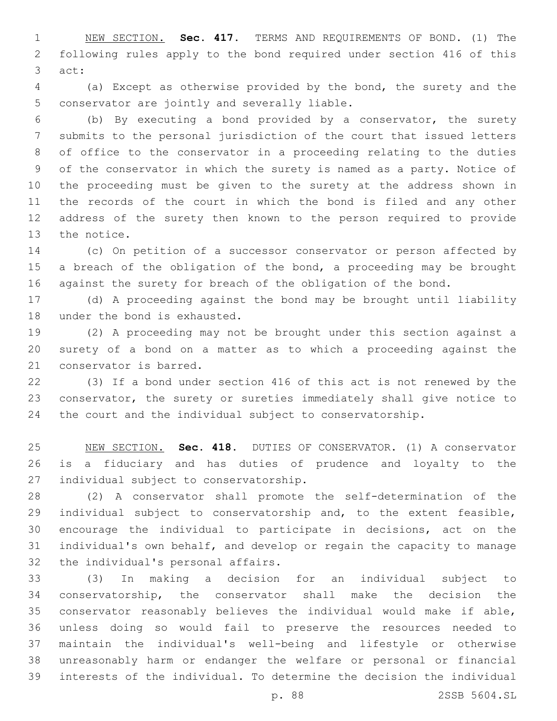NEW SECTION. **Sec. 417.** TERMS AND REQUIREMENTS OF BOND. (1) The following rules apply to the bond required under section 416 of this act:

 (a) Except as otherwise provided by the bond, the surety and the 5 conservator are jointly and severally liable.

 (b) By executing a bond provided by a conservator, the surety submits to the personal jurisdiction of the court that issued letters of office to the conservator in a proceeding relating to the duties of the conservator in which the surety is named as a party. Notice of the proceeding must be given to the surety at the address shown in the records of the court in which the bond is filed and any other address of the surety then known to the person required to provide 13 the notice.

 (c) On petition of a successor conservator or person affected by 15 a breach of the obligation of the bond, a proceeding may be brought against the surety for breach of the obligation of the bond.

 (d) A proceeding against the bond may be brought until liability 18 under the bond is exhausted.

 (2) A proceeding may not be brought under this section against a surety of a bond on a matter as to which a proceeding against the 21 conservator is barred.

 (3) If a bond under section 416 of this act is not renewed by the conservator, the surety or sureties immediately shall give notice to the court and the individual subject to conservatorship.

 NEW SECTION. **Sec. 418.** DUTIES OF CONSERVATOR. (1) A conservator is a fiduciary and has duties of prudence and loyalty to the individual subject to conservatorship.

 (2) A conservator shall promote the self-determination of the individual subject to conservatorship and, to the extent feasible, encourage the individual to participate in decisions, act on the individual's own behalf, and develop or regain the capacity to manage 32 the individual's personal affairs.

 (3) In making a decision for an individual subject to conservatorship, the conservator shall make the decision the conservator reasonably believes the individual would make if able, unless doing so would fail to preserve the resources needed to maintain the individual's well-being and lifestyle or otherwise unreasonably harm or endanger the welfare or personal or financial interests of the individual. To determine the decision the individual

p. 88 2SSB 5604.SL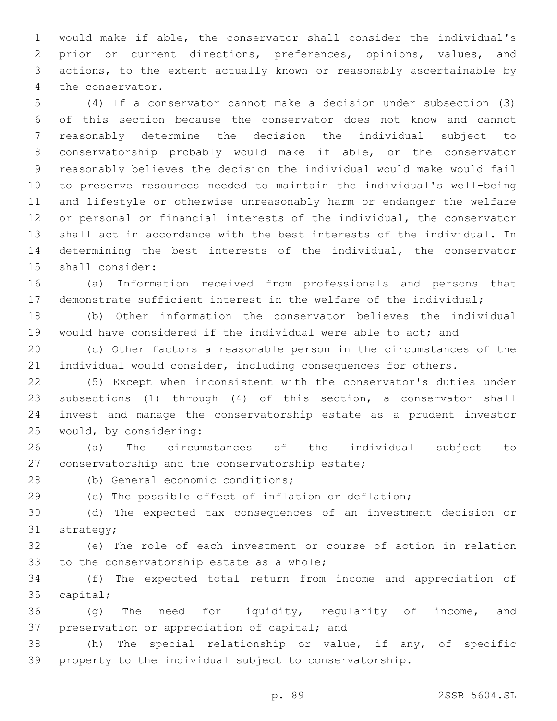would make if able, the conservator shall consider the individual's prior or current directions, preferences, opinions, values, and actions, to the extent actually known or reasonably ascertainable by 4 the conservator.

 (4) If a conservator cannot make a decision under subsection (3) of this section because the conservator does not know and cannot reasonably determine the decision the individual subject to conservatorship probably would make if able, or the conservator reasonably believes the decision the individual would make would fail to preserve resources needed to maintain the individual's well-being and lifestyle or otherwise unreasonably harm or endanger the welfare or personal or financial interests of the individual, the conservator shall act in accordance with the best interests of the individual. In determining the best interests of the individual, the conservator 15 shall consider:

 (a) Information received from professionals and persons that demonstrate sufficient interest in the welfare of the individual;

 (b) Other information the conservator believes the individual would have considered if the individual were able to act; and

 (c) Other factors a reasonable person in the circumstances of the individual would consider, including consequences for others.

 (5) Except when inconsistent with the conservator's duties under subsections (1) through (4) of this section, a conservator shall invest and manage the conservatorship estate as a prudent investor 25 would, by considering:

 (a) The circumstances of the individual subject to 27 conservatorship and the conservatorship estate;

28 (b) General economic conditions;

(c) The possible effect of inflation or deflation;

 (d) The expected tax consequences of an investment decision or 31 strategy;

 (e) The role of each investment or course of action in relation 33 to the conservatorship estate as a whole;

 (f) The expected total return from income and appreciation of 35 capital;

 (g) The need for liquidity, regularity of income, and 37 preservation or appreciation of capital; and

 (h) The special relationship or value, if any, of specific property to the individual subject to conservatorship.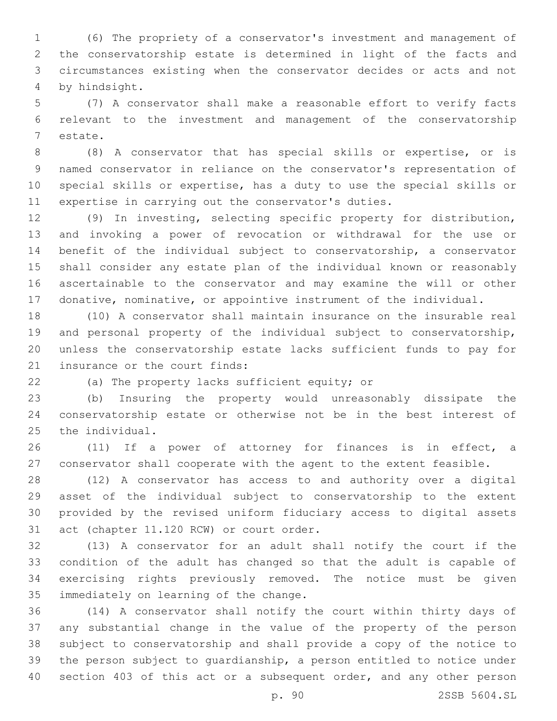(6) The propriety of a conservator's investment and management of the conservatorship estate is determined in light of the facts and circumstances existing when the conservator decides or acts and not by hindsight.4

 (7) A conservator shall make a reasonable effort to verify facts relevant to the investment and management of the conservatorship 7 estate.

 (8) A conservator that has special skills or expertise, or is named conservator in reliance on the conservator's representation of special skills or expertise, has a duty to use the special skills or expertise in carrying out the conservator's duties.

 (9) In investing, selecting specific property for distribution, and invoking a power of revocation or withdrawal for the use or benefit of the individual subject to conservatorship, a conservator shall consider any estate plan of the individual known or reasonably ascertainable to the conservator and may examine the will or other donative, nominative, or appointive instrument of the individual.

 (10) A conservator shall maintain insurance on the insurable real and personal property of the individual subject to conservatorship, unless the conservatorship estate lacks sufficient funds to pay for 21 insurance or the court finds:

22 (a) The property lacks sufficient equity; or

 (b) Insuring the property would unreasonably dissipate the conservatorship estate or otherwise not be in the best interest of 25 the individual.

 (11) If a power of attorney for finances is in effect, a conservator shall cooperate with the agent to the extent feasible.

 (12) A conservator has access to and authority over a digital asset of the individual subject to conservatorship to the extent provided by the revised uniform fiduciary access to digital assets 31 act (chapter 11.120 RCW) or court order.

 (13) A conservator for an adult shall notify the court if the condition of the adult has changed so that the adult is capable of exercising rights previously removed. The notice must be given 35 immediately on learning of the change.

 (14) A conservator shall notify the court within thirty days of any substantial change in the value of the property of the person subject to conservatorship and shall provide a copy of the notice to the person subject to guardianship, a person entitled to notice under 40 section 403 of this act or a subsequent order, and any other person

p. 90 2SSB 5604.SL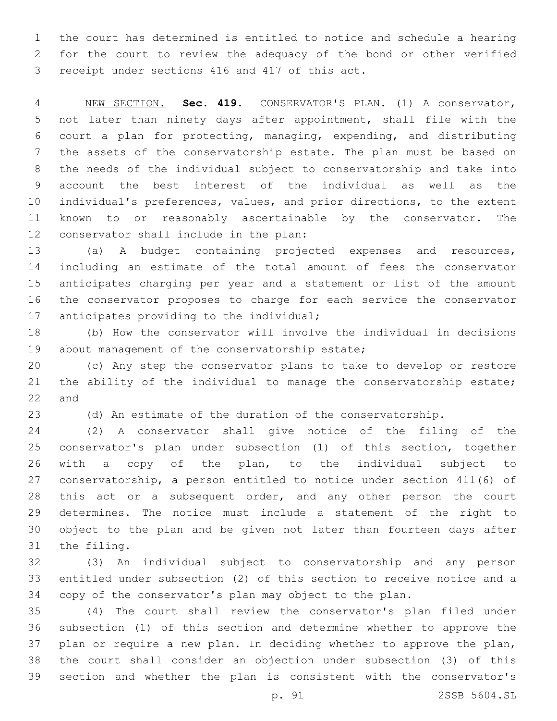the court has determined is entitled to notice and schedule a hearing for the court to review the adequacy of the bond or other verified 3 receipt under sections 416 and 417 of this act.

 NEW SECTION. **Sec. 419.** CONSERVATOR'S PLAN. (1) A conservator, not later than ninety days after appointment, shall file with the court a plan for protecting, managing, expending, and distributing the assets of the conservatorship estate. The plan must be based on the needs of the individual subject to conservatorship and take into account the best interest of the individual as well as the individual's preferences, values, and prior directions, to the extent known to or reasonably ascertainable by the conservator. The conservator shall include in the plan:

 (a) A budget containing projected expenses and resources, including an estimate of the total amount of fees the conservator anticipates charging per year and a statement or list of the amount the conservator proposes to charge for each service the conservator 17 anticipates providing to the individual;

 (b) How the conservator will involve the individual in decisions 19 about management of the conservatorship estate;

 (c) Any step the conservator plans to take to develop or restore the ability of the individual to manage the conservatorship estate; 22 and

(d) An estimate of the duration of the conservatorship.

 (2) A conservator shall give notice of the filing of the conservator's plan under subsection (1) of this section, together with a copy of the plan, to the individual subject to conservatorship, a person entitled to notice under section 411(6) of this act or a subsequent order, and any other person the court determines. The notice must include a statement of the right to object to the plan and be given not later than fourteen days after 31 the filing.

 (3) An individual subject to conservatorship and any person entitled under subsection (2) of this section to receive notice and a copy of the conservator's plan may object to the plan.

 (4) The court shall review the conservator's plan filed under subsection (1) of this section and determine whether to approve the plan or require a new plan. In deciding whether to approve the plan, the court shall consider an objection under subsection (3) of this section and whether the plan is consistent with the conservator's

p. 91 2SSB 5604.SL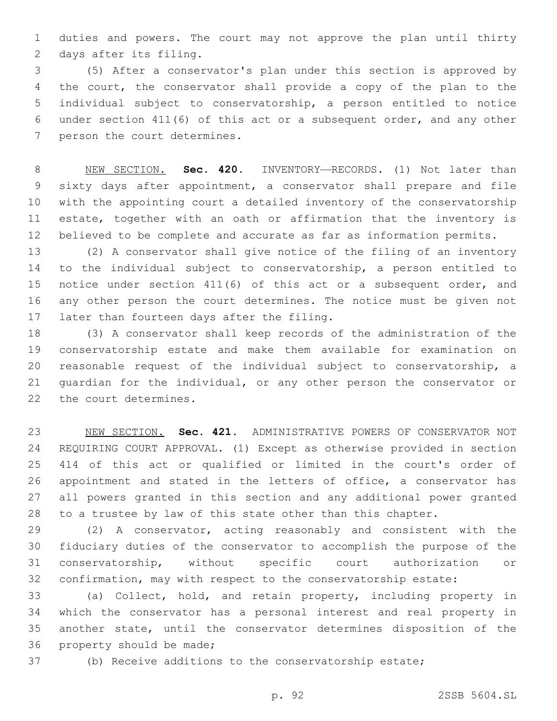duties and powers. The court may not approve the plan until thirty 2 days after its filing.

 (5) After a conservator's plan under this section is approved by the court, the conservator shall provide a copy of the plan to the individual subject to conservatorship, a person entitled to notice under section 411(6) of this act or a subsequent order, and any other 7 person the court determines.

 NEW SECTION. **Sec. 420.** INVENTORY—RECORDS. (1) Not later than sixty days after appointment, a conservator shall prepare and file with the appointing court a detailed inventory of the conservatorship estate, together with an oath or affirmation that the inventory is believed to be complete and accurate as far as information permits.

 (2) A conservator shall give notice of the filing of an inventory to the individual subject to conservatorship, a person entitled to notice under section 411(6) of this act or a subsequent order, and any other person the court determines. The notice must be given not 17 later than fourteen days after the filing.

 (3) A conservator shall keep records of the administration of the conservatorship estate and make them available for examination on reasonable request of the individual subject to conservatorship, a guardian for the individual, or any other person the conservator or 22 the court determines.

 NEW SECTION. **Sec. 421.** ADMINISTRATIVE POWERS OF CONSERVATOR NOT REQUIRING COURT APPROVAL. (1) Except as otherwise provided in section 414 of this act or qualified or limited in the court's order of 26 appointment and stated in the letters of office, a conservator has all powers granted in this section and any additional power granted to a trustee by law of this state other than this chapter.

 (2) A conservator, acting reasonably and consistent with the fiduciary duties of the conservator to accomplish the purpose of the conservatorship, without specific court authorization or confirmation, may with respect to the conservatorship estate:

 (a) Collect, hold, and retain property, including property in which the conservator has a personal interest and real property in another state, until the conservator determines disposition of the 36 property should be made;

(b) Receive additions to the conservatorship estate;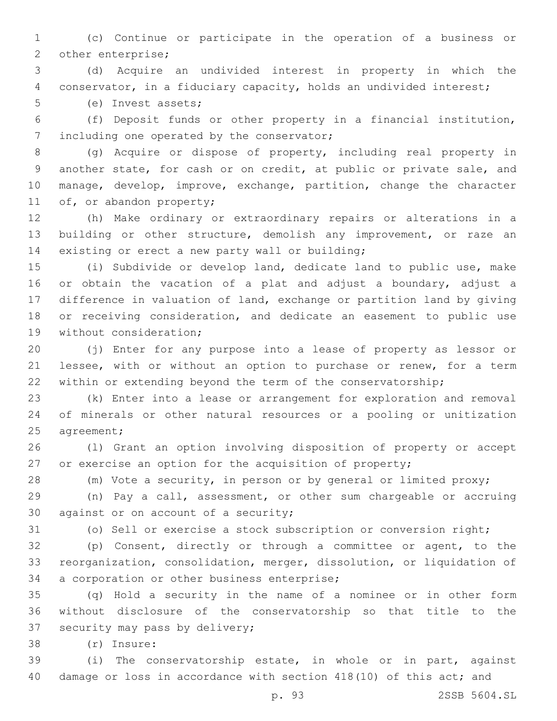(c) Continue or participate in the operation of a business or 2 other enterprise;

 (d) Acquire an undivided interest in property in which the conservator, in a fiduciary capacity, holds an undivided interest;

5 (e) Invest assets;

 (f) Deposit funds or other property in a financial institution, 7 including one operated by the conservator;

 (g) Acquire or dispose of property, including real property in another state, for cash or on credit, at public or private sale, and manage, develop, improve, exchange, partition, change the character 11 of, or abandon property;

 (h) Make ordinary or extraordinary repairs or alterations in a building or other structure, demolish any improvement, or raze an 14 existing or erect a new party wall or building;

 (i) Subdivide or develop land, dedicate land to public use, make or obtain the vacation of a plat and adjust a boundary, adjust a difference in valuation of land, exchange or partition land by giving or receiving consideration, and dedicate an easement to public use 19 without consideration;

 (j) Enter for any purpose into a lease of property as lessor or lessee, with or without an option to purchase or renew, for a term within or extending beyond the term of the conservatorship;

 (k) Enter into a lease or arrangement for exploration and removal of minerals or other natural resources or a pooling or unitization 25 agreement;

 (l) Grant an option involving disposition of property or accept or exercise an option for the acquisition of property;

(m) Vote a security, in person or by general or limited proxy;

 (n) Pay a call, assessment, or other sum chargeable or accruing 30 against or on account of a security;

(o) Sell or exercise a stock subscription or conversion right;

 (p) Consent, directly or through a committee or agent, to the reorganization, consolidation, merger, dissolution, or liquidation of 34 a corporation or other business enterprise;

 (q) Hold a security in the name of a nominee or in other form without disclosure of the conservatorship so that title to the 37 security may pass by delivery;

(r) Insure:38

 (i) The conservatorship estate, in whole or in part, against damage or loss in accordance with section 418(10) of this act; and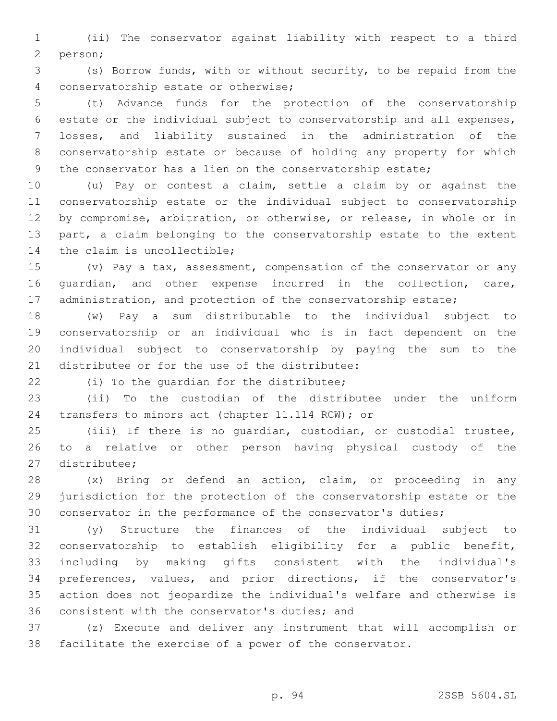(ii) The conservator against liability with respect to a third 2 person;

 (s) Borrow funds, with or without security, to be repaid from the conservatorship estate or otherwise;4

 (t) Advance funds for the protection of the conservatorship estate or the individual subject to conservatorship and all expenses, losses, and liability sustained in the administration of the conservatorship estate or because of holding any property for which the conservator has a lien on the conservatorship estate;

 (u) Pay or contest a claim, settle a claim by or against the conservatorship estate or the individual subject to conservatorship by compromise, arbitration, or otherwise, or release, in whole or in part, a claim belonging to the conservatorship estate to the extent 14 the claim is uncollectible;

 (v) Pay a tax, assessment, compensation of the conservator or any guardian, and other expense incurred in the collection, care, 17 administration, and protection of the conservatorship estate;

 (w) Pay a sum distributable to the individual subject to conservatorship or an individual who is in fact dependent on the individual subject to conservatorship by paying the sum to the 21 distributee or for the use of the distributee:

22 (i) To the quardian for the distributee;

 (ii) To the custodian of the distributee under the uniform 24 transfers to minors act (chapter 11.114 RCW); or

 (iii) If there is no guardian, custodian, or custodial trustee, to a relative or other person having physical custody of the 27 distributee;

 (x) Bring or defend an action, claim, or proceeding in any jurisdiction for the protection of the conservatorship estate or the conservator in the performance of the conservator's duties;

 (y) Structure the finances of the individual subject to conservatorship to establish eligibility for a public benefit, including by making gifts consistent with the individual's preferences, values, and prior directions, if the conservator's action does not jeopardize the individual's welfare and otherwise is 36 consistent with the conservator's duties; and

 (z) Execute and deliver any instrument that will accomplish or facilitate the exercise of a power of the conservator.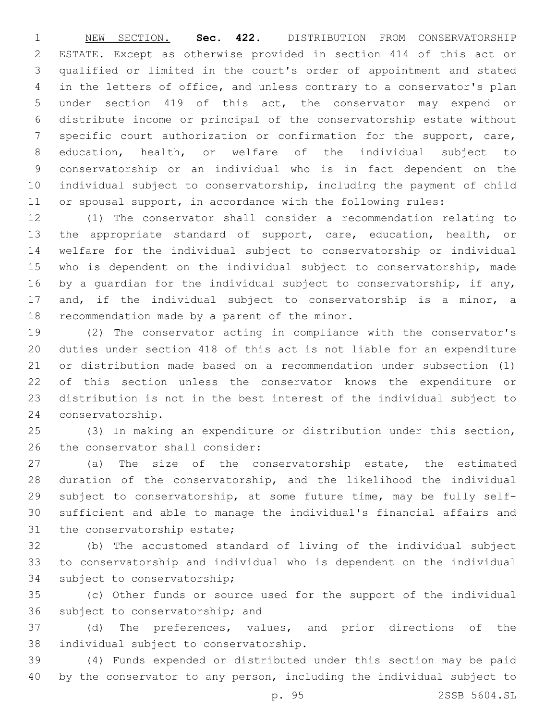NEW SECTION. **Sec. 422.** DISTRIBUTION FROM CONSERVATORSHIP ESTATE. Except as otherwise provided in section 414 of this act or qualified or limited in the court's order of appointment and stated in the letters of office, and unless contrary to a conservator's plan under section 419 of this act, the conservator may expend or distribute income or principal of the conservatorship estate without 7 specific court authorization or confirmation for the support, care, education, health, or welfare of the individual subject to conservatorship or an individual who is in fact dependent on the individual subject to conservatorship, including the payment of child or spousal support, in accordance with the following rules:

 (1) The conservator shall consider a recommendation relating to the appropriate standard of support, care, education, health, or welfare for the individual subject to conservatorship or individual who is dependent on the individual subject to conservatorship, made by a guardian for the individual subject to conservatorship, if any, and, if the individual subject to conservatorship is a minor, a 18 recommendation made by a parent of the minor.

 (2) The conservator acting in compliance with the conservator's duties under section 418 of this act is not liable for an expenditure or distribution made based on a recommendation under subsection (1) of this section unless the conservator knows the expenditure or distribution is not in the best interest of the individual subject to 24 conservatorship.

 (3) In making an expenditure or distribution under this section, 26 the conservator shall consider:

 (a) The size of the conservatorship estate, the estimated duration of the conservatorship, and the likelihood the individual subject to conservatorship, at some future time, may be fully self- sufficient and able to manage the individual's financial affairs and 31 the conservatorship estate;

 (b) The accustomed standard of living of the individual subject to conservatorship and individual who is dependent on the individual 34 subject to conservatorship;

 (c) Other funds or source used for the support of the individual 36 subject to conservatorship; and

 (d) The preferences, values, and prior directions of the 38 individual subject to conservatorship.

 (4) Funds expended or distributed under this section may be paid by the conservator to any person, including the individual subject to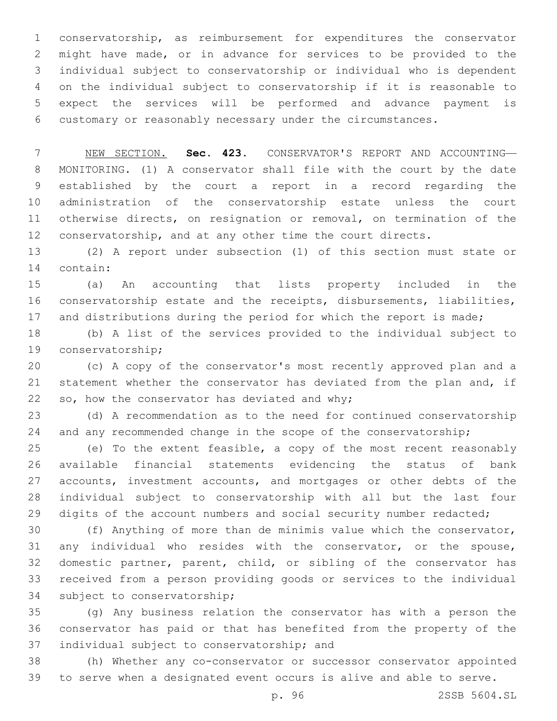conservatorship, as reimbursement for expenditures the conservator might have made, or in advance for services to be provided to the individual subject to conservatorship or individual who is dependent on the individual subject to conservatorship if it is reasonable to expect the services will be performed and advance payment is customary or reasonably necessary under the circumstances.

 NEW SECTION. **Sec. 423.** CONSERVATOR'S REPORT AND ACCOUNTING— MONITORING. (1) A conservator shall file with the court by the date established by the court a report in a record regarding the administration of the conservatorship estate unless the court otherwise directs, on resignation or removal, on termination of the 12 conservatorship, and at any other time the court directs.

 (2) A report under subsection (1) of this section must state or 14 contain:

 (a) An accounting that lists property included in the conservatorship estate and the receipts, disbursements, liabilities, 17 and distributions during the period for which the report is made;

 (b) A list of the services provided to the individual subject to 19 conservatorship;

 (c) A copy of the conservator's most recently approved plan and a statement whether the conservator has deviated from the plan and, if so, how the conservator has deviated and why;

 (d) A recommendation as to the need for continued conservatorship 24 and any recommended change in the scope of the conservatorship;

 (e) To the extent feasible, a copy of the most recent reasonably available financial statements evidencing the status of bank 27 accounts, investment accounts, and mortgages or other debts of the individual subject to conservatorship with all but the last four digits of the account numbers and social security number redacted;

 (f) Anything of more than de minimis value which the conservator, any individual who resides with the conservator, or the spouse, domestic partner, parent, child, or sibling of the conservator has received from a person providing goods or services to the individual 34 subject to conservatorship;

 (g) Any business relation the conservator has with a person the conservator has paid or that has benefited from the property of the 37 individual subject to conservatorship; and

 (h) Whether any co-conservator or successor conservator appointed to serve when a designated event occurs is alive and able to serve.

p. 96 2SSB 5604.SL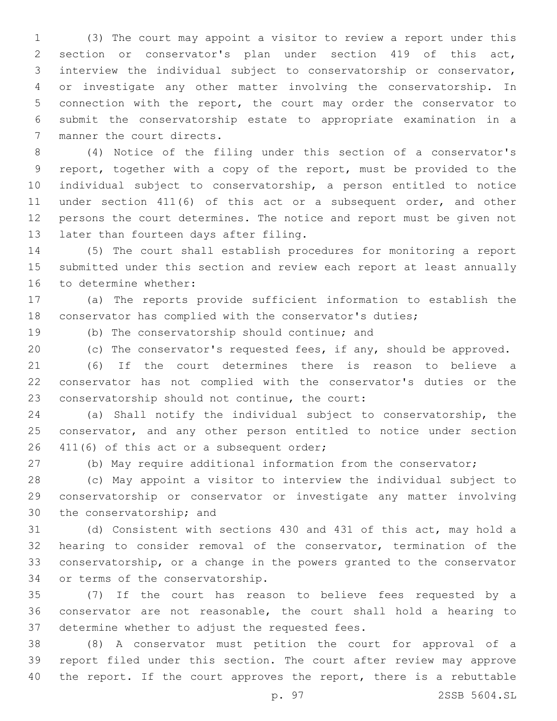(3) The court may appoint a visitor to review a report under this section or conservator's plan under section 419 of this act, interview the individual subject to conservatorship or conservator, or investigate any other matter involving the conservatorship. In connection with the report, the court may order the conservator to submit the conservatorship estate to appropriate examination in a 7 manner the court directs.

 (4) Notice of the filing under this section of a conservator's report, together with a copy of the report, must be provided to the individual subject to conservatorship, a person entitled to notice under section 411(6) of this act or a subsequent order, and other persons the court determines. The notice and report must be given not 13 later than fourteen days after filing.

 (5) The court shall establish procedures for monitoring a report submitted under this section and review each report at least annually 16 to determine whether:

 (a) The reports provide sufficient information to establish the conservator has complied with the conservator's duties;

19 (b) The conservatorship should continue; and

(c) The conservator's requested fees, if any, should be approved.

 (6) If the court determines there is reason to believe a conservator has not complied with the conservator's duties or the 23 conservatorship should not continue, the court:

 (a) Shall notify the individual subject to conservatorship, the conservator, and any other person entitled to notice under section 26 411(6) of this act or a subsequent order;

(b) May require additional information from the conservator;

 (c) May appoint a visitor to interview the individual subject to conservatorship or conservator or investigate any matter involving 30 the conservatorship; and

 (d) Consistent with sections 430 and 431 of this act, may hold a hearing to consider removal of the conservator, termination of the conservatorship, or a change in the powers granted to the conservator 34 or terms of the conservatorship.

 (7) If the court has reason to believe fees requested by a conservator are not reasonable, the court shall hold a hearing to 37 determine whether to adjust the requested fees.

 (8) A conservator must petition the court for approval of a report filed under this section. The court after review may approve 40 the report. If the court approves the report, there is a rebuttable

p. 97 2SSB 5604.SL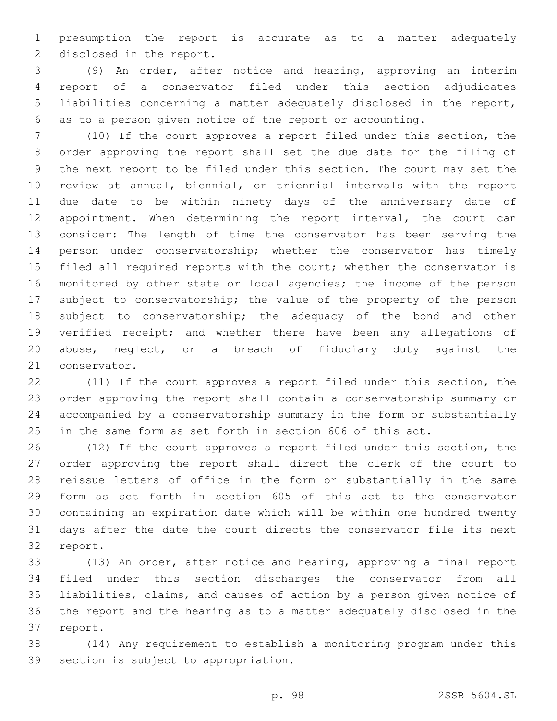presumption the report is accurate as to a matter adequately 2 disclosed in the report.

 (9) An order, after notice and hearing, approving an interim report of a conservator filed under this section adjudicates liabilities concerning a matter adequately disclosed in the report, as to a person given notice of the report or accounting.

 (10) If the court approves a report filed under this section, the order approving the report shall set the due date for the filing of the next report to be filed under this section. The court may set the review at annual, biennial, or triennial intervals with the report due date to be within ninety days of the anniversary date of 12 appointment. When determining the report interval, the court can consider: The length of time the conservator has been serving the person under conservatorship; whether the conservator has timely 15 filed all required reports with the court; whether the conservator is monitored by other state or local agencies; the income of the person 17 subject to conservatorship; the value of the property of the person subject to conservatorship; the adequacy of the bond and other verified receipt; and whether there have been any allegations of abuse, neglect, or a breach of fiduciary duty against the 21 conservator.

 (11) If the court approves a report filed under this section, the order approving the report shall contain a conservatorship summary or accompanied by a conservatorship summary in the form or substantially in the same form as set forth in section 606 of this act.

 (12) If the court approves a report filed under this section, the order approving the report shall direct the clerk of the court to reissue letters of office in the form or substantially in the same form as set forth in section 605 of this act to the conservator containing an expiration date which will be within one hundred twenty days after the date the court directs the conservator file its next 32 report.

 (13) An order, after notice and hearing, approving a final report filed under this section discharges the conservator from all liabilities, claims, and causes of action by a person given notice of the report and the hearing as to a matter adequately disclosed in the 37 report.

 (14) Any requirement to establish a monitoring program under this 39 section is subject to appropriation.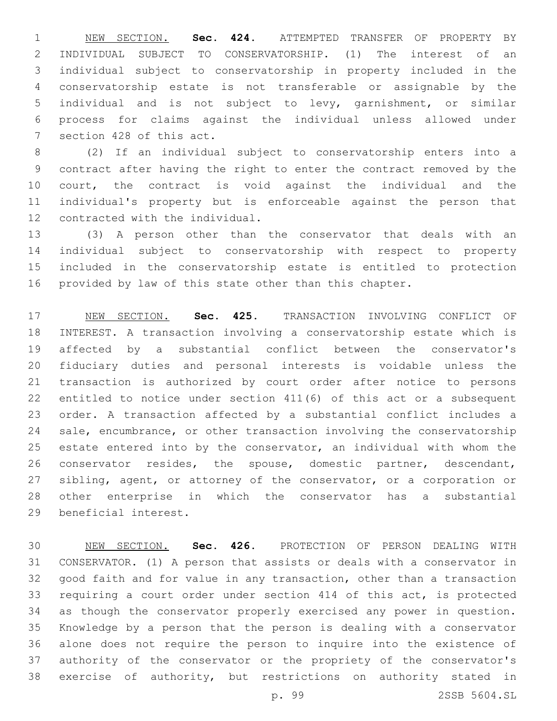NEW SECTION. **Sec. 424.** ATTEMPTED TRANSFER OF PROPERTY BY INDIVIDUAL SUBJECT TO CONSERVATORSHIP. (1) The interest of an individual subject to conservatorship in property included in the conservatorship estate is not transferable or assignable by the individual and is not subject to levy, garnishment, or similar process for claims against the individual unless allowed under section 428 of this act.

 (2) If an individual subject to conservatorship enters into a contract after having the right to enter the contract removed by the court, the contract is void against the individual and the individual's property but is enforceable against the person that 12 contracted with the individual.

 (3) A person other than the conservator that deals with an individual subject to conservatorship with respect to property included in the conservatorship estate is entitled to protection provided by law of this state other than this chapter.

 NEW SECTION. **Sec. 425.** TRANSACTION INVOLVING CONFLICT OF INTEREST. A transaction involving a conservatorship estate which is affected by a substantial conflict between the conservator's fiduciary duties and personal interests is voidable unless the transaction is authorized by court order after notice to persons entitled to notice under section 411(6) of this act or a subsequent order. A transaction affected by a substantial conflict includes a sale, encumbrance, or other transaction involving the conservatorship estate entered into by the conservator, an individual with whom the conservator resides, the spouse, domestic partner, descendant, 27 sibling, agent, or attorney of the conservator, or a corporation or other enterprise in which the conservator has a substantial beneficial interest.

 NEW SECTION. **Sec. 426.** PROTECTION OF PERSON DEALING WITH CONSERVATOR. (1) A person that assists or deals with a conservator in good faith and for value in any transaction, other than a transaction requiring a court order under section 414 of this act, is protected as though the conservator properly exercised any power in question. Knowledge by a person that the person is dealing with a conservator alone does not require the person to inquire into the existence of authority of the conservator or the propriety of the conservator's exercise of authority, but restrictions on authority stated in

p. 99 2SSB 5604.SL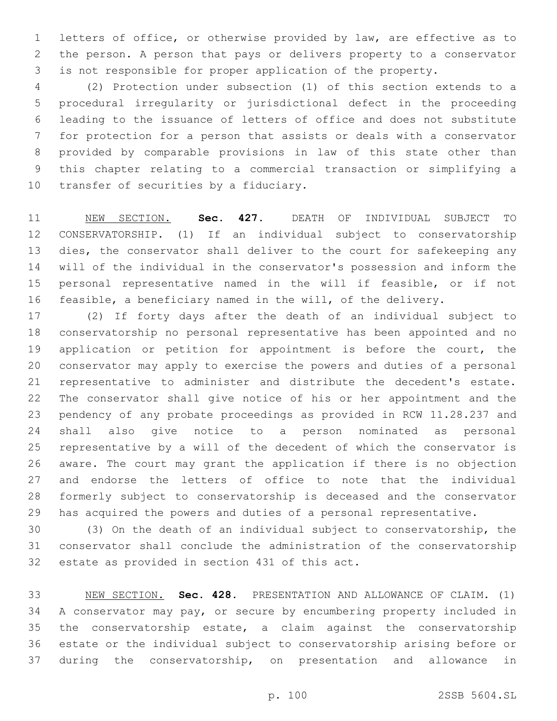letters of office, or otherwise provided by law, are effective as to the person. A person that pays or delivers property to a conservator is not responsible for proper application of the property.

 (2) Protection under subsection (1) of this section extends to a procedural irregularity or jurisdictional defect in the proceeding leading to the issuance of letters of office and does not substitute for protection for a person that assists or deals with a conservator provided by comparable provisions in law of this state other than this chapter relating to a commercial transaction or simplifying a 10 transfer of securities by a fiduciary.

 NEW SECTION. **Sec. 427.** DEATH OF INDIVIDUAL SUBJECT TO CONSERVATORSHIP. (1) If an individual subject to conservatorship dies, the conservator shall deliver to the court for safekeeping any will of the individual in the conservator's possession and inform the personal representative named in the will if feasible, or if not feasible, a beneficiary named in the will, of the delivery.

 (2) If forty days after the death of an individual subject to conservatorship no personal representative has been appointed and no application or petition for appointment is before the court, the conservator may apply to exercise the powers and duties of a personal representative to administer and distribute the decedent's estate. The conservator shall give notice of his or her appointment and the pendency of any probate proceedings as provided in RCW 11.28.237 and shall also give notice to a person nominated as personal representative by a will of the decedent of which the conservator is aware. The court may grant the application if there is no objection and endorse the letters of office to note that the individual formerly subject to conservatorship is deceased and the conservator has acquired the powers and duties of a personal representative.

 (3) On the death of an individual subject to conservatorship, the conservator shall conclude the administration of the conservatorship 32 estate as provided in section 431 of this act.

 NEW SECTION. **Sec. 428.** PRESENTATION AND ALLOWANCE OF CLAIM. (1) A conservator may pay, or secure by encumbering property included in the conservatorship estate, a claim against the conservatorship estate or the individual subject to conservatorship arising before or during the conservatorship, on presentation and allowance in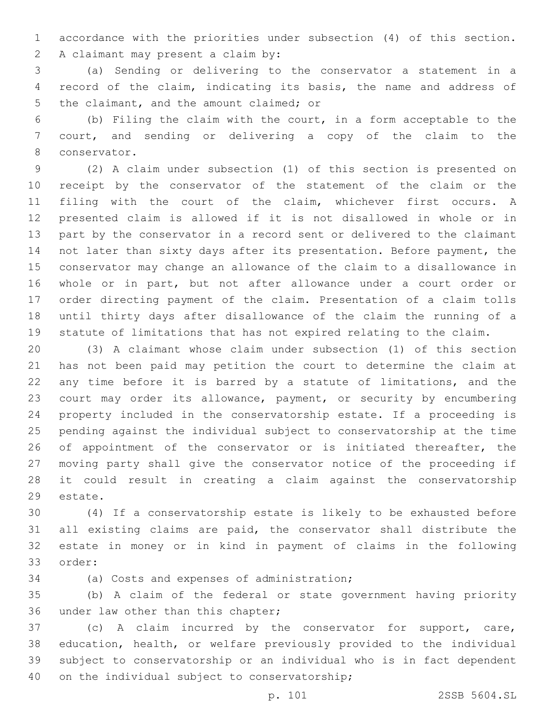accordance with the priorities under subsection (4) of this section.

2 A claimant may present a claim by:

 (a) Sending or delivering to the conservator a statement in a record of the claim, indicating its basis, the name and address of 5 the claimant, and the amount claimed; or

 (b) Filing the claim with the court, in a form acceptable to the court, and sending or delivering a copy of the claim to the 8 conservator.

 (2) A claim under subsection (1) of this section is presented on receipt by the conservator of the statement of the claim or the filing with the court of the claim, whichever first occurs. A presented claim is allowed if it is not disallowed in whole or in part by the conservator in a record sent or delivered to the claimant not later than sixty days after its presentation. Before payment, the conservator may change an allowance of the claim to a disallowance in whole or in part, but not after allowance under a court order or order directing payment of the claim. Presentation of a claim tolls until thirty days after disallowance of the claim the running of a statute of limitations that has not expired relating to the claim.

 (3) A claimant whose claim under subsection (1) of this section has not been paid may petition the court to determine the claim at any time before it is barred by a statute of limitations, and the court may order its allowance, payment, or security by encumbering property included in the conservatorship estate. If a proceeding is pending against the individual subject to conservatorship at the time 26 of appointment of the conservator or is initiated thereafter, the moving party shall give the conservator notice of the proceeding if it could result in creating a claim against the conservatorship 29 estate.

 (4) If a conservatorship estate is likely to be exhausted before all existing claims are paid, the conservator shall distribute the estate in money or in kind in payment of claims in the following 33 order:

34 (a) Costs and expenses of administration;

 (b) A claim of the federal or state government having priority 36 under law other than this chapter;

 (c) A claim incurred by the conservator for support, care, education, health, or welfare previously provided to the individual subject to conservatorship or an individual who is in fact dependent 40 on the individual subject to conservatorship;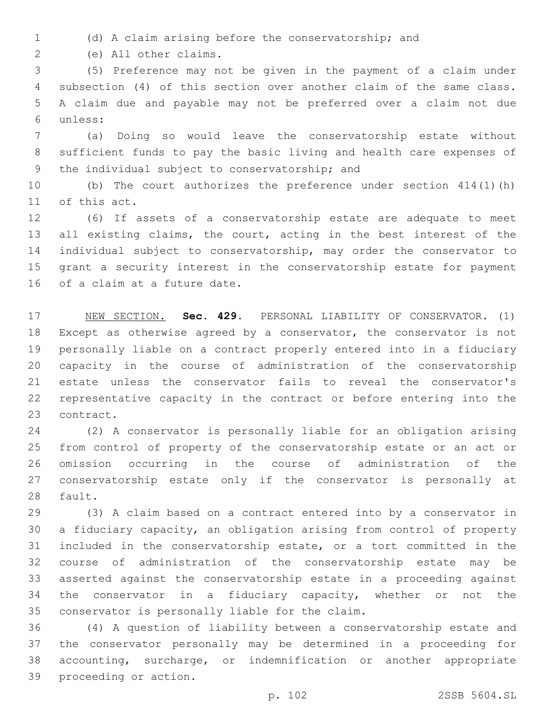(d) A claim arising before the conservatorship; and

(e) All other claims.2

 (5) Preference may not be given in the payment of a claim under subsection (4) of this section over another claim of the same class. A claim due and payable may not be preferred over a claim not due unless:6

 (a) Doing so would leave the conservatorship estate without sufficient funds to pay the basic living and health care expenses of 9 the individual subject to conservatorship; and

 (b) The court authorizes the preference under section 414(1)(h) 11 of this act.

 (6) If assets of a conservatorship estate are adequate to meet all existing claims, the court, acting in the best interest of the individual subject to conservatorship, may order the conservator to grant a security interest in the conservatorship estate for payment 16 of a claim at a future date.

 NEW SECTION. **Sec. 429.** PERSONAL LIABILITY OF CONSERVATOR. (1) Except as otherwise agreed by a conservator, the conservator is not personally liable on a contract properly entered into in a fiduciary capacity in the course of administration of the conservatorship estate unless the conservator fails to reveal the conservator's representative capacity in the contract or before entering into the contract.

 (2) A conservator is personally liable for an obligation arising from control of property of the conservatorship estate or an act or omission occurring in the course of administration of the conservatorship estate only if the conservator is personally at 28 fault.

 (3) A claim based on a contract entered into by a conservator in a fiduciary capacity, an obligation arising from control of property included in the conservatorship estate, or a tort committed in the course of administration of the conservatorship estate may be asserted against the conservatorship estate in a proceeding against the conservator in a fiduciary capacity, whether or not the 35 conservator is personally liable for the claim.

 (4) A question of liability between a conservatorship estate and the conservator personally may be determined in a proceeding for accounting, surcharge, or indemnification or another appropriate 39 proceeding or action.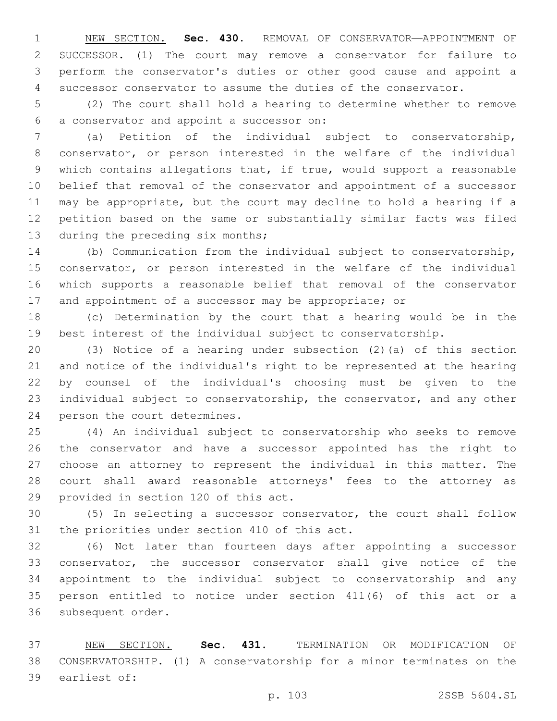NEW SECTION. **Sec. 430.** REMOVAL OF CONSERVATOR—APPOINTMENT OF SUCCESSOR. (1) The court may remove a conservator for failure to perform the conservator's duties or other good cause and appoint a successor conservator to assume the duties of the conservator.

 (2) The court shall hold a hearing to determine whether to remove a conservator and appoint a successor on:6

 (a) Petition of the individual subject to conservatorship, conservator, or person interested in the welfare of the individual which contains allegations that, if true, would support a reasonable belief that removal of the conservator and appointment of a successor may be appropriate, but the court may decline to hold a hearing if a petition based on the same or substantially similar facts was filed 13 during the preceding six months;

 (b) Communication from the individual subject to conservatorship, conservator, or person interested in the welfare of the individual which supports a reasonable belief that removal of the conservator 17 and appointment of a successor may be appropriate; or

 (c) Determination by the court that a hearing would be in the best interest of the individual subject to conservatorship.

 (3) Notice of a hearing under subsection (2)(a) of this section and notice of the individual's right to be represented at the hearing by counsel of the individual's choosing must be given to the individual subject to conservatorship, the conservator, and any other 24 person the court determines.

 (4) An individual subject to conservatorship who seeks to remove the conservator and have a successor appointed has the right to choose an attorney to represent the individual in this matter. The court shall award reasonable attorneys' fees to the attorney as 29 provided in section 120 of this act.

 (5) In selecting a successor conservator, the court shall follow 31 the priorities under section 410 of this act.

 (6) Not later than fourteen days after appointing a successor conservator, the successor conservator shall give notice of the appointment to the individual subject to conservatorship and any person entitled to notice under section 411(6) of this act or a 36 subsequent order.

 NEW SECTION. **Sec. 431.** TERMINATION OR MODIFICATION OF CONSERVATORSHIP. (1) A conservatorship for a minor terminates on the earliest of: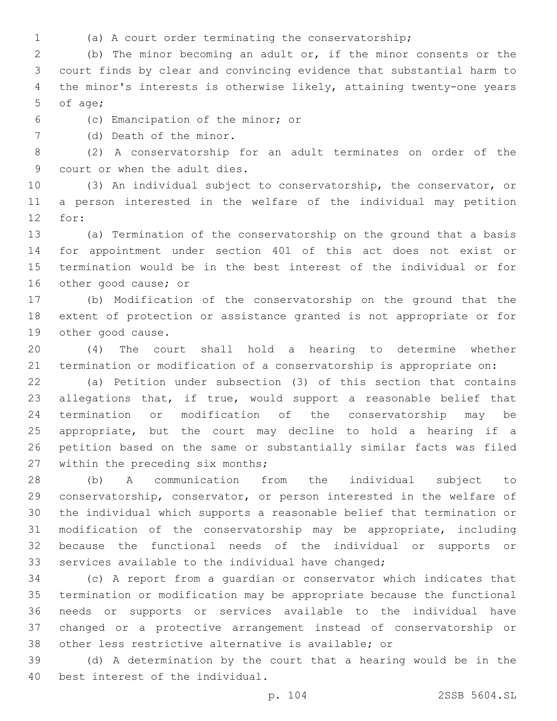- 
- (a) A court order terminating the conservatorship;

 (b) The minor becoming an adult or, if the minor consents or the court finds by clear and convincing evidence that substantial harm to the minor's interests is otherwise likely, attaining twenty-one years 5 of age;

(c) Emancipation of the minor; or6

7 (d) Death of the minor.

 (2) A conservatorship for an adult terminates on order of the 9 court or when the adult dies.

 (3) An individual subject to conservatorship, the conservator, or a person interested in the welfare of the individual may petition 12 for:

 (a) Termination of the conservatorship on the ground that a basis for appointment under section 401 of this act does not exist or termination would be in the best interest of the individual or for 16 other good cause; or

 (b) Modification of the conservatorship on the ground that the extent of protection or assistance granted is not appropriate or for 19 other good cause.

 (4) The court shall hold a hearing to determine whether termination or modification of a conservatorship is appropriate on:

 (a) Petition under subsection (3) of this section that contains allegations that, if true, would support a reasonable belief that termination or modification of the conservatorship may be appropriate, but the court may decline to hold a hearing if a petition based on the same or substantially similar facts was filed 27 within the preceding six months;

 (b) A communication from the individual subject to conservatorship, conservator, or person interested in the welfare of the individual which supports a reasonable belief that termination or modification of the conservatorship may be appropriate, including because the functional needs of the individual or supports or services available to the individual have changed;

 (c) A report from a guardian or conservator which indicates that termination or modification may be appropriate because the functional needs or supports or services available to the individual have changed or a protective arrangement instead of conservatorship or other less restrictive alternative is available; or

 (d) A determination by the court that a hearing would be in the 40 best interest of the individual.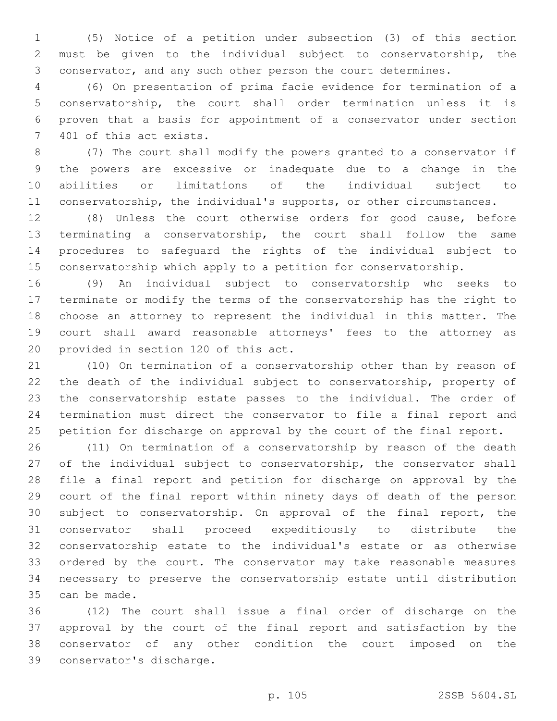(5) Notice of a petition under subsection (3) of this section must be given to the individual subject to conservatorship, the conservator, and any such other person the court determines.

 (6) On presentation of prima facie evidence for termination of a conservatorship, the court shall order termination unless it is proven that a basis for appointment of a conservator under section 7 401 of this act exists.

 (7) The court shall modify the powers granted to a conservator if the powers are excessive or inadequate due to a change in the abilities or limitations of the individual subject to conservatorship, the individual's supports, or other circumstances.

 (8) Unless the court otherwise orders for good cause, before terminating a conservatorship, the court shall follow the same procedures to safeguard the rights of the individual subject to conservatorship which apply to a petition for conservatorship.

 (9) An individual subject to conservatorship who seeks to terminate or modify the terms of the conservatorship has the right to choose an attorney to represent the individual in this matter. The court shall award reasonable attorneys' fees to the attorney as 20 provided in section 120 of this act.

 (10) On termination of a conservatorship other than by reason of the death of the individual subject to conservatorship, property of the conservatorship estate passes to the individual. The order of termination must direct the conservator to file a final report and petition for discharge on approval by the court of the final report.

 (11) On termination of a conservatorship by reason of the death of the individual subject to conservatorship, the conservator shall file a final report and petition for discharge on approval by the court of the final report within ninety days of death of the person subject to conservatorship. On approval of the final report, the conservator shall proceed expeditiously to distribute the conservatorship estate to the individual's estate or as otherwise ordered by the court. The conservator may take reasonable measures necessary to preserve the conservatorship estate until distribution 35 can be made.

 (12) The court shall issue a final order of discharge on the approval by the court of the final report and satisfaction by the conservator of any other condition the court imposed on the 39 conservator's discharge.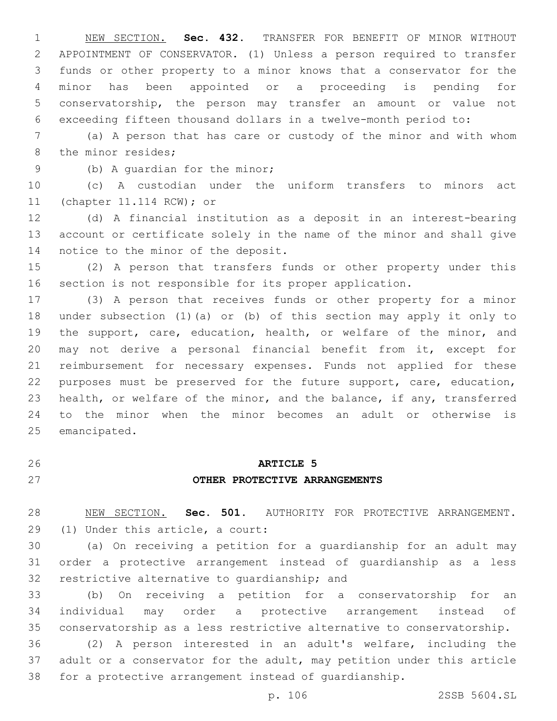NEW SECTION. **Sec. 432.** TRANSFER FOR BENEFIT OF MINOR WITHOUT APPOINTMENT OF CONSERVATOR. (1) Unless a person required to transfer funds or other property to a minor knows that a conservator for the minor has been appointed or a proceeding is pending for conservatorship, the person may transfer an amount or value not exceeding fifteen thousand dollars in a twelve-month period to:

 (a) A person that has care or custody of the minor and with whom 8 the minor resides;

9 (b) A quardian for the minor;

 (c) A custodian under the uniform transfers to minors act 11 (chapter 11.114 RCW); or

 (d) A financial institution as a deposit in an interest-bearing account or certificate solely in the name of the minor and shall give 14 notice to the minor of the deposit.

 (2) A person that transfers funds or other property under this section is not responsible for its proper application.

 (3) A person that receives funds or other property for a minor under subsection (1)(a) or (b) of this section may apply it only to 19 the support, care, education, health, or welfare of the minor, and may not derive a personal financial benefit from it, except for reimbursement for necessary expenses. Funds not applied for these purposes must be preserved for the future support, care, education, health, or welfare of the minor, and the balance, if any, transferred to the minor when the minor becomes an adult or otherwise is 25 emancipated.

## **ARTICLE 5 OTHER PROTECTIVE ARRANGEMENTS**

 NEW SECTION. **Sec. 501.** AUTHORITY FOR PROTECTIVE ARRANGEMENT. (1) Under this article, a court:

 (a) On receiving a petition for a guardianship for an adult may order a protective arrangement instead of guardianship as a less 32 restrictive alternative to quardianship; and

 (b) On receiving a petition for a conservatorship for an individual may order a protective arrangement instead of conservatorship as a less restrictive alternative to conservatorship.

 (2) A person interested in an adult's welfare, including the adult or a conservator for the adult, may petition under this article for a protective arrangement instead of guardianship.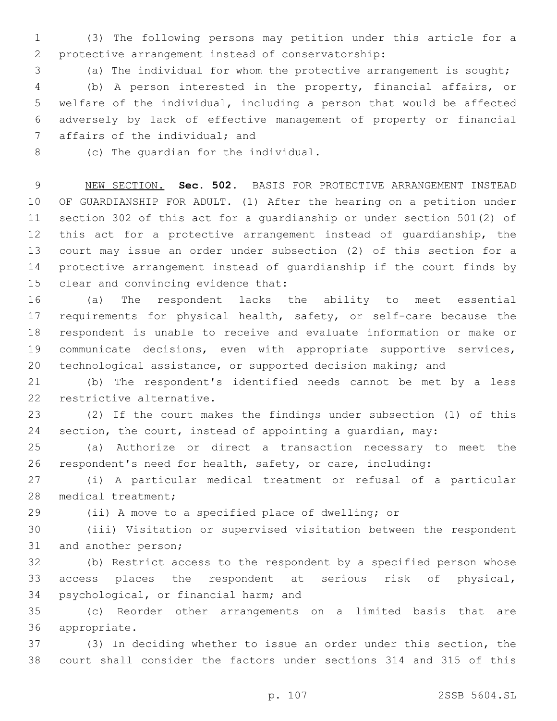(3) The following persons may petition under this article for a 2 protective arrangement instead of conservatorship:

(a) The individual for whom the protective arrangement is sought;

 (b) A person interested in the property, financial affairs, or welfare of the individual, including a person that would be affected adversely by lack of effective management of property or financial 7 affairs of the individual; and

8 (c) The quardian for the individual.

 NEW SECTION. **Sec. 502.** BASIS FOR PROTECTIVE ARRANGEMENT INSTEAD OF GUARDIANSHIP FOR ADULT. (1) After the hearing on a petition under section 302 of this act for a guardianship or under section 501(2) of this act for a protective arrangement instead of guardianship, the court may issue an order under subsection (2) of this section for a protective arrangement instead of guardianship if the court finds by clear and convincing evidence that:

 (a) The respondent lacks the ability to meet essential 17 requirements for physical health, safety, or self-care because the respondent is unable to receive and evaluate information or make or communicate decisions, even with appropriate supportive services, technological assistance, or supported decision making; and

 (b) The respondent's identified needs cannot be met by a less 22 restrictive alternative.

 (2) If the court makes the findings under subsection (1) of this section, the court, instead of appointing a guardian, may:

 (a) Authorize or direct a transaction necessary to meet the respondent's need for health, safety, or care, including:

 (i) A particular medical treatment or refusal of a particular 28 medical treatment;

(ii) A move to a specified place of dwelling; or

 (iii) Visitation or supervised visitation between the respondent 31 and another person;

 (b) Restrict access to the respondent by a specified person whose access places the respondent at serious risk of physical, 34 psychological, or financial harm; and

 (c) Reorder other arrangements on a limited basis that are 36 appropriate.

 (3) In deciding whether to issue an order under this section, the court shall consider the factors under sections 314 and 315 of this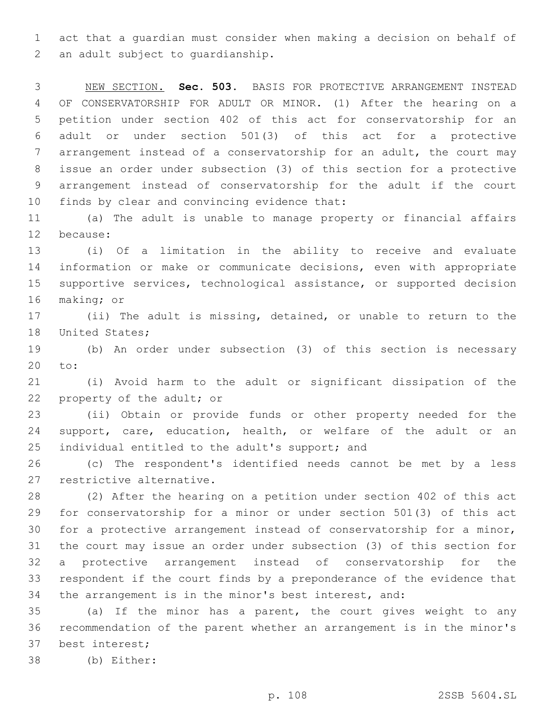act that a guardian must consider when making a decision on behalf of 2 an adult subject to quardianship.

 NEW SECTION. **Sec. 503.** BASIS FOR PROTECTIVE ARRANGEMENT INSTEAD OF CONSERVATORSHIP FOR ADULT OR MINOR. (1) After the hearing on a petition under section 402 of this act for conservatorship for an adult or under section 501(3) of this act for a protective arrangement instead of a conservatorship for an adult, the court may issue an order under subsection (3) of this section for a protective arrangement instead of conservatorship for the adult if the court finds by clear and convincing evidence that:

 (a) The adult is unable to manage property or financial affairs 12 because:

 (i) Of a limitation in the ability to receive and evaluate information or make or communicate decisions, even with appropriate supportive services, technological assistance, or supported decision 16 making; or

 (ii) The adult is missing, detained, or unable to return to the 18 United States;

 (b) An order under subsection (3) of this section is necessary 20 to:

 (i) Avoid harm to the adult or significant dissipation of the 22 property of the adult; or

 (ii) Obtain or provide funds or other property needed for the support, care, education, health, or welfare of the adult or an 25 individual entitled to the adult's support; and

 (c) The respondent's identified needs cannot be met by a less 27 restrictive alternative.

 (2) After the hearing on a petition under section 402 of this act for conservatorship for a minor or under section 501(3) of this act for a protective arrangement instead of conservatorship for a minor, the court may issue an order under subsection (3) of this section for a protective arrangement instead of conservatorship for the respondent if the court finds by a preponderance of the evidence that the arrangement is in the minor's best interest, and:

 (a) If the minor has a parent, the court gives weight to any recommendation of the parent whether an arrangement is in the minor's 37 best interest;

(b) Either:38

p. 108 2SSB 5604.SL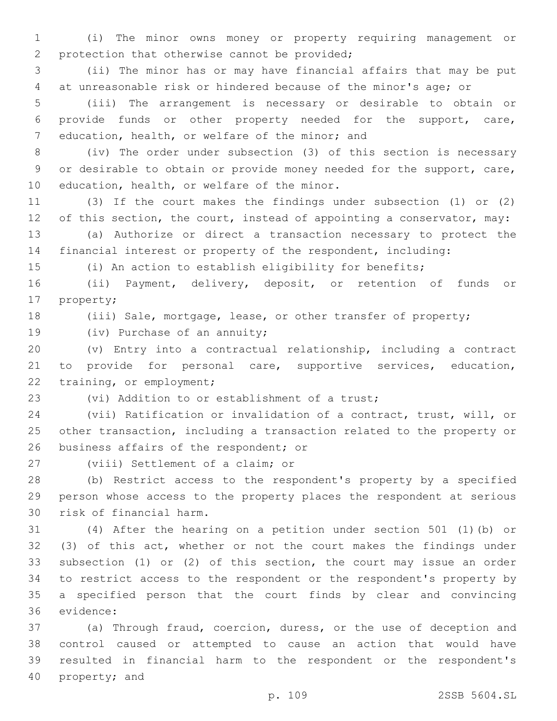(i) The minor owns money or property requiring management or 2 protection that otherwise cannot be provided;

 (ii) The minor has or may have financial affairs that may be put at unreasonable risk or hindered because of the minor's age; or

 (iii) The arrangement is necessary or desirable to obtain or provide funds or other property needed for the support, care, 7 education, health, or welfare of the minor; and

 (iv) The order under subsection (3) of this section is necessary or desirable to obtain or provide money needed for the support, care, 10 education, health, or welfare of the minor.

 (3) If the court makes the findings under subsection (1) or (2) 12 of this section, the court, instead of appointing a conservator, may:

 (a) Authorize or direct a transaction necessary to protect the financial interest or property of the respondent, including:

(i) An action to establish eligibility for benefits;

 (ii) Payment, delivery, deposit, or retention of funds or 17 property;

18 (iii) Sale, mortgage, lease, or other transfer of property;

19 (iv) Purchase of an annuity;

 (v) Entry into a contractual relationship, including a contract to provide for personal care, supportive services, education, 22 training, or employment;

23 (vi) Addition to or establishment of a trust;

 (vii) Ratification or invalidation of a contract, trust, will, or other transaction, including a transaction related to the property or 26 business affairs of the respondent; or

27 (viii) Settlement of a claim; or

 (b) Restrict access to the respondent's property by a specified person whose access to the property places the respondent at serious 30 risk of financial harm.

 (4) After the hearing on a petition under section 501 (1)(b) or (3) of this act, whether or not the court makes the findings under subsection (1) or (2) of this section, the court may issue an order to restrict access to the respondent or the respondent's property by a specified person that the court finds by clear and convincing 36 evidence:

 (a) Through fraud, coercion, duress, or the use of deception and control caused or attempted to cause an action that would have resulted in financial harm to the respondent or the respondent's 40 property; and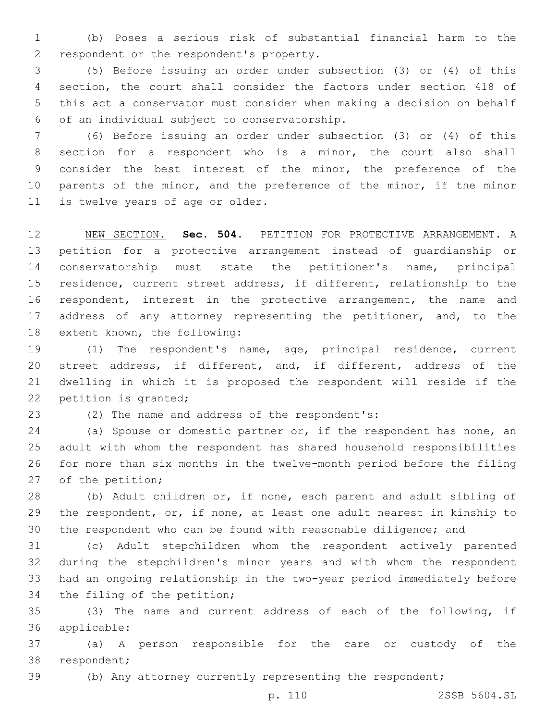(b) Poses a serious risk of substantial financial harm to the 2 respondent or the respondent's property.

 (5) Before issuing an order under subsection (3) or (4) of this section, the court shall consider the factors under section 418 of this act a conservator must consider when making a decision on behalf of an individual subject to conservatorship.6

 (6) Before issuing an order under subsection (3) or (4) of this section for a respondent who is a minor, the court also shall consider the best interest of the minor, the preference of the 10 parents of the minor, and the preference of the minor, if the minor 11 is twelve years of age or older.

 NEW SECTION. **Sec. 504.** PETITION FOR PROTECTIVE ARRANGEMENT. A petition for a protective arrangement instead of guardianship or conservatorship must state the petitioner's name, principal residence, current street address, if different, relationship to the respondent, interest in the protective arrangement, the name and 17 address of any attorney representing the petitioner, and, to the extent known, the following:

 (1) The respondent's name, age, principal residence, current street address, if different, and, if different, address of the dwelling in which it is proposed the respondent will reside if the 22 petition is granted;

23 (2) The name and address of the respondent's:

24 (a) Spouse or domestic partner or, if the respondent has none, an adult with whom the respondent has shared household responsibilities for more than six months in the twelve-month period before the filing 27 of the petition;

 (b) Adult children or, if none, each parent and adult sibling of the respondent, or, if none, at least one adult nearest in kinship to the respondent who can be found with reasonable diligence; and

 (c) Adult stepchildren whom the respondent actively parented during the stepchildren's minor years and with whom the respondent had an ongoing relationship in the two-year period immediately before 34 the filing of the petition;

 (3) The name and current address of each of the following, if applicable:36

 (a) A person responsible for the care or custody of the 38 respondent;

(b) Any attorney currently representing the respondent;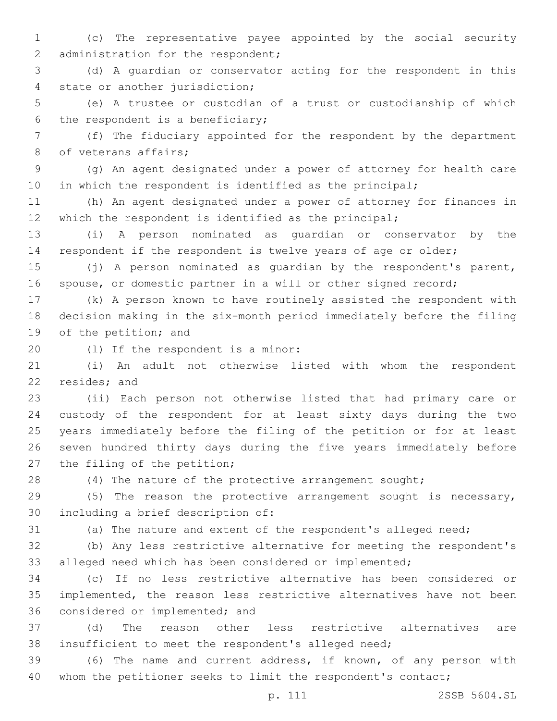(c) The representative payee appointed by the social security 2 administration for the respondent;

 (d) A guardian or conservator acting for the respondent in this 4 state or another jurisdiction;

 (e) A trustee or custodian of a trust or custodianship of which 6 the respondent is a beneficiary;

 (f) The fiduciary appointed for the respondent by the department 8 of veterans affairs;

 (g) An agent designated under a power of attorney for health care in which the respondent is identified as the principal;

 (h) An agent designated under a power of attorney for finances in which the respondent is identified as the principal;

 (i) A person nominated as guardian or conservator by the respondent if the respondent is twelve years of age or older;

 (j) A person nominated as guardian by the respondent's parent, spouse, or domestic partner in a will or other signed record;

 (k) A person known to have routinely assisted the respondent with decision making in the six-month period immediately before the filing 19 of the petition; and

20 (1) If the respondent is a minor:

 (i) An adult not otherwise listed with whom the respondent 22 resides; and

 (ii) Each person not otherwise listed that had primary care or custody of the respondent for at least sixty days during the two years immediately before the filing of the petition or for at least seven hundred thirty days during the five years immediately before 27 the filing of the petition;

28 (4) The nature of the protective arrangement sought;

 (5) The reason the protective arrangement sought is necessary, 30 including a brief description of:

(a) The nature and extent of the respondent's alleged need;

 (b) Any less restrictive alternative for meeting the respondent's alleged need which has been considered or implemented;

 (c) If no less restrictive alternative has been considered or implemented, the reason less restrictive alternatives have not been 36 considered or implemented; and

 (d) The reason other less restrictive alternatives are insufficient to meet the respondent's alleged need;

 (6) The name and current address, if known, of any person with 40 whom the petitioner seeks to limit the respondent's contact;

p. 111 2SSB 5604.SL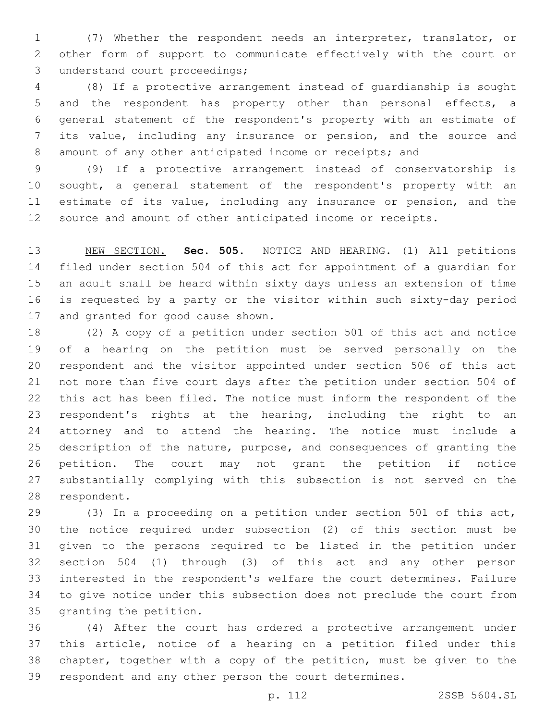(7) Whether the respondent needs an interpreter, translator, or other form of support to communicate effectively with the court or 3 understand court proceedings;

 (8) If a protective arrangement instead of guardianship is sought and the respondent has property other than personal effects, a general statement of the respondent's property with an estimate of its value, including any insurance or pension, and the source and 8 amount of any other anticipated income or receipts; and

 (9) If a protective arrangement instead of conservatorship is sought, a general statement of the respondent's property with an estimate of its value, including any insurance or pension, and the source and amount of other anticipated income or receipts.

 NEW SECTION. **Sec. 505.** NOTICE AND HEARING. (1) All petitions filed under section 504 of this act for appointment of a guardian for an adult shall be heard within sixty days unless an extension of time is requested by a party or the visitor within such sixty-day period 17 and granted for good cause shown.

 (2) A copy of a petition under section 501 of this act and notice of a hearing on the petition must be served personally on the respondent and the visitor appointed under section 506 of this act not more than five court days after the petition under section 504 of this act has been filed. The notice must inform the respondent of the respondent's rights at the hearing, including the right to an attorney and to attend the hearing. The notice must include a description of the nature, purpose, and consequences of granting the petition. The court may not grant the petition if notice substantially complying with this subsection is not served on the 28 respondent.

 (3) In a proceeding on a petition under section 501 of this act, the notice required under subsection (2) of this section must be given to the persons required to be listed in the petition under section 504 (1) through (3) of this act and any other person interested in the respondent's welfare the court determines. Failure to give notice under this subsection does not preclude the court from 35 granting the petition.

 (4) After the court has ordered a protective arrangement under this article, notice of a hearing on a petition filed under this chapter, together with a copy of the petition, must be given to the respondent and any other person the court determines.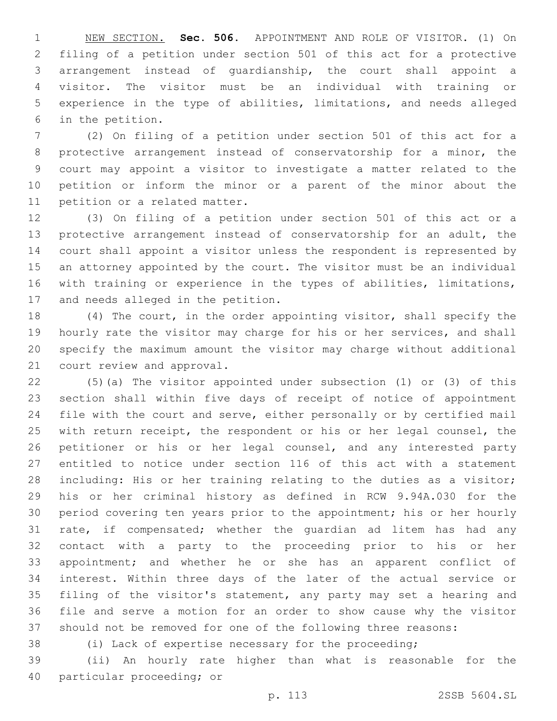NEW SECTION. **Sec. 506.** APPOINTMENT AND ROLE OF VISITOR. (1) On filing of a petition under section 501 of this act for a protective arrangement instead of guardianship, the court shall appoint a visitor. The visitor must be an individual with training or experience in the type of abilities, limitations, and needs alleged in the petition.

 (2) On filing of a petition under section 501 of this act for a protective arrangement instead of conservatorship for a minor, the court may appoint a visitor to investigate a matter related to the petition or inform the minor or a parent of the minor about the 11 petition or a related matter.

 (3) On filing of a petition under section 501 of this act or a protective arrangement instead of conservatorship for an adult, the court shall appoint a visitor unless the respondent is represented by an attorney appointed by the court. The visitor must be an individual with training or experience in the types of abilities, limitations, 17 and needs alleged in the petition.

 (4) The court, in the order appointing visitor, shall specify the hourly rate the visitor may charge for his or her services, and shall specify the maximum amount the visitor may charge without additional 21 court review and approval.

 (5)(a) The visitor appointed under subsection (1) or (3) of this section shall within five days of receipt of notice of appointment file with the court and serve, either personally or by certified mail 25 with return receipt, the respondent or his or her legal counsel, the petitioner or his or her legal counsel, and any interested party entitled to notice under section 116 of this act with a statement including: His or her training relating to the duties as a visitor; his or her criminal history as defined in RCW 9.94A.030 for the period covering ten years prior to the appointment; his or her hourly rate, if compensated; whether the guardian ad litem has had any contact with a party to the proceeding prior to his or her appointment; and whether he or she has an apparent conflict of interest. Within three days of the later of the actual service or filing of the visitor's statement, any party may set a hearing and file and serve a motion for an order to show cause why the visitor should not be removed for one of the following three reasons:

(i) Lack of expertise necessary for the proceeding;

 (ii) An hourly rate higher than what is reasonable for the 40 particular proceeding; or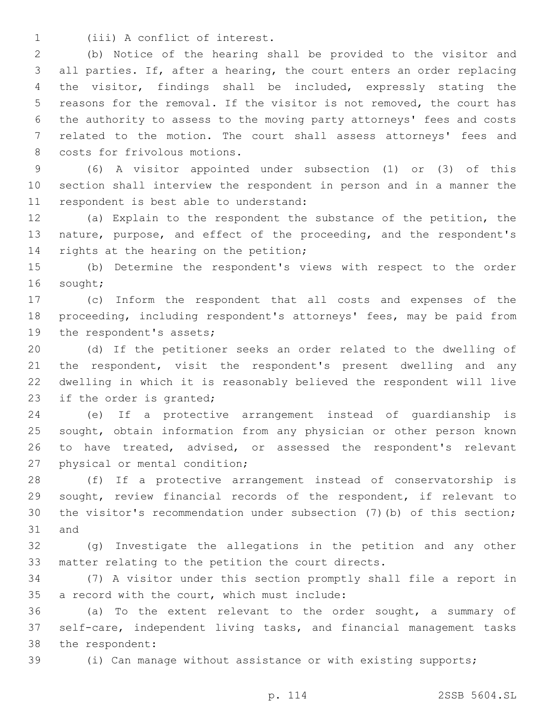1 (iii) A conflict of interest.

 (b) Notice of the hearing shall be provided to the visitor and all parties. If, after a hearing, the court enters an order replacing the visitor, findings shall be included, expressly stating the reasons for the removal. If the visitor is not removed, the court has the authority to assess to the moving party attorneys' fees and costs related to the motion. The court shall assess attorneys' fees and 8 costs for frivolous motions.

 (6) A visitor appointed under subsection (1) or (3) of this section shall interview the respondent in person and in a manner the 11 respondent is best able to understand:

 (a) Explain to the respondent the substance of the petition, the nature, purpose, and effect of the proceeding, and the respondent's 14 rights at the hearing on the petition;

 (b) Determine the respondent's views with respect to the order 16 sought;

 (c) Inform the respondent that all costs and expenses of the proceeding, including respondent's attorneys' fees, may be paid from 19 the respondent's assets;

 (d) If the petitioner seeks an order related to the dwelling of the respondent, visit the respondent's present dwelling and any dwelling in which it is reasonably believed the respondent will live 23 if the order is granted;

 (e) If a protective arrangement instead of guardianship is sought, obtain information from any physician or other person known to have treated, advised, or assessed the respondent's relevant 27 physical or mental condition;

 (f) If a protective arrangement instead of conservatorship is sought, review financial records of the respondent, if relevant to the visitor's recommendation under subsection (7)(b) of this section; 31 and

 (g) Investigate the allegations in the petition and any other matter relating to the petition the court directs.

 (7) A visitor under this section promptly shall file a report in 35 a record with the court, which must include:

 (a) To the extent relevant to the order sought, a summary of self-care, independent living tasks, and financial management tasks 38 the respondent:

(i) Can manage without assistance or with existing supports;

p. 114 2SSB 5604.SL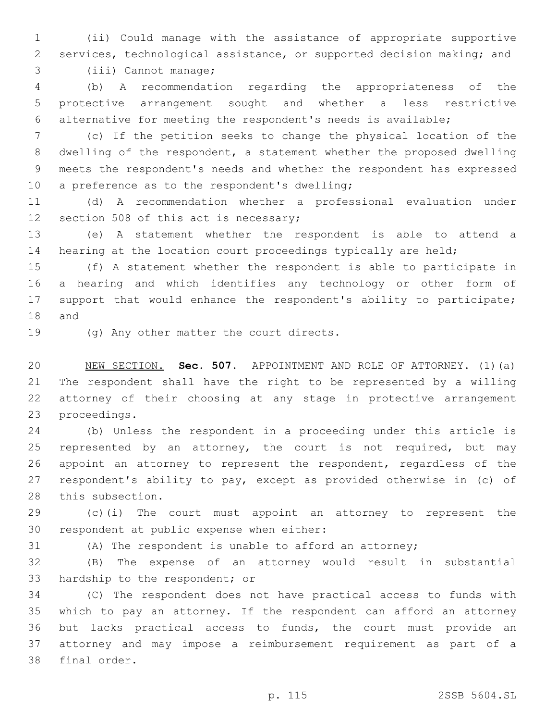(ii) Could manage with the assistance of appropriate supportive services, technological assistance, or supported decision making; and 3 (iii) Cannot manage;

 (b) A recommendation regarding the appropriateness of the protective arrangement sought and whether a less restrictive alternative for meeting the respondent's needs is available;

 (c) If the petition seeks to change the physical location of the dwelling of the respondent, a statement whether the proposed dwelling meets the respondent's needs and whether the respondent has expressed 10 a preference as to the respondent's dwelling;

 (d) A recommendation whether a professional evaluation under 12 section 508 of this act is necessary;

 (e) A statement whether the respondent is able to attend a hearing at the location court proceedings typically are held;

 (f) A statement whether the respondent is able to participate in a hearing and which identifies any technology or other form of support that would enhance the respondent's ability to participate; 18 and

19 (g) Any other matter the court directs.

 NEW SECTION. **Sec. 507.** APPOINTMENT AND ROLE OF ATTORNEY. (1)(a) The respondent shall have the right to be represented by a willing attorney of their choosing at any stage in protective arrangement proceedings.

 (b) Unless the respondent in a proceeding under this article is 25 represented by an attorney, the court is not required, but may appoint an attorney to represent the respondent, regardless of the respondent's ability to pay, except as provided otherwise in (c) of 28 this subsection.

 (c)(i) The court must appoint an attorney to represent the 30 respondent at public expense when either:

(A) The respondent is unable to afford an attorney;

 (B) The expense of an attorney would result in substantial 33 hardship to the respondent; or

 (C) The respondent does not have practical access to funds with which to pay an attorney. If the respondent can afford an attorney but lacks practical access to funds, the court must provide an attorney and may impose a reimbursement requirement as part of a 38 final order.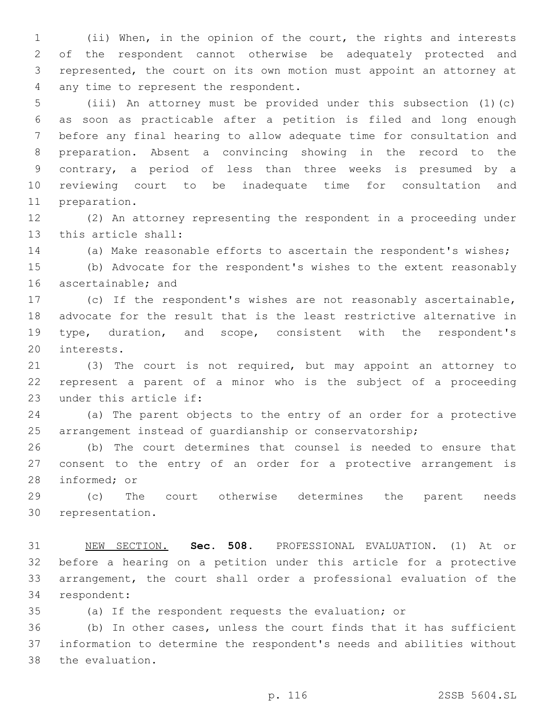(ii) When, in the opinion of the court, the rights and interests of the respondent cannot otherwise be adequately protected and represented, the court on its own motion must appoint an attorney at 4 any time to represent the respondent.

 (iii) An attorney must be provided under this subsection (1)(c) as soon as practicable after a petition is filed and long enough before any final hearing to allow adequate time for consultation and preparation. Absent a convincing showing in the record to the contrary, a period of less than three weeks is presumed by a reviewing court to be inadequate time for consultation and 11 preparation.

 (2) An attorney representing the respondent in a proceeding under 13 this article shall:

(a) Make reasonable efforts to ascertain the respondent's wishes;

 (b) Advocate for the respondent's wishes to the extent reasonably 16 ascertainable; and

 (c) If the respondent's wishes are not reasonably ascertainable, advocate for the result that is the least restrictive alternative in type, duration, and scope, consistent with the respondent's 20 interests.

 (3) The court is not required, but may appoint an attorney to represent a parent of a minor who is the subject of a proceeding 23 under this article if:

 (a) The parent objects to the entry of an order for a protective arrangement instead of guardianship or conservatorship;

 (b) The court determines that counsel is needed to ensure that consent to the entry of an order for a protective arrangement is 28 informed; or

 (c) The court otherwise determines the parent needs 30 representation.

 NEW SECTION. **Sec. 508.** PROFESSIONAL EVALUATION. (1) At or before a hearing on a petition under this article for a protective arrangement, the court shall order a professional evaluation of the respondent:

(a) If the respondent requests the evaluation; or

 (b) In other cases, unless the court finds that it has sufficient information to determine the respondent's needs and abilities without 38 the evaluation.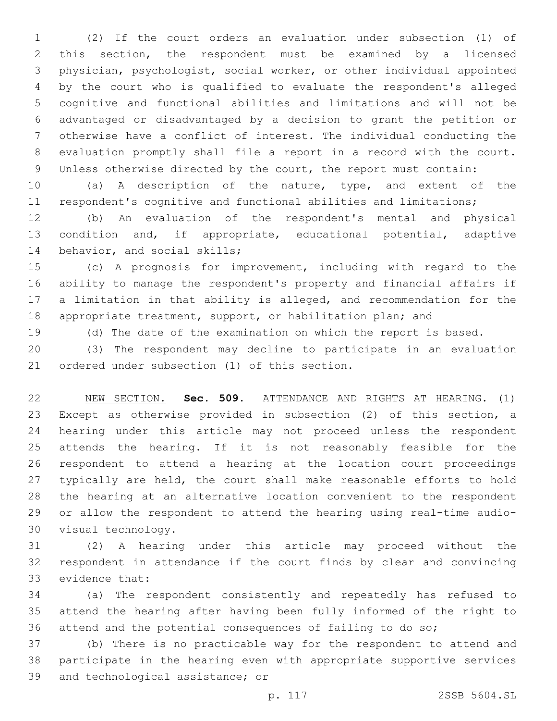(2) If the court orders an evaluation under subsection (1) of this section, the respondent must be examined by a licensed physician, psychologist, social worker, or other individual appointed by the court who is qualified to evaluate the respondent's alleged cognitive and functional abilities and limitations and will not be advantaged or disadvantaged by a decision to grant the petition or otherwise have a conflict of interest. The individual conducting the evaluation promptly shall file a report in a record with the court. Unless otherwise directed by the court, the report must contain:

 (a) A description of the nature, type, and extent of the respondent's cognitive and functional abilities and limitations;

 (b) An evaluation of the respondent's mental and physical condition and, if appropriate, educational potential, adaptive 14 behavior, and social skills;

 (c) A prognosis for improvement, including with regard to the ability to manage the respondent's property and financial affairs if a limitation in that ability is alleged, and recommendation for the 18 appropriate treatment, support, or habilitation plan; and

(d) The date of the examination on which the report is based.

 (3) The respondent may decline to participate in an evaluation 21 ordered under subsection (1) of this section.

 NEW SECTION. **Sec. 509.** ATTENDANCE AND RIGHTS AT HEARING. (1) Except as otherwise provided in subsection (2) of this section, a hearing under this article may not proceed unless the respondent attends the hearing. If it is not reasonably feasible for the respondent to attend a hearing at the location court proceedings typically are held, the court shall make reasonable efforts to hold the hearing at an alternative location convenient to the respondent or allow the respondent to attend the hearing using real-time audio-visual technology.

 (2) A hearing under this article may proceed without the respondent in attendance if the court finds by clear and convincing 33 evidence that:

 (a) The respondent consistently and repeatedly has refused to attend the hearing after having been fully informed of the right to attend and the potential consequences of failing to do so;

 (b) There is no practicable way for the respondent to attend and participate in the hearing even with appropriate supportive services 39 and technological assistance; or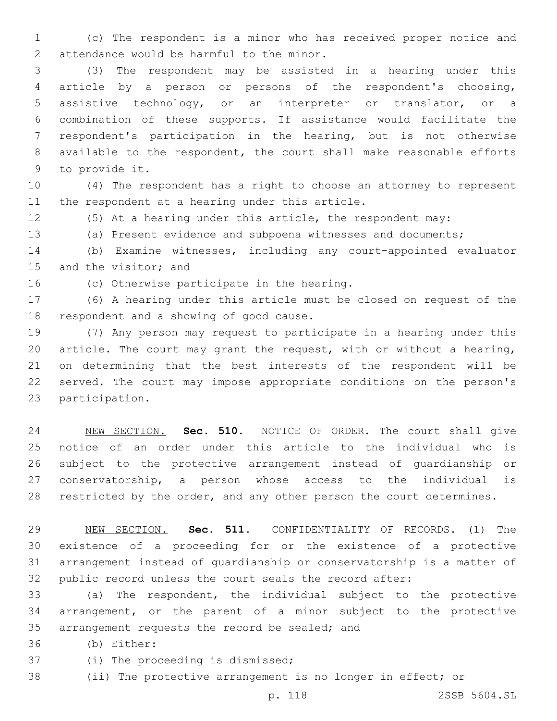(c) The respondent is a minor who has received proper notice and 2 attendance would be harmful to the minor.

 (3) The respondent may be assisted in a hearing under this article by a person or persons of the respondent's choosing, assistive technology, or an interpreter or translator, or a combination of these supports. If assistance would facilitate the respondent's participation in the hearing, but is not otherwise available to the respondent, the court shall make reasonable efforts 9 to provide it.

 (4) The respondent has a right to choose an attorney to represent 11 the respondent at a hearing under this article.

(5) At a hearing under this article, the respondent may:

(a) Present evidence and subpoena witnesses and documents;

 (b) Examine witnesses, including any court-appointed evaluator 15 and the visitor; and

16 (c) Otherwise participate in the hearing.

 (6) A hearing under this article must be closed on request of the 18 respondent and a showing of good cause.

 (7) Any person may request to participate in a hearing under this article. The court may grant the request, with or without a hearing, on determining that the best interests of the respondent will be served. The court may impose appropriate conditions on the person's 23 participation.

 NEW SECTION. **Sec. 510.** NOTICE OF ORDER. The court shall give notice of an order under this article to the individual who is subject to the protective arrangement instead of guardianship or conservatorship, a person whose access to the individual is 28 restricted by the order, and any other person the court determines.

 NEW SECTION. **Sec. 511.** CONFIDENTIALITY OF RECORDS. (1) The existence of a proceeding for or the existence of a protective arrangement instead of guardianship or conservatorship is a matter of public record unless the court seals the record after:

 (a) The respondent, the individual subject to the protective arrangement, or the parent of a minor subject to the protective 35 arrangement requests the record be sealed; and

(b) Either:36

37 (i) The proceeding is dismissed;

(ii) The protective arrangement is no longer in effect; or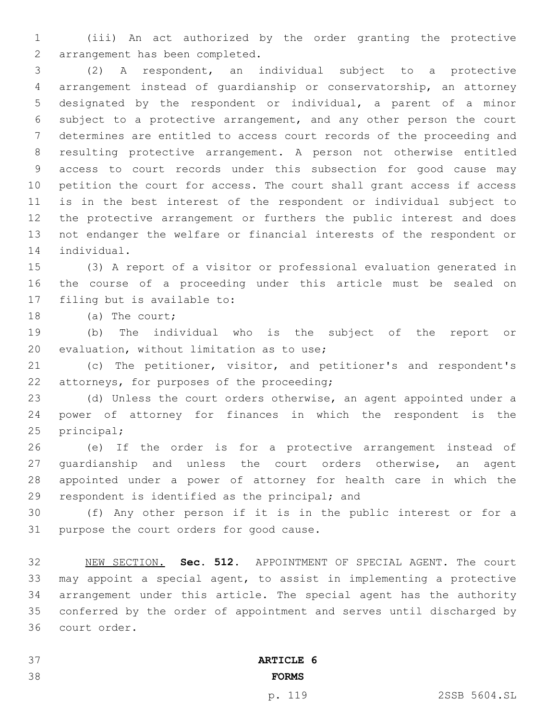(iii) An act authorized by the order granting the protective 2 arrangement has been completed.

 (2) A respondent, an individual subject to a protective arrangement instead of guardianship or conservatorship, an attorney designated by the respondent or individual, a parent of a minor subject to a protective arrangement, and any other person the court determines are entitled to access court records of the proceeding and resulting protective arrangement. A person not otherwise entitled access to court records under this subsection for good cause may petition the court for access. The court shall grant access if access is in the best interest of the respondent or individual subject to the protective arrangement or furthers the public interest and does not endanger the welfare or financial interests of the respondent or 14 individual.

 (3) A report of a visitor or professional evaluation generated in the course of a proceeding under this article must be sealed on 17 filing but is available to:

18 (a) The court;

 (b) The individual who is the subject of the report or 20 evaluation, without limitation as to use;

 (c) The petitioner, visitor, and petitioner's and respondent's 22 attorneys, for purposes of the proceeding;

 (d) Unless the court orders otherwise, an agent appointed under a power of attorney for finances in which the respondent is the 25 principal;

 (e) If the order is for a protective arrangement instead of guardianship and unless the court orders otherwise, an agent appointed under a power of attorney for health care in which the 29 respondent is identified as the principal; and

 (f) Any other person if it is in the public interest or for a 31 purpose the court orders for good cause.

 NEW SECTION. **Sec. 512.** APPOINTMENT OF SPECIAL AGENT. The court may appoint a special agent, to assist in implementing a protective arrangement under this article. The special agent has the authority conferred by the order of appointment and serves until discharged by court order.

 **ARTICLE 6 FORMS**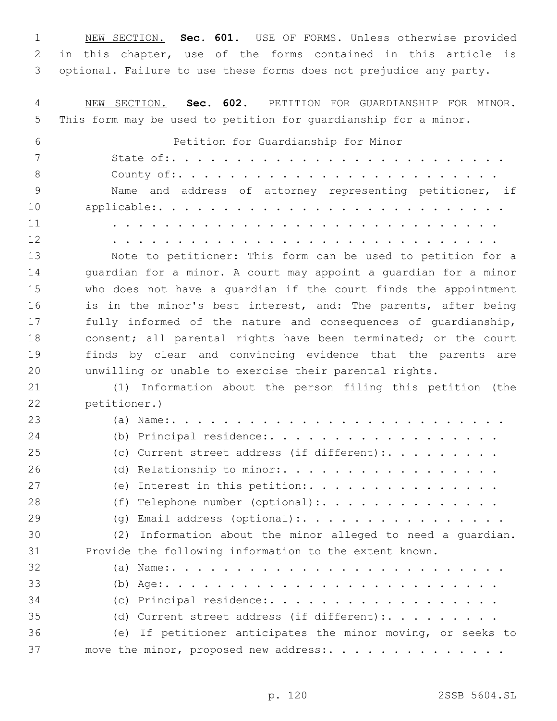NEW SECTION. **Sec. 601.** USE OF FORMS. Unless otherwise provided in this chapter, use of the forms contained in this article is optional. Failure to use these forms does not prejudice any party.

 NEW SECTION. **Sec. 602.** PETITION FOR GUARDIANSHIP FOR MINOR. This form may be used to petition for guardianship for a minor. Petition for Guardianship for Minor State of:. . . . . . . . . . . . . . . . . . . . . . . . . . County of:. . . . . . . . . . . . . . . . . . . . . . . . . Name and address of attorney representing petitioner, if applicable:. . . . . . . . . . . . . . . . . . . . . . . . . . . . . . . . . . . . . . . . . . . . . . . . . . . . . . . . . . . . . . . . . . . . . . . . . . . . . . . . . . . . . . . Note to petitioner: This form can be used to petition for a guardian for a minor. A court may appoint a guardian for a minor who does not have a guardian if the court finds the appointment 16 is in the minor's best interest, and: The parents, after being fully informed of the nature and consequences of guardianship, consent; all parental rights have been terminated; or the court finds by clear and convincing evidence that the parents are unwilling or unable to exercise their parental rights. (1) Information about the person filing this petition (the 22 petitioner.) (a) Name:. . . . . . . . . . . . . . . . . . . . . . . . . . 24 (b) Principal residence:..................... 25 (c) Current street address (if different):........ 26 (d) Relationship to minor:................... 27 (e) Interest in this petition:. . . . . . . . . . . . . . . 28 (f) Telephone number (optional):. . . . . . . . . . . . . . 29 (g) Email address (optional):.................. (2) Information about the minor alleged to need a guardian. Provide the following information to the extent known. (a) Name:. . . . . . . . . . . . . . . . . . . . . . . . . . (b) Age:. . . . . . . . . . . . . . . . . . . . . . . . . . 34 (c) Principal residence:..................... 35 (d) Current street address (if different):......... (e) If petitioner anticipates the minor moving, or seeks to 37 move the minor, proposed new address:................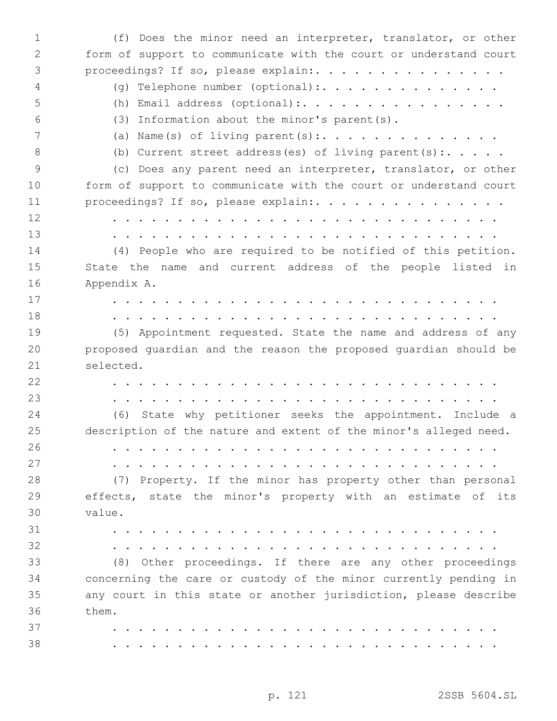(f) Does the minor need an interpreter, translator, or other form of support to communicate with the court or understand court 3 proceedings? If so, please explain:. . . . . . . . . . . . . . . 4 (g) Telephone number (optional):. . . . . . . . . . . . . . 5 (h) Email address (optional):................... (3) Information about the minor's parent(s). (a) Name(s) of living parent(s):............... 8 (b) Current street address(es) of living parent(s):..... (c) Does any parent need an interpreter, translator, or other form of support to communicate with the court or understand court 11 proceedings? If so, please explain: . . . . . . . . . . . . . . . . . . . . . . . . . . . . . . . . . . . . . . . . . . . . . . . . . . . . . . . . . . . . . . . . . . . . . . . . . . . (4) People who are required to be notified of this petition. State the name and current address of the people listed in 16 Appendix A. . . . . . . . . . . . . . . . . . . . . . . . . . . . . . . . . . . . . . . . . . . . . . . . . . . . . . . . . . . . . (5) Appointment requested. State the name and address of any proposed guardian and the reason the proposed guardian should be 21 selected. . . . . . . . . . . . . . . . . . . . . . . . . . . . . . . . . . . . . . . . . . . . . . . . . . . . . . . . . . . . . (6) State why petitioner seeks the appointment. Include a description of the nature and extent of the minor's alleged need. . . . . . . . . . . . . . . . . . . . . . . . . . . . . . . . . . . . . . . . . . . . . . . . . . . . . . . . . . . . . (7) Property. If the minor has property other than personal effects, state the minor's property with an estimate of its value.30 . . . . . . . . . . . . . . . . . . . . . . . . . . . . . . . . . . . . . . . . . . . . . . . . . . . . . . . . . . . . (8) Other proceedings. If there are any other proceedings concerning the care or custody of the minor currently pending in any court in this state or another jurisdiction, please describe 36 them. . . . . . . . . . . . . . . . . . . . . . . . . . . . . . . . . . . . . . . . . . . . . . . . . . . . . . . . . . . . .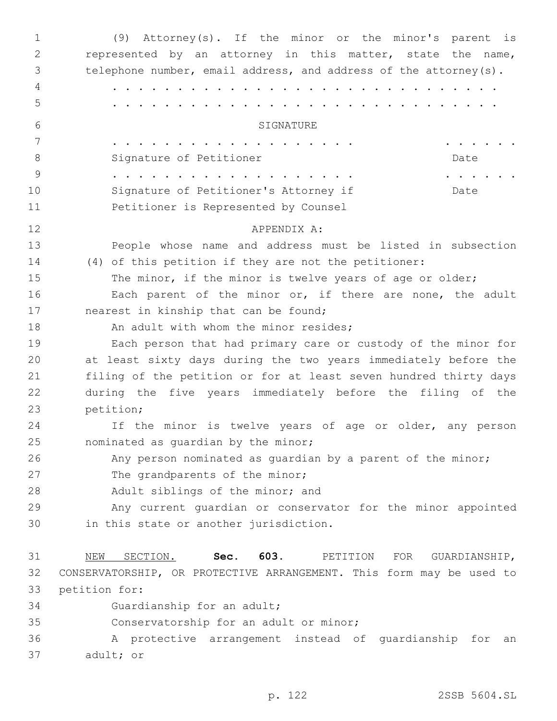| $\mathbf{1}$ | (9) Attorney(s). If the minor or the minor's parent is               |
|--------------|----------------------------------------------------------------------|
| 2            | represented by an attorney in this matter, state the name,           |
| 3            | telephone number, email address, and address of the attorney(s).     |
| 4            |                                                                      |
| 5            |                                                                      |
| 6            | SIGNATURE                                                            |
| 7            | $\cdots$                                                             |
| 8            | Signature of Petitioner<br>Date                                      |
| 9            |                                                                      |
| 10           | Signature of Petitioner's Attorney if<br>Date                        |
| 11           | Petitioner is Represented by Counsel                                 |
| 12           | APPENDIX A:                                                          |
| 13           | People whose name and address must be listed in subsection           |
| 14           | (4) of this petition if they are not the petitioner:                 |
| 15           | The minor, if the minor is twelve years of age or older;             |
| 16           | Each parent of the minor or, if there are none, the adult            |
| 17           | nearest in kinship that can be found;                                |
| 18           | An adult with whom the minor resides;                                |
| 19           | Each person that had primary care or custody of the minor for        |
| 20           | at least sixty days during the two years immediately before the      |
| 21           | filing of the petition or for at least seven hundred thirty days     |
| 22           | during the five years immediately before the filing of the           |
| 23           | petition;                                                            |
| 24           | If the minor is twelve years of age or older, any person             |
| 25           | nominated as quardian by the minor;                                  |
| 26           | Any person nominated as guardian by a parent of the minor;           |
| 27           | The grandparents of the minor;                                       |
| 28           | Adult siblings of the minor; and                                     |
| 29           | Any current guardian or conservator for the minor appointed          |
| 30           | in this state or another jurisdiction.                               |
| 31           | 603.<br>SECTION.<br>Sec.<br>PETITION<br>FOR<br>GUARDIANSHIP,<br>NEW  |
| 32           | CONSERVATORSHIP, OR PROTECTIVE ARRANGEMENT. This form may be used to |
| 33           | petition for:                                                        |
| 34           | Guardianship for an adult;                                           |
| 35           | Conservatorship for an adult or minor;                               |
| 36           | A protective arrangement instead of<br>guardianship<br>for<br>an     |

37 adult; or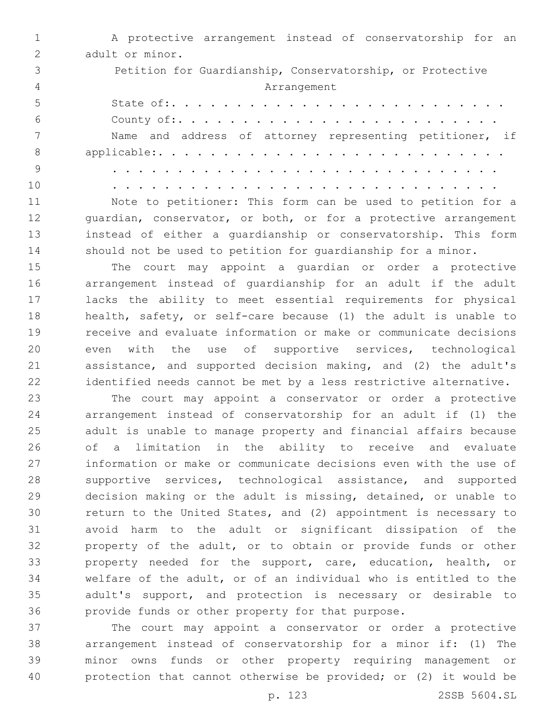|                | A protective arrangement instead of conservatorship for an                        |
|----------------|-----------------------------------------------------------------------------------|
| $\mathcal{P}$  | adult or minor.                                                                   |
|                | Petition for Guardianship, Conservatorship, or Protective                         |
| $\overline{4}$ | Arrangement                                                                       |
| 5              |                                                                                   |
| 6              |                                                                                   |
|                | Name and address of attorney representing petitioner, if                          |
| 8              |                                                                                   |
| -9             | and a series and a series and a series and a series and a series and a series and |
| 1 <sub>0</sub> |                                                                                   |

 Note to petitioner: This form can be used to petition for a 12 guardian, conservator, or both, or for a protective arrangement instead of either a guardianship or conservatorship. This form should not be used to petition for guardianship for a minor.

 The court may appoint a guardian or order a protective arrangement instead of guardianship for an adult if the adult lacks the ability to meet essential requirements for physical health, safety, or self-care because (1) the adult is unable to receive and evaluate information or make or communicate decisions even with the use of supportive services, technological assistance, and supported decision making, and (2) the adult's identified needs cannot be met by a less restrictive alternative.

 The court may appoint a conservator or order a protective arrangement instead of conservatorship for an adult if (1) the adult is unable to manage property and financial affairs because of a limitation in the ability to receive and evaluate information or make or communicate decisions even with the use of supportive services, technological assistance, and supported decision making or the adult is missing, detained, or unable to return to the United States, and (2) appointment is necessary to avoid harm to the adult or significant dissipation of the property of the adult, or to obtain or provide funds or other property needed for the support, care, education, health, or welfare of the adult, or of an individual who is entitled to the adult's support, and protection is necessary or desirable to provide funds or other property for that purpose.

 The court may appoint a conservator or order a protective arrangement instead of conservatorship for a minor if: (1) The minor owns funds or other property requiring management or protection that cannot otherwise be provided; or (2) it would be

p. 123 2SSB 5604.SL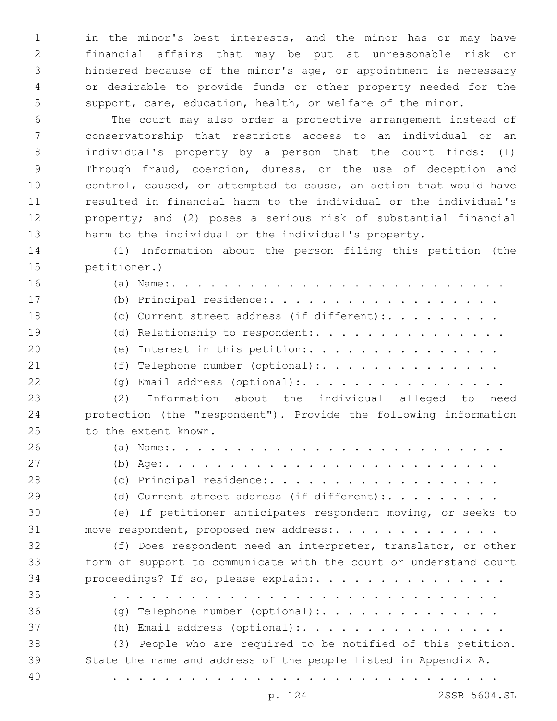in the minor's best interests, and the minor has or may have financial affairs that may be put at unreasonable risk or hindered because of the minor's age, or appointment is necessary or desirable to provide funds or other property needed for the support, care, education, health, or welfare of the minor.

 The court may also order a protective arrangement instead of conservatorship that restricts access to an individual or an individual's property by a person that the court finds: (1) Through fraud, coercion, duress, or the use of deception and control, caused, or attempted to cause, an action that would have resulted in financial harm to the individual or the individual's property; and (2) poses a serious risk of substantial financial harm to the individual or the individual's property.

 (1) Information about the person filing this petition (the 15 petitioner.)

 (a) Name:. . . . . . . . . . . . . . . . . . . . . . . . . . 17 (b) Principal residence:..................... 18 (c) Current street address (if different):......... 19 (d) Relationship to respondent:. . . . . . . . . . . . . . . 20 (e) Interest in this petition: . . . . . . . . . . . . . . 21 (f) Telephone number (optional):. . . . . . . . . . . . . . 22 (g) Email address (optional):. . . . . . . . . . . . . . . . (2) Information about the individual alleged to need protection (the "respondent"). Provide the following information 25 to the extent known. (a) Name:. . . . . . . . . . . . . . . . . . . . . . . . . . (b) Age:. . . . . . . . . . . . . . . . . . . . . . . . . . 28 (c) Principal residence:.................... 29 (d) Current street address (if different):......... (e) If petitioner anticipates respondent moving, or seeks to move respondent, proposed new address:. . . . . . . . . . . . . (f) Does respondent need an interpreter, translator, or other form of support to communicate with the court or understand court 34 proceedings? If so, please explain:................. . . . . . . . . . . . . . . . . . . . . . . . . . . . . . . 36 (g) Telephone number (optional):................ (h) Email address (optional):. . . . . . . . . . . . . . . . (3) People who are required to be notified of this petition. State the name and address of the people listed in Appendix A. . . . . . . . . . . . . . . . . . . . . . . . . . . . . . .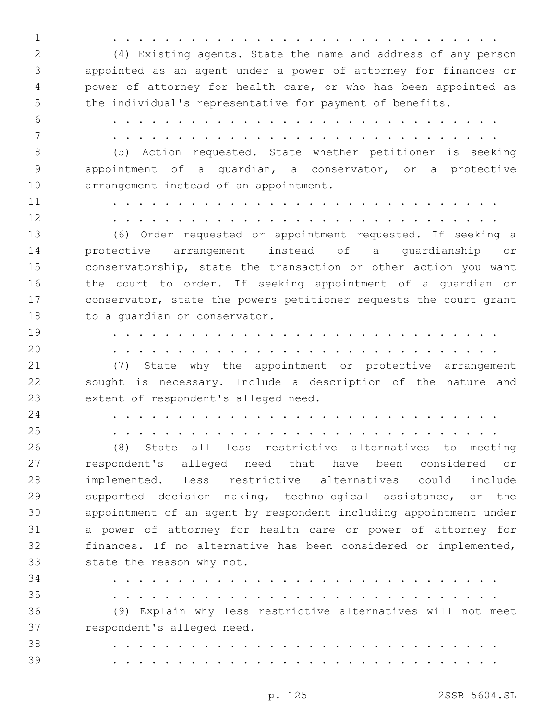. . . . . . . . . . . . . . . . . . . . . . . . . . . . . . (4) Existing agents. State the name and address of any person appointed as an agent under a power of attorney for finances or power of attorney for health care, or who has been appointed as the individual's representative for payment of benefits. . . . . . . . . . . . . . . . . . . . . . . . . . . . . . . . . . . . . . . . . . . . . . . . . . . . . . . . . . . . . (5) Action requested. State whether petitioner is seeking appointment of a guardian, a conservator, or a protective 10 arrangement instead of an appointment. . . . . . . . . . . . . . . . . . . . . . . . . . . . . . . . . . . . . . . . . . . . . . . . . . . . . . . . . . . . . (6) Order requested or appointment requested. If seeking a protective arrangement instead of a guardianship or conservatorship, state the transaction or other action you want the court to order. If seeking appointment of a guardian or 17 conservator, state the powers petitioner requests the court grant 18 to a quardian or conservator. . . . . . . . . . . . . . . . . . . . . . . . . . . . . . . . . . . . . . . . . . . . . . . . . . . . . . . . . . . . . (7) State why the appointment or protective arrangement sought is necessary. Include a description of the nature and 23 extent of respondent's alleged need. . . . . . . . . . . . . . . . . . . . . . . . . . . . . . . . . . . . . . . . . . . . . . . . . . . . . . . . . . . . . (8) State all less restrictive alternatives to meeting respondent's alleged need that have been considered or implemented. Less restrictive alternatives could include supported decision making, technological assistance, or the appointment of an agent by respondent including appointment under a power of attorney for health care or power of attorney for finances. If no alternative has been considered or implemented, 33 state the reason why not. . . . . . . . . . . . . . . . . . . . . . . . . . . . . . . . . . . . . . . . . . . . . . . . . . . . . . . . . . . . . (9) Explain why less restrictive alternatives will not meet 37 respondent's alleged need. . . . . . . . . . . . . . . . . . . . . . . . . . . . . . . . . . . . . . . . . . . . . . . . . . . . . . . . . . . . .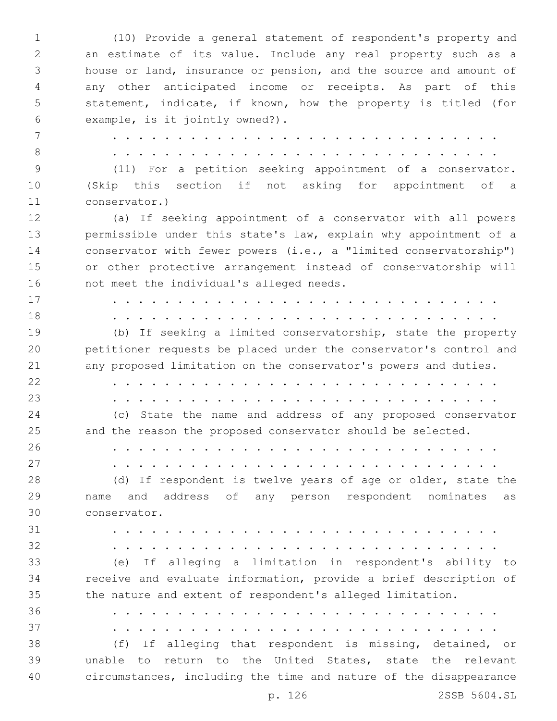(10) Provide a general statement of respondent's property and an estimate of its value. Include any real property such as a house or land, insurance or pension, and the source and amount of any other anticipated income or receipts. As part of this statement, indicate, if known, how the property is titled (for 6 example, is it jointly owned?). . . . . . . . . . . . . . . . . . . . . . . . . . . . . . . . . . . . . . . . . . . . . . . . . . . . . . . . . . . . . (11) For a petition seeking appointment of a conservator. (Skip this section if not asking for appointment of a 11 conservator.) (a) If seeking appointment of a conservator with all powers permissible under this state's law, explain why appointment of a conservator with fewer powers (i.e., a "limited conservatorship") or other protective arrangement instead of conservatorship will 16 not meet the individual's alleged needs. . . . . . . . . . . . . . . . . . . . . . . . . . . . . . . . . . . . . . . . . . . . . . . . . . . . . . . . . . . . . (b) If seeking a limited conservatorship, state the property petitioner requests be placed under the conservator's control and any proposed limitation on the conservator's powers and duties. . . . . . . . . . . . . . . . . . . . . . . . . . . . . . . . . . . . . . . . . . . . . . . . . . . . . . . . . . . . . (c) State the name and address of any proposed conservator and the reason the proposed conservator should be selected. . . . . . . . . . . . . . . . . . . . . . . . . . . . . . . . . . . . . . . . . . . . . . . . . . . . . . . . . . . . . 28 (d) If respondent is twelve years of age or older, state the name and address of any person respondent nominates as conservator.30 . . . . . . . . . . . . . . . . . . . . . . . . . . . . . . . . . . . . . . . . . . . . . . . . . . . . . . . . . . . . (e) If alleging a limitation in respondent's ability to receive and evaluate information, provide a brief description of the nature and extent of respondent's alleged limitation. . . . . . . . . . . . . . . . . . . . . . . . . . . . . . . . . . . . . . . . . . . . . . . . . . . . . . . . . . . . . (f) If alleging that respondent is missing, detained, or unable to return to the United States, state the relevant circumstances, including the time and nature of the disappearance

p. 126 2SSB 5604.SL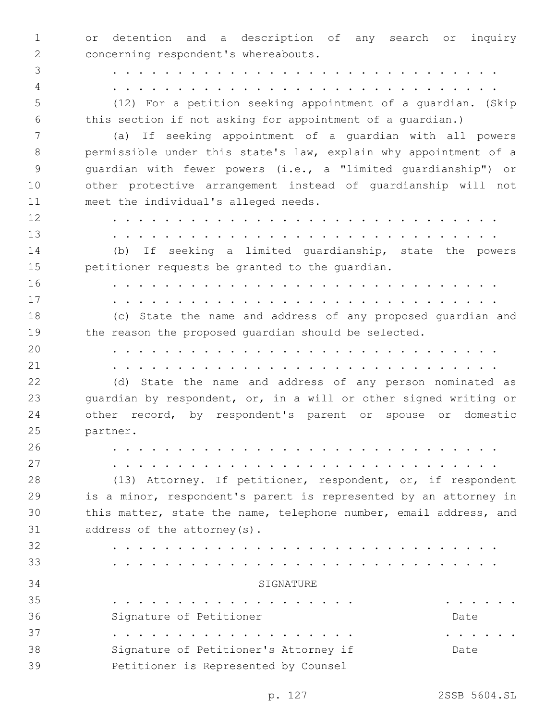or detention and a description of any search or inquiry 2 concerning respondent's whereabouts.

 . . . . . . . . . . . . . . . . . . . . . . . . . . . . . . . . . . . . . . . . . . . . . . . . . . . . . . . . . . . .

 (12) For a petition seeking appointment of a guardian. (Skip this section if not asking for appointment of a guardian.)

 (a) If seeking appointment of a guardian with all powers permissible under this state's law, explain why appointment of a guardian with fewer powers (i.e., a "limited guardianship") or other protective arrangement instead of guardianship will not 11 meet the individual's alleged needs.

 . . . . . . . . . . . . . . . . . . . . . . . . . . . . . . . . . . . . . . . . . . . . . . . . . . . . . . . . . . . . (b) If seeking a limited guardianship, state the powers petitioner requests be granted to the guardian. . . . . . . . . . . . . . . . . . . . . . . . . . . . . . . . . . . . . . . . . . . . . . . . . . . . . . . . . . . . . (c) State the name and address of any proposed guardian and 19 the reason the proposed quardian should be selected. . . . . . . . . . . . . . . . . . . . . . . . . . . . . . . . . . . . . . . . . . . . . . . . . . . . . . . . . . . . .

 (d) State the name and address of any person nominated as guardian by respondent, or, in a will or other signed writing or other record, by respondent's parent or spouse or domestic 25 partner.

. . . . . . . . . . . . . . . . . . . . . . . . . . . . . .

. . . . . . . . . . . . . . . . . . . . . . . . . . . . . .

 (13) Attorney. If petitioner, respondent, or, if respondent is a minor, respondent's parent is represented by an attorney in this matter, state the name, telephone number, email address, and 31 address of the attorney(s).

 . . . . . . . . . . . . . . . . . . . . . . . . . . . . . . . . . . . . . . . . . . . . . . . . . . . . . . . . . . . . 34 SIGNATURE . . . . . . . . . . . . . . . . . . . . . . . . . 36 Signature of Petitioner Changes of Petitioner Changes of Petitioner Changes of Pate . . . . . . . . . . . . . . . . . . . . . . . . . 38 Signature of Petitioner's Attorney if Date **Petitioner** is Represented by Counsel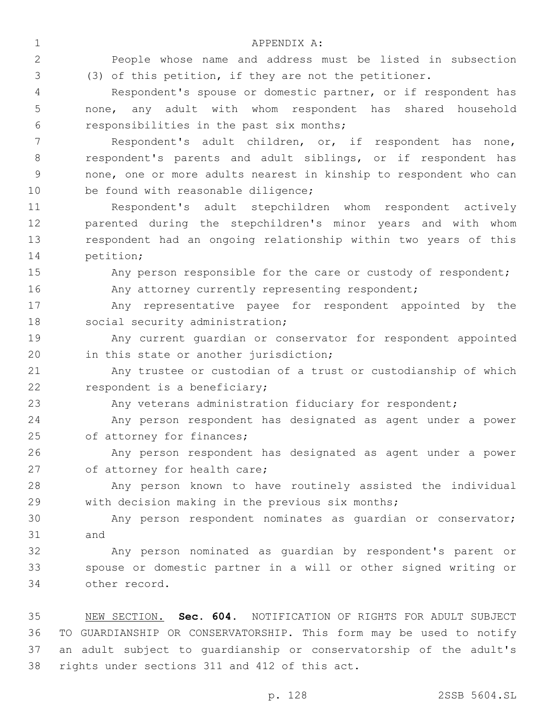APPENDIX A:1 People whose name and address must be listed in subsection (3) of this petition, if they are not the petitioner. Respondent's spouse or domestic partner, or if respondent has none, any adult with whom respondent has shared household responsibilities in the past six months;6 Respondent's adult children, or, if respondent has none, respondent's parents and adult siblings, or if respondent has none, one or more adults nearest in kinship to respondent who can 10 be found with reasonable diligence; Respondent's adult stepchildren whom respondent actively parented during the stepchildren's minor years and with whom respondent had an ongoing relationship within two years of this 14 petition; Any person responsible for the care or custody of respondent; 16 Any attorney currently representing respondent; Any representative payee for respondent appointed by the 18 social security administration; Any current guardian or conservator for respondent appointed 20 in this state or another jurisdiction; Any trustee or custodian of a trust or custodianship of which 22 respondent is a beneficiary; 23 Any veterans administration fiduciary for respondent; Any person respondent has designated as agent under a power 25 of attorney for finances; Any person respondent has designated as agent under a power 27 of attorney for health care; Any person known to have routinely assisted the individual with decision making in the previous six months; Any person respondent nominates as guardian or conservator; 31 and

 Any person nominated as guardian by respondent's parent or spouse or domestic partner in a will or other signed writing or other record.34

 NEW SECTION. **Sec. 604.** NOTIFICATION OF RIGHTS FOR ADULT SUBJECT TO GUARDIANSHIP OR CONSERVATORSHIP. This form may be used to notify an adult subject to guardianship or conservatorship of the adult's rights under sections 311 and 412 of this act.

p. 128 2SSB 5604.SL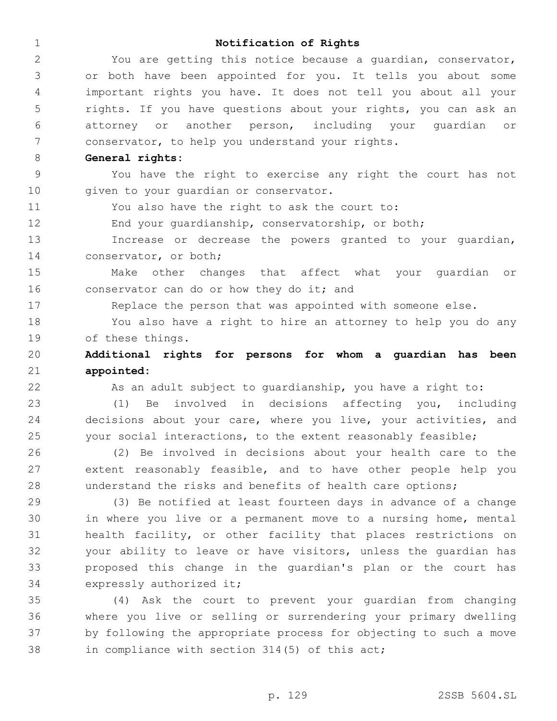## **Notification of Rights**

 You are getting this notice because a guardian, conservator, or both have been appointed for you. It tells you about some important rights you have. It does not tell you about all your rights. If you have questions about your rights, you can ask an attorney or another person, including your guardian or conservator, to help you understand your rights.

**General rights:**

 You have the right to exercise any right the court has not 10 given to your quardian or conservator.

You also have the right to ask the court to:

End your guardianship, conservatorship, or both;

 Increase or decrease the powers granted to your guardian, 14 conservator, or both;

 Make other changes that affect what your guardian or 16 conservator can do or how they do it; and

17 Replace the person that was appointed with someone else.

 You also have a right to hire an attorney to help you do any 19 of these things.

 **Additional rights for persons for whom a guardian has been appointed:**

As an adult subject to guardianship, you have a right to:

 (1) Be involved in decisions affecting you, including decisions about your care, where you live, your activities, and your social interactions, to the extent reasonably feasible;

 (2) Be involved in decisions about your health care to the extent reasonably feasible, and to have other people help you understand the risks and benefits of health care options;

 (3) Be notified at least fourteen days in advance of a change in where you live or a permanent move to a nursing home, mental health facility, or other facility that places restrictions on your ability to leave or have visitors, unless the guardian has proposed this change in the guardian's plan or the court has 34 expressly authorized it;

 (4) Ask the court to prevent your guardian from changing where you live or selling or surrendering your primary dwelling by following the appropriate process for objecting to such a move in compliance with section 314(5) of this act;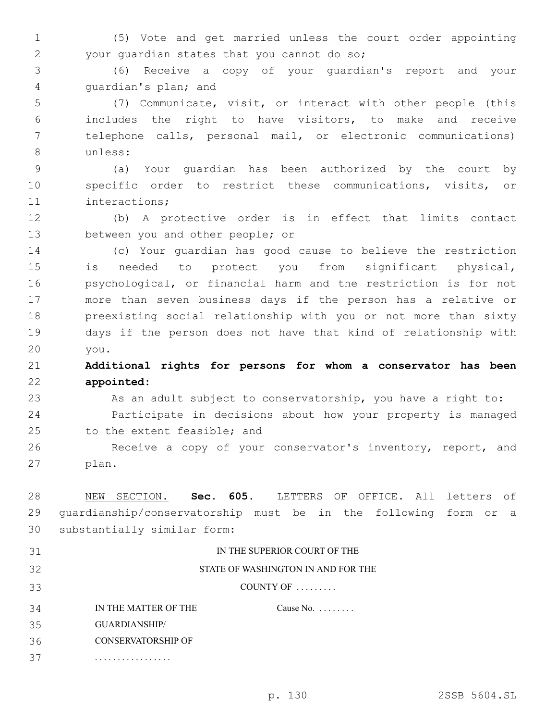(5) Vote and get married unless the court order appointing your guardian states that you cannot do so;2

 (6) Receive a copy of your guardian's report and your 4 quardian's plan; and

 (7) Communicate, visit, or interact with other people (this includes the right to have visitors, to make and receive telephone calls, personal mail, or electronic communications) unless:8

 (a) Your guardian has been authorized by the court by specific order to restrict these communications, visits, or 11 interactions;

 (b) A protective order is in effect that limits contact 13 between you and other people; or

 (c) Your guardian has good cause to believe the restriction is needed to protect you from significant physical, psychological, or financial harm and the restriction is for not more than seven business days if the person has a relative or preexisting social relationship with you or not more than sixty days if the person does not have that kind of relationship with you.20

 **Additional rights for persons for whom a conservator has been appointed:**

23 As an adult subject to conservatorship, you have a right to: Participate in decisions about how your property is managed 25 to the extent feasible; and

 Receive a copy of your conservator's inventory, report, and 27 plan.

 NEW SECTION. **Sec. 605.** LETTERS OF OFFICE. All letters of guardianship/conservatorship must be in the following form or a substantially similar form:

| 31 | IN THE SUPERIOR COURT OF THE       |                    |  |
|----|------------------------------------|--------------------|--|
| 32 | STATE OF WASHINGTON IN AND FOR THE |                    |  |
| 33 | COUNTY OF $\dots \dots$            |                    |  |
| 34 | IN THE MATTER OF THE               | Cause No. $\ldots$ |  |
| 35 | <b>GUARDIANSHIP/</b>               |                    |  |
| 36 | <b>CONSERVATORSHIP OF</b>          |                    |  |
| 37 |                                    |                    |  |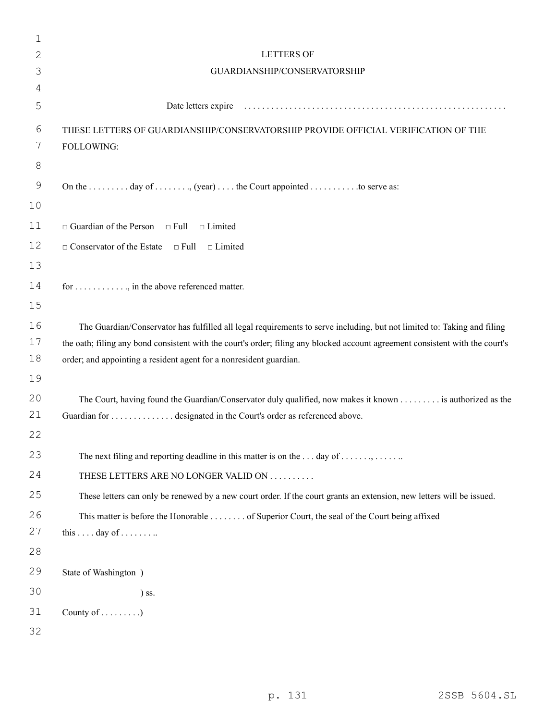| 1            |                                                                                                                               |
|--------------|-------------------------------------------------------------------------------------------------------------------------------|
| $\mathbf{2}$ | <b>LETTERS OF</b>                                                                                                             |
| 3            | GUARDIANSHIP/CONSERVATORSHIP                                                                                                  |
| 4            |                                                                                                                               |
| 5            |                                                                                                                               |
| 6            | THESE LETTERS OF GUARDIANSHIP/CONSERVATORSHIP PROVIDE OFFICIAL VERIFICATION OF THE                                            |
| 7            | FOLLOWING:                                                                                                                    |
| $8\,$        |                                                                                                                               |
| 9            | On the  day of , (year)  the Court appointed  to serve as:                                                                    |
| 10           |                                                                                                                               |
| 11           | $\Box$ Guardian of the Person $\Box$ Full<br>$\Box$ Limited                                                                   |
| 12           | $\Box$ Conservator of the Estate $\Box$ Full<br>$\Box$ Limited                                                                |
| 13           |                                                                                                                               |
| 14           | for , in the above referenced matter.                                                                                         |
| 15           |                                                                                                                               |
| 16           | The Guardian/Conservator has fulfilled all legal requirements to serve including, but not limited to: Taking and filing       |
| 17           | the oath; filing any bond consistent with the court's order; filing any blocked account agreement consistent with the court's |
| 18           | order; and appointing a resident agent for a nonresident guardian.                                                            |
| 19           |                                                                                                                               |
| 20           | The Court, having found the Guardian/Conservator duly qualified, now makes it known is authorized as the                      |
| 21           | Guardian for  designated in the Court's order as referenced above.                                                            |
| 22           |                                                                                                                               |
| 23           | The next filing and reporting deadline in this matter is on the  day of ,                                                     |
| 24           | THESE LETTERS ARE NO LONGER VALID ON                                                                                          |
| 25           | These letters can only be renewed by a new court order. If the court grants an extension, new letters will be issued.         |
| 26           | This matter is before the Honorable of Superior Court, the seal of the Court being affixed                                    |
| 27           | this  . day of                                                                                                                |
| 28           |                                                                                                                               |
| 29           | State of Washington )                                                                                                         |
| 30           | $)$ ss.                                                                                                                       |
| 31           | County of $\dots\dots\dots$                                                                                                   |
| 32           |                                                                                                                               |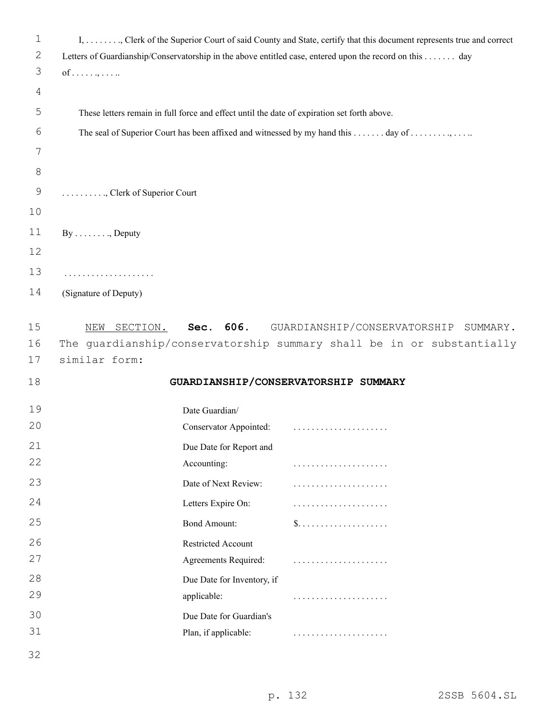| $\mathbf 1$   | I, , Clerk of the Superior Court of said County and State, certify that this document represents true and correct |                                                                       |  |
|---------------|-------------------------------------------------------------------------------------------------------------------|-----------------------------------------------------------------------|--|
| 2             | Letters of Guardianship/Conservatorship in the above entitled case, entered upon the record on this day           |                                                                       |  |
| 3             | $of \ldots \ldots$                                                                                                |                                                                       |  |
| 4             |                                                                                                                   |                                                                       |  |
| 5             | These letters remain in full force and effect until the date of expiration set forth above.                       |                                                                       |  |
| 6             | The seal of Superior Court has been affixed and witnessed by my hand this day of                                  |                                                                       |  |
| 7             |                                                                                                                   |                                                                       |  |
| $8\,$         |                                                                                                                   |                                                                       |  |
| $\mathcal{G}$ | , Clerk of Superior Court                                                                                         |                                                                       |  |
| 10            |                                                                                                                   |                                                                       |  |
| 11            | $By \ldots \ldots \ldots$ Deputy                                                                                  |                                                                       |  |
| 12            |                                                                                                                   |                                                                       |  |
| 13            | .                                                                                                                 |                                                                       |  |
| 14            | (Signature of Deputy)                                                                                             |                                                                       |  |
| 15            | Sec. 606.<br>NEW SECTION.                                                                                         | GUARDIANSHIP/CONSERVATORSHIP<br>SUMMARY.                              |  |
| 16            |                                                                                                                   | The quardianship/conservatorship summary shall be in or substantially |  |
| 17            | similar form:                                                                                                     |                                                                       |  |
| 18            |                                                                                                                   | GUARDIANSHIP/CONSERVATORSHIP SUMMARY                                  |  |
| 19            | Date Guardian/                                                                                                    |                                                                       |  |
| 20            | Conservator Appointed:                                                                                            |                                                                       |  |
| 21            | Due Date for Report and                                                                                           |                                                                       |  |
| 22            | Accounting:                                                                                                       |                                                                       |  |
| 23            | Date of Next Review:                                                                                              |                                                                       |  |
| 24            | Letters Expire On:                                                                                                |                                                                       |  |
| 25            | <b>Bond Amount:</b>                                                                                               |                                                                       |  |
| 26            | Restricted Account                                                                                                |                                                                       |  |
| 27            | Agreements Required:                                                                                              |                                                                       |  |
| 28            | Due Date for Inventory, if                                                                                        |                                                                       |  |
| 29            | applicable:                                                                                                       |                                                                       |  |
| 30            | Due Date for Guardian's                                                                                           |                                                                       |  |
| 31            | Plan, if applicable:                                                                                              |                                                                       |  |
| 32            |                                                                                                                   |                                                                       |  |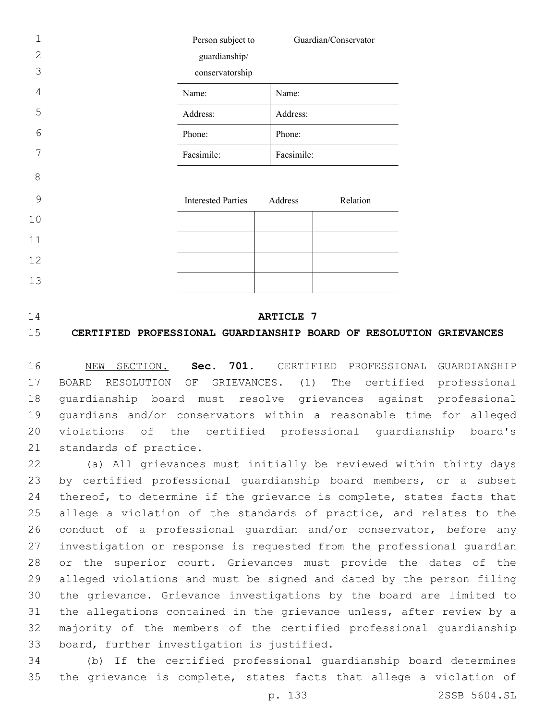| 1              | Person subject to         | Guardian/Conservator |
|----------------|---------------------------|----------------------|
| $\overline{2}$ | guardianship/             |                      |
| 3              | conservatorship           |                      |
| $\overline{4}$ | Name:                     | Name:                |
| 5              | Address:                  | Address:             |
| 6              | Phone:                    | Phone:               |
| 7              | Facsimile:                | Facsimile:           |
| 8              |                           |                      |
| 9              | <b>Interested Parties</b> | Address<br>Relation  |
| 10             |                           |                      |
| 11             |                           |                      |
| 12             |                           |                      |
| 13             |                           |                      |

## **ARTICLE 7**

# **CERTIFIED PROFESSIONAL GUARDIANSHIP BOARD OF RESOLUTION GRIEVANCES**

 NEW SECTION. **Sec. 701.** CERTIFIED PROFESSIONAL GUARDIANSHIP BOARD RESOLUTION OF GRIEVANCES. (1) The certified professional guardianship board must resolve grievances against professional guardians and/or conservators within a reasonable time for alleged violations of the certified professional guardianship board's standards of practice.

 (a) All grievances must initially be reviewed within thirty days by certified professional guardianship board members, or a subset 24 thereof, to determine if the grievance is complete, states facts that allege a violation of the standards of practice, and relates to the conduct of a professional guardian and/or conservator, before any investigation or response is requested from the professional guardian or the superior court. Grievances must provide the dates of the alleged violations and must be signed and dated by the person filing the grievance. Grievance investigations by the board are limited to the allegations contained in the grievance unless, after review by a majority of the members of the certified professional guardianship 33 board, further investigation is justified.

 (b) If the certified professional guardianship board determines the grievance is complete, states facts that allege a violation of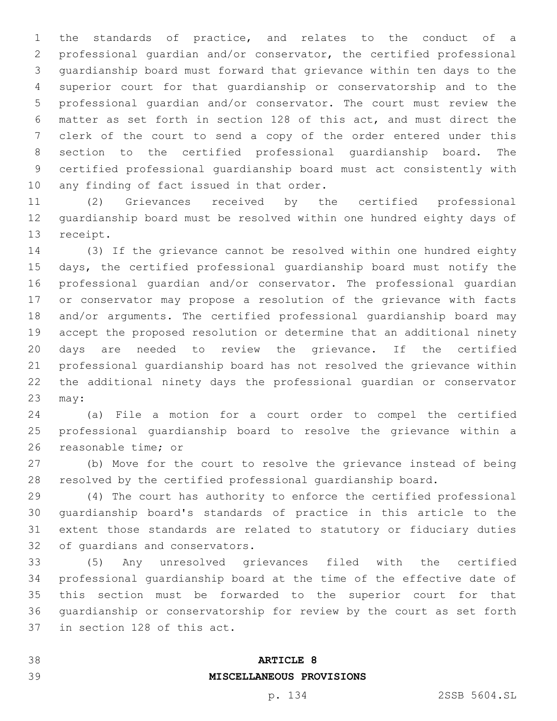the standards of practice, and relates to the conduct of a professional guardian and/or conservator, the certified professional guardianship board must forward that grievance within ten days to the superior court for that guardianship or conservatorship and to the professional guardian and/or conservator. The court must review the matter as set forth in section 128 of this act, and must direct the clerk of the court to send a copy of the order entered under this section to the certified professional guardianship board. The certified professional guardianship board must act consistently with 10 any finding of fact issued in that order.

 (2) Grievances received by the certified professional guardianship board must be resolved within one hundred eighty days of 13 receipt.

 (3) If the grievance cannot be resolved within one hundred eighty days, the certified professional guardianship board must notify the professional guardian and/or conservator. The professional guardian or conservator may propose a resolution of the grievance with facts and/or arguments. The certified professional guardianship board may accept the proposed resolution or determine that an additional ninety days are needed to review the grievance. If the certified professional guardianship board has not resolved the grievance within the additional ninety days the professional guardian or conservator 23 may:

 (a) File a motion for a court order to compel the certified professional guardianship board to resolve the grievance within a 26 reasonable time; or

 (b) Move for the court to resolve the grievance instead of being resolved by the certified professional guardianship board.

 (4) The court has authority to enforce the certified professional guardianship board's standards of practice in this article to the extent those standards are related to statutory or fiduciary duties 32 of quardians and conservators.

 (5) Any unresolved grievances filed with the certified professional guardianship board at the time of the effective date of this section must be forwarded to the superior court for that guardianship or conservatorship for review by the court as set forth 37 in section 128 of this act.

## **ARTICLE 8**

# **MISCELLANEOUS PROVISIONS**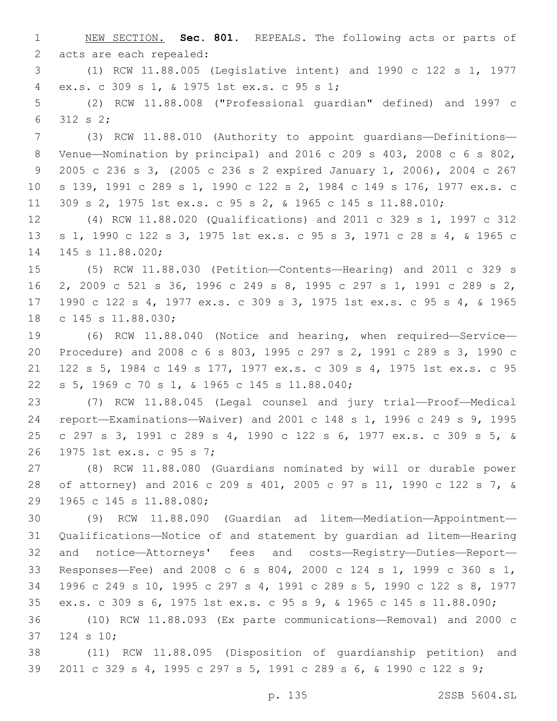NEW SECTION. **Sec. 801.** REPEALS. The following acts or parts of acts are each repealed:

 (1) RCW 11.88.005 (Legislative intent) and 1990 c 122 s 1, 1977 ex.s. c 309 s 1, & 1975 1st ex.s. c 95 s 1;4

 (2) RCW 11.88.008 ("Professional guardian" defined) and 1997 c 312 s 2;6

 (3) RCW 11.88.010 (Authority to appoint guardians—Definitions— Venue—Nomination by principal) and 2016 c 209 s 403, 2008 c 6 s 802, 2005 c 236 s 3, (2005 c 236 s 2 expired January 1, 2006), 2004 c 267 s 139, 1991 c 289 s 1, 1990 c 122 s 2, 1984 c 149 s 176, 1977 ex.s. c 309 s 2, 1975 1st ex.s. c 95 s 2, & 1965 c 145 s 11.88.010;

 (4) RCW 11.88.020 (Qualifications) and 2011 c 329 s 1, 1997 c 312 s 1, 1990 c 122 s 3, 1975 1st ex.s. c 95 s 3, 1971 c 28 s 4, & 1965 c 14 145 s 11.88.020;

 (5) RCW 11.88.030 (Petition—Contents—Hearing) and 2011 c 329 s 2, 2009 c 521 s 36, 1996 c 249 s 8, 1995 c 297 s 1, 1991 c 289 s 2, 1990 c 122 s 4, 1977 ex.s. c 309 s 3, 1975 1st ex.s. c 95 s 4, & 1965 18 c 145 s 11.88.030;

 (6) RCW 11.88.040 (Notice and hearing, when required—Service— Procedure) and 2008 c 6 s 803, 1995 c 297 s 2, 1991 c 289 s 3, 1990 c 122 s 5, 1984 c 149 s 177, 1977 ex.s. c 309 s 4, 1975 1st ex.s. c 95 s 5, 1969 c 70 s 1, & 1965 c 145 s 11.88.040;22

 (7) RCW 11.88.045 (Legal counsel and jury trial—Proof—Medical report—Examinations—Waiver) and 2001 c 148 s 1, 1996 c 249 s 9, 1995 c 297 s 3, 1991 c 289 s 4, 1990 c 122 s 6, 1977 ex.s. c 309 s 5, & 26 1975 1st ex.s. c 95 s 7;

 (8) RCW 11.88.080 (Guardians nominated by will or durable power of attorney) and 2016 c 209 s 401, 2005 c 97 s 11, 1990 c 122 s 7, & 29 1965 c 145 s 11.88.080;

 (9) RCW 11.88.090 (Guardian ad litem—Mediation—Appointment— Qualifications—Notice of and statement by guardian ad litem—Hearing and notice—Attorneys' fees and costs—Registry—Duties—Report— Responses—Fee) and 2008 c 6 s 804, 2000 c 124 s 1, 1999 c 360 s 1, 1996 c 249 s 10, 1995 c 297 s 4, 1991 c 289 s 5, 1990 c 122 s 8, 1977 ex.s. c 309 s 6, 1975 1st ex.s. c 95 s 9, & 1965 c 145 s 11.88.090;

 (10) RCW 11.88.093 (Ex parte communications—Removal) and 2000 c 37 124 s 10;

 (11) RCW 11.88.095 (Disposition of guardianship petition) and 2011 c 329 s 4, 1995 c 297 s 5, 1991 c 289 s 6, & 1990 c 122 s 9;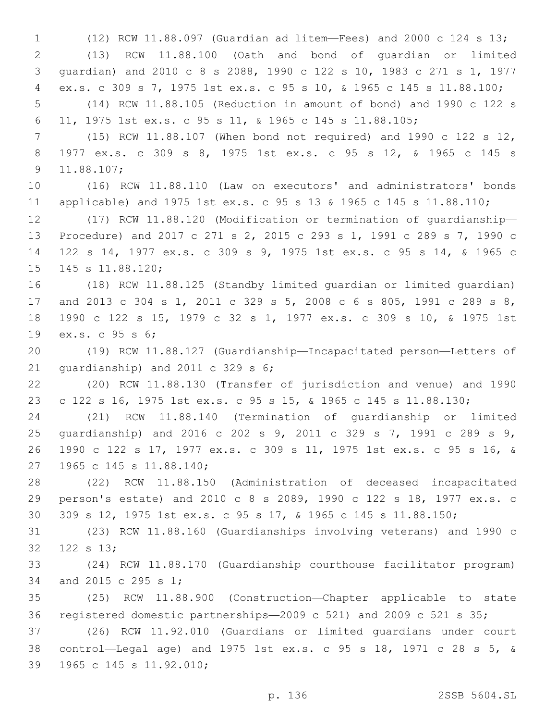(12) RCW 11.88.097 (Guardian ad litem—Fees) and 2000 c 124 s 13; (13) RCW 11.88.100 (Oath and bond of guardian or limited guardian) and 2010 c 8 s 2088, 1990 c 122 s 10, 1983 c 271 s 1, 1977 ex.s. c 309 s 7, 1975 1st ex.s. c 95 s 10, & 1965 c 145 s 11.88.100; (14) RCW 11.88.105 (Reduction in amount of bond) and 1990 c 122 s 11, 1975 1st ex.s. c 95 s 11, & 1965 c 145 s 11.88.105; (15) RCW 11.88.107 (When bond not required) and 1990 c 122 s 12, 1977 ex.s. c 309 s 8, 1975 1st ex.s. c 95 s 12, & 1965 c 145 s 9 11.88.107; (16) RCW 11.88.110 (Law on executors' and administrators' bonds applicable) and 1975 1st ex.s. c 95 s 13 & 1965 c 145 s 11.88.110; (17) RCW 11.88.120 (Modification or termination of guardianship— Procedure) and 2017 c 271 s 2, 2015 c 293 s 1, 1991 c 289 s 7, 1990 c 122 s 14, 1977 ex.s. c 309 s 9, 1975 1st ex.s. c 95 s 14, & 1965 c 15 145 s 11.88.120; (18) RCW 11.88.125 (Standby limited guardian or limited guardian) and 2013 c 304 s 1, 2011 c 329 s 5, 2008 c 6 s 805, 1991 c 289 s 8,

 1990 c 122 s 15, 1979 c 32 s 1, 1977 ex.s. c 309 s 10, & 1975 1st 19 ex.s. c 95 s 6;

 (19) RCW 11.88.127 (Guardianship—Incapacitated person—Letters of 21 quardianship) and 2011 c 329 s ;

 (20) RCW 11.88.130 (Transfer of jurisdiction and venue) and 1990 c 122 s 16, 1975 1st ex.s. c 95 s 15, & 1965 c 145 s 11.88.130;

 (21) RCW 11.88.140 (Termination of guardianship or limited guardianship) and 2016 c 202 s 9, 2011 c 329 s 7, 1991 c 289 s 9, 1990 c 122 s 17, 1977 ex.s. c 309 s 11, 1975 1st ex.s. c 95 s 16, & 27 1965 c 145 s 11.88.140;

 (22) RCW 11.88.150 (Administration of deceased incapacitated person's estate) and 2010 c 8 s 2089, 1990 c 122 s 18, 1977 ex.s. c 309 s 12, 1975 1st ex.s. c 95 s 17, & 1965 c 145 s 11.88.150;

 (23) RCW 11.88.160 (Guardianships involving veterans) and 1990 c 32 122 s 13;

 (24) RCW 11.88.170 (Guardianship courthouse facilitator program) 34 and 2015 c 295 s 1;

 (25) RCW 11.88.900 (Construction—Chapter applicable to state registered domestic partnerships—2009 c 521) and 2009 c 521 s 35;

 (26) RCW 11.92.010 (Guardians or limited guardians under court control—Legal age) and 1975 1st ex.s. c 95 s 18, 1971 c 28 s 5, & 39 1965 c 145 s 11.92.010;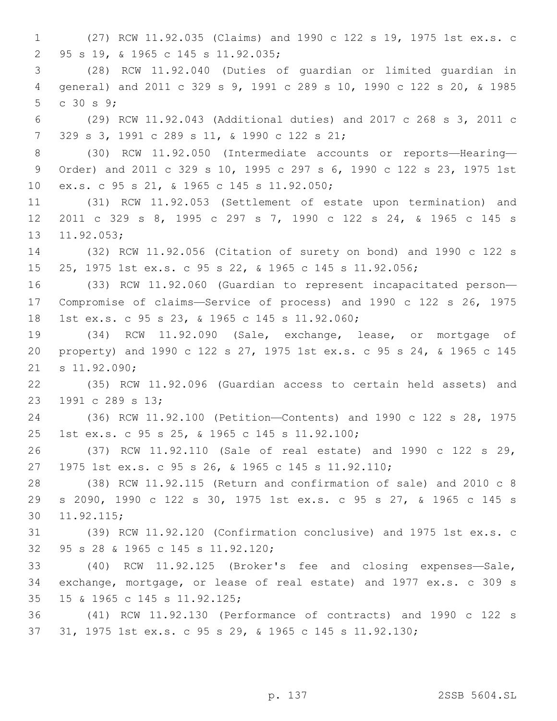(27) RCW 11.92.035 (Claims) and 1990 c 122 s 19, 1975 1st ex.s. c 95 s 19, & 1965 c 145 s 11.92.035;2 (28) RCW 11.92.040 (Duties of guardian or limited guardian in general) and 2011 c 329 s 9, 1991 c 289 s 10, 1990 c 122 s 20, & 1985  $\,$  c 30 s 9; (29) RCW 11.92.043 (Additional duties) and 2017 c 268 s 3, 2011 c 329 s 3, 1991 c 289 s 11, & 1990 c 122 s 21;7 8 (30) RCW 11.92.050 (Intermediate accounts or reports-Hearing- Order) and 2011 c 329 s 10, 1995 c 297 s 6, 1990 c 122 s 23, 1975 1st ex.s. c 95 s 21, & 1965 c 145 s 11.92.050;10 (31) RCW 11.92.053 (Settlement of estate upon termination) and 2011 c 329 s 8, 1995 c 297 s 7, 1990 c 122 s 24, & 1965 c 145 s 13 11.92.053; (32) RCW 11.92.056 (Citation of surety on bond) and 1990 c 122 s 25, 1975 1st ex.s. c 95 s 22, & 1965 c 145 s 11.92.056; (33) RCW 11.92.060 (Guardian to represent incapacitated person— Compromise of claims—Service of process) and 1990 c 122 s 26, 1975 18 1st ex.s. c 95 s 23, & 1965 c 145 s 11.92.060; (34) RCW 11.92.090 (Sale, exchange, lease, or mortgage of property) and 1990 c 122 s 27, 1975 1st ex.s. c 95 s 24, & 1965 c 145 21 s 11.92.090; (35) RCW 11.92.096 (Guardian access to certain held assets) and 23 1991 c 289 s 13; (36) RCW 11.92.100 (Petition—Contents) and 1990 c 122 s 28, 1975 1st ex.s. c 95 s 25, & 1965 c 145 s 11.92.100;25 (37) RCW 11.92.110 (Sale of real estate) and 1990 c 122 s 29, 1975 1st ex.s. c 95 s 26, & 1965 c 145 s 11.92.110; (38) RCW 11.92.115 (Return and confirmation of sale) and 2010 c 8 s 2090, 1990 c 122 s 30, 1975 1st ex.s. c 95 s 27, & 1965 c 145 s 11.92.115;30 (39) RCW 11.92.120 (Confirmation conclusive) and 1975 1st ex.s. c 95 s 28 & 1965 c 145 s 11.92.120;32 (40) RCW 11.92.125 (Broker's fee and closing expenses—Sale, exchange, mortgage, or lease of real estate) and 1977 ex.s. c 309 s 15 & 1965 c 145 s 11.92.125;35 (41) RCW 11.92.130 (Performance of contracts) and 1990 c 122 s 31, 1975 1st ex.s. c 95 s 29, & 1965 c 145 s 11.92.130;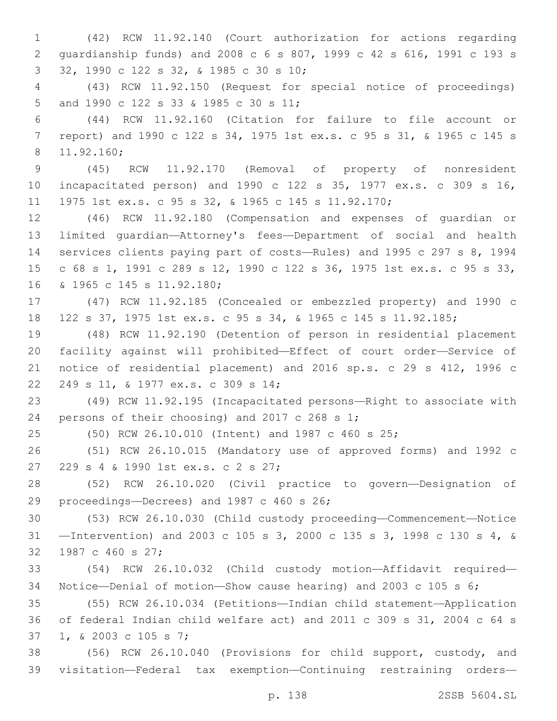(42) RCW 11.92.140 (Court authorization for actions regarding guardianship funds) and 2008 c 6 s 807, 1999 c 42 s 616, 1991 c 193 s 32, 1990 c 122 s 32, & 1985 c 30 s 10;3 (43) RCW 11.92.150 (Request for special notice of proceedings)

5 and 1990 c 122 s 33 & 1985 c 30 s 11;

 (44) RCW 11.92.160 (Citation for failure to file account or report) and 1990 c 122 s 34, 1975 1st ex.s. c 95 s 31, & 1965 c 145 s 11.92.160;8

 (45) RCW 11.92.170 (Removal of property of nonresident incapacitated person) and 1990 c 122 s 35, 1977 ex.s. c 309 s 16, 1975 1st ex.s. c 95 s 32, & 1965 c 145 s 11.92.170;

 (46) RCW 11.92.180 (Compensation and expenses of guardian or limited guardian—Attorney's fees—Department of social and health services clients paying part of costs—Rules) and 1995 c 297 s 8, 1994 c 68 s 1, 1991 c 289 s 12, 1990 c 122 s 36, 1975 1st ex.s. c 95 s 33, 16 & 1965 c 145 s 11.92.180;

 (47) RCW 11.92.185 (Concealed or embezzled property) and 1990 c 122 s 37, 1975 1st ex.s. c 95 s 34, & 1965 c 145 s 11.92.185;

 (48) RCW 11.92.190 (Detention of person in residential placement facility against will prohibited—Effect of court order—Service of notice of residential placement) and 2016 sp.s. c 29 s 412, 1996 c 22 249 s 11, & 1977 ex.s. c 309 s 14;

 (49) RCW 11.92.195 (Incapacitated persons—Right to associate with 24 persons of their choosing) and 2017 c 268 s 1;

(50) RCW 26.10.010 (Intent) and 1987 c 460 s 25;

 (51) RCW 26.10.015 (Mandatory use of approved forms) and 1992 c 27 229 s 4 & 1990 1st ex.s. c 2 s 27;

 (52) RCW 26.10.020 (Civil practice to govern—Designation of 29 proceedings—Decrees) and 1987 c 460 s 26;

 (53) RCW 26.10.030 (Child custody proceeding—Commencement—Notice —Intervention) and 2003 c 105 s 3, 2000 c 135 s 3, 1998 c 130 s 4, & 32 1987 c 460 s 27;

 (54) RCW 26.10.032 (Child custody motion—Affidavit required— Notice—Denial of motion—Show cause hearing) and 2003 c 105 s 6;

 (55) RCW 26.10.034 (Petitions—Indian child statement—Application of federal Indian child welfare act) and 2011 c 309 s 31, 2004 c 64 s 37 1, & 2003 c 105 s 7;

 (56) RCW 26.10.040 (Provisions for child support, custody, and visitation—Federal tax exemption—Continuing restraining orders—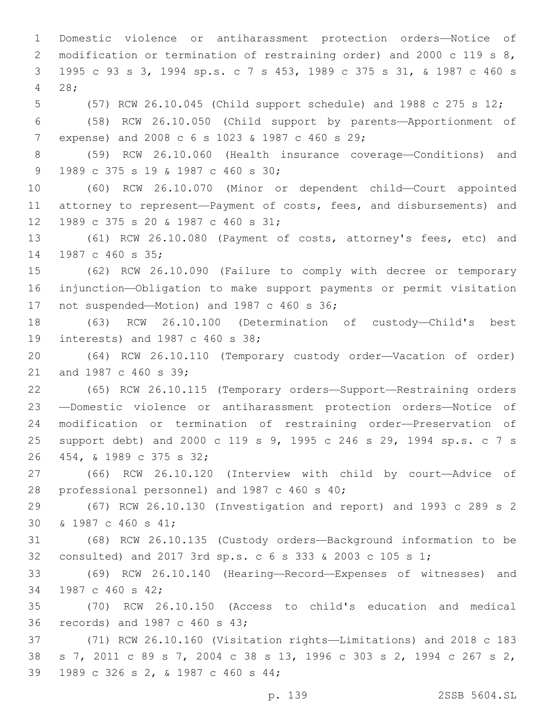Domestic violence or antiharassment protection orders—Notice of 2 modification or termination of restraining order) and 2000 c 119 s 8, 1995 c 93 s 3, 1994 sp.s. c 7 s 453, 1989 c 375 s 31, & 1987 c 460 s 28;4 (57) RCW 26.10.045 (Child support schedule) and 1988 c 275 s 12; (58) RCW 26.10.050 (Child support by parents—Apportionment of 7 expense) and 2008 c 6 s 1023 & 1987 c 460 s 29; (59) RCW 26.10.060 (Health insurance coverage—Conditions) and 9 1989 c 375 s 19 & 1987 c 460 s 30; (60) RCW 26.10.070 (Minor or dependent child—Court appointed attorney to represent—Payment of costs, fees, and disbursements) and 12 1989 c 375 s 20 & 1987 c 460 s 31; (61) RCW 26.10.080 (Payment of costs, attorney's fees, etc) and 14 1987 c 460 s 35; (62) RCW 26.10.090 (Failure to comply with decree or temporary injunction—Obligation to make support payments or permit visitation 17 not suspended—Motion) and 1987 c 460 s 36; (63) RCW 26.10.100 (Determination of custody—Child's best 19 interests) and 1987 c 460 s 38; (64) RCW 26.10.110 (Temporary custody order—Vacation of order) 21 and 1987 c 460 s 39: (65) RCW 26.10.115 (Temporary orders—Support—Restraining orders —Domestic violence or antiharassment protection orders—Notice of modification or termination of restraining order—Preservation of support debt) and 2000 c 119 s 9, 1995 c 246 s 29, 1994 sp.s. c 7 s 454, & 1989 c 375 s 32;26 (66) RCW 26.10.120 (Interview with child by court—Advice of 28 professional personnel) and 1987 c 460 s 40; (67) RCW 26.10.130 (Investigation and report) and 1993 c 289 s 2 30 & 1987 c 460 s 41; (68) RCW 26.10.135 (Custody orders—Background information to be consulted) and 2017 3rd sp.s. c 6 s 333 & 2003 c 105 s 1; (69) RCW 26.10.140 (Hearing—Record—Expenses of witnesses) and 34 1987 c 460 s 42; (70) RCW 26.10.150 (Access to child's education and medical 36 records) and 1987 c 460 s 43; (71) RCW 26.10.160 (Visitation rights—Limitations) and 2018 c 183 s 7, 2011 c 89 s 7, 2004 c 38 s 13, 1996 c 303 s 2, 1994 c 267 s 2, 39 1989 c 326 s 2, & 1987 c 460 s 44;

p. 139 2SSB 5604.SL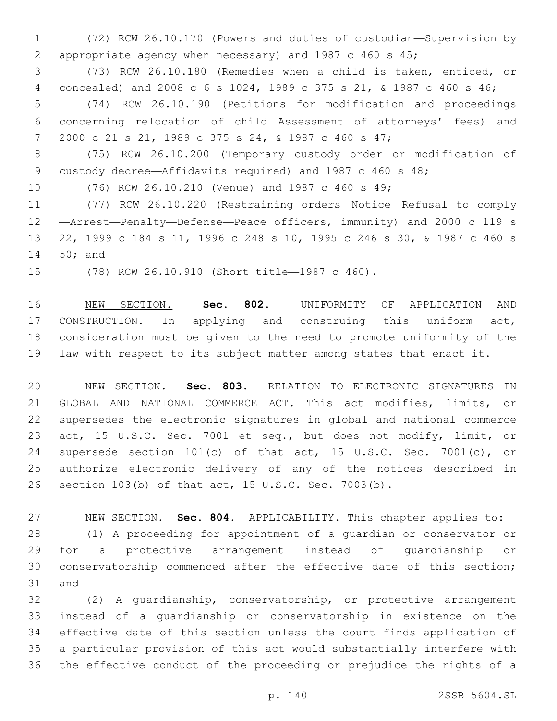(72) RCW 26.10.170 (Powers and duties of custodian—Supervision by appropriate agency when necessary) and 1987 c 460 s 45;

 (73) RCW 26.10.180 (Remedies when a child is taken, enticed, or concealed) and 2008 c 6 s 1024, 1989 c 375 s 21, & 1987 c 460 s 46;

 (74) RCW 26.10.190 (Petitions for modification and proceedings concerning relocation of child—Assessment of attorneys' fees) and 2000 c 21 s 21, 1989 c 375 s 24, & 1987 c 460 s 47;

 (75) RCW 26.10.200 (Temporary custody order or modification of custody decree—Affidavits required) and 1987 c 460 s 48;

(76) RCW 26.10.210 (Venue) and 1987 c 460 s 49;

 (77) RCW 26.10.220 (Restraining orders—Notice—Refusal to comply —Arrest—Penalty—Defense—Peace officers, immunity) and 2000 c 119 s 22, 1999 c 184 s 11, 1996 c 248 s 10, 1995 c 246 s 30, & 1987 c 460 s 14 50; and

15 (78) RCW 26.10.910 (Short title-1987 c 460).

 NEW SECTION. **Sec. 802.** UNIFORMITY OF APPLICATION AND CONSTRUCTION. In applying and construing this uniform act, consideration must be given to the need to promote uniformity of the law with respect to its subject matter among states that enact it.

 NEW SECTION. **Sec. 803.** RELATION TO ELECTRONIC SIGNATURES IN GLOBAL AND NATIONAL COMMERCE ACT. This act modifies, limits, or supersedes the electronic signatures in global and national commerce act, 15 U.S.C. Sec. 7001 et seq., but does not modify, limit, or supersede section 101(c) of that act, 15 U.S.C. Sec. 7001(c), or authorize electronic delivery of any of the notices described in section 103(b) of that act, 15 U.S.C. Sec. 7003(b).

 NEW SECTION. **Sec. 804.** APPLICABILITY. This chapter applies to: (1) A proceeding for appointment of a guardian or conservator or for a protective arrangement instead of guardianship or conservatorship commenced after the effective date of this section; 31 and

 (2) A guardianship, conservatorship, or protective arrangement instead of a guardianship or conservatorship in existence on the effective date of this section unless the court finds application of a particular provision of this act would substantially interfere with the effective conduct of the proceeding or prejudice the rights of a